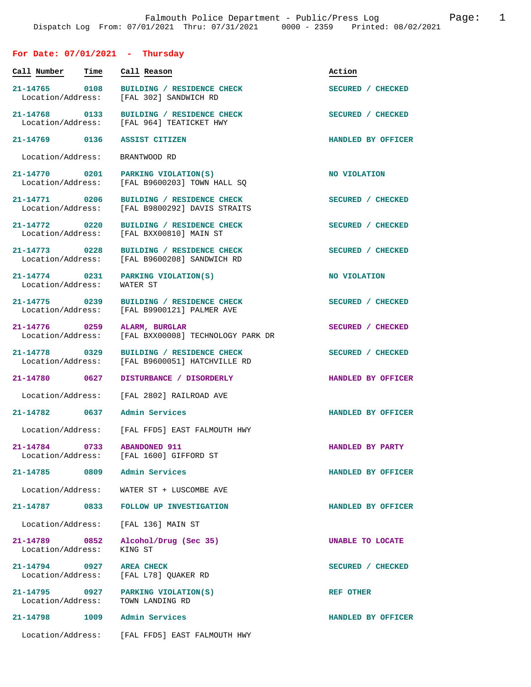## **For Date: 07/01/2021 - Thursday**

| Call Number                        | Time | Call Reason                                                             | Action             |
|------------------------------------|------|-------------------------------------------------------------------------|--------------------|
| 21-14765 0108<br>Location/Address: |      | BUILDING / RESIDENCE CHECK<br>[FAL 302] SANDWICH RD                     | SECURED / CHECKED  |
| 21-14768 0133<br>Location/Address: |      | BUILDING / RESIDENCE CHECK<br>[FAL 964] TEATICKET HWY                   | SECURED / CHECKED  |
| 21-14769 0136                      |      | ASSIST CITIZEN                                                          | HANDLED BY OFFICER |
| Location/Address:                  |      | BRANTWOOD RD                                                            |                    |
| 21-14770 0201<br>Location/Address: |      | PARKING VIOLATION(S)<br>[FAL B9600203] TOWN HALL SQ                     | NO VIOLATION       |
| 21-14771 0206<br>Location/Address: |      | BUILDING / RESIDENCE CHECK<br>[FAL B9800292] DAVIS STRAITS              | SECURED / CHECKED  |
| 21-14772 0220<br>Location/Address: |      | BUILDING / RESIDENCE CHECK<br>[FAL BXX00810] MAIN ST                    | SECURED / CHECKED  |
| 21-14773 0228<br>Location/Address: |      | BUILDING / RESIDENCE CHECK<br>[FAL B9600208] SANDWICH RD                | SECURED / CHECKED  |
| 21-14774 0231<br>Location/Address: |      | PARKING VIOLATION(S)<br>WATER ST                                        | NO VIOLATION       |
| 21-14775 0239<br>Location/Address: |      | BUILDING / RESIDENCE CHECK<br>[FAL B9900121] PALMER AVE                 | SECURED / CHECKED  |
| 21-14776 0259<br>Location/Address: |      | ALARM, BURGLAR<br>[FAL BXX00008] TECHNOLOGY PARK DR                     | SECURED / CHECKED  |
| 21-14778 0329<br>Location/Address: |      | BUILDING / RESIDENCE CHECK<br>[FAL B9600051] HATCHVILLE RD              | SECURED / CHECKED  |
| 21-14780 0627                      |      | DISTURBANCE / DISORDERLY                                                | HANDLED BY OFFICER |
| Location/Address:                  |      | [FAL 2802] RAILROAD AVE                                                 |                    |
| 21-14782 0637                      |      | Admin Services                                                          | HANDLED BY OFFICER |
|                                    |      | Location/Address: [FAL FFD5] EAST FALMOUTH HWY                          |                    |
| 21-14784                           | 0733 | <b>ABANDONED 911</b><br>Location/Address: [FAL 1600] GIFFORD ST         | HANDLED BY PARTY   |
|                                    |      | 21-14785 0809 Admin Services                                            | HANDLED BY OFFICER |
| Location/Address:                  |      | WATER ST + LUSCOMBE AVE                                                 |                    |
|                                    |      | 21-14787 0833 FOLLOW UP INVESTIGATION                                   | HANDLED BY OFFICER |
|                                    |      | Location/Address: [FAL 136] MAIN ST                                     |                    |
| Location/Address:                  |      | 21-14789 0852 Alcohol/Drug (Sec 35)<br>KING ST                          | UNABLE TO LOCATE   |
| 21-14794 0927 AREA CHECK           |      | Location/Address: [FAL L78] QUAKER RD                                   | SECURED / CHECKED  |
|                                    |      | 21-14795 0927 PARKING VIOLATION(S)<br>Location/Address: TOWN LANDING RD | <b>REF OTHER</b>   |
|                                    |      | 21-14798 1009 Admin Services                                            | HANDLED BY OFFICER |
|                                    |      | Location/Address: [FAL FFD5] EAST FALMOUTH HWY                          |                    |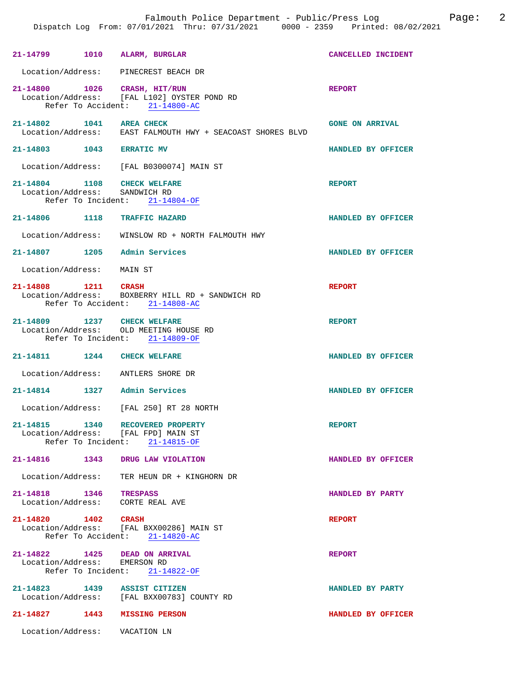| 21-14799 1010 ALARM, BURGLAR                                  |                                                                                                 | CANCELLED INCIDENT     |
|---------------------------------------------------------------|-------------------------------------------------------------------------------------------------|------------------------|
| Location/Address: PINECREST BEACH DR                          |                                                                                                 |                        |
| 21-14800 1026                                                 | CRASH, HIT/RUN<br>Location/Address: [FAL L102] OYSTER POND RD<br>Refer To Accident: 21-14800-AC | <b>REPORT</b>          |
| 21-14802 1041 AREA CHECK                                      | Location/Address: EAST FALMOUTH HWY + SEACOAST SHORES BLVD                                      | <b>GONE ON ARRIVAL</b> |
| 21-14803 1043 ERRATIC MV                                      |                                                                                                 | HANDLED BY OFFICER     |
|                                                               | Location/Address: [FAL B0300074] MAIN ST                                                        |                        |
| 21-14804 1108<br>Location/Address: SANDWICH RD                | <b>CHECK WELFARE</b><br>Refer To Incident: 21-14804-OF                                          | <b>REPORT</b>          |
| 21-14806 1118 TRAFFIC HAZARD                                  |                                                                                                 | HANDLED BY OFFICER     |
|                                                               | Location/Address: WINSLOW RD + NORTH FALMOUTH HWY                                               |                        |
| 21-14807 1205 Admin Services                                  |                                                                                                 | HANDLED BY OFFICER     |
| Location/Address: MAIN ST                                     |                                                                                                 |                        |
| 21-14808 1211                                                 | CRASH<br>Location/Address: BOXBERRY HILL RD + SANDWICH RD<br>Refer To Accident: 21-14808-AC     | <b>REPORT</b>          |
| 21-14809 1237 CHECK WELFARE                                   | Location/Address: OLD MEETING HOUSE RD<br>Refer To Incident: 21-14809-OF                        | <b>REPORT</b>          |
| 21-14811 1244 CHECK WELFARE                                   |                                                                                                 | HANDLED BY OFFICER     |
| Location/Address: ANTLERS SHORE DR                            |                                                                                                 |                        |
| 21-14814 1327 Admin Services                                  |                                                                                                 | HANDLED BY OFFICER     |
|                                                               | Location/Address: [FAL 250] RT 28 NORTH                                                         |                        |
| 21-14815 1340<br>Location/Address: [FAL FPD] MAIN ST          | RECOVERED PROPERTY<br>Refer To Incident: 21-14815-OF                                            | <b>REPORT</b>          |
| 21-14816 1343 DRUG LAW VIOLATION                              |                                                                                                 | HANDLED BY OFFICER     |
|                                                               | Location/Address: TER HEUN DR + KINGHORN DR                                                     |                        |
| 21-14818 1346 TRESPASS<br>Location/Address: CORTE REAL AVE    |                                                                                                 | HANDLED BY PARTY       |
| 21-14820 1402 CRASH                                           | Location/Address: [FAL BXX00286] MAIN ST<br>Refer To Accident: 21-14820-AC                      | <b>REPORT</b>          |
| 21-14822 1425 DEAD ON ARRIVAL<br>Location/Address: EMERSON RD | Refer To Incident: 21-14822-OF                                                                  | <b>REPORT</b>          |
| 21-14823 1439                                                 | ASSIST CITIZEN<br>Location/Address: [FAL BXX00783] COUNTY RD                                    | HANDLED BY PARTY       |
| 21-14827 1443 MISSING PERSON                                  |                                                                                                 | HANDLED BY OFFICER     |
| Location/Address: VACATION LN                                 |                                                                                                 |                        |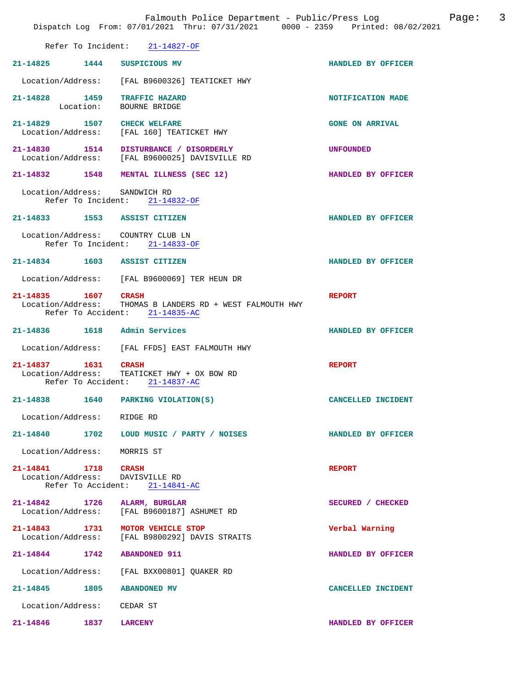|                             | Falmouth Police Department - Public/Press Log both Page:<br>Dispatch Log From: 07/01/2021 Thru: 07/31/2021 0000 - 2359 Printed: 08/02/2021 |                        | $\overline{3}$ |
|-----------------------------|--------------------------------------------------------------------------------------------------------------------------------------------|------------------------|----------------|
|                             | Refer To Incident: 21-14827-OF                                                                                                             |                        |                |
|                             | 21-14825 1444 SUSPICIOUS MV                                                                                                                | HANDLED BY OFFICER     |                |
|                             | Location/Address: [FAL B9600326] TEATICKET HWY                                                                                             |                        |                |
|                             | 21-14828 1459 TRAFFIC HAZARD<br>Location: BOURNE BRIDGE                                                                                    | NOTIFICATION MADE      |                |
|                             | 21-14829 1507 CHECK WELFARE<br>Location/Address: [FAL 160] TEATICKET HWY                                                                   | <b>GONE ON ARRIVAL</b> |                |
|                             | 21-14830 1514 DISTURBANCE / DISORDERLY<br>Location/Address: [FAL B9600025] DAVISVILLE RD                                                   | UNFOUNDED              |                |
|                             | 21-14832 1548 MENTAL ILLNESS (SEC 12)                                                                                                      | HANDLED BY OFFICER     |                |
|                             | Location/Address: SANDWICH RD<br>Refer To Incident: 21-14832-OF                                                                            |                        |                |
|                             | 21-14833 1553 ASSIST CITIZEN                                                                                                               | HANDLED BY OFFICER     |                |
|                             | Location/Address: COUNTRY CLUB LN<br>Refer To Incident: 21-14833-OF                                                                        |                        |                |
|                             | 21-14834 1603 ASSIST CITIZEN                                                                                                               | HANDLED BY OFFICER     |                |
|                             | Location/Address: [FAL B9600069] TER HEUN DR                                                                                               |                        |                |
| 21-14835 1607 CRASH         |                                                                                                                                            | <b>REPORT</b>          |                |
|                             | Location/Address: THOMAS B LANDERS RD + WEST FALMOUTH HWY<br>Refer To Accident: 21-14835-AC                                                |                        |                |
|                             | 21-14836 1618 Admin Services                                                                                                               | HANDLED BY OFFICER     |                |
|                             | Location/Address: [FAL FFD5] EAST FALMOUTH HWY                                                                                             |                        |                |
| 21-14837 1631 CRASH         | Location/Address: TEATICKET HWY + OX BOW RD<br>Refer To Accident: 21-14837-AC                                                              | <b>REPORT</b>          |                |
|                             | 21-14838 1640 PARKING VIOLATION(S)                                                                                                         | CANCELLED INCIDENT     |                |
| Location/Address: RIDGE RD  |                                                                                                                                            |                        |                |
|                             | 21-14840 1702 LOUD MUSIC / PARTY / NOISES                                                                                                  | HANDLED BY OFFICER     |                |
| Location/Address: MORRIS ST |                                                                                                                                            |                        |                |
| 21-14841 1718 CRASH         | Location/Address: DAVISVILLE RD<br>Refer To Accident: 21-14841-AC                                                                          | <b>REPORT</b>          |                |
|                             | 21-14842 1726 ALARM, BURGLAR<br>Location/Address: [FAL B9600187] ASHUMET RD                                                                | SECURED / CHECKED      |                |
|                             | 21-14843 1731 MOTOR VEHICLE STOP<br>Location/Address: [FAL B9800292] DAVIS STRAITS                                                         | Verbal Warning         |                |
|                             | 21-14844 1742 ABANDONED 911                                                                                                                | HANDLED BY OFFICER     |                |
|                             | Location/Address: [FAL BXX00801] QUAKER RD                                                                                                 |                        |                |
|                             | 21-14845 1805 ABANDONED MV                                                                                                                 | CANCELLED INCIDENT     |                |
| Location/Address: CEDAR ST  |                                                                                                                                            |                        |                |
| 21-14846 1837 LARCENY       |                                                                                                                                            | HANDLED BY OFFICER     |                |
|                             |                                                                                                                                            |                        |                |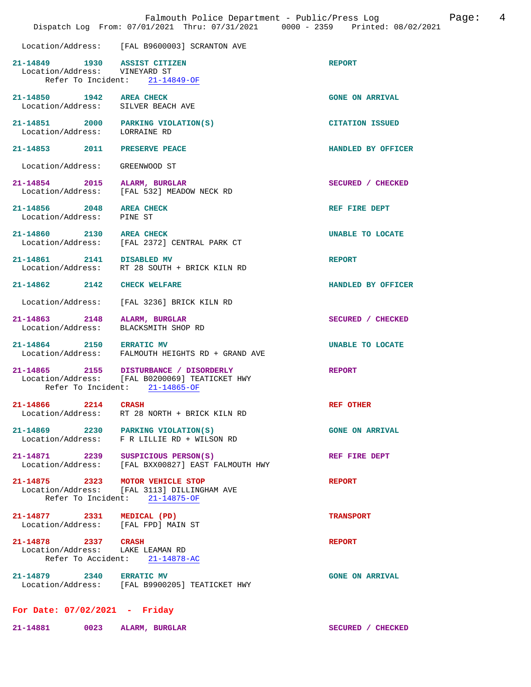|                                                                                     | Falmouth Police Department - Public/Press Log<br>Dispatch Log From: 07/01/2021 Thru: 07/31/2021 0000 - 2359 Printed: 08/02/2021 | Page:                   | 4 |
|-------------------------------------------------------------------------------------|---------------------------------------------------------------------------------------------------------------------------------|-------------------------|---|
|                                                                                     | Location/Address: [FAL B9600003] SCRANTON AVE                                                                                   |                         |   |
| 21-14849 1930 ASSIST CITIZEN<br>Location/Address: VINEYARD ST<br>Refer To Incident: | 21-14849-OF                                                                                                                     | <b>REPORT</b>           |   |
| 21-14850 1942 AREA CHECK<br>Location/Address: SILVER BEACH AVE                      |                                                                                                                                 | <b>GONE ON ARRIVAL</b>  |   |
| 21-14851 2000<br>Location/Address:                                                  | PARKING VIOLATION(S)<br>LORRAINE RD                                                                                             | <b>CITATION ISSUED</b>  |   |
| 2011<br>21-14853                                                                    | PRESERVE PEACE                                                                                                                  | HANDLED BY OFFICER      |   |
| Location/Address:                                                                   | GREENWOOD ST                                                                                                                    |                         |   |
| 21-14854 2015<br>Location/Address:                                                  | ALARM, BURGLAR<br>[FAL 532] MEADOW NECK RD                                                                                      | SECURED / CHECKED       |   |
| 21-14856 2048<br>Location/Address:                                                  | <b>AREA CHECK</b><br>PINE ST                                                                                                    | REF FIRE DEPT           |   |
| 21-14860 2130                                                                       | <b>AREA CHECK</b><br>Location/Address: [FAL 2372] CENTRAL PARK CT                                                               | UNABLE TO LOCATE        |   |
| 21-14861 2141 DISABLED MV                                                           | Location/Address: RT 28 SOUTH + BRICK KILN RD                                                                                   | <b>REPORT</b>           |   |
| 21-14862 2142 CHECK WELFARE                                                         |                                                                                                                                 | HANDLED BY OFFICER      |   |
| Location/Address:                                                                   | [FAL 3236] BRICK KILN RD                                                                                                        |                         |   |
| 21-14863 2148<br>Location/Address:                                                  | ALARM, BURGLAR<br>BLACKSMITH SHOP RD                                                                                            | SECURED / CHECKED       |   |
| 21-14864 2150 ERRATIC MV                                                            | Location/Address: FALMOUTH HEIGHTS RD + GRAND AVE                                                                               | <b>UNABLE TO LOCATE</b> |   |
| Refer To Incident:                                                                  | 21-14865 2155 DISTURBANCE / DISORDERLY<br>Location/Address: [FAL B0200069] TEATICKET HWY<br>$21 - 14865 - OF$                   | <b>REPORT</b>           |   |
| 21-14866 2214                                                                       | <b>CRASH</b><br>Location/Address: RT 28 NORTH + BRICK KILN RD                                                                   | <b>REF OTHER</b>        |   |
|                                                                                     | 21-14869 2230 PARKING VIOLATION(S)<br>Location/Address: F R LILLIE RD + WILSON RD                                               | <b>GONE ON ARRIVAL</b>  |   |
| 21-14871 2239                                                                       | SUSPICIOUS PERSON(S)<br>Location/Address: [FAL BXX00827] EAST FALMOUTH HWY                                                      | REF FIRE DEPT           |   |
| 21-14875 2323 MOTOR VEHICLE STOP                                                    | Location/Address: [FAL 3113] DILLINGHAM AVE<br>Refer To Incident: 21-14875-OF                                                   | <b>REPORT</b>           |   |
| 21-14877 2331 MEDICAL (PD)<br>Location/Address: [FAL FPD] MAIN ST                   |                                                                                                                                 | <b>TRANSPORT</b>        |   |
| 21-14878 2337 CRASH<br>Location/Address: LAKE LEAMAN RD                             | Refer To Accident: 21-14878-AC                                                                                                  | <b>REPORT</b>           |   |
| 21-14879 2340 ERRATIC MV                                                            | Location/Address: [FAL B9900205] TEATICKET HWY                                                                                  | <b>GONE ON ARRIVAL</b>  |   |
| For Date: $07/02/2021$ - Friday                                                     |                                                                                                                                 |                         |   |
| 21-14881 0023                                                                       | ALARM, BURGLAR                                                                                                                  | SECURED / CHECKED       |   |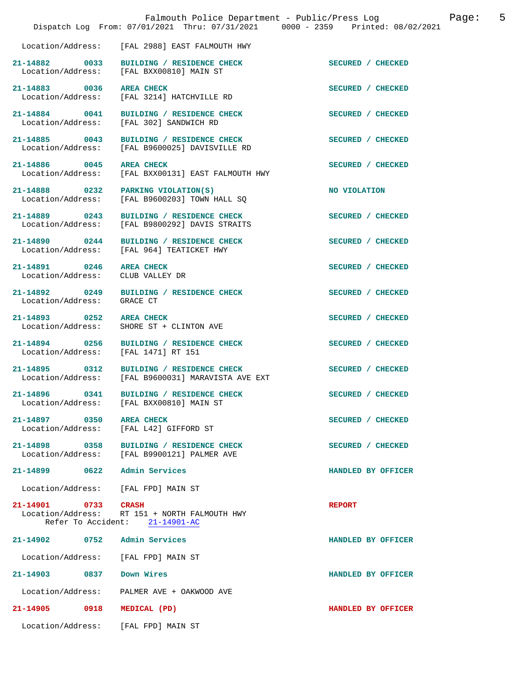|                                       |                                                                                      | Dispatch Log From: 07/01/2021 Thru: 07/31/2021 0000 - 2359 Printed: 08/02/2021 |
|---------------------------------------|--------------------------------------------------------------------------------------|--------------------------------------------------------------------------------|
|                                       | Location/Address: [FAL 2988] EAST FALMOUTH HWY                                       |                                                                                |
| 21-14882 0033                         | BUILDING / RESIDENCE CHECK<br>Location/Address: [FAL BXX00810] MAIN ST               | SECURED / CHECKED                                                              |
| 21-14883 0036                         | <b>AREA CHECK</b><br>Location/Address: [FAL 3214] HATCHVILLE RD                      | SECURED / CHECKED                                                              |
| 21-14884 0041<br>Location/Address:    | BUILDING / RESIDENCE CHECK<br>[FAL 302] SANDWICH RD                                  | SECURED / CHECKED                                                              |
| 21-14885 0043                         | BUILDING / RESIDENCE CHECK<br>Location/Address: [FAL B9600025] DAVISVILLE RD         | SECURED / CHECKED                                                              |
| 21-14886 0045                         | <b>AREA CHECK</b><br>Location/Address: [FAL BXX00131] EAST FALMOUTH HWY              | SECURED / CHECKED                                                              |
|                                       | 21-14888 0232 PARKING VIOLATION(S)<br>Location/Address: [FAL B9600203] TOWN HALL SQ  | NO VIOLATION                                                                   |
| 21-14889 0243<br>Location/Address:    | BUILDING / RESIDENCE CHECK<br>[FAL B9800292] DAVIS STRAITS                           | SECURED / CHECKED                                                              |
| 21-14890 0244<br>Location/Address:    | BUILDING / RESIDENCE CHECK<br>[FAL 964] TEATICKET HWY                                | SECURED / CHECKED                                                              |
| 21-14891 0246<br>Location/Address:    | <b>AREA CHECK</b><br>CLUB VALLEY DR                                                  | SECURED / CHECKED                                                              |
| 21-14892 0249<br>Location/Address:    | BUILDING / RESIDENCE CHECK<br>GRACE CT                                               | SECURED / CHECKED                                                              |
| 21-14893 0252<br>Location/Address:    | <b>AREA CHECK</b><br>SHORE ST + CLINTON AVE                                          | SECURED / CHECKED                                                              |
| 21-14894 0256<br>Location/Address:    | BUILDING / RESIDENCE CHECK<br>[FAL 1471] RT 151                                      | SECURED / CHECKED                                                              |
| 21-14895 0312                         | BUILDING / RESIDENCE CHECK<br>Location/Address: [FAL B9600031] MARAVISTA AVE EXT     | SECURED / CHECKED                                                              |
|                                       | 21-14896 0341 BUILDING / RESIDENCE CHECK<br>Location/Address: [FAL BXX00810] MAIN ST | SECURED / CHECKED                                                              |
| 21-14897<br>0350<br>Location/Address: | <b>AREA CHECK</b><br>[FAL L42] GIFFORD ST                                            | SECURED / CHECKED                                                              |
| 21-14898<br>0358<br>Location/Address: | BUILDING / RESIDENCE CHECK<br>[FAL B9900121] PALMER AVE                              | SECURED / CHECKED                                                              |
| 21-14899<br>0622                      | Admin Services                                                                       | HANDLED BY OFFICER                                                             |
| Location/Address:                     | [FAL FPD] MAIN ST                                                                    |                                                                                |
| 21-14901 0733<br>Location/Address:    | <b>CRASH</b><br>RT 151 + NORTH FALMOUTH HWY<br>Refer To Accident: 21-14901-AC        | <b>REPORT</b>                                                                  |
| 21-14902<br>0752                      | Admin Services                                                                       | HANDLED BY OFFICER                                                             |
| Location/Address:                     | [FAL FPD] MAIN ST                                                                    |                                                                                |
| 21-14903<br>0837                      | Down Wires                                                                           | HANDLED BY OFFICER                                                             |
| Location/Address:                     | PALMER AVE + OAKWOOD AVE                                                             |                                                                                |
| 21-14905<br>0918                      | MEDICAL (PD)                                                                         | HANDLED BY OFFICER                                                             |
| Location/Address:                     | [FAL FPD] MAIN ST                                                                    |                                                                                |

Falmouth Police Department - Public/Press Log and Page: 5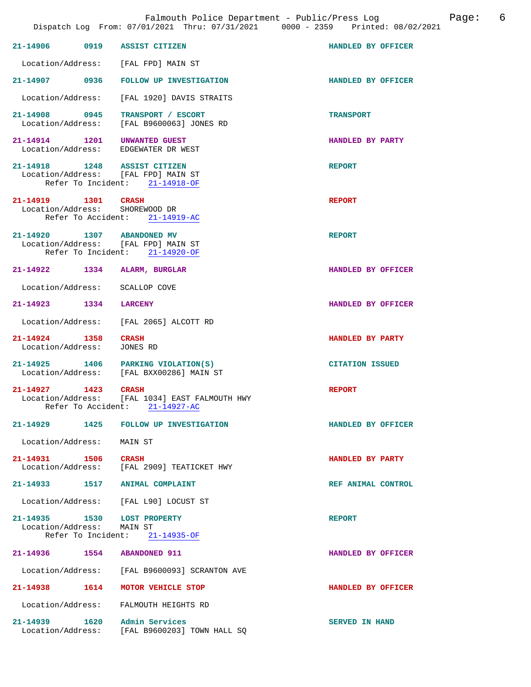| 21-14906 0919 ASSIST CITIZEN                                            |                                                                                  | HANDLED BY OFFICER     |
|-------------------------------------------------------------------------|----------------------------------------------------------------------------------|------------------------|
| Location/Address: [FAL FPD] MAIN ST                                     |                                                                                  |                        |
|                                                                         | 21-14907 0936 FOLLOW UP INVESTIGATION                                            | HANDLED BY OFFICER     |
|                                                                         | Location/Address: [FAL 1920] DAVIS STRAITS                                       |                        |
| 21-14908 0945 TRANSPORT / ESCORT                                        | Location/Address: [FAL B9600063] JONES RD                                        | <b>TRANSPORT</b>       |
| 21-14914   1201   UNWANTED GUEST<br>Location/Address: EDGEWATER DR WEST |                                                                                  | HANDLED BY PARTY       |
| 21-14918   1248   ASSIST CITIZEN<br>Location/Address: [FAL FPD] MAIN ST | Refer To Incident: 21-14918-OF                                                   | <b>REPORT</b>          |
| 21-14919 1301 CRASH<br>Location/Address: SHOREWOOD DR                   | Refer To Accident: 21-14919-AC                                                   | <b>REPORT</b>          |
| 21-14920 1307 ABANDONED MV<br>Location/Address: [FAL FPD] MAIN ST       | Refer To Incident: 21-14920-OF                                                   | <b>REPORT</b>          |
| 21-14922 1334 ALARM, BURGLAR                                            |                                                                                  | HANDLED BY OFFICER     |
| Location/Address: SCALLOP COVE                                          |                                                                                  |                        |
| 21-14923 1334 LARCENY                                                   |                                                                                  | HANDLED BY OFFICER     |
|                                                                         | Location/Address: [FAL 2065] ALCOTT RD                                           |                        |
| 21-14924 1358 CRASH<br>Location/Address: JONES RD                       |                                                                                  | HANDLED BY PARTY       |
|                                                                         | 21-14925 1406 PARKING VIOLATION(S)<br>Location/Address: [FAL BXX00286] MAIN ST   | <b>CITATION ISSUED</b> |
| 21-14927 1423 CRASH                                                     | Location/Address: [FAL 1034] EAST FALMOUTH HWY<br>Refer To Accident: 21-14927-AC | <b>REPORT</b>          |
| 21-14929 1425                                                           | FOLLOW UP INVESTIGATION                                                          | HANDLED BY OFFICER     |
| Location/Address: MAIN ST                                               |                                                                                  |                        |
| 21-14931 1506 CRASH                                                     | Location/Address: [FAL 2909] TEATICKET HWY                                       | HANDLED BY PARTY       |
| 21-14933 1517 ANIMAL COMPLAINT                                          |                                                                                  | REF ANIMAL CONTROL     |
| Location/Address: [FAL L90] LOCUST ST                                   |                                                                                  |                        |
| 21-14935 1530 LOST PROPERTY<br>Location/Address: MAIN ST                | Refer To Incident: 21-14935-OF                                                   | <b>REPORT</b>          |
| 21-14936 1554 ABANDONED 911                                             |                                                                                  | HANDLED BY OFFICER     |
|                                                                         | Location/Address: [FAL B9600093] SCRANTON AVE                                    |                        |
| 21-14938 1614 MOTOR VEHICLE STOP                                        |                                                                                  | HANDLED BY OFFICER     |
| Location/Address: FALMOUTH HEIGHTS RD                                   |                                                                                  |                        |
| 21-14939 1620                                                           | Admin Services<br>Location/Address: [FAL B9600203] TOWN HALL SQ                  | <b>SERVED IN HAND</b>  |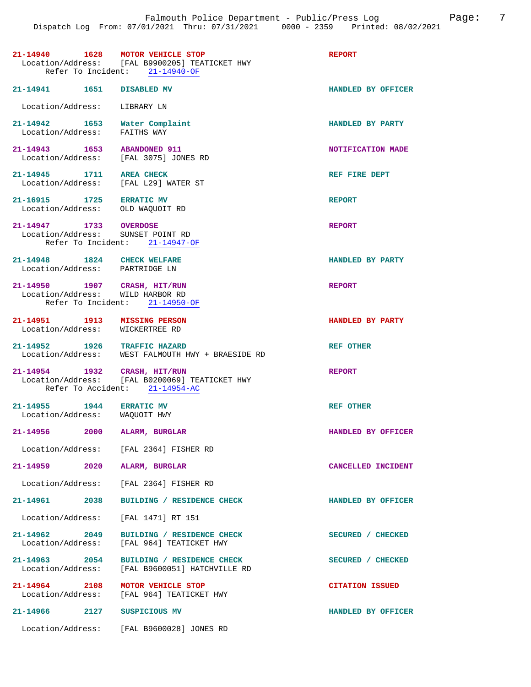|                                                               |      | 21-14940 1628 MOTOR VEHICLE STOP<br>Location/Address: [FAL B9900205] TEATICKET HWY<br>Refer To Incident: 21-14940-OF | <b>REPORT</b>          |
|---------------------------------------------------------------|------|----------------------------------------------------------------------------------------------------------------------|------------------------|
| 21-14941   1651   DISABLED MV                                 |      |                                                                                                                      | HANDLED BY OFFICER     |
| Location/Address: LIBRARY LN                                  |      |                                                                                                                      |                        |
| Location/Address:                                             |      | 21-14942 1653 Water Complaint<br>FAITHS WAY                                                                          | HANDLED BY PARTY       |
| 21-14943 1653 ABANDONED 911                                   |      | Location/Address: [FAL 3075] JONES RD                                                                                | NOTIFICATION MADE      |
| 21-14945 1711                                                 |      | <b>AREA CHECK</b><br>Location/Address: [FAL L29] WATER ST                                                            | REF FIRE DEPT          |
| 21-16915 1725 ERRATIC MV                                      |      | Location/Address: OLD WAQUOIT RD                                                                                     | <b>REPORT</b>          |
| 21-14947 1733 OVERDOSE                                        |      | Location/Address: SUNSET POINT RD<br>Refer To Incident: 21-14947-OF                                                  | <b>REPORT</b>          |
| 21-14948 1824 CHECK WELFARE<br>Location/Address: PARTRIDGE LN |      |                                                                                                                      | HANDLED BY PARTY       |
|                                                               |      | 21-14950 1907 CRASH, HIT/RUN<br>Location/Address: WILD HARBOR RD<br>Refer To Incident: 21-14950-OF                   | <b>REPORT</b>          |
|                                                               |      | 21-14951 1913 MISSING PERSON<br>Location/Address: WICKERTREE RD                                                      | HANDLED BY PARTY       |
|                                                               |      | 21-14952 1926 TRAFFIC HAZARD<br>Location/Address: WEST FALMOUTH HWY + BRAESIDE RD                                    | REF OTHER              |
|                                                               |      | 21-14954 1932 CRASH, HIT/RUN<br>Location/Address: [FAL B0200069] TEATICKET HWY<br>Refer To Accident: 21-14954-AC     | <b>REPORT</b>          |
| 21-14955 1944 ERRATIC MV<br>Location/Address: WAQUOIT HWY     |      |                                                                                                                      | <b>REF OTHER</b>       |
| 21-14956                                                      | 2000 | ALARM, BURGLAR                                                                                                       | HANDLED BY OFFICER     |
|                                                               |      | Location/Address: [FAL 2364] FISHER RD                                                                               |                        |
| 21-14959                                                      | 2020 | ALARM, BURGLAR                                                                                                       | CANCELLED INCIDENT     |
|                                                               |      | Location/Address: [FAL 2364] FISHER RD                                                                               |                        |
| 21-14961 2038                                                 |      | BUILDING / RESIDENCE CHECK                                                                                           | HANDLED BY OFFICER     |
| Location/Address:                                             |      | [FAL 1471] RT 151                                                                                                    |                        |
| 21-14962 2049<br>Location/Address:                            |      | BUILDING / RESIDENCE CHECK<br>[FAL 964] TEATICKET HWY                                                                | SECURED / CHECKED      |
| $21 - 14963$ 2054<br>Location/Address:                        |      | BUILDING / RESIDENCE CHECK<br>[FAL B9600051] HATCHVILLE RD                                                           | SECURED / CHECKED      |
| 21-14964 2108<br>Location/Address:                            |      | MOTOR VEHICLE STOP<br>[FAL 964] TEATICKET HWY                                                                        | <b>CITATION ISSUED</b> |
| 21-14966                                                      | 2127 | SUSPICIOUS MV                                                                                                        | HANDLED BY OFFICER     |
|                                                               |      | Location/Address: [FAL B9600028] JONES RD                                                                            |                        |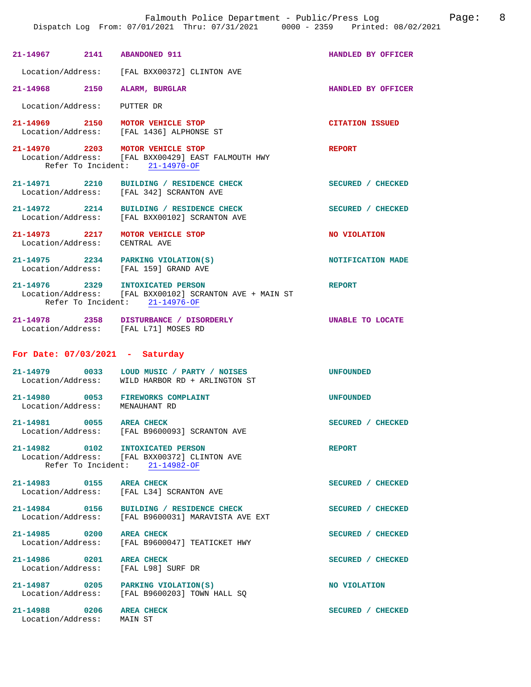| 21-14967 2141 ABANDONED 911                                                 |                                                                                                                          | HANDLED BY OFFICER     |
|-----------------------------------------------------------------------------|--------------------------------------------------------------------------------------------------------------------------|------------------------|
|                                                                             | Location/Address: [FAL BXX00372] CLINTON AVE                                                                             |                        |
| 21-14968 2150                                                               | ALARM, BURGLAR                                                                                                           | HANDLED BY OFFICER     |
| Location/Address: PUTTER DR                                                 |                                                                                                                          |                        |
|                                                                             | 21-14969 2150 MOTOR VEHICLE STOP<br>Location/Address: [FAL 1436] ALPHONSE ST                                             | <b>CITATION ISSUED</b> |
|                                                                             | 21-14970 2203 MOTOR VEHICLE STOP<br>Location/Address: [FAL BXX00429] EAST FALMOUTH HWY<br>Refer To Incident: 21-14970-OF | REPORT                 |
|                                                                             | 21-14971 2210 BUILDING / RESIDENCE CHECK<br>Location/Address: [FAL 342] SCRANTON AVE                                     | SECURED / CHECKED      |
|                                                                             | 21-14972 2214 BUILDING / RESIDENCE CHECK<br>Location/Address: [FAL BXX00102] SCRANTON AVE                                | SECURED / CHECKED      |
| 21-14973 2217 MOTOR VEHICLE STOP<br>Location/Address: CENTRAL AVE           |                                                                                                                          | NO VIOLATION           |
| 21-14975 2234 PARKING VIOLATION(S)<br>Location/Address: [FAL 159] GRAND AVE |                                                                                                                          | NOTIFICATION MADE      |
| 21-14976 2329 INTOXICATED PERSON                                            | Location/Address: [FAL BXX00102] SCRANTON AVE + MAIN ST<br>Refer To Incident: 21-14976-OF                                | <b>REPORT</b>          |
|                                                                             | 21-14978 2358 DISTURBANCE / DISORDERLY<br>Location/Address: [FAL L71] MOSES RD                                           | UNABLE TO LOCATE       |
| For Date: $07/03/2021$ - Saturday                                           |                                                                                                                          |                        |
|                                                                             | 21-14979 0033 LOUD MUSIC / PARTY / NOISES<br>Location/Address: WILD HARBOR RD + ARLINGTON ST                             | <b>UNFOUNDED</b>       |
| 21-14980 0053 FIREWORKS COMPLAINT<br>Location/Address: MENAUHANT RD         |                                                                                                                          | UNFOUNDED              |
| 21-14981 0055 AREA CHECK                                                    | Location/Address: [FAL B9600093] SCRANTON AVE                                                                            | SECURED / CHECKED      |
| 21-14982 0102 INTOXICATED PERSON                                            | Location/Address: [FAL BXX00372] CLINTON AVE<br>Refer To Incident: 21-14982-OF                                           | <b>REPORT</b>          |
| 21-14983 0155 AREA CHECK                                                    | Location/Address: [FAL L34] SCRANTON AVE                                                                                 | SECURED / CHECKED      |
|                                                                             | 21-14984 0156 BUILDING / RESIDENCE CHECK<br>Location/Address: [FAL B9600031] MARAVISTA AVE EXT                           | SECURED / CHECKED      |
|                                                                             | 21-14985 0200 AREA CHECK<br>Location/Address: [FAL B9600047] TEATICKET HWY                                               | SECURED / CHECKED      |
| 21-14986 0201 AREA CHECK<br>Location/Address: [FAL L98] SURF DR             |                                                                                                                          | SECURED / CHECKED      |
| 21-14987 0205 PARKING VIOLATION(S)                                          | Location/Address: [FAL B9600203] TOWN HALL SQ                                                                            | NO VIOLATION           |
| 21-14988 0206 AREA CHECK<br>Location/Address: MAIN ST                       |                                                                                                                          | SECURED / CHECKED      |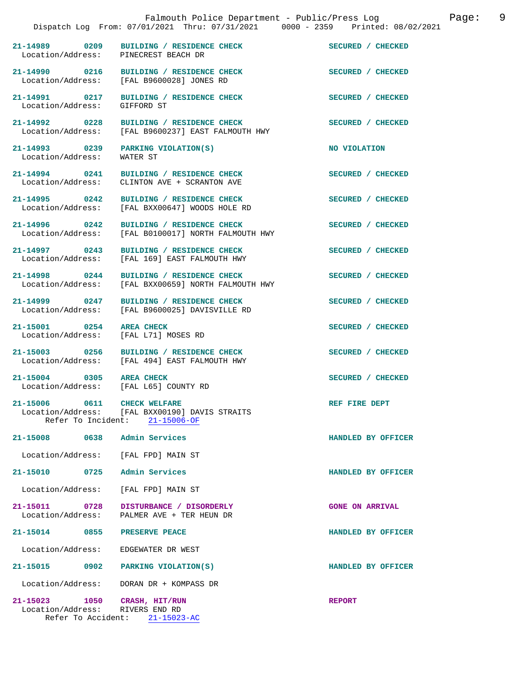|                                                                 | Falmouth Police Department - Public/Press Log<br>Dispatch Log From: 07/01/2021 Thru: 07/31/2021 0000 - 2359 Printed: 08/02/2021 | 9<br>Page:             |
|-----------------------------------------------------------------|---------------------------------------------------------------------------------------------------------------------------------|------------------------|
| Location/Address: PINECREST BEACH DR                            | 21-14989 0209 BUILDING / RESIDENCE CHECK                                                                                        | SECURED / CHECKED      |
| 21-14990 0216<br>Location/Address:                              | BUILDING / RESIDENCE CHECK<br>[FAL B9600028] JONES RD                                                                           | SECURED / CHECKED      |
| 21-14991 0217<br>Location/Address:                              | BUILDING / RESIDENCE CHECK<br>GIFFORD ST                                                                                        | SECURED / CHECKED      |
| 21-14992 0228<br>Location/Address:                              | BUILDING / RESIDENCE CHECK<br>[FAL B9600237] EAST FALMOUTH HWY                                                                  | SECURED / CHECKED      |
| 21-14993 0239<br>Location/Address:                              | PARKING VIOLATION(S)<br>WATER ST                                                                                                | NO VIOLATION           |
| 21-14994 0241<br>Location/Address:                              | BUILDING / RESIDENCE CHECK<br>CLINTON AVE + SCRANTON AVE                                                                        | SECURED / CHECKED      |
| 21-14995 0242                                                   | BUILDING / RESIDENCE CHECK<br>Location/Address: [FAL BXX00647] WOODS HOLE RD                                                    | SECURED / CHECKED      |
| 21-14996 0242<br>Location/Address:                              | BUILDING / RESIDENCE CHECK<br>[FAL B0100017] NORTH FALMOUTH HWY                                                                 | SECURED / CHECKED      |
| 21-14997 0243                                                   | BUILDING / RESIDENCE CHECK<br>Location/Address: [FAL 169] EAST FALMOUTH HWY                                                     | SECURED / CHECKED      |
| 21-14998 0244<br>Location/Address:                              | BUILDING / RESIDENCE CHECK<br>[FAL BXX00659] NORTH FALMOUTH HWY                                                                 | SECURED / CHECKED      |
| 21-14999 0247<br>Location/Address:                              | BUILDING / RESIDENCE CHECK<br>[FAL B9600025] DAVISVILLE RD                                                                      | SECURED / CHECKED      |
| 21-15001 0254<br>Location/Address:                              | <b>AREA CHECK</b><br>[FAL L71] MOSES RD                                                                                         | SECURED / CHECKED      |
| 21-15003 0256                                                   | BUILDING / RESIDENCE CHECK<br>Location/Address: [FAL 494] EAST FALMOUTH HWY                                                     | SECURED / CHECKED      |
| 21-15004 0305 AREA CHECK                                        | Location/Address: [FAL L65] COUNTY RD                                                                                           | SECURED / CHECKED      |
| 21-15006                                                        | 0611 CHECK WELFARE<br>Location/Address: [FAL BXX00190] DAVIS STRAITS<br>Refer To Incident: 21-15006-OF                          | REF FIRE DEPT          |
| 21-15008 0638 Admin Services                                    |                                                                                                                                 | HANDLED BY OFFICER     |
| Location/Address:                                               | [FAL FPD] MAIN ST                                                                                                               |                        |
| 21-15010 0725                                                   | Admin Services                                                                                                                  | HANDLED BY OFFICER     |
| Location/Address:                                               | [FAL FPD] MAIN ST                                                                                                               |                        |
| 21-15011 0728<br>Location/Address:                              | DISTURBANCE / DISORDERLY<br>PALMER AVE + TER HEUN DR                                                                            | <b>GONE ON ARRIVAL</b> |
| 21-15014 0855                                                   | PRESERVE PEACE                                                                                                                  | HANDLED BY OFFICER     |
| Location/Address:                                               | EDGEWATER DR WEST                                                                                                               |                        |
| 21-15015 0902                                                   | PARKING VIOLATION(S)                                                                                                            | HANDLED BY OFFICER     |
| Location/Address:                                               | DORAN DR + KOMPASS DR                                                                                                           |                        |
| 21-15023 1050 CRASH, HIT/RUN<br>Location/Address: RIVERS END RD | Refer To Accident: 21-15023-AC                                                                                                  | <b>REPORT</b>          |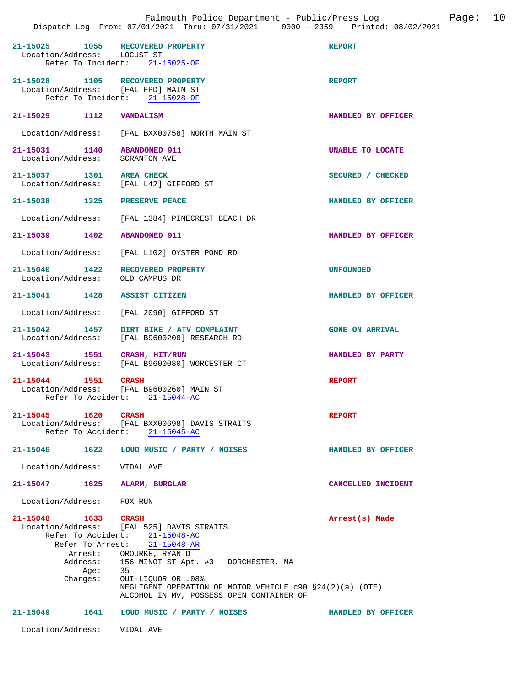| 21-15025 1055 RECOVERED PROPERTY<br>Location/Address: LOCUST ST         | Refer To Incident: 21-15025-OF                                                                                                                                                                                           | <b>REPORT</b>          |
|-------------------------------------------------------------------------|--------------------------------------------------------------------------------------------------------------------------------------------------------------------------------------------------------------------------|------------------------|
| 21-15028 1105 RECOVERED PROPERTY<br>Location/Address: [FAL FPD] MAIN ST | Refer To Incident: 21-15028-OF                                                                                                                                                                                           | <b>REPORT</b>          |
| 21-15029 1112                                                           | <b>VANDALISM</b>                                                                                                                                                                                                         | HANDLED BY OFFICER     |
|                                                                         | Location/Address: [FAL BXX00758] NORTH MAIN ST                                                                                                                                                                           |                        |
| 21-15031 1140<br>Location/Address:                                      | <b>ABANDONED 911</b><br><b>SCRANTON AVE</b>                                                                                                                                                                              | UNABLE TO LOCATE       |
| 21-15037 1301 AREA CHECK                                                | Location/Address: [FAL L42] GIFFORD ST                                                                                                                                                                                   | SECURED / CHECKED      |
| 21-15038 1325                                                           | <b>PRESERVE PEACE</b>                                                                                                                                                                                                    | HANDLED BY OFFICER     |
|                                                                         | Location/Address: [FAL 1384] PINECREST BEACH DR                                                                                                                                                                          |                        |
| 21-15039 1402                                                           | <b>ABANDONED 911</b>                                                                                                                                                                                                     | HANDLED BY OFFICER     |
|                                                                         | Location/Address: [FAL L102] OYSTER POND RD                                                                                                                                                                              |                        |
| 21-15040 1422<br>Location/Address: OLD CAMPUS DR                        | RECOVERED PROPERTY                                                                                                                                                                                                       | <b>UNFOUNDED</b>       |
| 21-15041 1428 ASSIST CITIZEN                                            |                                                                                                                                                                                                                          | HANDLED BY OFFICER     |
|                                                                         | Location/Address: [FAL 2090] GIFFORD ST                                                                                                                                                                                  |                        |
| 1457<br>21-15042                                                        | DIRT BIKE / ATV COMPLAINT<br>Location/Address: [FAL B9600200] RESEARCH RD                                                                                                                                                | <b>GONE ON ARRIVAL</b> |
| 21-15043 1551                                                           | CRASH, HIT/RUN<br>Location/Address: [FAL B9600080] WORCESTER CT                                                                                                                                                          | HANDLED BY PARTY       |
| 21-15044 1551 CRASH                                                     | Location/Address: [FAL B9600260] MAIN ST<br>Refer To Accident: 21-15044-AC                                                                                                                                               | <b>REPORT</b>          |
| 21-15045<br>1620                                                        | <b>CRASH</b><br>Location/Address: [FAL BXX00698] DAVIS STRAITS<br>Refer To Accident: 21-15045-AC                                                                                                                         | <b>REPORT</b>          |
| 21-15046 1622                                                           | LOUD MUSIC / PARTY / NOISES                                                                                                                                                                                              | HANDLED BY OFFICER     |
| Location/Address: VIDAL AVE                                             |                                                                                                                                                                                                                          |                        |
| 1625<br>21-15047                                                        | ALARM, BURGLAR                                                                                                                                                                                                           | CANCELLED INCIDENT     |
| Location/Address: FOX RUN                                               |                                                                                                                                                                                                                          |                        |
| 21-15048 1633 CRASH<br>Address:<br>Aqe:<br>Charges:                     | Location/Address: [FAL 525] DAVIS STRAITS<br>Refer To Accident: 21-15048-AC<br>Refer To Arrest: $\overline{21-15048 - AR}$<br>Arrest: OROURKE, RYAN D<br>156 MINOT ST Apt. #3 DORCHESTER, MA<br>35<br>OUI-LIQUOR OR .08% | Arrest(s) Made         |
|                                                                         | NEGLIGENT OPERATION OF MOTOR VEHICLE $c90$ $$24(2)(a)$ (OTE)<br>ALCOHOL IN MV, POSSESS OPEN CONTAINER OF                                                                                                                 |                        |
| 21-15049                                                                | 1641 LOUD MUSIC / PARTY / NOISES                                                                                                                                                                                         | HANDLED BY OFFICER     |
| Location/Address: VIDAL AVE                                             |                                                                                                                                                                                                                          |                        |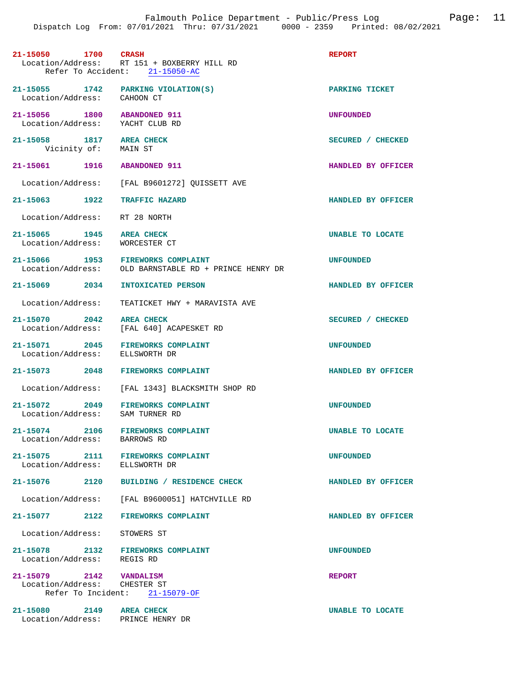| 21-15050 1700 CRASH                                                  | Location/Address: RT 151 + BOXBERRY HILL RD<br>Refer To Accident: 21-15050-AC | <b>REPORT</b>           |
|----------------------------------------------------------------------|-------------------------------------------------------------------------------|-------------------------|
| 21-15055 1742 PARKING VIOLATION(S)<br>Location/Address: CAHOON CT    |                                                                               | PARKING TICKET          |
| 21-15056 1800 ABANDONED 911<br>Location/Address: YACHT CLUB RD       |                                                                               | <b>UNFOUNDED</b>        |
| 21-15058 1817 AREA CHECK<br>Vicinity of: MAIN ST                     |                                                                               | SECURED / CHECKED       |
| 21-15061 1916 ABANDONED 911                                          |                                                                               | HANDLED BY OFFICER      |
|                                                                      | Location/Address: [FAL B9601272] QUISSETT AVE                                 |                         |
| 21-15063 1922 TRAFFIC HAZARD                                         |                                                                               | HANDLED BY OFFICER      |
| Location/Address: RT 28 NORTH                                        |                                                                               |                         |
| 21-15065 1945 AREA CHECK<br>Location/Address: WORCESTER CT           |                                                                               | <b>UNABLE TO LOCATE</b> |
| 21-15066 1953 FIREWORKS COMPLAINT                                    | Location/Address: OLD BARNSTABLE RD + PRINCE HENRY DR                         | <b>UNFOUNDED</b>        |
| 21-15069 2034                                                        | INTOXICATED PERSON                                                            | HANDLED BY OFFICER      |
| Location/Address:                                                    | TEATICKET HWY + MARAVISTA AVE                                                 |                         |
| 21-15070 2042                                                        | <b>AREA CHECK</b><br>Location/Address: [FAL 640] ACAPESKET RD                 | SECURED / CHECKED       |
| 21-15071 2045 FIREWORKS COMPLAINT<br>Location/Address: ELLSWORTH DR  |                                                                               | <b>UNFOUNDED</b>        |
| 21-15073 2048 FIREWORKS COMPLAINT                                    |                                                                               | HANDLED BY OFFICER      |
|                                                                      | Location/Address: [FAL 1343] BLACKSMITH SHOP RD                               |                         |
| 21-15072 2049 FIREWORKS COMPLAINT<br>Location/Address: SAM TURNER RD |                                                                               | <b>UNFOUNDED</b>        |
| 21-15074 2106 FIREWORKS COMPLAINT<br>Location/Address: BARROWS RD    |                                                                               | <b>UNABLE TO LOCATE</b> |
| 21-15075 2111 FIREWORKS COMPLAINT<br>Location/Address: ELLSWORTH DR  |                                                                               | <b>UNFOUNDED</b>        |
|                                                                      | 21-15076 2120 BUILDING / RESIDENCE CHECK                                      | HANDLED BY OFFICER      |
|                                                                      | Location/Address: [FAL B9600051] HATCHVILLE RD                                |                         |
| 21-15077 2122 FIREWORKS COMPLAINT                                    |                                                                               | HANDLED BY OFFICER      |
| Location/Address: STOWERS ST                                         |                                                                               |                         |
| 21-15078 2132 FIREWORKS COMPLAINT<br>Location/Address: REGIS RD      |                                                                               | <b>UNFOUNDED</b>        |
| 21-15079 2142 VANDALISM<br>Location/Address: CHESTER ST              | Refer To Incident: 21-15079-OF                                                | <b>REPORT</b>           |
| 21-15080 2149 AREA CHECK<br>Location/Address: PRINCE HENRY DR        |                                                                               | UNABLE TO LOCATE        |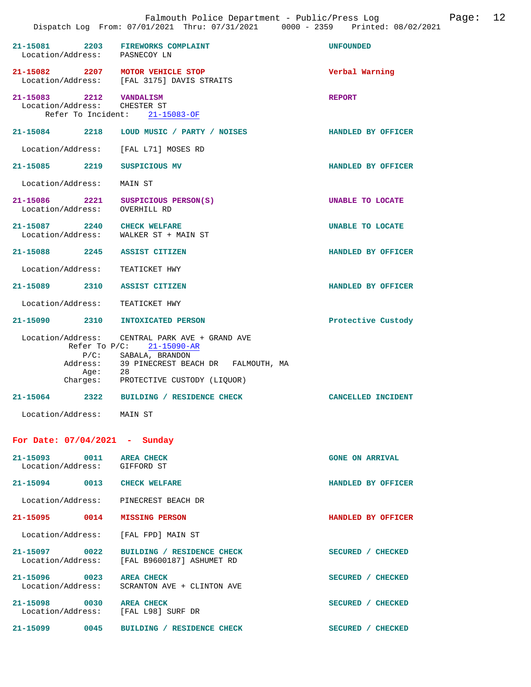| 21-15081 2203 FIREWORKS COMPLAINT<br>Location/Address: PASNECOY LN  |                                                                                                                                                                                 | <b>UNFOUNDED</b>        |
|---------------------------------------------------------------------|---------------------------------------------------------------------------------------------------------------------------------------------------------------------------------|-------------------------|
| 21-15082 2207 MOTOR VEHICLE STOP                                    | Location/Address: [FAL 3175] DAVIS STRAITS                                                                                                                                      | Verbal Warning          |
| 21-15083 2212 VANDALISM<br>Location/Address: CHESTER ST             | Refer To Incident: 21-15083-OF                                                                                                                                                  | <b>REPORT</b>           |
|                                                                     | 21-15084 2218 LOUD MUSIC / PARTY / NOISES                                                                                                                                       | HANDLED BY OFFICER      |
| Location/Address: [FAL L71] MOSES RD                                |                                                                                                                                                                                 |                         |
| 21-15085 2219                                                       | SUSPICIOUS MV                                                                                                                                                                   | HANDLED BY OFFICER      |
| Location/Address: MAIN ST                                           |                                                                                                                                                                                 |                         |
| 21-15086 2221 SUSPICIOUS PERSON(S)<br>Location/Address: OVERHILL RD |                                                                                                                                                                                 | UNABLE TO LOCATE        |
| 21-15087 2240 CHECK WELFARE                                         | Location/Address: WALKER ST + MAIN ST                                                                                                                                           | <b>UNABLE TO LOCATE</b> |
| 21-15088 2245 ASSIST CITIZEN                                        |                                                                                                                                                                                 | HANDLED BY OFFICER      |
| Location/Address: TEATICKET HWY                                     |                                                                                                                                                                                 |                         |
| 21-15089 2310 ASSIST CITIZEN                                        |                                                                                                                                                                                 | HANDLED BY OFFICER      |
| Location/Address: TEATICKET HWY                                     |                                                                                                                                                                                 |                         |
| 21-15090 2310 INTOXICATED PERSON                                    |                                                                                                                                                                                 | Protective Custody      |
| $P/C$ :<br>Address:<br>Age: 28                                      | Location/Address: CENTRAL PARK AVE + GRAND AVE<br>Refer To $P/C$ : 21-15090-AR<br>SABALA, BRANDON<br>39 PINECREST BEACH DR FALMOUTH, MA<br>Charges: PROTECTIVE CUSTODY (LIQUOR) |                         |
|                                                                     | 21-15064 2322 BUILDING / RESIDENCE CHECK                                                                                                                                        | CANCELLED INCIDENT      |
| Location/Address: MAIN ST                                           |                                                                                                                                                                                 |                         |
| For Date: $07/04/2021$ - Sunday                                     |                                                                                                                                                                                 |                         |
| 21-15093 0011                                                       | <b>AREA CHECK</b>                                                                                                                                                               | <b>GONE ON ARRIVAL</b>  |
| Location/Address: GIFFORD ST                                        |                                                                                                                                                                                 |                         |
| 21-15094 0013 CHECK WELFARE                                         |                                                                                                                                                                                 | HANDLED BY OFFICER      |
| Location/Address: PINECREST BEACH DR                                |                                                                                                                                                                                 |                         |
| 21-15095 0014 MISSING PERSON                                        |                                                                                                                                                                                 | HANDLED BY OFFICER      |
| Location/Address: [FAL FPD] MAIN ST                                 |                                                                                                                                                                                 |                         |
| 21-15097 0022                                                       | BUILDING / RESIDENCE CHECK<br>Location/Address: [FAL B9600187] ASHUMET RD                                                                                                       | SECURED / CHECKED       |
| 21-15096<br>0023                                                    | <b>AREA CHECK</b>                                                                                                                                                               | SECURED / CHECKED       |

Location/Address: SCRANTON AVE + CLINTON AVE

**21-15098 0030 AREA CHECK SECURED / CHECKED**  Location/Address: [FAL L98] SURF DR

21-15099 0045 BUILDING / RESIDENCE CHECK SECURED / CHECKED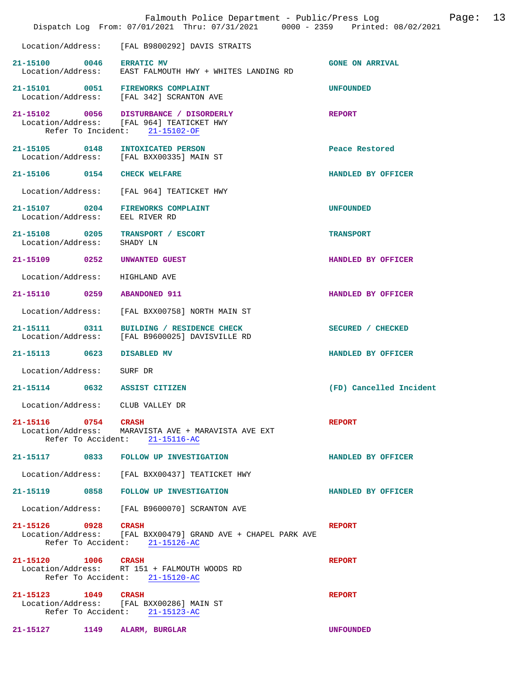|                                                 | Falmouth Police Department - Public/Press Log<br>Dispatch Log From: 07/01/2021 Thru: 07/31/2021 0000 - 2359 Printed: 08/02/2021 |                         | Page: | 13 |
|-------------------------------------------------|---------------------------------------------------------------------------------------------------------------------------------|-------------------------|-------|----|
|                                                 | Location/Address: [FAL B9800292] DAVIS STRAITS                                                                                  |                         |       |    |
| 21-15100 0046 ERRATIC MV                        | Location/Address: EAST FALMOUTH HWY + WHITES LANDING RD                                                                         | <b>GONE ON ARRIVAL</b>  |       |    |
| 21-15101 0051 FIREWORKS COMPLAINT               | Location/Address: [FAL 342] SCRANTON AVE                                                                                        | <b>UNFOUNDED</b>        |       |    |
|                                                 | 21-15102 0056 DISTURBANCE / DISORDERLY<br>Location/Address: [FAL 964] TEATICKET HWY<br>Refer To Incident: 21-15102-OF           | <b>REPORT</b>           |       |    |
| 21-15105 0148 INTOXICATED PERSON                | Location/Address: [FAL BXX00335] MAIN ST                                                                                        | Peace Restored          |       |    |
| 21-15106 0154                                   | <b>CHECK WELFARE</b>                                                                                                            | HANDLED BY OFFICER      |       |    |
| Location/Address:                               | [FAL 964] TEATICKET HWY                                                                                                         |                         |       |    |
| 21-15107 0204<br>Location/Address: EEL RIVER RD | <b>FIREWORKS COMPLAINT</b>                                                                                                      | <b>UNFOUNDED</b>        |       |    |
| 21-15108 0205<br>Location/Address:              | TRANSPORT / ESCORT<br>SHADY LN                                                                                                  | <b>TRANSPORT</b>        |       |    |
| 21-15109 0252                                   | UNWANTED GUEST                                                                                                                  | HANDLED BY OFFICER      |       |    |
| Location/Address:                               | HIGHLAND AVE                                                                                                                    |                         |       |    |
| 21-15110 0259                                   | <b>ABANDONED 911</b>                                                                                                            | HANDLED BY OFFICER      |       |    |
| Location/Address:                               | [FAL BXX00758] NORTH MAIN ST                                                                                                    |                         |       |    |
| 21-15111 0311<br>Location/Address:              | BUILDING / RESIDENCE CHECK<br>[FAL B9600025] DAVISVILLE RD                                                                      | SECURED / CHECKED       |       |    |
| 21-15113 0623                                   | <b>DISABLED MV</b>                                                                                                              | HANDLED BY OFFICER      |       |    |
| Location/Address:                               | SURF DR                                                                                                                         |                         |       |    |
| 0632<br>$21 - 15114$                            | <b>ASSIST CITIZEN</b>                                                                                                           | (FD) Cancelled Incident |       |    |
| Location/Address: CLUB VALLEY DR                |                                                                                                                                 |                         |       |    |
| 21-15116 0754 CRASH                             | Location/Address: MARAVISTA AVE + MARAVISTA AVE EXT<br>Refer To Accident: 21-15116-AC                                           | <b>REPORT</b>           |       |    |
|                                                 | 21-15117 0833 FOLLOW UP INVESTIGATION                                                                                           | HANDLED BY OFFICER      |       |    |
|                                                 | Location/Address: [FAL BXX00437] TEATICKET HWY                                                                                  |                         |       |    |
|                                                 | 21-15119 0858 FOLLOW UP INVESTIGATION                                                                                           | HANDLED BY OFFICER      |       |    |
|                                                 | Location/Address: [FAL B9600070] SCRANTON AVE                                                                                   |                         |       |    |
| 21-15126 0928                                   | <b>CRASH</b><br>Location/Address: [FAL BXX00479] GRAND AVE + CHAPEL PARK AVE<br>Refer To Accident: 21-15126-AC                  | <b>REPORT</b>           |       |    |
| 21-15120 1006 CRASH                             | Location/Address: RT 151 + FALMOUTH WOODS RD<br>Refer To Accident: 21-15120-AC                                                  | <b>REPORT</b>           |       |    |
| 21-15123 1049 CRASH                             | Location/Address: [FAL BXX00286] MAIN ST<br>Refer To Accident: 21-15123-AC                                                      | <b>REPORT</b>           |       |    |
| 21-15127 1149                                   | ALARM, BURGLAR                                                                                                                  | <b>UNFOUNDED</b>        |       |    |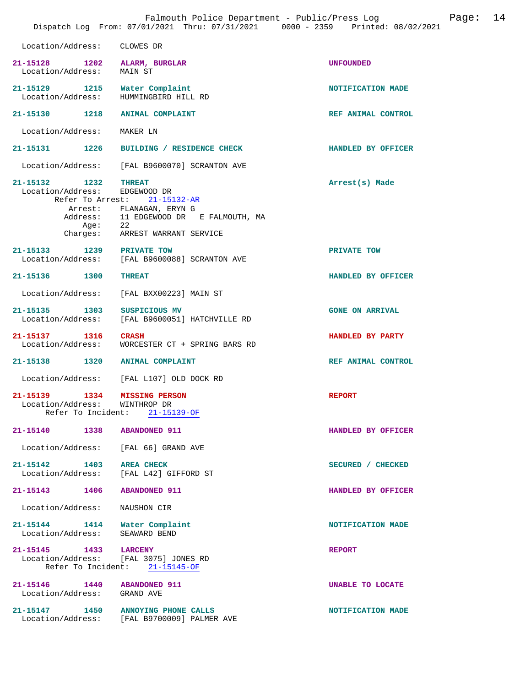|                                                                    | Falmouth Police Department - Public/Press Log<br>Dispatch Log From: 07/01/2021 Thru: 07/31/2021 0000 - 2359 Printed: 08/02/2021                     | 14<br>Page:            |  |
|--------------------------------------------------------------------|-----------------------------------------------------------------------------------------------------------------------------------------------------|------------------------|--|
| Location/Address:                                                  | CLOWES DR                                                                                                                                           |                        |  |
| 21-15128<br>Location/Address:                                      | 1202 ALARM, BURGLAR<br>MAIN ST                                                                                                                      | <b>UNFOUNDED</b>       |  |
| 21-15129 1215 Water Complaint<br>Location/Address:                 | HUMMINGBIRD HILL RD                                                                                                                                 | NOTIFICATION MADE      |  |
| 21-15130 1218 ANIMAL COMPLAINT                                     |                                                                                                                                                     | REF ANIMAL CONTROL     |  |
| Location/Address:                                                  | MAKER LN                                                                                                                                            |                        |  |
| 21-15131<br>1226                                                   | BUILDING / RESIDENCE CHECK                                                                                                                          | HANDLED BY OFFICER     |  |
| Location/Address:                                                  | [FAL B9600070] SCRANTON AVE                                                                                                                         |                        |  |
| 21-15132 1232<br>Location/Address: EDGEWOOD DR<br>Aqe:<br>Charges: | <b>THREAT</b><br>Refer To Arrest: 21-15132-AR<br>Arrest: FLANAGAN, ERYN G<br>Address: 11 EDGEWOOD DR E FALMOUTH, MA<br>22<br>ARREST WARRANT SERVICE | Arrest(s) Made         |  |
| 1239 PRIVATE TOW<br>21-15133                                       | Location/Address: [FAL B9600088] SCRANTON AVE                                                                                                       | PRIVATE TOW            |  |
| 21-15136 1300                                                      | <b>THREAT</b>                                                                                                                                       | HANDLED BY OFFICER     |  |
| Location/Address:                                                  | [FAL BXX00223] MAIN ST                                                                                                                              |                        |  |
| 1303<br>21-15135<br>Location/Address:                              | SUSPICIOUS MV<br>[FAL B9600051] HATCHVILLE RD                                                                                                       | <b>GONE ON ARRIVAL</b> |  |
| 21-15137 1316<br>Location/Address:                                 | <b>CRASH</b><br>WORCESTER CT + SPRING BARS RD                                                                                                       | HANDLED BY PARTY       |  |
| 21-15138 1320                                                      | <b>ANIMAL COMPLAINT</b>                                                                                                                             | REF ANIMAL CONTROL     |  |
| Location/Address:                                                  | [FAL L107] OLD DOCK RD                                                                                                                              |                        |  |
| 21-15139<br>1334<br>Location/Address: WINTHROP DR                  | <b>MISSING PERSON</b><br>Refer To Incident: 21-15139-OF                                                                                             | <b>REPORT</b>          |  |
| 21-15140 1338 ABANDONED 911                                        |                                                                                                                                                     | HANDLED BY OFFICER     |  |
| Location/Address: [FAL 66] GRAND AVE                               |                                                                                                                                                     |                        |  |
| 21-15142 1403 AREA CHECK<br>Location/Address: [FAL L42] GIFFORD ST |                                                                                                                                                     | SECURED / CHECKED      |  |
| 21-15143 1406 ABANDONED 911                                        |                                                                                                                                                     | HANDLED BY OFFICER     |  |
| Location/Address:                                                  | NAUSHON CIR                                                                                                                                         |                        |  |
| 21-15144 1414 Water Complaint<br>Location/Address:                 | SEAWARD BEND                                                                                                                                        | NOTIFICATION MADE      |  |
| 21-15145 1433 LARCENY<br>Location/Address: [FAL 3075] JONES RD     | Refer To Incident: 21-15145-OF                                                                                                                      | <b>REPORT</b>          |  |
| 21-15146   1440   ABANDONED   911<br>Location/Address: GRAND AVE   |                                                                                                                                                     | UNABLE TO LOCATE       |  |
| 21-15147 1450 ANNOYING PHONE CALLS                                 | Location/Address: [FAL B9700009] PALMER AVE                                                                                                         | NOTIFICATION MADE      |  |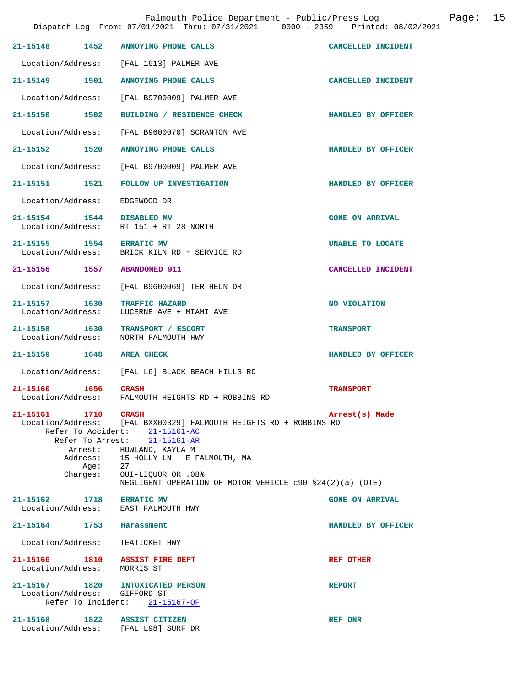| $21 - 15148$                                                  | 1452    | ANNOYING PHONE CALLS                                                                                                                                                                  | CANCELLED INCIDENT     |
|---------------------------------------------------------------|---------|---------------------------------------------------------------------------------------------------------------------------------------------------------------------------------------|------------------------|
|                                                               |         | Location/Address: [FAL 1613] PALMER AVE                                                                                                                                               |                        |
| 21-15149                                                      | 1501    | ANNOYING PHONE CALLS                                                                                                                                                                  | CANCELLED INCIDENT     |
|                                                               |         | Location/Address: [FAL B9700009] PALMER AVE                                                                                                                                           |                        |
| 21-15150 1502                                                 |         | BUILDING / RESIDENCE CHECK                                                                                                                                                            | HANDLED BY OFFICER     |
|                                                               |         | Location/Address: [FAL B9600070] SCRANTON AVE                                                                                                                                         |                        |
| 21-15152 1520                                                 |         | ANNOYING PHONE CALLS                                                                                                                                                                  | HANDLED BY OFFICER     |
|                                                               |         | Location/Address: [FAL B9700009] PALMER AVE                                                                                                                                           |                        |
| 21-15151 1521                                                 |         | FOLLOW UP INVESTIGATION                                                                                                                                                               | HANDLED BY OFFICER     |
| Location/Address:                                             |         | EDGEWOOD DR                                                                                                                                                                           |                        |
| 21-15154 1544 DISABLED MV<br>Location/Address:                |         | RT 151 + RT 28 NORTH                                                                                                                                                                  | <b>GONE ON ARRIVAL</b> |
| 21-15155 1554 ERRATIC MV                                      |         | Location/Address: BRICK KILN RD + SERVICE RD                                                                                                                                          | UNABLE TO LOCATE       |
| 21-15156 1557 ABANDONED 911                                   |         |                                                                                                                                                                                       | CANCELLED INCIDENT     |
|                                                               |         | Location/Address: [FAL B9600069] TER HEUN DR                                                                                                                                          |                        |
| 21-15157 1630<br>Location/Address:                            |         | <b>TRAFFIC HAZARD</b><br>LUCERNE AVE + MIAMI AVE                                                                                                                                      | NO VIOLATION           |
| 21-15158 1630<br>Location/Address:                            |         | TRANSPORT / ESCORT<br>NORTH FALMOUTH HWY                                                                                                                                              | <b>TRANSPORT</b>       |
| 21-15159 1648                                                 |         | <b>AREA CHECK</b>                                                                                                                                                                     | HANDLED BY OFFICER     |
| Location/Address:                                             |         | [FAL L6] BLACK BEACH HILLS RD                                                                                                                                                         |                        |
| 21-15160 1656<br>Location/Address:                            |         | <b>CRASH</b><br>FALMOUTH HEIGHTS RD + ROBBINS RD                                                                                                                                      | <b>TRANSPORT</b>       |
| 21-15161<br>1710                                              |         | <b>CRASH</b><br>Location/Address: [FAL BXX00329] FALMOUTH HEIGHTS RD + ROBBINS RD<br>Refer To Accident: 21-15161-AC                                                                   | Arrest(s) Made         |
| Charges:                                                      | Age: 27 | Refer To Arrest: 21-15161-AR<br>Arrest: HOWLAND, KAYLA M<br>Address: 15 HOLLY LN E FALMOUTH, MA<br>OUI-LIQUOR OR .08%<br>NEGLIGENT OPERATION OF MOTOR VEHICLE $c90$ $$24(2)(a)$ (OTE) |                        |
| 21-15162 1718 ERRATIC MV                                      |         |                                                                                                                                                                                       | <b>GONE ON ARRIVAL</b> |
|                                                               |         | Location/Address: EAST FALMOUTH HWY                                                                                                                                                   |                        |
| 21-15164 1753 Harassment                                      |         |                                                                                                                                                                                       | HANDLED BY OFFICER     |
| Location/Address: TEATICKET HWY                               |         |                                                                                                                                                                                       |                        |
| 21-15166 1810 ASSIST FIRE DEPT<br>Location/Address: MORRIS ST |         |                                                                                                                                                                                       | <b>REF OTHER</b>       |
|                                                               |         | 21-15167 1820 INTOXICATED PERSON                                                                                                                                                      |                        |
| Location/Address: GIFFORD ST                                  |         | Refer To Incident: 21-15167-OF                                                                                                                                                        | <b>REPORT</b>          |
|                                                               |         |                                                                                                                                                                                       |                        |
| 21-15168 1822 ASSIST CITIZEN                                  |         | Location/Address: [FAL L98] SURF DR                                                                                                                                                   | REF DNR                |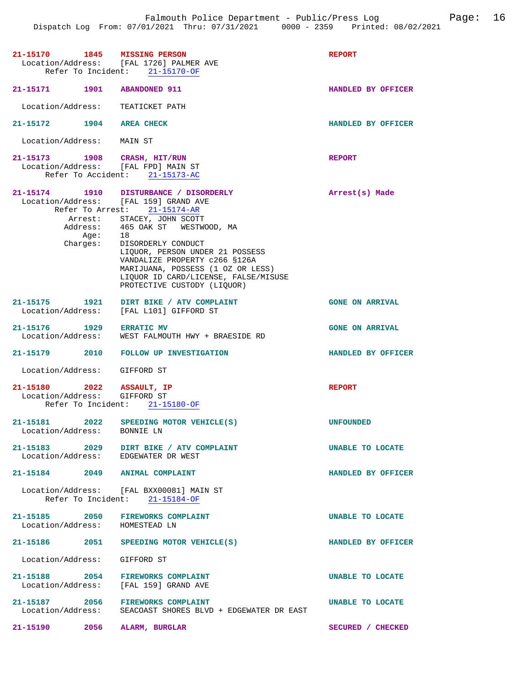| 21-15170 1845 MISSING PERSON                                               | Location/Address: [FAL 1726] PALMER AVE<br>Refer To Incident: 21-15170-OF                                                                                                                                                                                                                                                                            | <b>REPORT</b>          |
|----------------------------------------------------------------------------|------------------------------------------------------------------------------------------------------------------------------------------------------------------------------------------------------------------------------------------------------------------------------------------------------------------------------------------------------|------------------------|
| 21-15171 1901 ABANDONED 911                                                |                                                                                                                                                                                                                                                                                                                                                      | HANDLED BY OFFICER     |
| Location/Address:                                                          | TEATICKET PATH                                                                                                                                                                                                                                                                                                                                       |                        |
| 21-15172 1904 AREA CHECK                                                   |                                                                                                                                                                                                                                                                                                                                                      | HANDLED BY OFFICER     |
| Location/Address: MAIN ST                                                  |                                                                                                                                                                                                                                                                                                                                                      |                        |
| 21-15173 1908 CRASH, HIT/RUN<br>Location/Address: [FAL FPD] MAIN ST        | Refer To Accident: 21-15173-AC                                                                                                                                                                                                                                                                                                                       | <b>REPORT</b>          |
| Location/Address: [FAL 159] GRAND AVE<br>Aqe:<br>Charges:                  | 21-15174 1910 DISTURBANCE / DISORDERLY<br>Refer To Arrest: 21-15174-AR<br>Arrest: STACEY, JOHN SCOTT<br>Address: 465 OAK ST WESTWOOD, MA<br>18<br>DISORDERLY CONDUCT<br>LIQUOR, PERSON UNDER 21 POSSESS<br>VANDALIZE PROPERTY c266 §126A<br>MARIJUANA, POSSESS (1 OZ OR LESS)<br>LIOUOR ID CARD/LICENSE, FALSE/MISUSE<br>PROTECTIVE CUSTODY (LIQUOR) | Arrest(s) Made         |
| 21-15175 1921<br>Location/Address:                                         | DIRT BIKE / ATV COMPLAINT<br>[FAL L101] GIFFORD ST                                                                                                                                                                                                                                                                                                   | <b>GONE ON ARRIVAL</b> |
| 21-15176 1929 ERRATIC MV<br>Location/Address:                              | WEST FALMOUTH HWY + BRAESIDE RD                                                                                                                                                                                                                                                                                                                      | <b>GONE ON ARRIVAL</b> |
|                                                                            | 21-15179 2010 FOLLOW UP INVESTIGATION                                                                                                                                                                                                                                                                                                                | HANDLED BY OFFICER     |
| Location/Address: GIFFORD ST                                               |                                                                                                                                                                                                                                                                                                                                                      |                        |
| 21-15180 2022 ASSAULT, IP<br>Location/Address: GIFFORD ST                  | Refer To Incident: 21-15180-OF                                                                                                                                                                                                                                                                                                                       | <b>REPORT</b>          |
| 21-15181<br>Location/Address: BONNIE LN                                    | 2022 SPEEDING MOTOR VEHICLE(S)                                                                                                                                                                                                                                                                                                                       | <b>UNFOUNDED</b>       |
| Location/Address: EDGEWATER DR WEST                                        | 21-15183 2029 DIRT BIKE / ATV COMPLAINT                                                                                                                                                                                                                                                                                                              | UNABLE TO LOCATE       |
| 21-15184 2049 ANIMAL COMPLAINT                                             |                                                                                                                                                                                                                                                                                                                                                      | HANDLED BY OFFICER     |
|                                                                            | Location/Address: [FAL BXX00081] MAIN ST<br>Refer To Incident: 21-15184-OF                                                                                                                                                                                                                                                                           |                        |
| 21-15185 2050 FIREWORKS COMPLAINT<br>Location/Address: HOMESTEAD LN        |                                                                                                                                                                                                                                                                                                                                                      | UNABLE TO LOCATE       |
|                                                                            | 21-15186 2051 SPEEDING MOTOR VEHICLE(S)                                                                                                                                                                                                                                                                                                              | HANDLED BY OFFICER     |
| Location/Address: GIFFORD ST                                               |                                                                                                                                                                                                                                                                                                                                                      |                        |
| 21-15188 2054 FIREWORKS COMPLAINT<br>Location/Address: [FAL 159] GRAND AVE |                                                                                                                                                                                                                                                                                                                                                      | UNABLE TO LOCATE       |
| 21-15187 2056 FIREWORKS COMPLAINT<br>Location/Address:                     | SEACOAST SHORES BLVD + EDGEWATER DR EAST                                                                                                                                                                                                                                                                                                             | UNABLE TO LOCATE       |
| 21-15190 2056 ALARM, BURGLAR                                               |                                                                                                                                                                                                                                                                                                                                                      | SECURED / CHECKED      |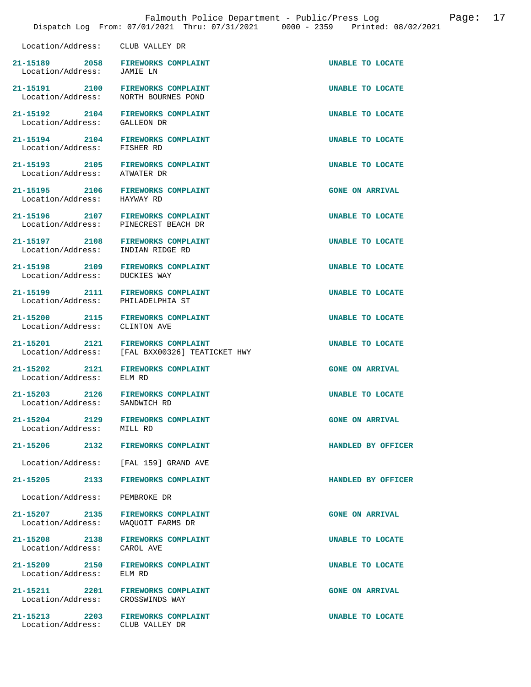|                                              | raimouch roirce beparement rabile/fress hog<br>Dispatch Log From: 07/01/2021 Thru: 07/31/2021 0000 - 2359 Printed: 08/02 |                         |
|----------------------------------------------|--------------------------------------------------------------------------------------------------------------------------|-------------------------|
| Location/Address: CLUB VALLEY DR             |                                                                                                                          |                         |
| Location/Address: JAMIE LN                   | 21-15189 2058 FIREWORKS COMPLAINT                                                                                        | UNABLE TO LOCATE        |
|                                              | 21-15191 2100 FIREWORKS COMPLAINT<br>Location/Address: NORTH BOURNES POND                                                | <b>UNABLE TO LOCATE</b> |
|                                              | 21-15192 2104 FIREWORKS COMPLAINT<br>Location/Address: GALLEON DR                                                        | UNABLE TO LOCATE        |
|                                              | 21-15194 2104 FIREWORKS COMPLAINT<br>Location/Address: FISHER RD                                                         | <b>UNABLE TO LOCATE</b> |
|                                              | 21-15193 2105 FIREWORKS COMPLAINT<br>Location/Address: ATWATER DR                                                        | UNABLE TO LOCATE        |
| Location/Address: HAYWAY RD                  | 21-15195 2106 FIREWORKS COMPLAINT                                                                                        | <b>GONE ON ARRIVAL</b>  |
|                                              | 21-15196 2107 FIREWORKS COMPLAINT<br>Location/Address: PINECREST BEACH DR                                                | UNABLE TO LOCATE        |
| Location/Address: INDIAN RIDGE RD            | 21-15197 2108 FIREWORKS COMPLAINT                                                                                        | <b>UNABLE TO LOCATE</b> |
| Location/Address: DUCKIES WAY                | 21-15198 2109 FIREWORKS COMPLAINT                                                                                        | UNABLE TO LOCATE        |
| Location/Address: PHILADELPHIA ST            | 21-15199 2111 FIREWORKS COMPLAINT                                                                                        | UNABLE TO LOCATE        |
| Location/Address: CLINTON AVE                | 21-15200 2115 FIREWORKS COMPLAINT                                                                                        | <b>UNABLE TO LOCATE</b> |
|                                              | 21-15201 2121 FIREWORKS COMPLAINT<br>Location/Address: [FAL BXX00326] TEATICKET HWY                                      | UNABLE TO LOCATE        |
|                                              | 21-15202 2121 FIREWORKS COMPLAINT<br>Location/Address: ELM RD                                                            | <b>GONE ON ARRIVAL</b>  |
|                                              | 21-15203 2126 FIREWORKS COMPLAINT<br>Location/Address: SANDWICH RD                                                       | UNABLE TO LOCATE        |
| Location/Address: MILL RD                    | 21-15204 2129 FIREWORKS COMPLAINT                                                                                        | <b>GONE ON ARRIVAL</b>  |
|                                              | 21-15206 2132 FIREWORKS COMPLAINT                                                                                        | HANDLED BY OFFICER      |
|                                              | Location/Address: [FAL 159] GRAND AVE                                                                                    |                         |
|                                              | 21-15205 2133 FIREWORKS COMPLAINT                                                                                        | HANDLED BY OFFICER      |
| Location/Address: PEMBROKE DR                |                                                                                                                          |                         |
|                                              | 21-15207 2135 FIREWORKS COMPLAINT<br>Location/Address: WAQUOIT FARMS DR                                                  | <b>GONE ON ARRIVAL</b>  |
| 21-15208 2138<br>Location/Address: CAROL AVE | <b>FIREWORKS COMPLAINT</b>                                                                                               | UNABLE TO LOCATE        |
| 21-15209<br>2150<br>Location/Address: ELM RD | <b>FIREWORKS COMPLAINT</b>                                                                                               | UNABLE TO LOCATE        |

21-15211 2201 FIREWORKS COMPLAINT **1200** GONE ON ARRIVAL Location/Address: CROSSWINDS WAY

Location/Address: CLUB VALLEY DR

**21-15213 2203 FIREWORKS COMPLAINT UNABLE TO LOCATE**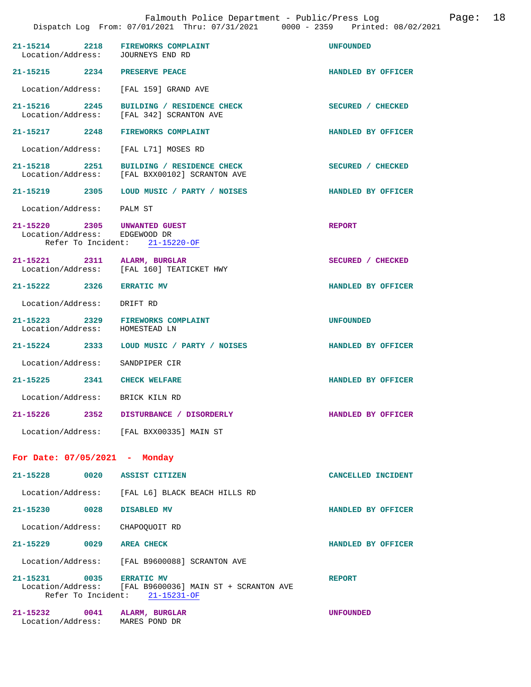| 21-15214 2218 FIREWORKS COMPLAINT<br>Location/Address: JOURNEYS END RD |                                                                                           | <b>UNFOUNDED</b>   |
|------------------------------------------------------------------------|-------------------------------------------------------------------------------------------|--------------------|
| 21-15215 2234 PRESERVE PEACE                                           |                                                                                           | HANDLED BY OFFICER |
| Location/Address: [FAL 159] GRAND AVE                                  |                                                                                           |                    |
| 21-15216 2245<br>Location/Address:                                     | BUILDING / RESIDENCE CHECK<br>[FAL 342] SCRANTON AVE                                      | SECURED / CHECKED  |
| 21-15217 2248                                                          | FIREWORKS COMPLAINT                                                                       | HANDLED BY OFFICER |
| Location/Address:                                                      | [FAL L71] MOSES RD                                                                        |                    |
| 21-15218 2251                                                          | BUILDING / RESIDENCE CHECK<br>Location/Address: [FAL BXX00102] SCRANTON AVE               | SECURED / CHECKED  |
|                                                                        | 21-15219   2305   LOUD MUSIC / PARTY / NOISES                                             | HANDLED BY OFFICER |
| Location/Address: PALM ST                                              |                                                                                           |                    |
| 21-15220 2305<br>Location/Address: EDGEWOOD DR                         | UNWANTED GUEST<br>Refer To Incident: 21-15220-OF                                          | <b>REPORT</b>      |
| 21-15221 2311 ALARM, BURGLAR                                           |                                                                                           | SECURED / CHECKED  |
|                                                                        | Location/Address: [FAL 160] TEATICKET HWY                                                 |                    |
| 21-15222 2326 ERRATIC MV                                               |                                                                                           | HANDLED BY OFFICER |
| Location/Address: DRIFT RD                                             |                                                                                           |                    |
| 21-15223 2329<br>Location/Address:                                     | <b>FIREWORKS COMPLAINT</b><br>HOMESTEAD LN                                                | <b>UNFOUNDED</b>   |
| 21-15224 2333                                                          | LOUD MUSIC / PARTY / NOISES                                                               | HANDLED BY OFFICER |
| Location/Address:                                                      | SANDPIPER CIR                                                                             |                    |
| 21-15225 2341 CHECK WELFARE                                            |                                                                                           | HANDLED BY OFFICER |
| Location/Address:                                                      | BRICK KILN RD                                                                             |                    |
| $21 - 15226$                                                           | 2352 DISTURBANCE / DISORDERLY                                                             | HANDLED BY OFFICER |
|                                                                        | Location/Address: [FAL BXX00335] MAIN ST                                                  |                    |
| For Date: 07/05/2021 - Monday                                          |                                                                                           |                    |
| 21-15228                                                               | 0020 ASSIST CITIZEN                                                                       | CANCELLED INCIDENT |
|                                                                        | Location/Address: [FAL L6] BLACK BEACH HILLS RD                                           |                    |
| 21-15230 0028                                                          | DISABLED MV                                                                               | HANDLED BY OFFICER |
| Location/Address: CHAPOQUOIT RD                                        |                                                                                           |                    |
| 21-15229 0029 AREA CHECK                                               |                                                                                           | HANDLED BY OFFICER |
|                                                                        | Location/Address: [FAL B9600088] SCRANTON AVE                                             |                    |
| 21-15231 0035 ERRATIC MV                                               | Location/Address: [FAL B9600036] MAIN ST + SCRANTON AVE<br>Refer To Incident: 21-15231-OF | <b>REPORT</b>      |
| 21-15232 0041<br>Location/Address:                                     | ALARM, BURGLAR<br>MARES POND DR                                                           | <b>UNFOUNDED</b>   |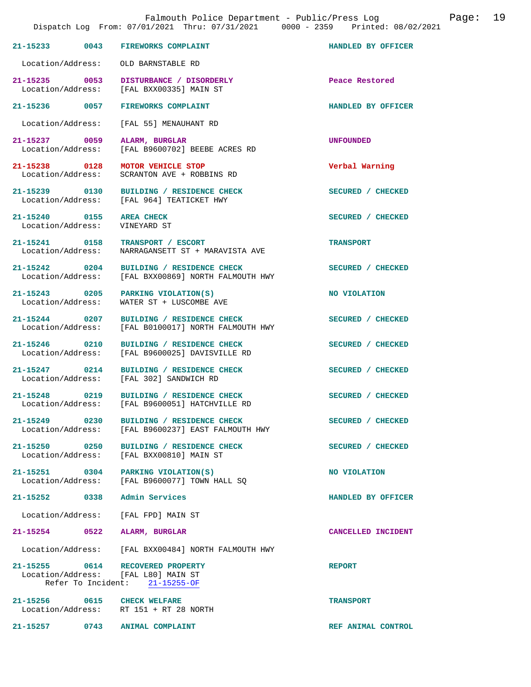|                                        | Falmouth Police Department - Public/Press Log<br>Dispatch Log From: 07/01/2021 Thru: 07/31/2021 0000 - 2359 Printed: 08/02/2021 |                    | Page: | 19 |
|----------------------------------------|---------------------------------------------------------------------------------------------------------------------------------|--------------------|-------|----|
| 21-15233 0043                          | FIREWORKS COMPLAINT                                                                                                             | HANDLED BY OFFICER |       |    |
| Location/Address:                      | OLD BARNSTABLE RD                                                                                                               |                    |       |    |
| 21-15235 0053<br>Location/Address:     | DISTURBANCE / DISORDERLY<br>[FAL BXX00335] MAIN ST                                                                              | Peace Restored     |       |    |
| 21–15236 0057                          | <b>FIREWORKS COMPLAINT</b>                                                                                                      | HANDLED BY OFFICER |       |    |
| Location/Address:                      | [FAL 55] MENAUHANT RD                                                                                                           |                    |       |    |
| 21-15237 0059<br>Location/Address:     | ALARM, BURGLAR<br>[FAL B9600702] BEEBE ACRES RD                                                                                 | UNFOUNDED          |       |    |
| 21-15238 0128<br>Location/Address:     | MOTOR VEHICLE STOP<br>SCRANTON AVE + ROBBINS RD                                                                                 | Verbal Warning     |       |    |
| 21-15239 0130<br>Location/Address:     | BUILDING / RESIDENCE CHECK<br>[FAL 964] TEATICKET HWY                                                                           | SECURED / CHECKED  |       |    |
| 21-15240 0155<br>Location/Address:     | <b>AREA CHECK</b><br>VINEYARD ST                                                                                                | SECURED / CHECKED  |       |    |
| 21-15241 0158<br>Location/Address:     | <b>TRANSPORT / ESCORT</b><br>NARRAGANSETT ST + MARAVISTA AVE                                                                    | <b>TRANSPORT</b>   |       |    |
| 21-15242 0204<br>Location/Address:     | BUILDING / RESIDENCE CHECK<br>[FAL BXX00869] NORTH FALMOUTH HWY                                                                 | SECURED / CHECKED  |       |    |
| 21-15243 0205<br>Location/Address:     | PARKING VIOLATION(S)<br>WATER ST + LUSCOMBE AVE                                                                                 | NO VIOLATION       |       |    |
| $21 - 15244$ 0207<br>Location/Address: | BUILDING / RESIDENCE CHECK<br>[FAL B0100017] NORTH FALMOUTH HWY                                                                 | SECURED / CHECKED  |       |    |
| 21-15246 0210<br>Location/Address:     | BUILDING / RESIDENCE CHECK<br>[FAL B9600025] DAVISVILLE RD                                                                      | SECURED / CHECKED  |       |    |
| 21-15247 0214<br>Location/Address:     | BUILDING / RESIDENCE CHECK<br>[FAL 302] SANDWICH RD                                                                             | SECURED / CHECKED  |       |    |
| 21-15248 0219<br>Location/Address:     | BUILDING / RESIDENCE CHECK<br>[FAL B9600051] HATCHVILLE RD                                                                      | SECURED / CHECKED  |       |    |
| 21-15249 0230<br>Location/Address:     | BUILDING / RESIDENCE CHECK<br>[FAL B9600237] EAST FALMOUTH HWY                                                                  | SECURED / CHECKED  |       |    |
| 21-15250 0250<br>Location/Address:     | BUILDING / RESIDENCE CHECK<br>[FAL BXX00810] MAIN ST                                                                            | SECURED / CHECKED  |       |    |
| Location/Address:                      | 21-15251 0304 PARKING VIOLATION(S)<br>[FAL B9600077] TOWN HALL SQ                                                               | NO VIOLATION       |       |    |
| 21-15252 0338                          | Admin Services                                                                                                                  | HANDLED BY OFFICER |       |    |
| Location/Address:                      | [FAL FPD] MAIN ST                                                                                                               |                    |       |    |
| 21-15254 0522                          | ALARM, BURGLAR                                                                                                                  | CANCELLED INCIDENT |       |    |
| Location/Address:                      | [FAL BXX00484] NORTH FALMOUTH HWY                                                                                               |                    |       |    |
|                                        | 21-15255 0614 RECOVERED PROPERTY<br>Location/Address: [FAL L80] MAIN ST<br>Refer To Incident: 21-15255-OF                       | <b>REPORT</b>      |       |    |
|                                        | 21-15256 0615 CHECK WELFARE<br>Location/Address: RT 151 + RT 28 NORTH                                                           | <b>TRANSPORT</b>   |       |    |
|                                        | 21-15257 0743 ANIMAL COMPLAINT                                                                                                  | REF ANIMAL CONTROL |       |    |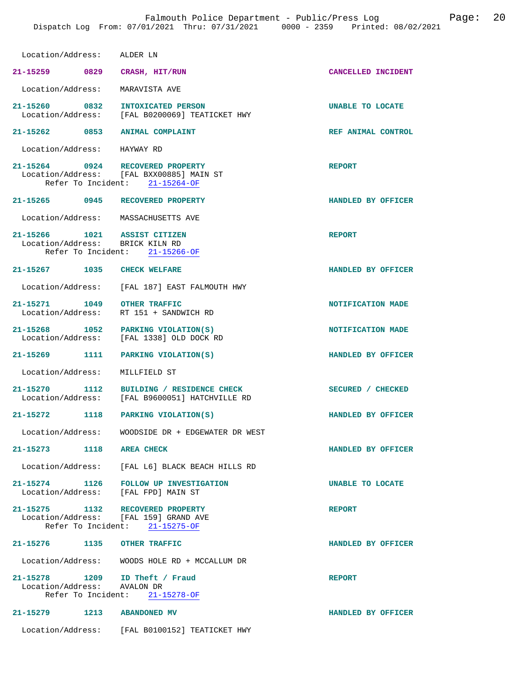| Location/Address: ALDER LN                                                |                                                                                            |                    |
|---------------------------------------------------------------------------|--------------------------------------------------------------------------------------------|--------------------|
| 21-15259 0829                                                             | CRASH, HIT/RUN                                                                             | CANCELLED INCIDENT |
| Location/Address:                                                         | MARAVISTA AVE                                                                              |                    |
| 21-15260 0832                                                             | INTOXICATED PERSON<br>Location/Address: [FAL B0200069] TEATICKET HWY                       | UNABLE TO LOCATE   |
| 21-15262 0853                                                             | ANIMAL COMPLAINT                                                                           | REF ANIMAL CONTROL |
| Location/Address: HAYWAY RD                                               |                                                                                            |                    |
| 21-15264 0924 RECOVERED PROPERTY                                          | Location/Address: [FAL BXX00885] MAIN ST<br>Refer To Incident: 21-15264-OF                 | <b>REPORT</b>      |
| 21-15265 0945                                                             | RECOVERED PROPERTY                                                                         | HANDLED BY OFFICER |
| Location/Address: MASSACHUSETTS AVE                                       |                                                                                            |                    |
| 21-15266 1021 ASSIST CITIZEN<br>Location/Address: BRICK KILN RD           | Refer To Incident: 21-15266-OF                                                             | <b>REPORT</b>      |
| 21-15267 1035 CHECK WELFARE                                               |                                                                                            | HANDLED BY OFFICER |
|                                                                           | Location/Address: [FAL 187] EAST FALMOUTH HWY                                              |                    |
| 21-15271 1049<br>Location/Address:                                        | <b>OTHER TRAFFIC</b><br>RT 151 + SANDWICH RD                                               | NOTIFICATION MADE  |
| 21-15268 1052 PARKING VIOLATION(S)                                        | Location/Address: [FAL 1338] OLD DOCK RD                                                   | NOTIFICATION MADE  |
| 21-15269 1111 PARKING VIOLATION(S)                                        |                                                                                            | HANDLED BY OFFICER |
| Location/Address:                                                         | MILLFIELD ST                                                                               |                    |
|                                                                           | 21-15270 1112 BUILDING / RESIDENCE CHECK<br>Location/Address: [FAL B9600051] HATCHVILLE RD | SECURED / CHECKED  |
| 21-15272 1118                                                             | PARKING VIOLATION(S)                                                                       | HANDLED BY OFFICER |
|                                                                           | Location/Address: WOODSIDE DR + EDGEWATER DR WEST                                          |                    |
| 21-15273 1118 AREA CHECK                                                  |                                                                                            | HANDLED BY OFFICER |
|                                                                           | Location/Address: [FAL L6] BLACK BEACH HILLS RD                                            |                    |
| Location/Address: [FAL FPD] MAIN ST                                       | 21-15274 1126 FOLLOW UP INVESTIGATION                                                      | UNABLE TO LOCATE   |
| 21-15275 1132 RECOVERED PROPERTY<br>Location/Address: [FAL 159] GRAND AVE | Refer To Incident: 21-15275-OF                                                             | <b>REPORT</b>      |
| 21-15276 1135 OTHER TRAFFIC                                               |                                                                                            | HANDLED BY OFFICER |
|                                                                           | Location/Address: WOODS HOLE RD + MCCALLUM DR                                              |                    |
| 21-15278 1209 ID Theft / Fraud<br>Location/Address: AVALON DR             | Refer To Incident: 21-15278-OF                                                             | <b>REPORT</b>      |
| 21-15279 1213                                                             | <b>ABANDONED MV</b>                                                                        | HANDLED BY OFFICER |
|                                                                           | Location/Address: [FAL B0100152] TEATICKET HWY                                             |                    |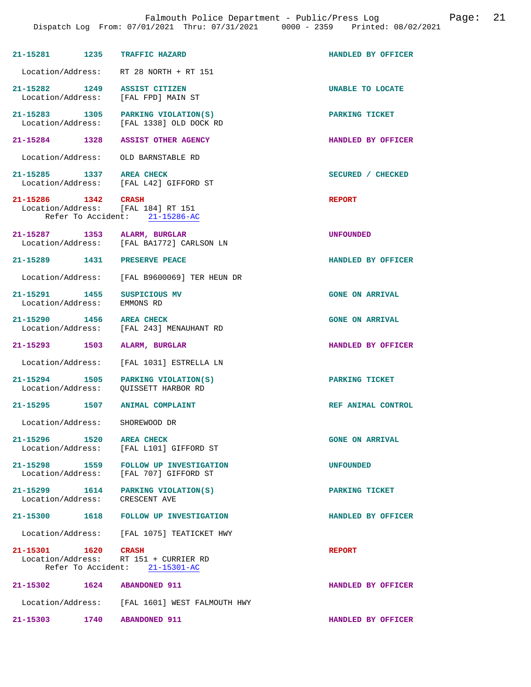| 21-15281 1235                                 |      | TRAFFIC HAZARD                                                                 | HANDLED BY OFFICER     |
|-----------------------------------------------|------|--------------------------------------------------------------------------------|------------------------|
| Location/Address:                             |      | RT 28 NORTH + RT 151                                                           |                        |
|                                               |      |                                                                                |                        |
| $21 - 15282$ 1249<br>Location/Address:        |      | <b>ASSIST CITIZEN</b><br>[FAL FPD] MAIN ST                                     | UNABLE TO LOCATE       |
|                                               |      | 21-15283 1305 PARKING VIOLATION(S)<br>Location/Address: [FAL 1338] OLD DOCK RD | PARKING TICKET         |
|                                               |      | 21-15284 1328 ASSIST OTHER AGENCY                                              | HANDLED BY OFFICER     |
| Location/Address:                             |      | OLD BARNSTABLE RD                                                              |                        |
| 21-15285 1337<br>Location/Address:            |      | AREA CHECK<br>[FAL L42] GIFFORD ST                                             | SECURED / CHECKED      |
| 21-15286 1342                                 |      | CRASH<br>Location/Address: [FAL 184] RT 151<br>Refer To Accident: 21-15286-AC  | <b>REPORT</b>          |
| 21-15287 1353<br>Location/Address:            |      | ALARM, BURGLAR<br>[FAL BA1772] CARLSON LN                                      | <b>UNFOUNDED</b>       |
| 21-15289 1431 PRESERVE PEACE                  |      |                                                                                | HANDLED BY OFFICER     |
| Location/Address:                             |      | [FAL B9600069] TER HEUN DR                                                     |                        |
| 21-15291 1455<br>Location/Address:            |      | SUSPICIOUS MV<br>EMMONS RD                                                     | <b>GONE ON ARRIVAL</b> |
| 21-15290 1456 AREA CHECK<br>Location/Address: |      | [FAL 243] MENAUHANT RD                                                         | <b>GONE ON ARRIVAL</b> |
| 21-15293 1503                                 |      | ALARM, BURGLAR                                                                 | HANDLED BY OFFICER     |
| Location/Address:                             |      | [FAL 1031] ESTRELLA LN                                                         |                        |
| 21-15294 1505<br>Location/Address:            |      | PARKING VIOLATION(S)<br>OUISSETT HARBOR RD                                     | PARKING TICKET         |
|                                               |      | 21-15295 1507 ANIMAL COMPLAINT                                                 | REF ANIMAL CONTROL     |
| Location/Address:                             |      | SHOREWOOD DR                                                                   |                        |
| 21-15296 1520 AREA CHECK<br>Location/Address: |      | [FAL L101] GIFFORD ST                                                          | <b>GONE ON ARRIVAL</b> |
| 21-15298 1559<br>Location/Address:            |      | FOLLOW UP INVESTIGATION<br>[FAL 707] GIFFORD ST                                | <b>UNFOUNDED</b>       |
| 21-15299 1614<br>Location/Address:            |      | PARKING VIOLATION(S)<br>CRESCENT AVE                                           | PARKING TICKET         |
|                                               |      | 21-15300 1618 FOLLOW UP INVESTIGATION                                          | HANDLED BY OFFICER     |
|                                               |      | Location/Address: [FAL 1075] TEATICKET HWY                                     |                        |
| 21-15301 1620 CRASH                           |      | Location/Address: RT 151 + CURRIER RD                                          | <b>REPORT</b>          |
|                                               |      | Refer To Accident: 21-15301-AC                                                 |                        |
| 21-15302                                      | 1624 | <b>ABANDONED 911</b>                                                           | HANDLED BY OFFICER     |
|                                               |      | Location/Address: [FAL 1601] WEST FALMOUTH HWY                                 |                        |

**21-15303 1740 ABANDONED 911 HANDLED BY OFFICER**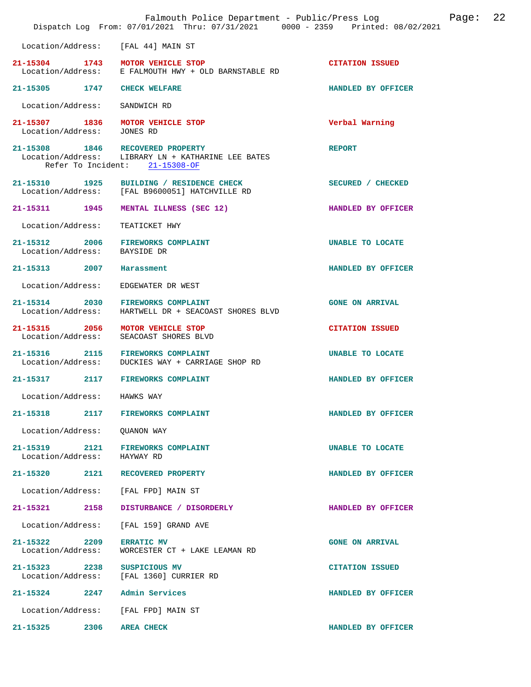|                                    |      | Falmouth Police Department - Public/Press Log<br>Dispatch Log From: 07/01/2021 Thru: 07/31/2021 0000 - 2359 Printed: 08/02/2021 |                         | Page: | 22 |
|------------------------------------|------|---------------------------------------------------------------------------------------------------------------------------------|-------------------------|-------|----|
|                                    |      | Location/Address: [FAL 44] MAIN ST                                                                                              |                         |       |    |
|                                    |      | 21-15304 1743 MOTOR VEHICLE STOP<br>Location/Address: E FALMOUTH HWY + OLD BARNSTABLE RD                                        | <b>CITATION ISSUED</b>  |       |    |
| 21-15305 1747 CHECK WELFARE        |      |                                                                                                                                 | HANDLED BY OFFICER      |       |    |
| Location/Address:                  |      | SANDWICH RD                                                                                                                     |                         |       |    |
| 21-15307 1836<br>Location/Address: |      | MOTOR VEHICLE STOP<br>JONES RD                                                                                                  | Verbal Warning          |       |    |
|                                    |      | 21-15308 1846 RECOVERED PROPERTY<br>Location/Address: LIBRARY LN + KATHARINE LEE BATES<br>Refer To Incident: 21-15308-OF        | <b>REPORT</b>           |       |    |
|                                    |      | 21-15310 1925 BUILDING / RESIDENCE CHECK<br>Location/Address: [FAL B9600051] HATCHVILLE RD                                      | SECURED / CHECKED       |       |    |
|                                    |      | 21-15311 1945 MENTAL ILLNESS (SEC 12)                                                                                           | HANDLED BY OFFICER      |       |    |
| Location/Address:                  |      | TEATICKET HWY                                                                                                                   |                         |       |    |
| Location/Address: BAYSIDE DR       |      | 21-15312 2006 FIREWORKS COMPLAINT                                                                                               | <b>UNABLE TO LOCATE</b> |       |    |
| 21-15313 2007 Harassment           |      |                                                                                                                                 | HANDLED BY OFFICER      |       |    |
| Location/Address:                  |      | EDGEWATER DR WEST                                                                                                               |                         |       |    |
|                                    |      | 21-15314 2030 FIREWORKS COMPLAINT<br>Location/Address: HARTWELL DR + SEACOAST SHORES BLVD                                       | <b>GONE ON ARRIVAL</b>  |       |    |
| 21-15315 2056<br>Location/Address: |      | MOTOR VEHICLE STOP<br>SEACOAST SHORES BLVD                                                                                      | <b>CITATION ISSUED</b>  |       |    |
|                                    |      | 21-15316 2115 FIREWORKS COMPLAINT<br>Location/Address: DUCKIES WAY + CARRIAGE SHOP RD                                           | UNABLE TO LOCATE        |       |    |
|                                    |      | 21-15317 2117 FIREWORKS COMPLAINT                                                                                               | HANDLED BY OFFICER      |       |    |
| Location/Address:                  |      | HAWKS WAY                                                                                                                       |                         |       |    |
| 21-15318                           |      | 2117 FIREWORKS COMPLAINT                                                                                                        | HANDLED BY OFFICER      |       |    |
| Location/Address:                  |      | QUANON WAY                                                                                                                      |                         |       |    |
| 21-15319 2121<br>Location/Address: |      | FIREWORKS COMPLAINT<br>HAYWAY RD                                                                                                | UNABLE TO LOCATE        |       |    |
|                                    |      | 21-15320 2121 RECOVERED PROPERTY                                                                                                | HANDLED BY OFFICER      |       |    |
| Location/Address:                  |      | [FAL FPD] MAIN ST                                                                                                               |                         |       |    |
| 21-15321                           | 2158 | DISTURBANCE / DISORDERLY                                                                                                        | HANDLED BY OFFICER      |       |    |
| Location/Address:                  |      | [FAL 159] GRAND AVE                                                                                                             |                         |       |    |
| 21-15322 2209<br>Location/Address: |      | <b>ERRATIC MV</b><br>WORCESTER CT + LAKE LEAMAN RD                                                                              | <b>GONE ON ARRIVAL</b>  |       |    |
| 21-15323 2238                      |      | SUSPICIOUS MV<br>Location/Address: [FAL 1360] CURRIER RD                                                                        | <b>CITATION ISSUED</b>  |       |    |
| 21-15324 2247                      |      | Admin Services                                                                                                                  | HANDLED BY OFFICER      |       |    |
| Location/Address:                  |      | [FAL FPD] MAIN ST                                                                                                               |                         |       |    |
| 21-15325                           | 2306 | <b>AREA CHECK</b>                                                                                                               | HANDLED BY OFFICER      |       |    |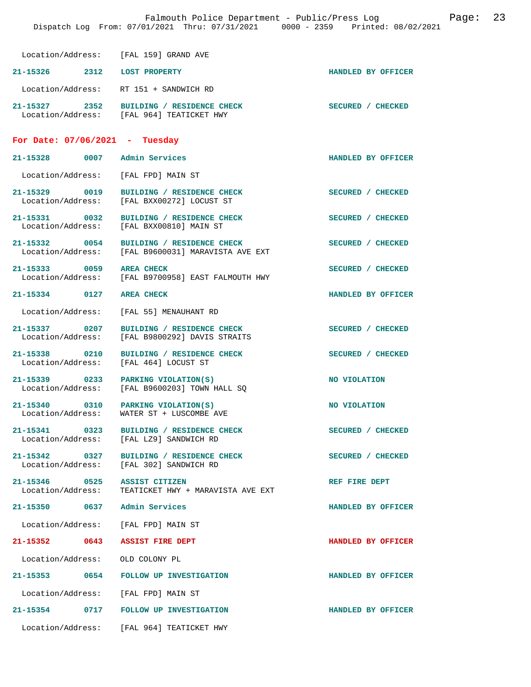| Location/Address: [FAL 159] GRAND AVE                  |                                                                                                |                    |
|--------------------------------------------------------|------------------------------------------------------------------------------------------------|--------------------|
| 21-15326 2312 LOST PROPERTY                            |                                                                                                | HANDLED BY OFFICER |
|                                                        | Location/Address: RT 151 + SANDWICH RD                                                         |                    |
|                                                        | 21-15327 2352 BUILDING / RESIDENCE CHECK<br>Location/Address: [FAL 964] TEATICKET HWY          | SECURED / CHECKED  |
| For Date: $07/06/2021$ - Tuesday                       |                                                                                                |                    |
| 21-15328 0007 Admin Services                           |                                                                                                | HANDLED BY OFFICER |
| Location/Address: [FAL FPD] MAIN ST                    |                                                                                                |                    |
| 21-15329 0019                                          | BUILDING / RESIDENCE CHECK<br>Location/Address: [FAL BXX00272] LOCUST ST                       | SECURED / CHECKED  |
|                                                        | 21-15331 0032 BUILDING / RESIDENCE CHECK<br>Location/Address: [FAL BXX00810] MAIN ST           | SECURED / CHECKED  |
|                                                        | 21-15332 0054 BUILDING / RESIDENCE CHECK<br>Location/Address: [FAL B9600031] MARAVISTA AVE EXT | SECURED / CHECKED  |
|                                                        | 21-15333 0059 AREA CHECK<br>Location/Address: [FAL B9700958] EAST FALMOUTH HWY                 | SECURED / CHECKED  |
| 21-15334 0127 AREA CHECK                               |                                                                                                | HANDLED BY OFFICER |
|                                                        | Location/Address: [FAL 55] MENAUHANT RD                                                        |                    |
| 21-15337 0207                                          | BUILDING / RESIDENCE CHECK<br>Location/Address: [FAL B9800292] DAVIS STRAITS                   | SECURED / CHECKED  |
| 21-15338 0210<br>Location/Address: [FAL 464] LOCUST ST | BUILDING / RESIDENCE CHECK                                                                     | SECURED / CHECKED  |
|                                                        | $21-15339$ 0233 PARKING VIOLATION(S)<br>Location/Address: [FAL B9600203] TOWN HALL SQ          | NO VIOLATION       |
|                                                        | 21-15340 0310 PARKING VIOLATION(S)<br>Location/Address: WATER ST + LUSCOMBE AVE                | NO VIOLATION       |
| $21 - 15341$                                           | 0323 BUILDING / RESIDENCE CHECK<br>Location/Address: [FAL LZ9] SANDWICH RD                     | SECURED / CHECKED  |
| 21-15342 0327                                          | BUILDING / RESIDENCE CHECK<br>Location/Address: [FAL 302] SANDWICH RD                          | SECURED / CHECKED  |
| 21-15346 0525 ASSIST CITIZEN                           | Location/Address: TEATICKET HWY + MARAVISTA AVE EXT                                            | REF FIRE DEPT      |
| 21-15350 0637 Admin Services                           |                                                                                                | HANDLED BY OFFICER |
| Location/Address: [FAL FPD] MAIN ST                    |                                                                                                |                    |
| 21-15352 0643 ASSIST FIRE DEPT                         |                                                                                                | HANDLED BY OFFICER |
| Location/Address: OLD COLONY PL                        |                                                                                                |                    |
|                                                        | 21-15353 0654 FOLLOW UP INVESTIGATION                                                          | HANDLED BY OFFICER |
| Location/Address: [FAL FPD] MAIN ST                    |                                                                                                |                    |
|                                                        | 21-15354 0717 FOLLOW UP INVESTIGATION                                                          | HANDLED BY OFFICER |
|                                                        | Location/Address: [FAL 964] TEATICKET HWY                                                      |                    |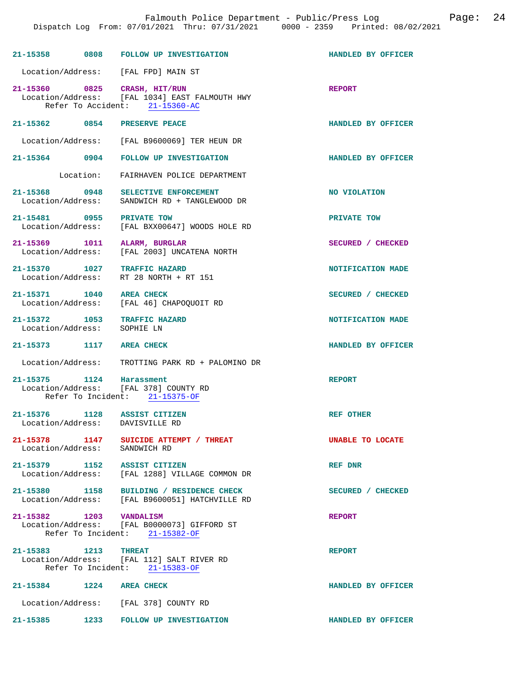|                                    | 21-15358 0808 FOLLOW UP INVESTIGATION                                                                            | HANDLED BY OFFICER      |
|------------------------------------|------------------------------------------------------------------------------------------------------------------|-------------------------|
|                                    | Location/Address: [FAL FPD] MAIN ST                                                                              |                         |
|                                    | 21-15360 0825 CRASH, HIT/RUN<br>Location/Address: [FAL 1034] EAST FALMOUTH HWY<br>Refer To Accident: 21-15360-AC | <b>REPORT</b>           |
|                                    | 21-15362 0854 PRESERVE PEACE                                                                                     | HANDLED BY OFFICER      |
|                                    | Location/Address: [FAL B9600069] TER HEUN DR                                                                     |                         |
|                                    | 21-15364 0904 FOLLOW UP INVESTIGATION                                                                            | HANDLED BY OFFICER      |
|                                    | Location: FAIRHAVEN POLICE DEPARTMENT                                                                            |                         |
|                                    | 21-15368 0948 SELECTIVE ENFORCEMENT<br>Location/Address: SANDWICH RD + TANGLEWOOD DR                             | NO VIOLATION            |
| 21-15481 0955 PRIVATE TOW          | Location/Address: [FAL BXX00647] WOODS HOLE RD                                                                   | PRIVATE TOW             |
|                                    | 21-15369 1011 ALARM, BURGLAR<br>Location/Address: [FAL 2003] UNCATENA NORTH                                      | SECURED / CHECKED       |
|                                    | 21-15370 1027 TRAFFIC HAZARD<br>Location/Address: RT 28 NORTH + RT 151                                           | NOTIFICATION MADE       |
| 21-15371 1040                      | <b>AREA CHECK</b><br>Location/Address: [FAL 46] CHAPOQUOIT RD                                                    | SECURED / CHECKED       |
| Location/Address:                  | 21-15372 1053 TRAFFIC HAZARD<br>SOPHIE LN                                                                        | NOTIFICATION MADE       |
|                                    |                                                                                                                  |                         |
| 21-15373 1117 AREA CHECK           |                                                                                                                  | HANDLED BY OFFICER      |
|                                    | Location/Address: TROTTING PARK RD + PALOMINO DR                                                                 |                         |
|                                    | 21-15375 1124 Harassment<br>Location/Address: [FAL 378] COUNTY RD<br>Refer To Incident: 21-15375-OF              | <b>REPORT</b>           |
|                                    | 21-15376 1128 ASSIST CITIZEN<br>Location/Address: DAVISVILLE RD                                                  | <b>REF OTHER</b>        |
| 21-15378 1147<br>Location/Address: | SUICIDE ATTEMPT / THREAT<br>SANDWICH RD                                                                          | <b>UNABLE TO LOCATE</b> |
|                                    | 21-15379 1152 ASSIST CITIZEN<br>Location/Address: [FAL 1288] VILLAGE COMMON DR                                   | REF DNR                 |
|                                    | 21-15380 1158 BUILDING / RESIDENCE CHECK<br>Location/Address: [FAL B9600051] HATCHVILLE RD                       | SECURED / CHECKED       |
| 21-15382 1203 VANDALISM            | Location/Address: [FAL B0000073] GIFFORD ST<br>Refer To Incident: 21-15382-OF                                    | <b>REPORT</b>           |
| 21-15383 1213 THREAT               | Location/Address: [FAL 112] SALT RIVER RD<br>Refer To Incident: 21-15383-OF                                      | <b>REPORT</b>           |
| 21-15384 1224 AREA CHECK           |                                                                                                                  | HANDLED BY OFFICER      |
|                                    | Location/Address: [FAL 378] COUNTY RD                                                                            |                         |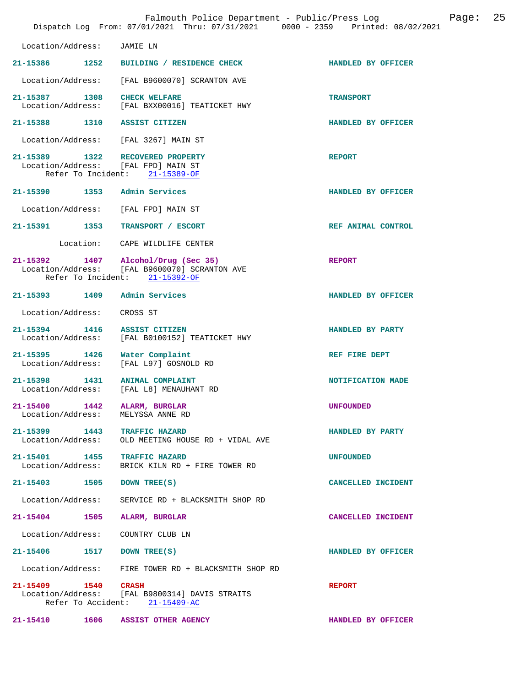|                                                                                               | Falmouth Police Department - Public/Press Log<br>Dispatch Log From: 07/01/2021 Thru: 07/31/2021 0000 - 2359 Printed: 08/02/2021 | 25<br>Page:        |
|-----------------------------------------------------------------------------------------------|---------------------------------------------------------------------------------------------------------------------------------|--------------------|
| Location/Address:                                                                             | JAMIE LN                                                                                                                        |                    |
| 21-15386 1252                                                                                 | BUILDING / RESIDENCE CHECK                                                                                                      | HANDLED BY OFFICER |
| Location/Address:                                                                             | [FAL B9600070] SCRANTON AVE                                                                                                     |                    |
| 21-15387 1308 CHECK WELFARE<br>Location/Address:                                              | [FAL BXX00016] TEATICKET HWY                                                                                                    | <b>TRANSPORT</b>   |
| 21-15388 1310 ASSIST CITIZEN                                                                  |                                                                                                                                 | HANDLED BY OFFICER |
| Location/Address: [FAL 3267] MAIN ST                                                          |                                                                                                                                 |                    |
| 21-15389 1322 RECOVERED PROPERTY<br>Location/Address: [FAL FPD] MAIN ST<br>Refer To Incident: | 21-15389-OF                                                                                                                     | <b>REPORT</b>      |
| 21-15390 1353 Admin Services                                                                  |                                                                                                                                 | HANDLED BY OFFICER |
| Location/Address:                                                                             | [FAL FPD] MAIN ST                                                                                                               |                    |
| 21-15391 1353                                                                                 | TRANSPORT / ESCORT                                                                                                              | REF ANIMAL CONTROL |
|                                                                                               | Location: CAPE WILDLIFE CENTER                                                                                                  |                    |
| Location/Address:                                                                             | 21-15392 1407 Alcohol/Drug (Sec 35)<br>[FAL B9600070] SCRANTON AVE<br>Refer To Incident: 21-15392-OF                            | <b>REPORT</b>      |
| 21-15393 1409                                                                                 | Admin Services                                                                                                                  | HANDLED BY OFFICER |
| Location/Address:                                                                             | CROSS ST                                                                                                                        |                    |
| 21-15394 1416<br>Location/Address:                                                            | <b>ASSIST CITIZEN</b><br>[FAL B0100152] TEATICKET HWY                                                                           | HANDLED BY PARTY   |
| 21-15395 1426<br>Location/Address:                                                            | Water Complaint<br>[FAL L97] GOSNOLD RD                                                                                         | REF FIRE DEPT      |
| 21-15398 1431 ANIMAL COMPLAINT<br>Location/Address:                                           | [FAL L8] MENAUHANT RD                                                                                                           | NOTIFICATION MADE  |
| 21-15400<br>1442<br>Location/Address:                                                         | ALARM, BURGLAR<br>MELYSSA ANNE RD                                                                                               | <b>UNFOUNDED</b>   |
| 21-15399 1443<br>Location/Address:                                                            | <b>TRAFFIC HAZARD</b><br>OLD MEETING HOUSE RD + VIDAL AVE                                                                       | HANDLED BY PARTY   |
| 21-15401<br>1455<br>Location/Address:                                                         | <b>TRAFFIC HAZARD</b><br>BRICK KILN RD + FIRE TOWER RD                                                                          | <b>UNFOUNDED</b>   |
| 21-15403 1505                                                                                 | DOWN TREE(S)                                                                                                                    | CANCELLED INCIDENT |
| Location/Address:                                                                             | SERVICE RD + BLACKSMITH SHOP RD                                                                                                 |                    |
| $21 - 15404$<br>1505                                                                          | ALARM, BURGLAR                                                                                                                  | CANCELLED INCIDENT |
| Location/Address:                                                                             | COUNTRY CLUB LN                                                                                                                 |                    |
| 21-15406<br>1517                                                                              | DOWN TREE(S)                                                                                                                    | HANDLED BY OFFICER |
| Location/Address:                                                                             | FIRE TOWER RD + BLACKSMITH SHOP RD                                                                                              |                    |
| 21-15409 1540                                                                                 | CRASH<br>Location/Address: [FAL B9800314] DAVIS STRAITS<br>Refer To Accident: 21-15409-AC                                       | <b>REPORT</b>      |
| 1606<br>21-15410                                                                              | ASSIST OTHER AGENCY                                                                                                             | HANDLED BY OFFICER |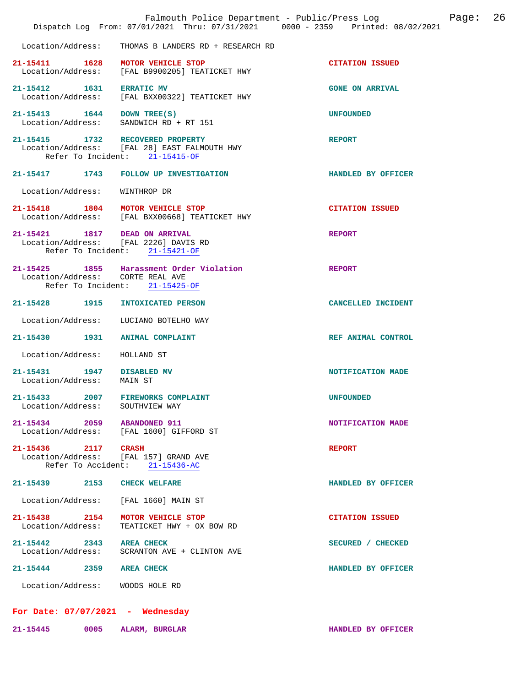|                                                   |                                                                                                                    | 26<br>Page:<br>Falmouth Police Department - Public/Press Log<br>Dispatch Log From: 07/01/2021 Thru: 07/31/2021 0000 - 2359 Printed: 08/02/2021 |
|---------------------------------------------------|--------------------------------------------------------------------------------------------------------------------|------------------------------------------------------------------------------------------------------------------------------------------------|
| Location/Address:                                 | THOMAS B LANDERS RD + RESEARCH RD                                                                                  |                                                                                                                                                |
| Location/Address:                                 | 21-15411 1628 MOTOR VEHICLE STOP<br>[FAL B9900205] TEATICKET HWY                                                   | <b>CITATION ISSUED</b>                                                                                                                         |
| 21-15412   1631   ERRATIC MV<br>Location/Address: | [FAL BXX00322] TEATICKET HWY                                                                                       | <b>GONE ON ARRIVAL</b>                                                                                                                         |
| 21-15413   1644   DOWN TREE(S)                    | Location/Address: SANDWICH RD + RT 151                                                                             | <b>UNFOUNDED</b>                                                                                                                               |
|                                                   | 21-15415 1732 RECOVERED PROPERTY<br>Location/Address: [FAL 28] EAST FALMOUTH HWY<br>Refer To Incident: 21-15415-OF | <b>REPORT</b>                                                                                                                                  |
|                                                   | 21-15417 1743 FOLLOW UP INVESTIGATION                                                                              | HANDLED BY OFFICER                                                                                                                             |
| Location/Address:                                 | WINTHROP DR                                                                                                        |                                                                                                                                                |
|                                                   | 21-15418 1804 MOTOR VEHICLE STOP<br>Location/Address: [FAL BXX00668] TEATICKET HWY                                 | <b>CITATION ISSUED</b>                                                                                                                         |
|                                                   | 21-15421 1817 DEAD ON ARRIVAL<br>Location/Address: [FAL 2226] DAVIS RD<br>Refer To Incident: 21-15421-OF           | <b>REPORT</b>                                                                                                                                  |
|                                                   | 21-15425 1855 Harassment Order Violation<br>Location/Address: CORTE REAL AVE<br>Refer To Incident: 21-15425-OF     | <b>REPORT</b>                                                                                                                                  |
|                                                   | 21-15428 1915 INTOXICATED PERSON                                                                                   | CANCELLED INCIDENT                                                                                                                             |
| Location/Address:                                 | LUCIANO BOTELHO WAY                                                                                                |                                                                                                                                                |
|                                                   | 21-15430 1931 ANIMAL COMPLAINT                                                                                     | REF ANIMAL CONTROL                                                                                                                             |
| Location/Address:                                 | HOLLAND ST                                                                                                         |                                                                                                                                                |
| 21-15431 1947<br>Location/Address:                | <b>DISABLED MV</b><br>MAIN ST                                                                                      | NOTIFICATION MADE                                                                                                                              |
| $21 - 15433$<br>Location/Address:                 | 2007<br><b>FIREWORKS COMPLAINT</b><br>SOUTHVIEW WAY                                                                | <b>UNFOUNDED</b>                                                                                                                               |
|                                                   | 21-15434 2059 ABANDONED 911<br>Location/Address: [FAL 1600] GIFFORD ST                                             | NOTIFICATION MADE                                                                                                                              |
| 21-15436 2117 CRASH                               | Location/Address: [FAL 157] GRAND AVE<br>Refer To Accident: 21-15436-AC                                            | <b>REPORT</b>                                                                                                                                  |
|                                                   | 21-15439 2153 CHECK WELFARE                                                                                        | HANDLED BY OFFICER                                                                                                                             |
| Location/Address:                                 | [FAL 1660] MAIN ST                                                                                                 |                                                                                                                                                |
| 21-15438 2154<br>Location/Address:                | MOTOR VEHICLE STOP<br>TEATICKET HWY + OX BOW RD                                                                    | <b>CITATION ISSUED</b>                                                                                                                         |
| 21-15442 2343 AREA CHECK                          | Location/Address: SCRANTON AVE + CLINTON AVE                                                                       | SECURED / CHECKED                                                                                                                              |
| $21 - 15444$                                      | 2359 AREA CHECK                                                                                                    | HANDLED BY OFFICER                                                                                                                             |
|                                                   | Location/Address: WOODS HOLE RD                                                                                    |                                                                                                                                                |
|                                                   | For Date: $07/07/2021$ - Wednesday                                                                                 |                                                                                                                                                |
| 21-15445                                          | 0005 ALARM, BURGLAR                                                                                                | HANDLED BY OFFICER                                                                                                                             |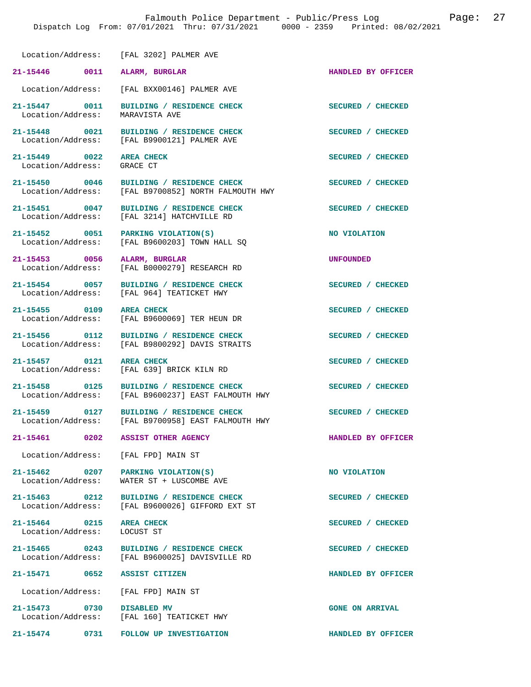Location/Address: [FAL 3202] PALMER AVE

Location/Address:

**21-15449** 0022 AREA CHECK SECURED / CHECKED Location/Address: GRACE CT Location/Address:

21-15464 0215 AREA CHECK SECURED / CHECKED **SECURED** / CHECKED **Integrated SECURED** / CHECKED Location/Address:

 Location/Address: [FAL BXX00146] PALMER AVE **21-15447 0011 BUILDING / RESIDENCE CHECK SECURED / CHECKED** 

**21-15446 0011 ALARM, BURGLAR HANDLED BY OFFICER** 

**21-15448 0021 BUILDING / RESIDENCE CHECK SECURED / CHECKED**  Location/Address: [FAL B9900121] PALMER AVE

21-15450 0046 BUILDING / RESIDENCE CHECK CHECK SECURED / CHECKED<br>Location/Address: [FAL B9700852] NORTH FALMOUTH HWY [FAL B9700852] NORTH FALMOUTH HWY

21-15451 0047 BUILDING / RESIDENCE CHECK SECURED / CHECKED Location/Address: [FAL 3214] HATCHVILLE RD [FAL 3214] HATCHVILLE RD

21-15452 0051 PARKING VIOLATION(S) NO VIOLATION<br>
Location/Address: [FAL B9600203] TOWN HALL SO [FAL B9600203] TOWN HALL SO

**21-15453 0056 ALARM, BURGLAR UNFOUNDED**  Location/Address: [FAL B0000279] RESEARCH RD

**21-15454 0057 BUILDING / RESIDENCE CHECK SECURED / CHECKED**  Location/Address: [FAL 964] TEATICKET HWY

21-15455 0109 AREA CHECK **DEALL AREA CHECKED**<br>
Location/Address: [FAL B9600069] TER HEUN DR [FAL B9600069] TER HEUN DR

21-15456 0112 BUILDING / RESIDENCE CHECK<br>
Location/Address: [FAL B9800292] DAVIS STRAITS [FAL B9800292] DAVIS STRAITS

**21-15457** 0121 AREA CHECK **DEALL AREA CHECK SECURED** / CHECKED Location / Address: [FAL 639] BRICK KILN RD Location/Address: [FAL 639] BRICK KILN RD

**21-15458 0125 BUILDING / RESIDENCE CHECK SECURED / CHECKED**  Location/Address: [FAL B9600237] EAST FALMOUTH HWY

**21-15459 0127 BUILDING / RESIDENCE CHECK SECURED / CHECKED**  Location/Address: [FAL B9700958] EAST FALMOUTH HWY

**21-15461 0202 ASSIST OTHER AGENCY HANDLED BY OFFICER** 

Location/Address: [FAL FPD] MAIN ST

**21-15462** 0207 PARKING VIOLATION(S) NO VIOLATION Location/Address: WATER ST + LUSCOMBE AVE WATER ST + LUSCOMBE AVE

**21-15463 0212 BUILDING / RESIDENCE CHECK SECURED / CHECKED**  Location/Address: [FAL B9600026] GIFFORD EXT ST

**21-15465 0243 BUILDING / RESIDENCE CHECK SECURED / CHECKED**  Location/Address: [FAL B9600025] DAVISVILLE RD

**21-15471 0652 ASSIST CITIZEN HANDLED BY OFFICER** 

Location/Address: [FAL FPD] MAIN ST

**21-15473 0730 DISABLED MV GONE ON ARRIVAL**  Location/Address: [FAL 160] TEATICKET HWY

**21-15474 0731 FOLLOW UP INVESTIGATION HANDLED BY OFFICER**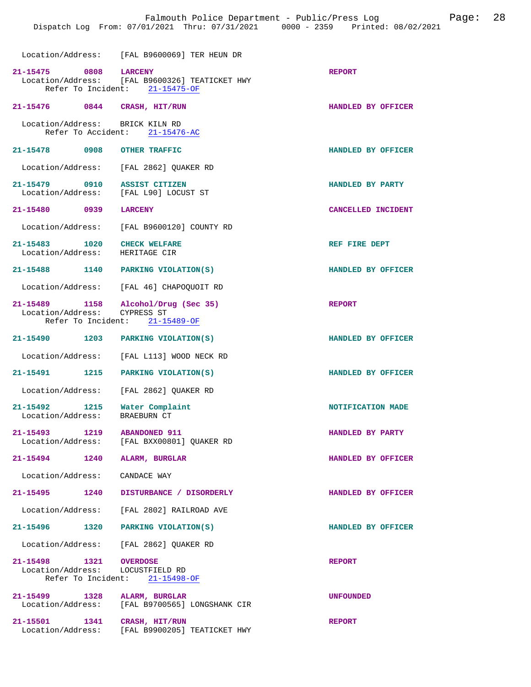Location/Address: [FAL B9600069] TER HEUN DR

| $21 - 15475$                                               | 0808 LARCENY<br>Location/Address: [FAL B9600326] TEATICKET HWY<br>Refer To Incident: 21-15475-OF | <b>REPORT</b>      |
|------------------------------------------------------------|--------------------------------------------------------------------------------------------------|--------------------|
| 21-15476 0844 CRASH, HIT/RUN                               |                                                                                                  | HANDLED BY OFFICER |
| Location/Address: BRICK KILN RD<br>Refer To Accident:      | $21 - 15476 - AC$                                                                                |                    |
| 21-15478 0908                                              | <b>OTHER TRAFFIC</b>                                                                             | HANDLED BY OFFICER |
|                                                            | Location/Address: [FAL 2862] QUAKER RD                                                           |                    |
| 21-15479 0910<br>Location/Address: [FAL L90] LOCUST ST     | <b>ASSIST CITIZEN</b>                                                                            | HANDLED BY PARTY   |
| 21-15480 0939                                              | <b>LARCENY</b>                                                                                   | CANCELLED INCIDENT |
|                                                            | Location/Address: [FAL B9600120] COUNTY RD                                                       |                    |
| 21-15483 1020<br>Location/Address:                         | <b>CHECK WELFARE</b><br>HERITAGE CIR                                                             | REF FIRE DEPT      |
| 21-15488 1140                                              | PARKING VIOLATION(S)                                                                             | HANDLED BY OFFICER |
|                                                            | Location/Address: [FAL 46] CHAPOQUOIT RD                                                         |                    |
| 21-15489 1158<br>Location/Address:<br>Refer To Incident:   | Alcohol/Drug (Sec 35)<br>CYPRESS ST<br>$21 - 15489 - OF$                                         | <b>REPORT</b>      |
| 21-15490 1203 PARKING VIOLATION(S)                         |                                                                                                  | HANDLED BY OFFICER |
| Location/Address:                                          | [FAL L113] WOOD NECK RD                                                                          |                    |
| 1215<br>21-15491                                           | PARKING VIOLATION(S)                                                                             | HANDLED BY OFFICER |
| Location/Address:                                          | [FAL 2862] QUAKER RD                                                                             |                    |
| 21-15492 1215<br>Location/Address:                         | Water Complaint<br><b>BRAEBURN CT</b>                                                            | NOTIFICATION MADE  |
| 21-15493 1219                                              | <b>ABANDONED 911</b><br>Location/Address: [FAL BXX00801] QUAKER RD                               | HANDLED BY PARTY   |
| 21-15494<br>1240                                           | ALARM, BURGLAR                                                                                   | HANDLED BY OFFICER |
| Location/Address:                                          | CANDACE WAY                                                                                      |                    |
| 21-15495<br>1240                                           | DISTURBANCE / DISORDERLY                                                                         | HANDLED BY OFFICER |
| Location/Address:                                          | [FAL 2802] RAILROAD AVE                                                                          |                    |
| 21-15496 1320                                              | PARKING VIOLATION(S)                                                                             | HANDLED BY OFFICER |
| Location/Address:                                          | [FAL 2862] QUAKER RD                                                                             |                    |
| 21-15498 1321 OVERDOSE<br>Location/Address: LOCUSTFIELD RD | Refer To Incident: 21-15498-OF                                                                   | <b>REPORT</b>      |
| 21-15499 1328<br>Location/Address:                         | ALARM, BURGLAR<br>[FAL B9700565] LONGSHANK CIR                                                   | <b>UNFOUNDED</b>   |
| 21-15501<br>1341<br>Location/Address:                      | CRASH, HIT/RUN<br>[FAL B9900205] TEATICKET HWY                                                   | <b>REPORT</b>      |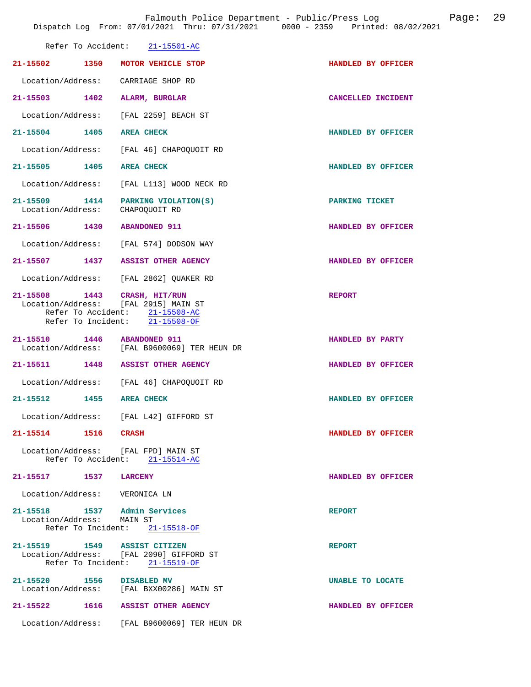|                                                                      | Refer To Accident: 21-15501-AC                                            |                    |
|----------------------------------------------------------------------|---------------------------------------------------------------------------|--------------------|
| 21-15502 1350                                                        | MOTOR VEHICLE STOP                                                        | HANDLED BY OFFICER |
| Location/Address: CARRIAGE SHOP RD                                   |                                                                           |                    |
| 21-15503 1402                                                        | ALARM, BURGLAR                                                            | CANCELLED INCIDENT |
| Location/Address: [FAL 2259] BEACH ST                                |                                                                           |                    |
| 21-15504 1405                                                        | <b>AREA CHECK</b>                                                         | HANDLED BY OFFICER |
| Location/Address:                                                    | [FAL 46] CHAPOQUOIT RD                                                    |                    |
| 21-15505 1405                                                        | <b>AREA CHECK</b>                                                         | HANDLED BY OFFICER |
| Location/Address:                                                    | [FAL L113] WOOD NECK RD                                                   |                    |
| 21-15509 1414<br>Location/Address:                                   | PARKING VIOLATION(S)<br>CHAPOOUOIT RD                                     | PARKING TICKET     |
| 21-15506 1430 ABANDONED 911                                          |                                                                           | HANDLED BY OFFICER |
|                                                                      | Location/Address: [FAL 574] DODSON WAY                                    |                    |
| 21-15507 1437 ASSIST OTHER AGENCY                                    |                                                                           | HANDLED BY OFFICER |
|                                                                      | Location/Address: [FAL 2862] QUAKER RD                                    |                    |
| 21-15508 1443 CRASH, HIT/RUN<br>Location/Address: [FAL 2915] MAIN ST | Refer To Accident: 21-15508-AC<br>Refer To Incident: 21-15508-OF          | <b>REPORT</b>      |
| 21-15510 1446 ABANDONED 911                                          | Location/Address: [FAL B9600069] TER HEUN DR                              | HANDLED BY PARTY   |
| 21-15511 1448 ASSIST OTHER AGENCY                                    |                                                                           | HANDLED BY OFFICER |
|                                                                      | Location/Address: [FAL 46] CHAPOQUOIT RD                                  |                    |
| 21-15512 1455 AREA CHECK                                             |                                                                           | HANDLED BY OFFICER |
|                                                                      | Location/Address: [FAL L42] GIFFORD ST                                    |                    |
| 21-15514 1516 CRASH                                                  |                                                                           | HANDLED BY OFFICER |
| Location/Address: [FAL FPD] MAIN ST                                  | Refer To Accident: 21-15514-AC                                            |                    |
| 21-15517 1537 LARCENY                                                |                                                                           | HANDLED BY OFFICER |
| Location/Address: VERONICA LN                                        |                                                                           |                    |
| 21-15518 1537 Admin Services<br>Location/Address: MAIN ST            | Refer To Incident: 21-15518-OF                                            | <b>REPORT</b>      |
| 21-15519 1549 ASSIST CITIZEN                                         | Location/Address: [FAL 2090] GIFFORD ST<br>Refer To Incident: 21-15519-OF | <b>REPORT</b>      |
| 21-15520 1556 DISABLED MV                                            | Location/Address: [FAL BXX00286] MAIN ST                                  | UNABLE TO LOCATE   |
| 21-15522 1616 ASSIST OTHER AGENCY                                    |                                                                           | HANDLED BY OFFICER |
|                                                                      | Location/Address: [FAL B9600069] TER HEUN DR                              |                    |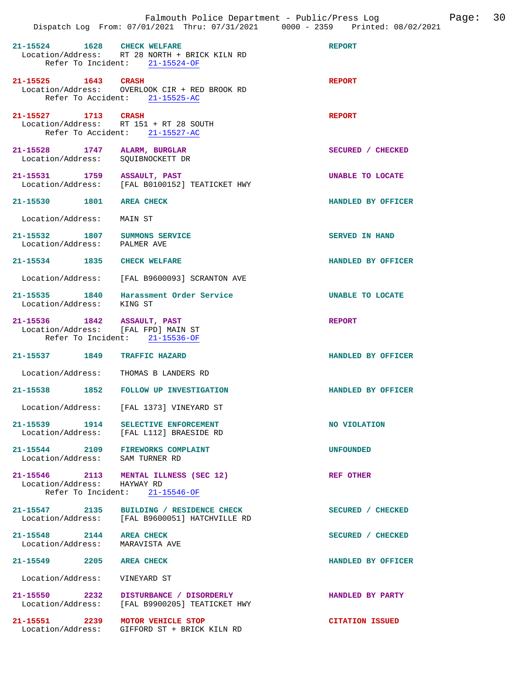| 21-15524 1628 CHECK WELFARE                                          | Location/Address: RT 28 NORTH + BRICK KILN RD<br>Refer To Incident: 21-15524-OF          | <b>REPORT</b>          |
|----------------------------------------------------------------------|------------------------------------------------------------------------------------------|------------------------|
| 21-15525 1643 CRASH                                                  | Location/Address: OVERLOOK CIR + RED BROOK RD<br>Refer To Accident: 21-15525-AC          | <b>REPORT</b>          |
| 21-15527 1713 CRASH<br>Location/Address: RT 151 + RT 28 SOUTH        | Refer To Accident: 21-15527-AC                                                           | <b>REPORT</b>          |
| 21-15528 1747 ALARM, BURGLAR<br>Location/Address:                    | SQUIBNOCKETT DR                                                                          | SECURED / CHECKED      |
| 21-15531 1759 ASSAULT, PAST                                          | Location/Address: [FAL B0100152] TEATICKET HWY                                           | UNABLE TO LOCATE       |
| 21-15530 1801 AREA CHECK                                             |                                                                                          | HANDLED BY OFFICER     |
| Location/Address: MAIN ST                                            |                                                                                          |                        |
| 21-15532 1807 SUMMONS SERVICE<br>Location/Address: PALMER AVE        |                                                                                          | SERVED IN HAND         |
| 21-15534 1835 CHECK WELFARE                                          |                                                                                          | HANDLED BY OFFICER     |
|                                                                      | Location/Address: [FAL B9600093] SCRANTON AVE                                            |                        |
| Location/Address: KING ST                                            | 21-15535 1840 Harassment Order Service                                                   | UNABLE TO LOCATE       |
| 21-15536 1842 ASSAULT, PAST<br>Location/Address: [FAL FPD] MAIN ST   | Refer To Incident: 21-15536-OF                                                           | REPORT                 |
| 21-15537 1849 TRAFFIC HAZARD                                         |                                                                                          | HANDLED BY OFFICER     |
| Location/Address: THOMAS B LANDERS RD                                |                                                                                          |                        |
|                                                                      | 21-15538 1852 FOLLOW UP INVESTIGATION                                                    | HANDLED BY OFFICER     |
|                                                                      | Location/Address: [FAL 1373] VINEYARD ST                                                 |                        |
| 21-15539 1914 SELECTIVE ENFORCEMENT<br>Location/Address:             | [FAL L112] BRAESIDE RD                                                                   | NO VIOLATION           |
| 21-15544 2109 FIREWORKS COMPLAINT<br>Location/Address: SAM TURNER RD |                                                                                          | <b>UNFOUNDED</b>       |
| Location/Address: HAYWAY RD                                          | 21-15546 2113 MENTAL ILLNESS (SEC 12)<br>Refer To Incident: 21-15546-OF                  | <b>REF OTHER</b>       |
| 21-15547 2135                                                        | BUILDING / RESIDENCE CHECK<br>Location/Address: [FAL B9600051] HATCHVILLE RD             | SECURED / CHECKED      |
| 21-15548 2144<br>Location/Address: MARAVISTA AVE                     | <b>AREA CHECK</b>                                                                        | SECURED / CHECKED      |
| 21-15549 2205 AREA CHECK                                             |                                                                                          | HANDLED BY OFFICER     |
| Location/Address: VINEYARD ST                                        |                                                                                          |                        |
|                                                                      | 21-15550 2232 DISTURBANCE / DISORDERLY<br>Location/Address: [FAL B9900205] TEATICKET HWY | HANDLED BY PARTY       |
| 21-15551 2239 MOTOR VEHICLE STOP                                     | Location/Address: GIFFORD ST + BRICK KILN RD                                             | <b>CITATION ISSUED</b> |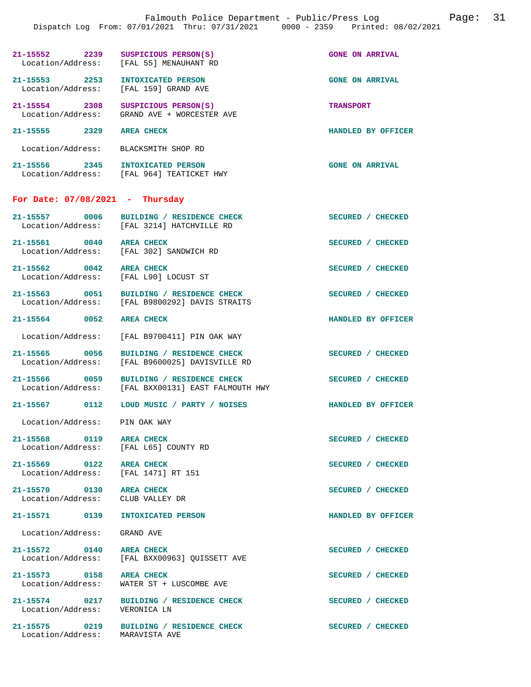|                                   | Dispatch Log From: 07/01/2021 Thru: 07/31/2021 0000 - 2359 Printed: 08/02/2021                 |                  |                        |  |
|-----------------------------------|------------------------------------------------------------------------------------------------|------------------|------------------------|--|
|                                   | 21-15552 2239 SUSPICIOUS PERSON(S)<br>Location/Address: [FAL 55] MENAUHANT RD                  |                  | <b>GONE ON ARRIVAL</b> |  |
|                                   | 21-15553 2253 INTOXICATED PERSON<br>Location/Address: [FAL 159] GRAND AVE                      |                  | <b>GONE ON ARRIVAL</b> |  |
|                                   | 21-15554 2308 SUSPICIOUS PERSON(S)<br>Location/Address: GRAND AVE + WORCESTER AVE              | <b>TRANSPORT</b> |                        |  |
| 21-15555 2329 AREA CHECK          |                                                                                                |                  | HANDLED BY OFFICER     |  |
|                                   | Location/Address: BLACKSMITH SHOP RD                                                           |                  |                        |  |
|                                   | 21-15556 2345 INTOXICATED PERSON<br>Location/Address: [FAL 964] TEATICKET HWY                  |                  | <b>GONE ON ARRIVAL</b> |  |
| For Date: $07/08/2021$ - Thursday |                                                                                                |                  |                        |  |
|                                   | 21-15557 0006 BUILDING / RESIDENCE CHECK<br>Location/Address: [FAL 3214] HATCHVILLE RD         |                  | SECURED / CHECKED      |  |
|                                   | 21-15561 0040 AREA CHECK<br>Location/Address: [FAL 302] SANDWICH RD                            |                  | SECURED / CHECKED      |  |
| 21-15562 0042 AREA CHECK          | Location/Address: [FAL L90] LOCUST ST                                                          |                  | SECURED / CHECKED      |  |
|                                   | 21-15563 0051 BUILDING / RESIDENCE CHECK<br>Location/Address: [FAL B9800292] DAVIS STRAITS     |                  | SECURED / CHECKED      |  |
| 21-15564 0052 AREA CHECK          |                                                                                                |                  | HANDLED BY OFFICER     |  |
|                                   | Location/Address: [FAL B9700411] PIN OAK WAY                                                   |                  |                        |  |
| 21-15565 0056                     | BUILDING / RESIDENCE CHECK<br>Location/Address: [FAL B9600025] DAVISVILLE RD                   |                  | SECURED / CHECKED      |  |
|                                   | 21-15566 0059 BUILDING / RESIDENCE CHECK<br>Location/Address: [FAL BXX00131] EAST FALMOUTH HWY |                  | SECURED / CHECKED      |  |
|                                   | 21-15567 0112 LOUD MUSIC / PARTY / NOISES                                                      |                  | HANDLED BY OFFICER     |  |
| Location/Address: PIN OAK WAY     |                                                                                                |                  |                        |  |
| 21-15568 0119 AREA CHECK          | Location/Address: [FAL L65] COUNTY RD                                                          |                  | SECURED / CHECKED      |  |
| 21-15569 0122 AREA CHECK          | Location/Address: [FAL 1471] RT 151                                                            |                  | SECURED / CHECKED      |  |
| 21-15570 0130 AREA CHECK          | Location/Address: CLUB VALLEY DR                                                               |                  | SECURED / CHECKED      |  |
|                                   | 21-15571 0139 INTOXICATED PERSON                                                               |                  | HANDLED BY OFFICER     |  |
| Location/Address: GRAND AVE       |                                                                                                |                  |                        |  |
| 21-15572 0140 AREA CHECK          | Location/Address: [FAL BXX00963] QUISSETT AVE                                                  |                  | SECURED / CHECKED      |  |
| 21-15573 0158 AREA CHECK          | Location/Address: WATER ST + LUSCOMBE AVE                                                      |                  | SECURED / CHECKED      |  |
|                                   | 21-15574 0217 BUILDING / RESIDENCE CHECK<br>Location/Address: VERONICA LN                      |                  | SECURED / CHECKED      |  |
|                                   |                                                                                                |                  |                        |  |

**21-15575 0219 BUILDING / RESIDENCE CHECK SECURED / CHECKED**  Location/Address: MARAVISTA AVE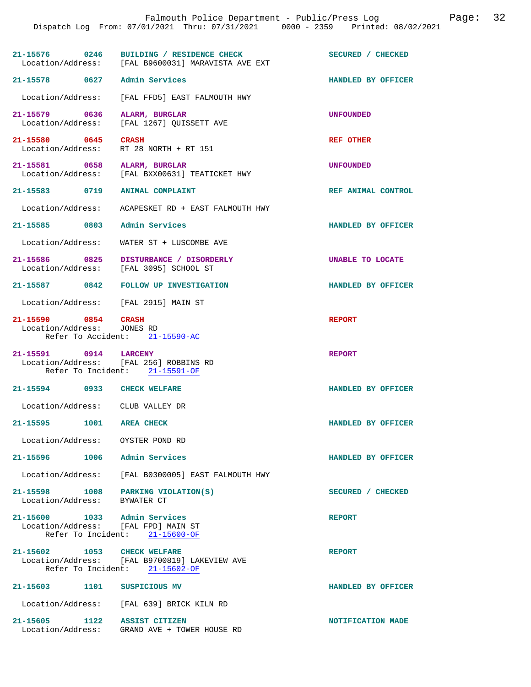|                                                                     | Dispatch Log From: 07/01/2021 Thru: 07/31/2021 0000 - 2359 Printed: 08/02/2021   |                    |
|---------------------------------------------------------------------|----------------------------------------------------------------------------------|--------------------|
|                                                                     |                                                                                  |                    |
| 21-15576 0246                                                       | BUILDING / RESIDENCE CHECK<br>Location/Address: [FAL B9600031] MARAVISTA AVE EXT | SECURED / CHECKED  |
| 21-15578 0627                                                       | Admin Services                                                                   | HANDLED BY OFFICER |
| Location/Address:                                                   | [FAL FFD5] EAST FALMOUTH HWY                                                     |                    |
| 21-15579 0636<br>Location/Address:                                  | ALARM, BURGLAR<br>[FAL 1267] QUISSETT AVE                                        | <b>UNFOUNDED</b>   |
| 21-15580 0645<br>Location/Address:                                  | <b>CRASH</b><br>RT 28 NORTH + RT 151                                             | <b>REF OTHER</b>   |
| 21-15581 0658<br>Location/Address:                                  | ALARM, BURGLAR<br>[FAL BXX00631] TEATICKET HWY                                   | <b>UNFOUNDED</b>   |
| 21-15583<br>0719                                                    | <b>ANIMAL COMPLAINT</b>                                                          | REF ANIMAL CONTROL |
| Location/Address:                                                   | ACAPESKET RD + EAST FALMOUTH HWY                                                 |                    |
| 21-15585 0803                                                       | Admin Services                                                                   | HANDLED BY OFFICER |
| Location/Address:                                                   | WATER ST + LUSCOMBE AVE                                                          |                    |
| 21-15586 0825<br>Location/Address:                                  | DISTURBANCE / DISORDERLY<br>[FAL 3095] SCHOOL ST                                 | UNABLE TO LOCATE   |
| 21-15587<br>0842                                                    | <b>FOLLOW UP INVESTIGATION</b>                                                   | HANDLED BY OFFICER |
| Location/Address:                                                   | [FAL 2915] MAIN ST                                                               |                    |
| 21-15590 0854<br>Location/Address:                                  | <b>CRASH</b><br>JONES RD<br>Refer To Accident: 21-15590-AC                       | <b>REPORT</b>      |
| 21-15591 0914<br>Location/Address: [FAL 256] ROBBINS RD             | <b>LARCENY</b><br>Refer To Incident: 21-15591-OF                                 | <b>REPORT</b>      |
| 21-15594<br>0933                                                    | <b>CHECK WELFARE</b>                                                             | HANDLED BY OFFICER |
| Location/Address: CLUB VALLEY DR                                    |                                                                                  |                    |
| 21-15595 1001 AREA CHECK                                            |                                                                                  | HANDLED BY OFFICER |
| Location/Address: OYSTER POND RD                                    |                                                                                  |                    |
| 21-15596                                                            | 1006 Admin Services                                                              | HANDLED BY OFFICER |
|                                                                     | Location/Address: [FAL B0300005] EAST FALMOUTH HWY                               |                    |
| 21-15598 1008<br>Location/Address: BYWATER CT                       | PARKING VIOLATION(S)                                                             | SECURED / CHECKED  |
| 21-15600 1033 Admin Services<br>Location/Address: [FAL FPD] MAIN ST | Refer To Incident: 21-15600-OF                                                   | <b>REPORT</b>      |
| 21-15602 1053 CHECK WELFARE                                         | Location/Address: [FAL B9700819] LAKEVIEW AVE<br>Refer To Incident: 21-15602-OF  | <b>REPORT</b>      |
| 21-15603 1101 SUSPICIOUS MV                                         |                                                                                  | HANDLED BY OFFICER |
|                                                                     | Location/Address: [FAL 639] BRICK KILN RD                                        |                    |
| 21-15605 1122 ASSIST CITIZEN                                        | Location/Address: GRAND AVE + TOWER HOUSE RD                                     | NOTIFICATION MADE  |

Falmouth Police Department - Public/Press Log Canade: 32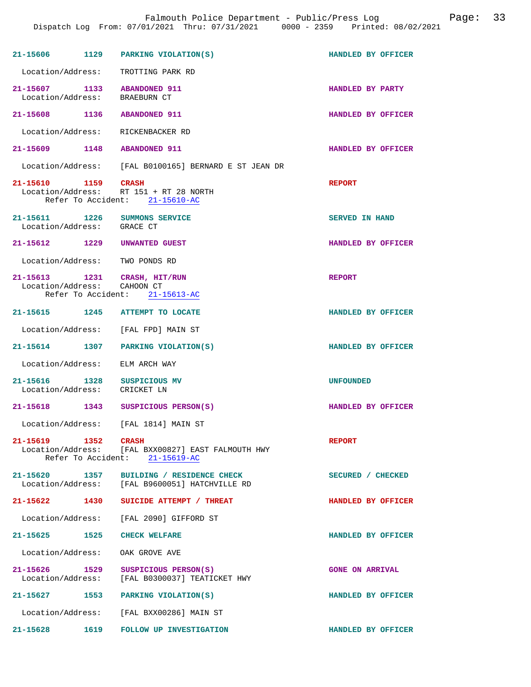| 21-15606 1129                      |      | PARKING VIOLATION(S)                                                                 | HANDLED BY OFFICER     |
|------------------------------------|------|--------------------------------------------------------------------------------------|------------------------|
| Location/Address:                  |      | TROTTING PARK RD                                                                     |                        |
| 21-15607 1133<br>Location/Address: |      | <b>ABANDONED 911</b><br><b>BRAEBURN CT</b>                                           | HANDLED BY PARTY       |
| 21-15608 1136 ABANDONED 911        |      |                                                                                      | HANDLED BY OFFICER     |
| Location/Address:                  |      | RICKENBACKER RD                                                                      |                        |
| 21-15609 1148                      |      | <b>ABANDONED 911</b>                                                                 | HANDLED BY OFFICER     |
|                                    |      | Location/Address: [FAL B0100165] BERNARD E ST JEAN DR                                |                        |
| 21-15610 1159                      |      | CRASH<br>Location/Address: RT 151 + RT 28 NORTH<br>Refer To Accident: 21-15610-AC    | <b>REPORT</b>          |
| 21-15611 1226<br>Location/Address: |      | SUMMONS SERVICE<br>GRACE CT                                                          | <b>SERVED IN HAND</b>  |
| 21-15612 1229                      |      | UNWANTED GUEST                                                                       | HANDLED BY OFFICER     |
| Location/Address: TWO PONDS RD     |      |                                                                                      |                        |
| Location/Address:                  |      | 21-15613 1231 CRASH, HIT/RUN<br>CAHOON CT<br>Refer To Accident: 21-15613-AC          | <b>REPORT</b>          |
|                                    |      | 21-15615 1245 ATTEMPT TO LOCATE                                                      | HANDLED BY OFFICER     |
| Location/Address:                  |      | [FAL FPD] MAIN ST                                                                    |                        |
| 21-15614 1307                      |      | PARKING VIOLATION(S)                                                                 | HANDLED BY OFFICER     |
| Location/Address:                  |      | ELM ARCH WAY                                                                         |                        |
| 21-15616 1328<br>Location/Address: |      | SUSPICIOUS MV<br>CRICKET LN                                                          | <b>UNFOUNDED</b>       |
| 21-15618 1343                      |      | SUSPICIOUS PERSON(S)                                                                 | HANDLED BY OFFICER     |
|                                    |      | Location/Address: [FAL 1814] MAIN ST                                                 |                        |
| 21-15619 1352 CRASH                |      | Location/Address: [FAL BXX00827] EAST FALMOUTH HWY<br>Refer To Accident: 21-15619-AC | <b>REPORT</b>          |
| 21-15620 1357<br>Location/Address: |      | BUILDING / RESIDENCE CHECK<br>[FAL B9600051] HATCHVILLE RD                           | SECURED / CHECKED      |
| 21-15622 1430                      |      | SUICIDE ATTEMPT / THREAT                                                             | HANDLED BY OFFICER     |
| Location/Address:                  |      | [FAL 2090] GIFFORD ST                                                                |                        |
| 21-15625 1525                      |      | <b>CHECK WELFARE</b>                                                                 | HANDLED BY OFFICER     |
| Location/Address:                  |      | OAK GROVE AVE                                                                        |                        |
| 21-15626 1529<br>Location/Address: |      | SUSPICIOUS PERSON(S)<br>[FAL B0300037] TEATICKET HWY                                 | <b>GONE ON ARRIVAL</b> |
| 21-15627 1553                      |      | PARKING VIOLATION(S)                                                                 | HANDLED BY OFFICER     |
| Location/Address:                  |      | [FAL BXX00286] MAIN ST                                                               |                        |
| 21-15628                           | 1619 | <b>FOLLOW UP INVESTIGATION</b>                                                       | HANDLED BY OFFICER     |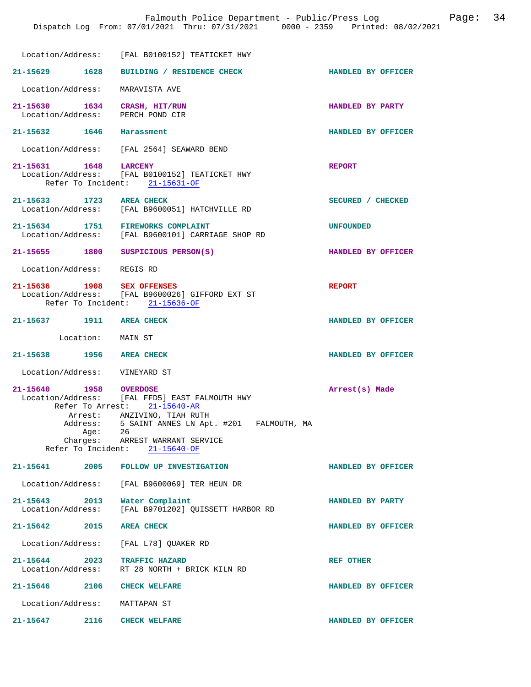|                                       | Location/Address: [FAL B0100152] TEATICKET HWY                                                                                                                                                                                               |                    |
|---------------------------------------|----------------------------------------------------------------------------------------------------------------------------------------------------------------------------------------------------------------------------------------------|--------------------|
| 21-15629 1628                         | BUILDING / RESIDENCE CHECK                                                                                                                                                                                                                   | HANDLED BY OFFICER |
| Location/Address:                     | MARAVISTA AVE                                                                                                                                                                                                                                |                    |
| 21-15630 1634<br>Location/Address:    | CRASH, HIT/RUN<br>PERCH POND CIR                                                                                                                                                                                                             | HANDLED BY PARTY   |
| 21-15632 1646 Harassment              |                                                                                                                                                                                                                                              | HANDLED BY OFFICER |
|                                       | Location/Address: [FAL 2564] SEAWARD BEND                                                                                                                                                                                                    |                    |
| 21-15631 1648                         | <b>LARCENY</b><br>Location/Address: [FAL B0100152] TEATICKET HWY<br>Refer To Incident: 21-15631-OF                                                                                                                                           | <b>REPORT</b>      |
| 21-15633 1723 AREA CHECK              | Location/Address: [FAL B9600051] HATCHVILLE RD                                                                                                                                                                                               | SECURED / CHECKED  |
| 21-15634 1751 FIREWORKS COMPLAINT     | Location/Address: [FAL B9600101] CARRIAGE SHOP RD                                                                                                                                                                                            | <b>UNFOUNDED</b>   |
| 21-15655 1800 SUSPICIOUS PERSON(S)    |                                                                                                                                                                                                                                              | HANDLED BY OFFICER |
| Location/Address: REGIS RD            |                                                                                                                                                                                                                                              |                    |
| 21-15636 1908 SEX OFFENSES            | Location/Address: [FAL B9600026] GIFFORD EXT ST<br>Refer To Incident: 21-15636-OF                                                                                                                                                            | <b>REPORT</b>      |
| 21-15637 1911 AREA CHECK              |                                                                                                                                                                                                                                              | HANDLED BY OFFICER |
| Location: MAIN ST                     |                                                                                                                                                                                                                                              |                    |
| 21-15638 1956 AREA CHECK              |                                                                                                                                                                                                                                              | HANDLED BY OFFICER |
| Location/Address: VINEYARD ST         |                                                                                                                                                                                                                                              |                    |
| 21-15640 1958 OVERDOSE<br>Age:        | Location/Address: [FAL FFD5] EAST FALMOUTH HWY<br>Refer To Arrest: 21-15640-AR<br>Arrest: ANZIVINO, TIAH RUTH<br>Address: 5 SAINT ANNES LN Apt. #201 FALMOUTH, MA<br>26<br>Charges: ARREST WARRANT SERVICE<br>Refer To Incident: 21-15640-OF | Arrest(s) Made     |
|                                       | 21-15641 2005 FOLLOW UP INVESTIGATION                                                                                                                                                                                                        | HANDLED BY OFFICER |
|                                       | Location/Address: [FAL B9600069] TER HEUN DR                                                                                                                                                                                                 |                    |
| 21-15643 2013 Water Complaint         | Location/Address: [FAL B9701202] QUISSETT HARBOR RD                                                                                                                                                                                          | HANDLED BY PARTY   |
| 21-15642 2015 AREA CHECK              |                                                                                                                                                                                                                                              | HANDLED BY OFFICER |
| Location/Address: [FAL L78] QUAKER RD |                                                                                                                                                                                                                                              |                    |
| 21-15644 2023 TRAFFIC HAZARD          | Location/Address: RT 28 NORTH + BRICK KILN RD                                                                                                                                                                                                | <b>REF OTHER</b>   |
| 21-15646 2106 CHECK WELFARE           |                                                                                                                                                                                                                                              | HANDLED BY OFFICER |
| Location/Address: MATTAPAN ST         |                                                                                                                                                                                                                                              |                    |
| 21-15647<br>2116                      | <b>CHECK WELFARE</b>                                                                                                                                                                                                                         | HANDLED BY OFFICER |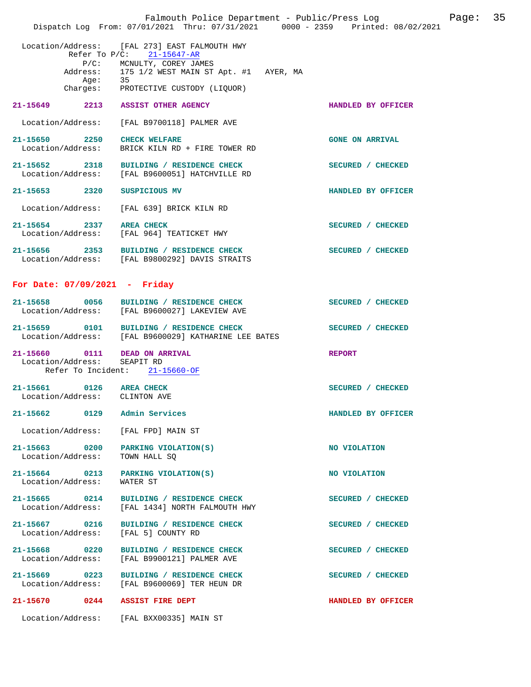|                             | Dispatch Log From: 07/01/2021 Thru: 07/31/2021 0000 - 2359 Printed: 08/02/2021                                                                                                                                  | Falmouth Police Department - Public/Press Log Fage: 35 |  |
|-----------------------------|-----------------------------------------------------------------------------------------------------------------------------------------------------------------------------------------------------------------|--------------------------------------------------------|--|
|                             | Location/Address: [FAL 273] EAST FALMOUTH HWY<br>Refer To $P/C$ : 21-15647-AR<br>P/C: MCNULTY, COREY JAMES<br>Address: 175 1/2 WEST MAIN ST Apt. #1 AYER, MA<br>Age: 35<br>Charges: PROTECTIVE CUSTODY (LIQUOR) |                                                        |  |
|                             | 21-15649 2213 ASSIST OTHER AGENCY                                                                                                                                                                               | HANDLED BY OFFICER                                     |  |
|                             | Location/Address: [FAL B9700118] PALMER AVE                                                                                                                                                                     |                                                        |  |
|                             | 21-15650 2250 CHECK WELFARE<br>Location/Address: BRICK KILN RD + FIRE TOWER RD                                                                                                                                  | <b>GONE ON ARRIVAL</b>                                 |  |
|                             | 21-15652 2318 BUILDING / RESIDENCE CHECK<br>Location/Address: [FAL B9600051] HATCHVILLE RD                                                                                                                      | SECURED / CHECKED                                      |  |
|                             | 21-15653 2320 SUSPICIOUS MV                                                                                                                                                                                     | HANDLED BY OFFICER                                     |  |
|                             | Location/Address: [FAL 639] BRICK KILN RD                                                                                                                                                                       |                                                        |  |
|                             | 21-15654 2337 AREA CHECK<br>Location/Address: [FAL 964] TEATICKET HWY                                                                                                                                           | SECURED / CHECKED                                      |  |
|                             | 21-15656 2353 BUILDING / RESIDENCE CHECK<br>Location/Address: [FAL B9800292] DAVIS STRAITS                                                                                                                      | SECURED / CHECKED                                      |  |
|                             | For Date: $07/09/2021$ - Friday                                                                                                                                                                                 |                                                        |  |
|                             | 21-15658 0056 BUILDING / RESIDENCE CHECK<br>Location/Address: [FAL B9600027] LAKEVIEW AVE                                                                                                                       | SECURED / CHECKED                                      |  |
|                             | 21-15659 0101 BUILDING / RESIDENCE CHECK<br>Location/Address: [FAL B9600029] KATHARINE LEE BATES                                                                                                                | SECURED / CHECKED                                      |  |
| Location/Address: SEAPIT RD | 21-15660 0111 DEAD ON ARRIVAL<br>Refer To Incident: 21-15660-OF                                                                                                                                                 | <b>REPORT</b>                                          |  |
|                             | 21-15661 0126 AREA CHECK<br>Location/Address: CLINTON AVE                                                                                                                                                       | SECURED / CHECKED                                      |  |
|                             | 21-15662 0129 Admin Services                                                                                                                                                                                    | HANDLED BY OFFICER                                     |  |
|                             | Location/Address: [FAL FPD] MAIN ST                                                                                                                                                                             |                                                        |  |
| Location/Address:           | 21-15663 0200 PARKING VIOLATION(S)<br>TOWN HALL SQ                                                                                                                                                              | NO VIOLATION                                           |  |
| Location/Address:           | 21-15664 0213 PARKING VIOLATION(S)<br>WATER ST                                                                                                                                                                  | NO VIOLATION                                           |  |
| Location/Address:           | 21-15665 0214 BUILDING / RESIDENCE CHECK<br>[FAL 1434] NORTH FALMOUTH HWY                                                                                                                                       | SECURED / CHECKED                                      |  |
|                             | 21-15667 0216 BUILDING / RESIDENCE CHECK<br>Location/Address: [FAL 5] COUNTY RD                                                                                                                                 | SECURED / CHECKED                                      |  |
| Location/Address:           | 21-15668 0220 BUILDING / RESIDENCE CHECK<br>[FAL B9900121] PALMER AVE                                                                                                                                           | SECURED / CHECKED                                      |  |
|                             | 21-15669 0223 BUILDING / RESIDENCE CHECK<br>Location/Address: [FAL B9600069] TER HEUN DR                                                                                                                        | SECURED / CHECKED                                      |  |
|                             | 21-15670 0244 ASSIST FIRE DEPT                                                                                                                                                                                  | HANDLED BY OFFICER                                     |  |
|                             | Location/Address: [FAL BXX00335] MAIN ST                                                                                                                                                                        |                                                        |  |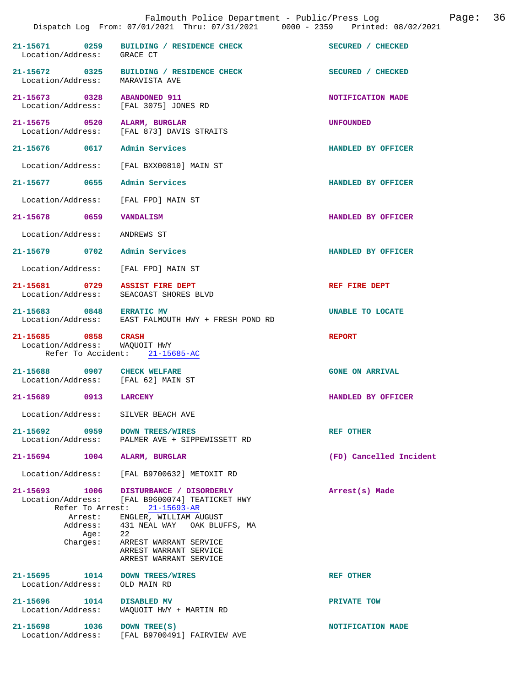|                                                                          | Falmouth Police Department - Public/Press Log<br>Dispatch Log From: 07/01/2021 Thru: 07/31/2021 0000 - 2359 Printed: 08/02/2021                                                                                                                                          | Page: 36                |
|--------------------------------------------------------------------------|--------------------------------------------------------------------------------------------------------------------------------------------------------------------------------------------------------------------------------------------------------------------------|-------------------------|
| Location/Address: GRACE CT                                               | 21-15671 0259 BUILDING / RESIDENCE CHECK                                                                                                                                                                                                                                 | SECURED / CHECKED       |
| Location/Address: MARAVISTA AVE                                          | 21-15672 0325 BUILDING / RESIDENCE CHECK                                                                                                                                                                                                                                 | SECURED / CHECKED       |
| 21-15673 0328 ABANDONED 911<br>Location/Address: [FAL 3075] JONES RD     |                                                                                                                                                                                                                                                                          | NOTIFICATION MADE       |
| 21-15675 0520 ALARM, BURGLAR                                             | Location/Address: [FAL 873] DAVIS STRAITS                                                                                                                                                                                                                                | <b>UNFOUNDED</b>        |
| 21-15676 0617 Admin Services                                             |                                                                                                                                                                                                                                                                          | HANDLED BY OFFICER      |
|                                                                          | Location/Address: [FAL BXX00810] MAIN ST                                                                                                                                                                                                                                 |                         |
| 21-15677 0655 Admin Services                                             |                                                                                                                                                                                                                                                                          | HANDLED BY OFFICER      |
| Location/Address: [FAL FPD] MAIN ST                                      |                                                                                                                                                                                                                                                                          |                         |
| 21-15678 0659 VANDALISM                                                  |                                                                                                                                                                                                                                                                          | HANDLED BY OFFICER      |
| Location/Address: ANDREWS ST                                             |                                                                                                                                                                                                                                                                          |                         |
| 21-15679 0702 Admin Services                                             |                                                                                                                                                                                                                                                                          | HANDLED BY OFFICER      |
| Location/Address: [FAL FPD] MAIN ST                                      |                                                                                                                                                                                                                                                                          |                         |
| 21-15681 0729 ASSIST FIRE DEPT<br>Location/Address: SEACOAST SHORES BLVD |                                                                                                                                                                                                                                                                          | REF FIRE DEPT           |
| 21-15683 0848 ERRATIC MV                                                 | Location/Address: EAST FALMOUTH HWY + FRESH POND RD                                                                                                                                                                                                                      | UNABLE TO LOCATE        |
| 21-15685 0858 CRASH<br>Location/Address: WAQUOIT HWY                     | Refer To Accident: 21-15685-AC                                                                                                                                                                                                                                           | <b>REPORT</b>           |
| 21-15688 0907 CHECK WELFARE<br>Location/Address: [FAL 62] MAIN ST        |                                                                                                                                                                                                                                                                          | <b>GONE ON ARRIVAL</b>  |
| 21-15689 0913                                                            | <b>LARCENY</b>                                                                                                                                                                                                                                                           | HANDLED BY OFFICER      |
| Location/Address: SILVER BEACH AVE                                       |                                                                                                                                                                                                                                                                          |                         |
| 21-15692 0959 DOWN TREES/WIRES<br>Location/Address:                      | PALMER AVE + SIPPEWISSETT RD                                                                                                                                                                                                                                             | <b>REF OTHER</b>        |
| 21-15694 1004 ALARM, BURGLAR                                             |                                                                                                                                                                                                                                                                          | (FD) Cancelled Incident |
| Location/Address:                                                        | [FAL B9700632] METOXIT RD                                                                                                                                                                                                                                                |                         |
| 21-15693 1006<br>Aqe:<br>Charges:                                        | DISTURBANCE / DISORDERLY<br>Location/Address: [FAL B9600074] TEATICKET HWY<br>Refer To Arrest: 21-15693-AR<br>Arrest: ENGLER, WILLIAM AUGUST<br>Address: 431 NEAL WAY OAK BLUFFS, MA<br>22<br>ARREST WARRANT SERVICE<br>ARREST WARRANT SERVICE<br>ARREST WARRANT SERVICE | Arrest(s) Made          |
| 21-15695 1014<br>Location/Address:                                       | <b>DOWN TREES/WIRES</b><br>OLD MAIN RD                                                                                                                                                                                                                                   | <b>REF OTHER</b>        |
| 21-15696 1014 DISABLED MV<br>Location/Address:                           | WAQUOIT HWY + MARTIN RD                                                                                                                                                                                                                                                  | PRIVATE TOW             |
| 21-15698<br>1036<br>Location/Address:                                    | DOWN TREE(S)<br>[FAL B9700491] FAIRVIEW AVE                                                                                                                                                                                                                              | NOTIFICATION MADE       |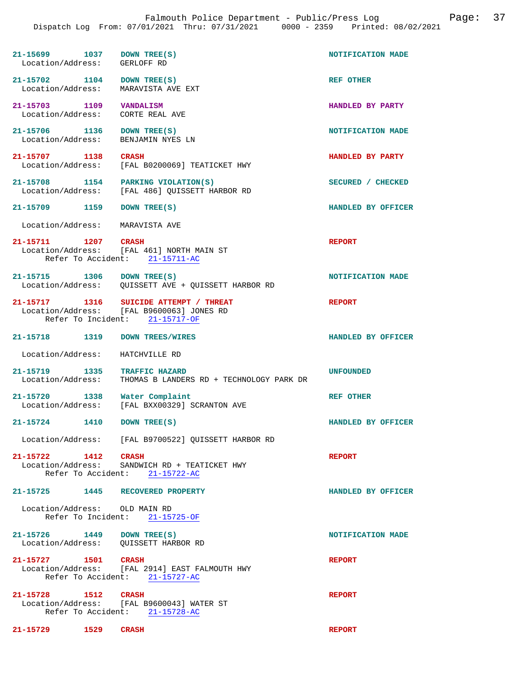| 21-15699 1037<br>Location/Address:                    | DOWN TREE(S)<br>GERLOFF RD                                                                                            | NOTIFICATION MADE  |
|-------------------------------------------------------|-----------------------------------------------------------------------------------------------------------------------|--------------------|
| 21-15702 1104<br>Location/Address:                    | DOWN TREE(S)<br>MARAVISTA AVE EXT                                                                                     | REF OTHER          |
| 21-15703 1109<br>Location/Address:                    | VANDALISM<br>CORTE REAL AVE                                                                                           | HANDLED BY PARTY   |
| 21-15706 1136<br>Location/Address:                    | DOWN TREE(S)<br>BENJAMIN NYES LN                                                                                      | NOTIFICATION MADE  |
| 21-15707 1138<br>Location/Address:                    | <b>CRASH</b><br>[FAL B0200069] TEATICKET HWY                                                                          | HANDLED BY PARTY   |
| 21-15708 1154<br>Location/Address:                    | PARKING VIOLATION(S)<br>[FAL 486] QUISSETT HARBOR RD                                                                  | SECURED / CHECKED  |
| 21-15709 1159                                         | DOWN TREE(S)                                                                                                          | HANDLED BY OFFICER |
| Location/Address:                                     | MARAVISTA AVE                                                                                                         |                    |
| 21-15711 1207 CRASH                                   | Location/Address: [FAL 461] NORTH MAIN ST<br>Refer To Accident: 21-15711-AC                                           | <b>REPORT</b>      |
| 21-15715 1306 DOWN TREE(S)                            | Location/Address: QUISSETT AVE + QUISSETT HARBOR RD                                                                   | NOTIFICATION MADE  |
|                                                       | 21-15717 1316 SUICIDE ATTEMPT / THREAT<br>Location/Address: [FAL B9600063] JONES RD<br>Refer To Incident: 21-15717-OF | <b>REPORT</b>      |
| 21-15718 1319                                         | <b>DOWN TREES/WIRES</b>                                                                                               | HANDLED BY OFFICER |
| Location/Address:                                     | HATCHVILLE RD                                                                                                         |                    |
| 21-15719 1335<br>Location/Address:                    | TRAFFIC HAZARD<br>THOMAS B LANDERS RD + TECHNOLOGY PARK DR                                                            | <b>UNFOUNDED</b>   |
| 21-15720 1338<br>Location/Address:                    | Water Complaint<br>[FAL BXX00329] SCRANTON AVE                                                                        | <b>REF OTHER</b>   |
| 21-15724<br>1410                                      | DOWN TREE(S)                                                                                                          | HANDLED BY OFFICER |
|                                                       | Location/Address: [FAL B9700522] QUISSETT HARBOR RD                                                                   |                    |
| 21-15722 1412<br>Refer To Accident:                   | <b>CRASH</b><br>Location/Address: SANDWICH RD + TEATICKET HWY<br>$21 - 15722 - AC$                                    | <b>REPORT</b>      |
| 21-15725 1445 RECOVERED PROPERTY                      |                                                                                                                       | HANDLED BY OFFICER |
| Location/Address: OLD MAIN RD                         | Refer To Incident: 21-15725-OF                                                                                        |                    |
| 21-15726 1449<br>Location/Address: QUISSETT HARBOR RD | DOWN TREE(S)                                                                                                          | NOTIFICATION MADE  |
| 21-15727 1501 CRASH                                   | Location/Address: [FAL 2914] EAST FALMOUTH HWY<br>Refer To Accident: 21-15727-AC                                      | <b>REPORT</b>      |
| 21-15728 1512                                         | <b>CRASH</b><br>Location/Address: [FAL B9600043] WATER ST                                                             | <b>REPORT</b>      |

Refer To Accident: 21-15728-AC

**21-15729 1529 CRASH REPORT**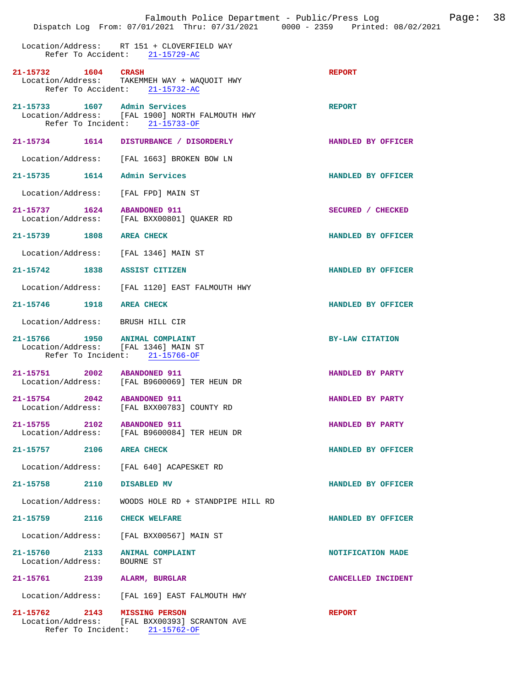|                                                  |                                                                                                          | Falmouth Police Department - Public/Press Log<br>Page:<br>Dispatch Log From: 07/01/2021 Thru: 07/31/2021 0000 - 2359 Printed: 08/02/2021 | 38 |
|--------------------------------------------------|----------------------------------------------------------------------------------------------------------|------------------------------------------------------------------------------------------------------------------------------------------|----|
|                                                  | Location/Address: RT 151 + CLOVERFIELD WAY<br>Refer To Accident: 21-15729-AC                             |                                                                                                                                          |    |
| 21-15732 1604 CRASH                              | Location/Address: TAKEMMEH WAY + WAQUOIT HWY<br>Refer To Accident: 21-15732-AC                           | <b>REPORT</b>                                                                                                                            |    |
| 21-15733 1607 Admin Services                     | Location/Address: [FAL 1900] NORTH FALMOUTH HWY<br>Refer To Incident: 21-15733-OF                        | <b>REPORT</b>                                                                                                                            |    |
|                                                  | 21-15734 1614 DISTURBANCE / DISORDERLY                                                                   | HANDLED BY OFFICER                                                                                                                       |    |
| Location/Address:                                | [FAL 1663] BROKEN BOW LN                                                                                 |                                                                                                                                          |    |
| 21-15735 1614 Admin Services                     |                                                                                                          | HANDLED BY OFFICER                                                                                                                       |    |
| Location/Address:                                | [FAL FPD] MAIN ST                                                                                        |                                                                                                                                          |    |
| 21-15737 1624 ABANDONED 911                      | Location/Address: [FAL BXX00801] QUAKER RD                                                               | SECURED / CHECKED                                                                                                                        |    |
| 21-15739 1808 AREA CHECK                         |                                                                                                          | HANDLED BY OFFICER                                                                                                                       |    |
| Location/Address:                                | [FAL 1346] MAIN ST                                                                                       |                                                                                                                                          |    |
| 21-15742 1838 ASSIST CITIZEN                     |                                                                                                          | HANDLED BY OFFICER                                                                                                                       |    |
|                                                  | Location/Address: [FAL 1120] EAST FALMOUTH HWY                                                           |                                                                                                                                          |    |
| 21-15746 1918                                    | <b>AREA CHECK</b>                                                                                        | HANDLED BY OFFICER                                                                                                                       |    |
| Location/Address: BRUSH HILL CIR                 |                                                                                                          |                                                                                                                                          |    |
|                                                  | 21-15766 1950 ANIMAL COMPLAINT<br>Location/Address: [FAL 1346] MAIN ST<br>Refer To Incident: 21-15766-OF | <b>BY-LAW CITATION</b>                                                                                                                   |    |
| 21-15751                                         | 2002 ABANDONED 911<br>Location/Address: [FAL B9600069] TER HEUN DR                                       | HANDLED BY PARTY                                                                                                                         |    |
| 21-15754 2042<br>Location/Address:               | <b>ABANDONED 911</b><br>[FAL BXX00783] COUNTY RD                                                         | HANDLED BY PARTY                                                                                                                         |    |
| 21-15755 2102 ABANDONED 911<br>Location/Address: | [FAL B9600084] TER HEUN DR                                                                               | HANDLED BY PARTY                                                                                                                         |    |
| 21-15757 2106 AREA CHECK                         |                                                                                                          | HANDLED BY OFFICER                                                                                                                       |    |
| Location/Address:                                | [FAL 640] ACAPESKET RD                                                                                   |                                                                                                                                          |    |
| $21 - 15758$<br>2110                             | DISABLED MV                                                                                              | HANDLED BY OFFICER                                                                                                                       |    |
| Location/Address:                                | WOODS HOLE RD + STANDPIPE HILL RD                                                                        |                                                                                                                                          |    |
| 2116<br>21–15759                                 | <b>CHECK WELFARE</b>                                                                                     | HANDLED BY OFFICER                                                                                                                       |    |
|                                                  | Location/Address: [FAL BXX00567] MAIN ST                                                                 |                                                                                                                                          |    |
| 21-15760 2133<br>Location/Address:               | ANIMAL COMPLAINT<br>BOURNE ST                                                                            | NOTIFICATION MADE                                                                                                                        |    |
| 21-15761                                         | 2139 ALARM, BURGLAR                                                                                      | CANCELLED INCIDENT                                                                                                                       |    |
|                                                  | Location/Address: [FAL 169] EAST FALMOUTH HWY                                                            |                                                                                                                                          |    |
| 21-15762 2143 MISSING PERSON                     | Location/Address: [FAL BXX00393] SCRANTON AVE<br>Refer To Incident: $21-15762-OF$                        | <b>REPORT</b>                                                                                                                            |    |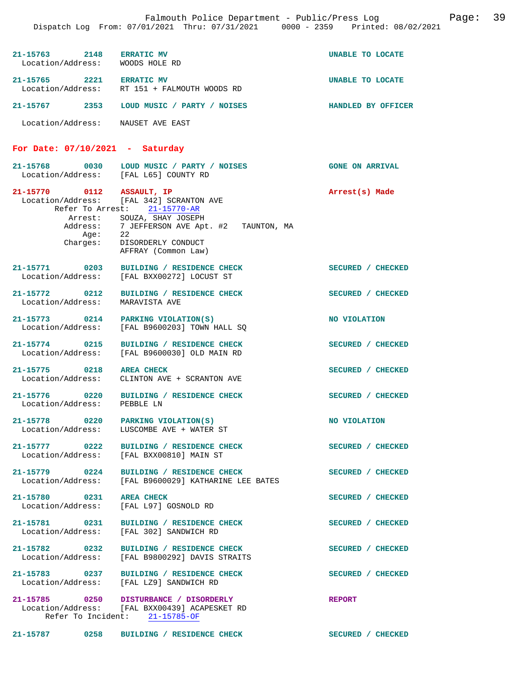| 21-15763 2148 ERRATIC MV<br>Location/Address: WOODS HOLE RD |                                                                                                                                                                                                                                        | UNABLE TO LOCATE   |
|-------------------------------------------------------------|----------------------------------------------------------------------------------------------------------------------------------------------------------------------------------------------------------------------------------------|--------------------|
| 21-15765 2221 ERRATIC MV                                    | Location/Address: RT 151 + FALMOUTH WOODS RD                                                                                                                                                                                           | UNABLE TO LOCATE   |
|                                                             | 21-15767    2353    LOUD MUSIC / PARTY / NOISES                                                                                                                                                                                        | HANDLED BY OFFICER |
| Location/Address: NAUSET AVE EAST                           |                                                                                                                                                                                                                                        |                    |
| For Date: $07/10/2021$ - Saturday                           |                                                                                                                                                                                                                                        |                    |
| Location/Address: [FAL L65] COUNTY RD                       | 21-15768 0030 LOUD MUSIC / PARTY / NOISES (GONE ON ARRIVAL                                                                                                                                                                             |                    |
| Age:<br>Charges:                                            | 21-15770 0112 ASSAULT, IP<br>Location/Address: [FAL 342] SCRANTON AVE<br>Refer To Arrest: 21-15770-AR<br>Arrest: SOUZA, SHAY JOSEPH<br>Address: 7 JEFFERSON AVE Apt. #2 TAUNTON, MA<br>22<br>DISORDERLY CONDUCT<br>AFFRAY (Common Law) | Arrest(s) Made     |
|                                                             | 21-15771 0203 BUILDING / RESIDENCE CHECK<br>Location/Address: [FAL BXX00272] LOCUST ST                                                                                                                                                 | SECURED / CHECKED  |
| Location/Address:                                           | 21-15772 0212 BUILDING / RESIDENCE CHECK<br>MARAVISTA AVE                                                                                                                                                                              | SECURED / CHECKED  |
|                                                             | 21-15773 0214 PARKING VIOLATION(S)<br>Location/Address: [FAL B9600203] TOWN HALL SQ                                                                                                                                                    | NO VIOLATION       |
|                                                             | 21-15774 0215 BUILDING / RESIDENCE CHECK<br>Location/Address: [FAL B9600030] OLD MAIN RD                                                                                                                                               | SECURED / CHECKED  |
| 21-15775 0218<br>Location/Address:                          | <b>AREA CHECK</b><br>CLINTON AVE + SCRANTON AVE                                                                                                                                                                                        | SECURED / CHECKED  |
| Location/Address: PEBBLE LN                                 | 21-15776 0220 BUILDING / RESIDENCE CHECK                                                                                                                                                                                               | SECURED / CHECKED  |
| 21-15778 0220 PARKING VIOLATION(S)<br>Location/Address:     | LUSCOMBE AVE + WATER ST                                                                                                                                                                                                                | NO VIOLATION       |
|                                                             | 21-15777 0222 BUILDING / RESIDENCE CHECK<br>Location/Address: [FAL BXX00810] MAIN ST                                                                                                                                                   | SECURED / CHECKED  |
| 21-15779 0224<br>Location/Address:                          | BUILDING / RESIDENCE CHECK<br>[FAL B9600029] KATHARINE LEE BATES                                                                                                                                                                       | SECURED / CHECKED  |
| 21-15780 0231 AREA CHECK<br>Location/Address:               | [FAL L97] GOSNOLD RD                                                                                                                                                                                                                   | SECURED / CHECKED  |
| 21-15781 0231                                               | BUILDING / RESIDENCE CHECK<br>Location/Address: [FAL 302] SANDWICH RD                                                                                                                                                                  | SECURED / CHECKED  |
| Location/Address:                                           | 21-15782 0232 BUILDING / RESIDENCE CHECK<br>[FAL B9800292] DAVIS STRAITS                                                                                                                                                               | SECURED / CHECKED  |
|                                                             | 21-15783 0237 BUILDING / RESIDENCE CHECK<br>Location/Address: [FAL LZ9] SANDWICH RD                                                                                                                                                    | SECURED / CHECKED  |
|                                                             | 21-15785 0250 DISTURBANCE / DISORDERLY<br>Location/Address: [FAL BXX00439] ACAPESKET RD<br>Refer To Incident: 21-15785-OF                                                                                                              | <b>REPORT</b>      |
| 21-15787 0258                                               | BUILDING / RESIDENCE CHECK                                                                                                                                                                                                             | SECURED / CHECKED  |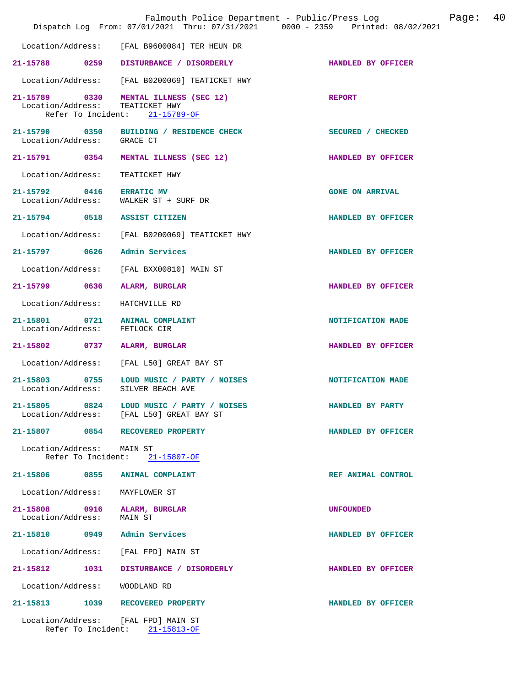|                                                                 |      | Falmouth Police Department - Public/Press Log<br>Dispatch Log From: 07/01/2021 Thru: 07/31/2021 0000 - 2359 Printed: 08/02/2021 |                        | Page: | 40 |
|-----------------------------------------------------------------|------|---------------------------------------------------------------------------------------------------------------------------------|------------------------|-------|----|
|                                                                 |      | Location/Address: [FAL B9600084] TER HEUN DR                                                                                    |                        |       |    |
|                                                                 |      | 21-15788 0259 DISTURBANCE / DISORDERLY                                                                                          | HANDLED BY OFFICER     |       |    |
|                                                                 |      | Location/Address: [FAL B0200069] TEATICKET HWY                                                                                  |                        |       |    |
| Location/Address: TEATICKET HWY                                 |      | 21-15789 0330 MENTAL ILLNESS (SEC 12)<br>Refer To Incident: 21-15789-OF                                                         | <b>REPORT</b>          |       |    |
| Location/Address: GRACE CT                                      |      | 21-15790 0350 BUILDING / RESIDENCE CHECK                                                                                        | SECURED / CHECKED      |       |    |
|                                                                 |      | 21-15791 0354 MENTAL ILLNESS (SEC 12)                                                                                           | HANDLED BY OFFICER     |       |    |
| Location/Address: TEATICKET HWY                                 |      |                                                                                                                                 |                        |       |    |
| 21-15792 0416 ERRATIC MV                                        |      | Location/Address: WALKER ST + SURF DR                                                                                           | <b>GONE ON ARRIVAL</b> |       |    |
| 21-15794 0518 ASSIST CITIZEN                                    |      |                                                                                                                                 | HANDLED BY OFFICER     |       |    |
|                                                                 |      | Location/Address: [FAL B0200069] TEATICKET HWY                                                                                  |                        |       |    |
| 21-15797 0626 Admin Services                                    |      |                                                                                                                                 | HANDLED BY OFFICER     |       |    |
|                                                                 |      | Location/Address: [FAL BXX00810] MAIN ST                                                                                        |                        |       |    |
| 21-15799 0636 ALARM, BURGLAR                                    |      |                                                                                                                                 | HANDLED BY OFFICER     |       |    |
| Location/Address: HATCHVILLE RD                                 |      |                                                                                                                                 |                        |       |    |
| 21-15801 0721 ANIMAL COMPLAINT<br>Location/Address: FETLOCK CIR |      |                                                                                                                                 | NOTIFICATION MADE      |       |    |
| 21-15802 0737 ALARM, BURGLAR                                    |      |                                                                                                                                 | HANDLED BY OFFICER     |       |    |
|                                                                 |      | Location/Address: [FAL L50] GREAT BAY ST                                                                                        |                        |       |    |
| Location/Address: SILVER BEACH AVE                              |      | 21-15803 0755 LOUD MUSIC / PARTY / NOISES                                                                                       | NOTIFICATION MADE      |       |    |
|                                                                 |      | 21-15805 0824 LOUD MUSIC / PARTY / NOISES<br>Location/Address: [FAL L50] GREAT BAY ST                                           | HANDLED BY PARTY       |       |    |
|                                                                 |      | 21-15807 0854 RECOVERED PROPERTY                                                                                                | HANDLED BY OFFICER     |       |    |
| Location/Address: MAIN ST                                       |      | Refer To Incident: 21-15807-OF                                                                                                  |                        |       |    |
| 21-15806 0855 ANIMAL COMPLAINT                                  |      |                                                                                                                                 | REF ANIMAL CONTROL     |       |    |
| Location/Address:                                               |      | MAYFLOWER ST                                                                                                                    |                        |       |    |
| 21-15808 0916 ALARM, BURGLAR<br>Location/Address:               |      | MAIN ST                                                                                                                         | <b>UNFOUNDED</b>       |       |    |
| 21-15810 0949 Admin Services                                    |      |                                                                                                                                 | HANDLED BY OFFICER     |       |    |
| Location/Address: [FAL FPD] MAIN ST                             |      |                                                                                                                                 |                        |       |    |
| 21-15812                                                        | 1031 | DISTURBANCE / DISORDERLY                                                                                                        | HANDLED BY OFFICER     |       |    |
| Location/Address:                                               |      | WOODLAND RD                                                                                                                     |                        |       |    |
|                                                                 |      | 21-15813 1039 RECOVERED PROPERTY                                                                                                | HANDLED BY OFFICER     |       |    |
|                                                                 |      | Location/Address: [FAL FPD] MAIN ST<br>Refer To Incident: 21-15813-OF                                                           |                        |       |    |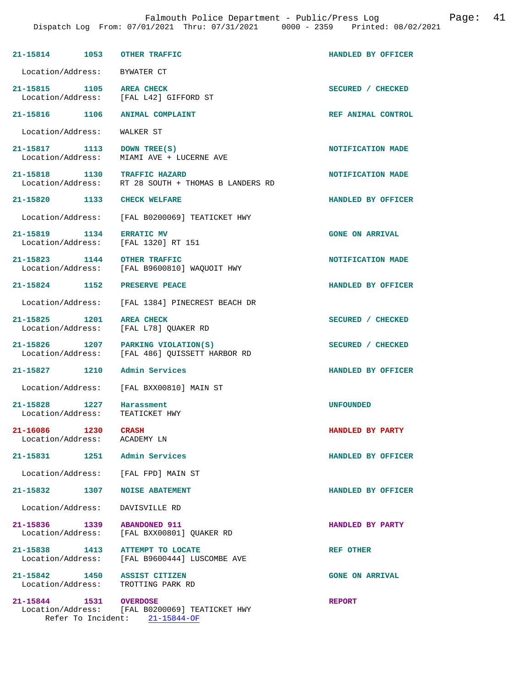|                                    | 21-15814 1053 OTHER TRAFFIC                                                         | HANDLED BY OFFICER     |
|------------------------------------|-------------------------------------------------------------------------------------|------------------------|
|                                    | Location/Address: BYWATER CT                                                        |                        |
| 21-15815 1105                      | <b>AREA CHECK</b><br>Location/Address: [FAL L42] GIFFORD ST                         | SECURED / CHECKED      |
| 21-15816 1106                      | <b>ANIMAL COMPLAINT</b>                                                             | REF ANIMAL CONTROL     |
| Location/Address:                  | WALKER ST                                                                           |                        |
| Location/Address:                  | 21-15817 1113 DOWN TREE(S)<br>MIAMI AVE + LUCERNE AVE                               | NOTIFICATION MADE      |
|                                    | 21-15818 1130 TRAFFIC HAZARD<br>Location/Address: RT 28 SOUTH + THOMAS B LANDERS RD | NOTIFICATION MADE      |
|                                    | 21-15820 1133 CHECK WELFARE                                                         | HANDLED BY OFFICER     |
|                                    | Location/Address: [FAL B0200069] TEATICKET HWY                                      |                        |
| 21-15819 1134                      | <b>ERRATIC MV</b><br>Location/Address: [FAL 1320] RT 151                            | <b>GONE ON ARRIVAL</b> |
| 21-15823 1144<br>Location/Address: | <b>OTHER TRAFFIC</b><br>[FAL B9600810] WAQUOIT HWY                                  | NOTIFICATION MADE      |
|                                    | 21-15824 1152 PRESERVE PEACE                                                        | HANDLED BY OFFICER     |
|                                    | Location/Address: [FAL 1384] PINECREST BEACH DR                                     |                        |
| 21-15825 1201<br>Location/Address: | <b>AREA CHECK</b><br>[FAL L78] QUAKER RD                                            | SECURED / CHECKED      |
| 21-15826 1207                      | PARKING VIOLATION(S)<br>Location/Address: [FAL 486] QUISSETT HARBOR RD              | SECURED / CHECKED      |
| 21-15827 1210                      | Admin Services                                                                      | HANDLED BY OFFICER     |
| Location/Address:                  | [FAL BXX00810] MAIN ST                                                              |                        |
| 21-15828 1227<br>Location/Address: | Harassment<br>TEATICKET HWY                                                         | <b>UNFOUNDED</b>       |
| 21-16086 1230 CRASH                | Location/Address: ACADEMY LN                                                        | HANDLED BY PARTY       |
|                                    | 21-15831 1251 Admin Services                                                        | HANDLED BY OFFICER     |
|                                    | Location/Address: [FAL FPD] MAIN ST                                                 |                        |
| 21-15832 1307                      | <b>NOISE ABATEMENT</b>                                                              | HANDLED BY OFFICER     |
|                                    | Location/Address: DAVISVILLE RD                                                     |                        |
|                                    | 21-15836 1339 ABANDONED 911<br>Location/Address: [FAL BXX00801] OUAKER RD           | HANDLED BY PARTY       |
|                                    | 21-15838 1413 ATTEMPT TO LOCATE<br>Location/Address: [FAL B9600444] LUSCOMBE AVE    | <b>REF OTHER</b>       |
|                                    | 21-15842 1450 ASSIST CITIZEN<br>Location/Address: TROTTING PARK RD                  | <b>GONE ON ARRIVAL</b> |
| 21-15844 1531 OVERDOSE             | Location/Address: [FAL B0200069] TEATICKET HWY                                      | <b>REPORT</b>          |

Refer To Incident: 21-15844-OF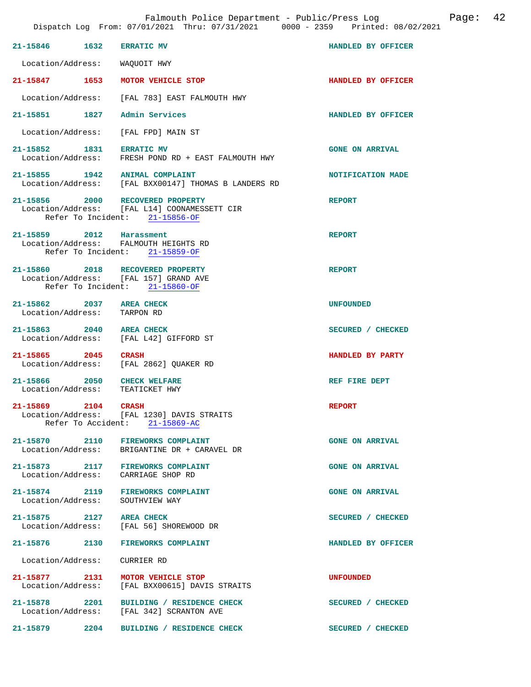| 21-15846 1632                                           |      | <b>ERRATIC MV</b>                                                                                                  | <b>HANDLED BY OFFICER</b> |
|---------------------------------------------------------|------|--------------------------------------------------------------------------------------------------------------------|---------------------------|
| Location/Address:                                       |      | WAOUOIT HWY                                                                                                        |                           |
| 21-15847 1653                                           |      | MOTOR VEHICLE STOP                                                                                                 | HANDLED BY OFFICER        |
|                                                         |      | Location/Address: [FAL 783] EAST FALMOUTH HWY                                                                      |                           |
| 21-15851 1827 Admin Services                            |      |                                                                                                                    | HANDLED BY OFFICER        |
|                                                         |      | Location/Address: [FAL FPD] MAIN ST                                                                                |                           |
| 21-15852 1831 ERRATIC MV                                |      | Location/Address: FRESH POND RD + EAST FALMOUTH HWY                                                                | <b>GONE ON ARRIVAL</b>    |
|                                                         |      | 21-15855 $1942$ ANIMAL COMPLAINT<br>Location/Address: [FAL BXX00147] THOMAS B LANDERS RD                           | NOTIFICATION MADE         |
|                                                         |      | 21-15856 2000 RECOVERED PROPERTY<br>Location/Address: [FAL L14] COONAMESSETT CIR<br>Refer To Incident: 21-15856-OF | <b>REPORT</b>             |
| 21-15859 2012 Harassment                                |      | Location/Address: FALMOUTH HEIGHTS RD<br>Refer To Incident: 21-15859-OF                                            | <b>REPORT</b>             |
|                                                         |      | 21-15860 2018 RECOVERED PROPERTY<br>Location/Address: [FAL 157] GRAND AVE<br>Refer To Incident: 21-15860-OF        | <b>REPORT</b>             |
| 21-15862 2037 AREA CHECK<br>Location/Address: TARPON RD |      |                                                                                                                    | <b>UNFOUNDED</b>          |
|                                                         |      | 21-15863 2040 AREA CHECK<br>Location/Address: [FAL L42] GIFFORD ST                                                 | SECURED / CHECKED         |
| 21-15865 2045                                           |      | CRASH<br>Location/Address: [FAL 2862] QUAKER RD                                                                    | HANDLED BY PARTY          |
| 21-15866 2050                                           |      | <b>CHECK WELFARE</b><br>Location/Address: TEATICKET HWY                                                            | REF FIRE DEPT             |
| 21-15869 2104<br>Refer To Accident:                     |      | <b>CRASH</b><br>Location/Address: [FAL 1230] DAVIS STRAITS<br>$21 - 15869 - AC$                                    | <b>REPORT</b>             |
| 21-15870 2110<br>Location/Address:                      |      | <b>FIREWORKS COMPLAINT</b><br>BRIGANTINE DR + CARAVEL DR                                                           | <b>GONE ON ARRIVAL</b>    |
|                                                         |      | 21-15873 2117 FIREWORKS COMPLAINT<br>Location/Address: CARRIAGE SHOP RD                                            | <b>GONE ON ARRIVAL</b>    |
| Location/Address:                                       |      | 21-15874 2119 FIREWORKS COMPLAINT<br>SOUTHVIEW WAY                                                                 | <b>GONE ON ARRIVAL</b>    |
| 21-15875 2127 AREA CHECK                                |      | Location/Address: [FAL 56] SHOREWOOD DR                                                                            | SECURED / CHECKED         |
| 21-15876 2130                                           |      | <b>FIREWORKS COMPLAINT</b>                                                                                         | HANDLED BY OFFICER        |
| Location/Address:                                       |      | CURRIER RD                                                                                                         |                           |
| 21-15877 2131                                           |      | MOTOR VEHICLE STOP<br>Location/Address: [FAL BXX00615] DAVIS STRAITS                                               | <b>UNFOUNDED</b>          |
| 21-15878 2201                                           |      | BUILDING / RESIDENCE CHECK<br>Location/Address: [FAL 342] SCRANTON AVE                                             | SECURED / CHECKED         |
| 21-15879                                                | 2204 | BUILDING / RESIDENCE CHECK                                                                                         | SECURED / CHECKED         |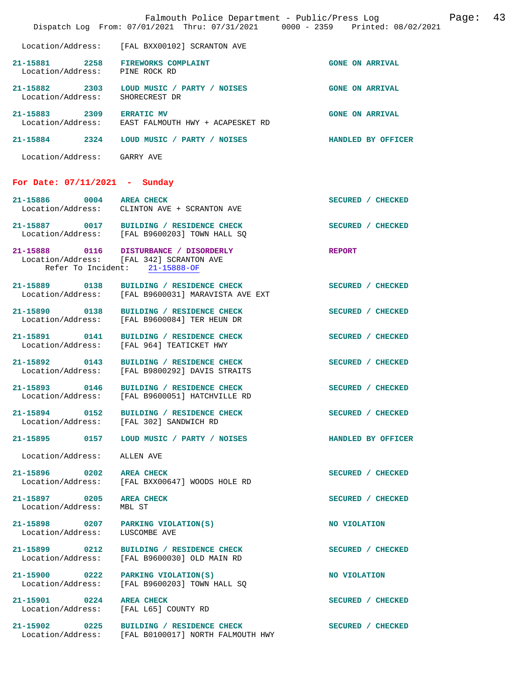|                                                                     | Falmouth Police Department - Public/Press Log<br>Dispatch Log From: 07/01/2021 Thru: 07/31/2021 0000 - 2359 Printed: 08/02/2021 |                        | Page: | 43 |
|---------------------------------------------------------------------|---------------------------------------------------------------------------------------------------------------------------------|------------------------|-------|----|
| Location/Address:                                                   | [FAL BXX00102] SCRANTON AVE                                                                                                     |                        |       |    |
| 21-15881 2258 FIREWORKS COMPLAINT<br>Location/Address: PINE ROCK RD |                                                                                                                                 | <b>GONE ON ARRIVAL</b> |       |    |
| Location/Address:                                                   | 21-15882 2303 LOUD MUSIC / PARTY / NOISES<br>SHORECREST DR                                                                      | <b>GONE ON ARRIVAL</b> |       |    |
| 21-15883 2309 ERRATIC MV                                            | Location/Address: EAST FALMOUTH HWY + ACAPESKET RD                                                                              | <b>GONE ON ARRIVAL</b> |       |    |
| 21-15884 2324                                                       | LOUD MUSIC / PARTY / NOISES                                                                                                     | HANDLED BY OFFICER     |       |    |
| Location/Address: GARRY AVE                                         |                                                                                                                                 |                        |       |    |
| For Date: $07/11/2021$ - Sunday                                     |                                                                                                                                 |                        |       |    |
|                                                                     | 21-15886 0004 AREA CHECK<br>Location/Address: CLINTON AVE + SCRANTON AVE                                                        | SECURED / CHECKED      |       |    |
|                                                                     | 21-15887 0017 BUILDING / RESIDENCE CHECK<br>Location/Address: [FAL B9600203] TOWN HALL SQ                                       | SECURED / CHECKED      |       |    |
|                                                                     | 21-15888 0116 DISTURBANCE / DISORDERLY<br>Location/Address: [FAL 342] SCRANTON AVE<br>Refer To Incident: 21-15888-OF            | <b>REPORT</b>          |       |    |
|                                                                     | 21-15889 0138 BUILDING / RESIDENCE CHECK<br>Location/Address: [FAL B9600031] MARAVISTA AVE EXT                                  | SECURED / CHECKED      |       |    |
|                                                                     | 21-15890 0138 BUILDING / RESIDENCE CHECK<br>Location/Address: [FAL B9600084] TER HEUN DR                                        | SECURED / CHECKED      |       |    |
| Location/Address:                                                   | 21-15891 0141 BUILDING / RESIDENCE CHECK<br>[FAL 964] TEATICKET HWY                                                             | SECURED / CHECKED      |       |    |
| 21-15892 0143                                                       | BUILDING / RESIDENCE CHECK<br>Location/Address: [FAL B9800292] DAVIS STRAITS                                                    | SECURED / CHECKED      |       |    |
|                                                                     | 21-15893 0146 BUILDING / RESIDENCE CHECK<br>Location/Address: [FAL B9600051] HATCHVILLE RD                                      | SECURED / CHECKED      |       |    |
|                                                                     | 21-15894 0152 BUILDING / RESIDENCE CHECK<br>Location/Address: [FAL 302] SANDWICH RD                                             | SECURED / CHECKED      |       |    |
|                                                                     | 21-15895 0157 LOUD MUSIC / PARTY / NOISES                                                                                       | HANDLED BY OFFICER     |       |    |
| Location/Address:                                                   | ALLEN AVE                                                                                                                       |                        |       |    |
| 21-15896 0202 AREA CHECK<br>Location/Address:                       | [FAL BXX00647] WOODS HOLE RD                                                                                                    | SECURED / CHECKED      |       |    |
| 21-15897 0205 AREA CHECK<br>Location/Address:                       | MBL ST                                                                                                                          | SECURED / CHECKED      |       |    |
| 21-15898 0207 PARKING VIOLATION(S)<br>Location/Address:             | LUSCOMBE AVE                                                                                                                    | NO VIOLATION           |       |    |
| 21-15899 0212<br>Location/Address:                                  | <b>BUILDING / RESIDENCE CHECK</b><br>[FAL B9600030] OLD MAIN RD                                                                 | SECURED / CHECKED      |       |    |
| 21-15900 0222<br>Location/Address:                                  | PARKING VIOLATION(S)<br>[FAL B9600203] TOWN HALL SQ                                                                             | NO VIOLATION           |       |    |
| 21-15901 0224 AREA CHECK<br>Location/Address: [FAL L65] COUNTY RD   |                                                                                                                                 | SECURED / CHECKED      |       |    |
|                                                                     | 21-15902 0225 BUILDING / RESIDENCE CHECK<br>Location/Address: [FAL B0100017] NORTH FALMOUTH HWY                                 | SECURED / CHECKED      |       |    |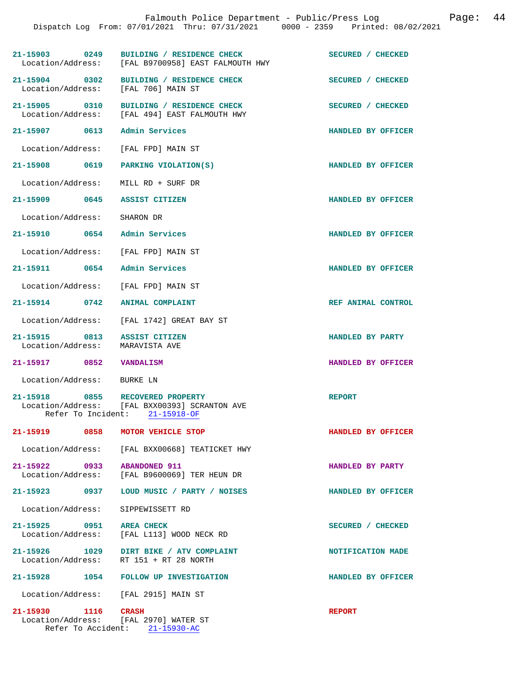|                             |      | Falmouth Police Department - Public/Press Log<br>Dispatch Log From: 07/01/2021 Thru: 07/31/2021 0000 - 2359 Printed: 08/02/2021 |                    | Page: | 44 |
|-----------------------------|------|---------------------------------------------------------------------------------------------------------------------------------|--------------------|-------|----|
|                             |      | 21-15903 0249 BUILDING / RESIDENCE CHECK<br>Location/Address: [FAL B9700958] EAST FALMOUTH HWY                                  | SECURED / CHECKED  |       |    |
|                             |      | 21-15904 0302 BUILDING / RESIDENCE CHECK<br>Location/Address: [FAL 706] MAIN ST                                                 | SECURED / CHECKED  |       |    |
|                             |      | 21-15905 0310 BUILDING / RESIDENCE CHECK<br>Location/Address: [FAL 494] EAST FALMOUTH HWY                                       | SECURED / CHECKED  |       |    |
|                             |      | 21-15907 0613 Admin Services                                                                                                    | HANDLED BY OFFICER |       |    |
|                             |      | Location/Address: [FAL FPD] MAIN ST                                                                                             |                    |       |    |
|                             |      | 21-15908 0619 PARKING VIOLATION(S)                                                                                              | HANDLED BY OFFICER |       |    |
|                             |      | Location/Address: MILL RD + SURF DR                                                                                             |                    |       |    |
|                             |      | 21-15909 0645 ASSIST CITIZEN                                                                                                    | HANDLED BY OFFICER |       |    |
| Location/Address: SHARON DR |      |                                                                                                                                 |                    |       |    |
|                             |      | 21-15910 0654 Admin Services                                                                                                    | HANDLED BY OFFICER |       |    |
|                             |      | Location/Address: [FAL FPD] MAIN ST                                                                                             |                    |       |    |
|                             |      | 21-15911 0654 Admin Services                                                                                                    | HANDLED BY OFFICER |       |    |
|                             |      | Location/Address: [FAL FPD] MAIN ST                                                                                             |                    |       |    |
| 21-15914 0742               |      | <b>ANIMAL COMPLAINT</b>                                                                                                         | REF ANIMAL CONTROL |       |    |
|                             |      | Location/Address: [FAL 1742] GREAT BAY ST                                                                                       |                    |       |    |
| Location/Address:           |      | 21-15915 0813 ASSIST CITIZEN<br>MARAVISTA AVE                                                                                   | HANDLED BY PARTY   |       |    |
| 21-15917 0852 VANDALISM     |      |                                                                                                                                 | HANDLED BY OFFICER |       |    |
| Location/Address:           |      | BURKE LN                                                                                                                        |                    |       |    |
| 21-15918                    | 0855 | RECOVERED PROPERTY<br>Location/Address: [FAL BXX00393] SCRANTON AVE<br>Refer To Incident: 21-15918-OF                           | <b>REPORT</b>      |       |    |
|                             |      | 21-15919 0858 MOTOR VEHICLE STOP                                                                                                | HANDLED BY OFFICER |       |    |
|                             |      | Location/Address: [FAL BXX00668] TEATICKET HWY                                                                                  |                    |       |    |
|                             |      | 21-15922 0933 ABANDONED 911<br>Location/Address: [FAL B9600069] TER HEUN DR                                                     | HANDLED BY PARTY   |       |    |
|                             |      | 21-15923 0937 LOUD MUSIC / PARTY / NOISES                                                                                       | HANDLED BY OFFICER |       |    |
| Location/Address:           |      | SIPPEWISSETT RD                                                                                                                 |                    |       |    |
| 21-15925 0951 AREA CHECK    |      | Location/Address: [FAL L113] WOOD NECK RD                                                                                       | SECURED / CHECKED  |       |    |
| Location/Address:           |      | 21-15926 1029 DIRT BIKE / ATV COMPLAINT<br>RT 151 + RT 28 NORTH                                                                 | NOTIFICATION MADE  |       |    |
|                             |      | 21-15928 1054 FOLLOW UP INVESTIGATION                                                                                           | HANDLED BY OFFICER |       |    |
|                             |      | Location/Address: [FAL 2915] MAIN ST                                                                                            |                    |       |    |
| 21-15930 1116 CRASH         |      | Location/Address: [FAL 2970] WATER ST<br>Refer To Accident: 21-15930-AC                                                         | <b>REPORT</b>      |       |    |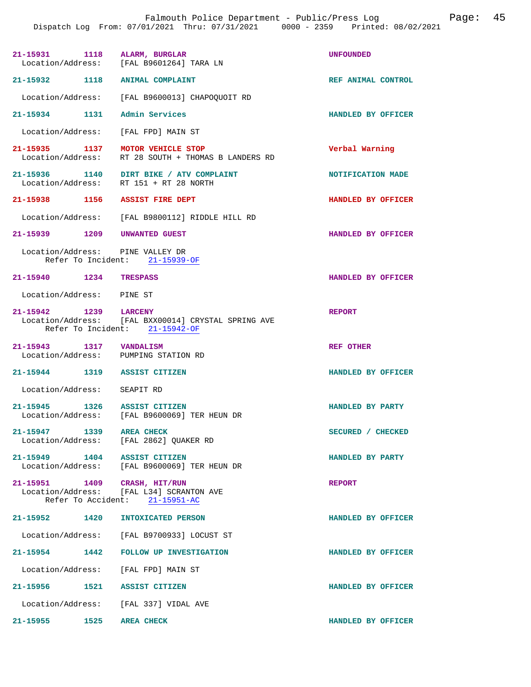Falmouth Police Department - Public/Press Log Page: 45 Dispatch Log From: 07/01/2021 Thru: 07/31/2021 0000 - 2359 Printed: 08/02/2021

|                                                       | 21-15931 1118 ALARM, BURGLAR<br>Location/Address: [FAL B9601264] TARA LN                | <b>UNFOUNDED</b>   |
|-------------------------------------------------------|-----------------------------------------------------------------------------------------|--------------------|
| 21-15932 1118 ANIMAL COMPLAINT                        |                                                                                         | REF ANIMAL CONTROL |
|                                                       | Location/Address: [FAL B9600013] CHAPOQUOIT RD                                          |                    |
| 21-15934 1131 Admin Services                          |                                                                                         | HANDLED BY OFFICER |
|                                                       | Location/Address: [FAL FPD] MAIN ST                                                     |                    |
|                                                       | 21-15935 1137 MOTOR VEHICLE STOP<br>Location/Address: RT 28 SOUTH + THOMAS B LANDERS RD | Verbal Warning     |
|                                                       | 21-15936 1140 DIRT BIKE / ATV COMPLAINT<br>Location/Address: RT 151 + RT 28 NORTH       | NOTIFICATION MADE  |
| 21-15938 1156 ASSIST FIRE DEPT                        |                                                                                         | HANDLED BY OFFICER |
|                                                       | Location/Address: [FAL B9800112] RIDDLE HILL RD                                         |                    |
| 21-15939 1209 UNWANTED GUEST                          |                                                                                         | HANDLED BY OFFICER |
| Location/Address: PINE VALLEY DR                      | Refer To Incident: 21-15939-OF                                                          |                    |
| 21-15940 1234 TRESPASS                                |                                                                                         | HANDLED BY OFFICER |
| Location/Address: PINE ST                             |                                                                                         |                    |
| 21-15942 1239 LARCENY                                 | Location/Address: [FAL BXX00014] CRYSTAL SPRING AVE<br>Refer To Incident: 21-15942-OF   | <b>REPORT</b>      |
| $21-15943 \qquad \qquad 1317 \qquad \text{VANDALISM}$ | Location/Address: PUMPING STATION RD                                                    | REF OTHER          |
| 21-15944 1319 ASSIST CITIZEN                          |                                                                                         | HANDLED BY OFFICER |
| Location/Address: SEAPIT RD                           |                                                                                         |                    |
| 21-15945 1326 ASSIST CITIZEN                          |                                                                                         | HANDLED BY PARTY   |
|                                                       | Location/Address: [FAL B9600069] TER HEUN DR                                            |                    |
| 21-15947 1339 AREA CHECK                              | Location/Address: [FAL 2862] QUAKER RD                                                  | SECURED / CHECKED  |
| 21-15949 1404 ASSIST CITIZEN                          | Location/Address: [FAL B9600069] TER HEUN DR                                            | HANDLED BY PARTY   |
| 21-15951 1409 CRASH, HIT/RUN                          | Location/Address: [FAL L34] SCRANTON AVE<br>Refer To Accident: 21-15951-AC              | <b>REPORT</b>      |
| 21-15952 1420                                         | INTOXICATED PERSON                                                                      | HANDLED BY OFFICER |
|                                                       | Location/Address: [FAL B9700933] LOCUST ST                                              |                    |
| 21-15954 1442                                         | <b>FOLLOW UP INVESTIGATION</b>                                                          | HANDLED BY OFFICER |
|                                                       | Location/Address: [FAL FPD] MAIN ST                                                     |                    |
| 21-15956 1521 ASSIST CITIZEN                          |                                                                                         | HANDLED BY OFFICER |
|                                                       |                                                                                         |                    |
|                                                       | Location/Address: [FAL 337] VIDAL AVE                                                   |                    |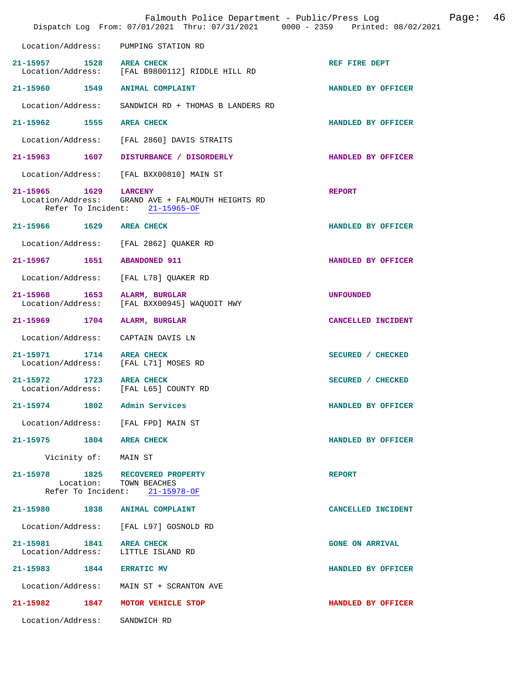|                                    | Falmouth Police Department - Public/Press Log<br>Dispatch Log From: 07/01/2021 Thru: 07/31/2021 0000 - 2359 Printed: 08/02/2021 |                        | Page: | 46 |
|------------------------------------|---------------------------------------------------------------------------------------------------------------------------------|------------------------|-------|----|
| Location/Address:                  | PUMPING STATION RD                                                                                                              |                        |       |    |
| 21-15957 1528 AREA CHECK           | Location/Address: [FAL B9800112] RIDDLE HILL RD                                                                                 | REF FIRE DEPT          |       |    |
|                                    | 21-15960 1549 ANIMAL COMPLAINT                                                                                                  | HANDLED BY OFFICER     |       |    |
| Location/Address:                  | SANDWICH RD + THOMAS B LANDERS RD                                                                                               |                        |       |    |
| 21-15962 1555 AREA CHECK           |                                                                                                                                 | HANDLED BY OFFICER     |       |    |
|                                    | Location/Address: [FAL 2860] DAVIS STRAITS                                                                                      |                        |       |    |
| 21-15963 1607                      | DISTURBANCE / DISORDERLY                                                                                                        | HANDLED BY OFFICER     |       |    |
|                                    | Location/Address: [FAL BXX00810] MAIN ST                                                                                        |                        |       |    |
| 21-15965 1629 LARCENY              | Location/Address: GRAND AVE + FALMOUTH HEIGHTS RD<br>Refer To Incident: 21-15965-OF                                             | <b>REPORT</b>          |       |    |
| 21-15966 1629 AREA CHECK           |                                                                                                                                 | HANDLED BY OFFICER     |       |    |
| Location/Address:                  | [FAL 2862] QUAKER RD                                                                                                            |                        |       |    |
| 21-15967 1651                      | <b>ABANDONED 911</b>                                                                                                            | HANDLED BY OFFICER     |       |    |
| Location/Address:                  | [FAL L78] QUAKER RD                                                                                                             |                        |       |    |
| 21-15968 1653<br>Location/Address: | ALARM, BURGLAR<br>[FAL BXX00945] WAQUOIT HWY                                                                                    | <b>UNFOUNDED</b>       |       |    |
| 21-15969 1704 ALARM, BURGLAR       |                                                                                                                                 | CANCELLED INCIDENT     |       |    |
| Location/Address:                  | CAPTAIN DAVIS LN                                                                                                                |                        |       |    |
| 21-15971 1714 AREA CHECK           | Location/Address: [FAL L71] MOSES RD                                                                                            | SECURED / CHECKED      |       |    |
| 21-15972 1723                      | <b>AREA CHECK</b><br>Location/Address: [FAL L65] COUNTY RD                                                                      | SECURED / CHECKED      |       |    |
| 21-15974 1802                      | Admin Services                                                                                                                  | HANDLED BY OFFICER     |       |    |
|                                    | Location/Address: [FAL FPD] MAIN ST                                                                                             |                        |       |    |
| 21-15975 1804 AREA CHECK           |                                                                                                                                 | HANDLED BY OFFICER     |       |    |
| Vicinity of: MAIN ST               |                                                                                                                                 |                        |       |    |
|                                    | 21-15978 1825 RECOVERED PROPERTY<br>Location: TOWN BEACHES<br>Refer To Incident: 21-15978-OF                                    | <b>REPORT</b>          |       |    |
| 21-15980 1838 ANIMAL COMPLAINT     |                                                                                                                                 | CANCELLED INCIDENT     |       |    |
|                                    | Location/Address: [FAL L97] GOSNOLD RD                                                                                          |                        |       |    |
| 21-15981 1841<br>Location/Address: | <b>AREA CHECK</b><br>LITTLE ISLAND RD                                                                                           | <b>GONE ON ARRIVAL</b> |       |    |
| 21-15983 1844 ERRATIC MV           |                                                                                                                                 | HANDLED BY OFFICER     |       |    |
|                                    | Location/Address: MAIN ST + SCRANTON AVE                                                                                        |                        |       |    |
|                                    | 21-15982 1847 MOTOR VEHICLE STOP                                                                                                | HANDLED BY OFFICER     |       |    |
| Location/Address: SANDWICH RD      |                                                                                                                                 |                        |       |    |
|                                    |                                                                                                                                 |                        |       |    |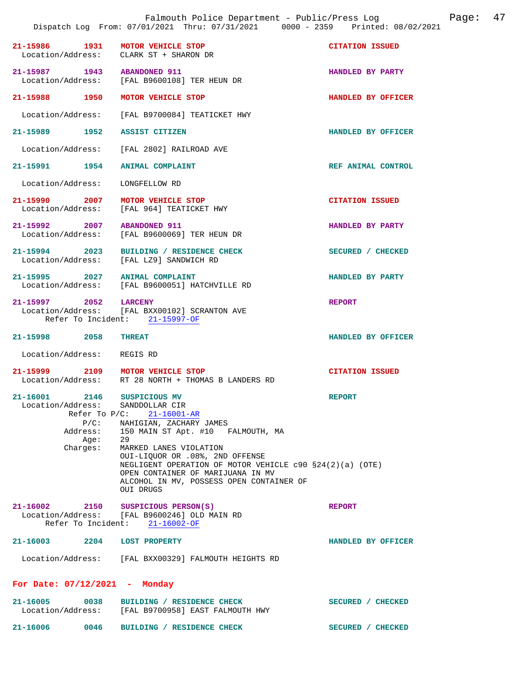|                                     |                                                                     | Falmouth Police Department - Public/Press Log<br>Dispatch Log From: 07/01/2021 Thru: 07/31/2021 0000 - 2359 Printed: 08/02/2021                                                                                                                                                                                                                              |                        | Page: | 47 |
|-------------------------------------|---------------------------------------------------------------------|--------------------------------------------------------------------------------------------------------------------------------------------------------------------------------------------------------------------------------------------------------------------------------------------------------------------------------------------------------------|------------------------|-------|----|
| 21-15986                            | 1931                                                                | MOTOR VEHICLE STOP<br>Location/Address: CLARK ST + SHARON DR                                                                                                                                                                                                                                                                                                 | <b>CITATION ISSUED</b> |       |    |
| 21-15987 1943<br>Location/Address:  |                                                                     | <b>ABANDONED 911</b><br>[FAL B9600108] TER HEUN DR                                                                                                                                                                                                                                                                                                           | HANDLED BY PARTY       |       |    |
| 21-15988 1950                       |                                                                     | MOTOR VEHICLE STOP                                                                                                                                                                                                                                                                                                                                           | HANDLED BY OFFICER     |       |    |
| Location/Address:                   |                                                                     | [FAL B9700084] TEATICKET HWY                                                                                                                                                                                                                                                                                                                                 |                        |       |    |
| 21-15989 1952                       |                                                                     | ASSIST CITIZEN                                                                                                                                                                                                                                                                                                                                               | HANDLED BY OFFICER     |       |    |
| Location/Address:                   |                                                                     | [FAL 2802] RAILROAD AVE                                                                                                                                                                                                                                                                                                                                      |                        |       |    |
| 21-15991 1954                       |                                                                     | <b>ANIMAL COMPLAINT</b>                                                                                                                                                                                                                                                                                                                                      | REF ANIMAL CONTROL     |       |    |
| Location/Address:                   |                                                                     | LONGFELLOW RD                                                                                                                                                                                                                                                                                                                                                |                        |       |    |
| 21-15990 2007                       |                                                                     | MOTOR VEHICLE STOP<br>Location/Address: [FAL 964] TEATICKET HWY                                                                                                                                                                                                                                                                                              | <b>CITATION ISSUED</b> |       |    |
| 21-15992 2007<br>Location/Address:  |                                                                     | <b>ABANDONED 911</b><br>[FAL B9600069] TER HEUN DR                                                                                                                                                                                                                                                                                                           | HANDLED BY PARTY       |       |    |
| 21-15994 2023                       |                                                                     | BUILDING / RESIDENCE CHECK<br>Location/Address: [FAL LZ9] SANDWICH RD                                                                                                                                                                                                                                                                                        | SECURED / CHECKED      |       |    |
| $21 - 15995$                        | 2027                                                                | <b>ANIMAL COMPLAINT</b><br>Location/Address: [FAL B9600051] HATCHVILLE RD                                                                                                                                                                                                                                                                                    | HANDLED BY PARTY       |       |    |
| 21–15997 2052                       |                                                                     | <b>LARCENY</b><br>Location/Address: [FAL BXX00102] SCRANTON AVE<br>Refer To Incident: 21-15997-OF                                                                                                                                                                                                                                                            | <b>REPORT</b>          |       |    |
| 21-15998                            | 2058                                                                | <b>THREAT</b>                                                                                                                                                                                                                                                                                                                                                | HANDLED BY OFFICER     |       |    |
| Location/Address:                   |                                                                     | REGIS RD                                                                                                                                                                                                                                                                                                                                                     |                        |       |    |
|                                     |                                                                     | 21-15999 2109 MOTOR VEHICLE STOP<br>Location/Address: RT 28 NORTH + THOMAS B LANDERS RD                                                                                                                                                                                                                                                                      | <b>CITATION ISSUED</b> |       |    |
| 21-16001<br>Location/Address:       | 2146<br>Refer To $P/C$ :<br>$P/C$ :<br>Address:<br>Age:<br>Charges: | SUSPICIOUS MV<br>SANDDOLLAR CIR<br>$21 - 16001 - AR$<br>NAHIGIAN, ZACHARY JAMES<br>150 MAIN ST Apt. #10 FALMOUTH, MA<br>29<br>MARKED LANES VIOLATION<br>OUI-LIQUOR OR .08%, 2ND OFFENSE<br>NEGLIGENT OPERATION OF MOTOR VEHICLE $c90$ $$24(2)(a)$ (OTE)<br>OPEN CONTAINER OF MARIJUANA IN MV<br>ALCOHOL IN MV, POSSESS OPEN CONTAINER OF<br><b>OUI DRUGS</b> | <b>REPORT</b>          |       |    |
| 21-16002 2150<br>Refer To Incident: |                                                                     | SUSPICIOUS PERSON(S)<br>Location/Address: [FAL B9600246] OLD MAIN RD<br>$21 - 16002 - OF$                                                                                                                                                                                                                                                                    | <b>REPORT</b>          |       |    |
| $21 - 16003$                        | 2204                                                                | <b>LOST PROPERTY</b>                                                                                                                                                                                                                                                                                                                                         | HANDLED BY OFFICER     |       |    |
|                                     |                                                                     | Location/Address: [FAL BXX00329] FALMOUTH HEIGHTS RD                                                                                                                                                                                                                                                                                                         |                        |       |    |
| For Date: $07/12/2021$ - Monday     |                                                                     |                                                                                                                                                                                                                                                                                                                                                              |                        |       |    |
| $21 - 16005$                        | 0038                                                                | BUILDING / RESIDENCE CHECK<br>Location/Address: [FAL B9700958] EAST FALMOUTH HWY                                                                                                                                                                                                                                                                             | SECURED / CHECKED      |       |    |
| 21-16006                            | 0046                                                                | BUILDING / RESIDENCE CHECK                                                                                                                                                                                                                                                                                                                                   | SECURED / CHECKED      |       |    |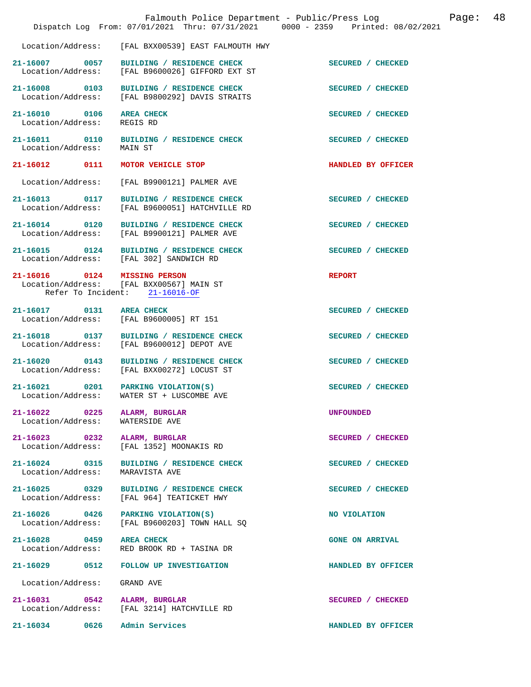|                                                   | Falmouth Police Department - Public/Press Log<br>Dispatch Log From: 07/01/2021 Thru: 07/31/2021 0000 - 2359 Printed: 08/02/2021 |                        | Page: | 48 |
|---------------------------------------------------|---------------------------------------------------------------------------------------------------------------------------------|------------------------|-------|----|
| Location/Address:                                 | [FAL BXX00539] EAST FALMOUTH HWY                                                                                                |                        |       |    |
| 21-16007 0057                                     | BUILDING / RESIDENCE CHECK<br>Location/Address: [FAL B9600026] GIFFORD EXT ST                                                   | SECURED / CHECKED      |       |    |
| 21-16008 0103<br>Location/Address:                | BUILDING / RESIDENCE CHECK<br>[FAL B9800292] DAVIS STRAITS                                                                      | SECURED / CHECKED      |       |    |
| 21-16010 0106<br>Location/Address:                | <b>AREA CHECK</b><br>REGIS RD                                                                                                   | SECURED / CHECKED      |       |    |
| 21-16011 0110<br>Location/Address:                | BUILDING / RESIDENCE CHECK<br>MAIN ST                                                                                           | SECURED / CHECKED      |       |    |
| 21-16012 0111                                     | MOTOR VEHICLE STOP                                                                                                              | HANDLED BY OFFICER     |       |    |
| Location/Address:                                 | [FAL B9900121] PALMER AVE                                                                                                       |                        |       |    |
| 21-16013 0117                                     | BUILDING / RESIDENCE CHECK<br>Location/Address: [FAL B9600051] HATCHVILLE RD                                                    | SECURED / CHECKED      |       |    |
| 21-16014 0120<br>Location/Address:                | BUILDING / RESIDENCE CHECK<br>[FAL B9900121] PALMER AVE                                                                         | SECURED / CHECKED      |       |    |
| 21-16015 0124                                     | BUILDING / RESIDENCE CHECK<br>Location/Address: [FAL 302] SANDWICH RD                                                           | SECURED / CHECKED      |       |    |
| 21-16016 0124 MISSING PERSON                      | Location/Address: [FAL BXX00567] MAIN ST<br>Refer To Incident: 21-16016-OF                                                      | <b>REPORT</b>          |       |    |
| 21-16017 0131                                     | <b>AREA CHECK</b><br>Location/Address: [FAL B9600005] RT 151                                                                    | SECURED / CHECKED      |       |    |
| 21-16018 0137<br>Location/Address:                | BUILDING / RESIDENCE CHECK<br>[FAL B9600012] DEPOT AVE                                                                          | SECURED / CHECKED      |       |    |
| 21-16020 0143<br>Location/Address:                | BUILDING / RESIDENCE CHECK<br>[FAL BXX00272] LOCUST ST                                                                          | SECURED / CHECKED      |       |    |
| Location/Address:                                 | 21-16021 0201 PARKING VIOLATION(S)<br>WATER ST + LUSCOMBE AVE                                                                   | SECURED / CHECKED      |       |    |
| 21-16022 0225 ALARM, BURGLAR<br>Location/Address: | WATERSIDE AVE                                                                                                                   | <b>UNFOUNDED</b>       |       |    |
| 21-16023 0232<br>Location/Address:                | ALARM, BURGLAR<br>[FAL 1352] MOONAKIS RD                                                                                        | SECURED / CHECKED      |       |    |
| 21-16024 0315<br>Location/Address:                | BUILDING / RESIDENCE CHECK<br>MARAVISTA AVE                                                                                     | SECURED / CHECKED      |       |    |
| 21-16025 0329<br>Location/Address:                | BUILDING / RESIDENCE CHECK<br>[FAL 964] TEATICKET HWY                                                                           | SECURED / CHECKED      |       |    |
| Location/Address:                                 | 21-16026 0426 PARKING VIOLATION(S)<br>[FAL B9600203] TOWN HALL SQ                                                               | NO VIOLATION           |       |    |
| 21-16028 0459<br>Location/Address:                | <b>AREA CHECK</b><br>RED BROOK RD + TASINA DR                                                                                   | <b>GONE ON ARRIVAL</b> |       |    |
|                                                   | 21-16029 0512 FOLLOW UP INVESTIGATION                                                                                           | HANDLED BY OFFICER     |       |    |
| Location/Address:                                 | GRAND AVE                                                                                                                       |                        |       |    |
| 21-16031 0542                                     | ALARM, BURGLAR<br>Location/Address: [FAL 3214] HATCHVILLE RD                                                                    | SECURED / CHECKED      |       |    |
| 21-16034 0626 Admin Services                      |                                                                                                                                 | HANDLED BY OFFICER     |       |    |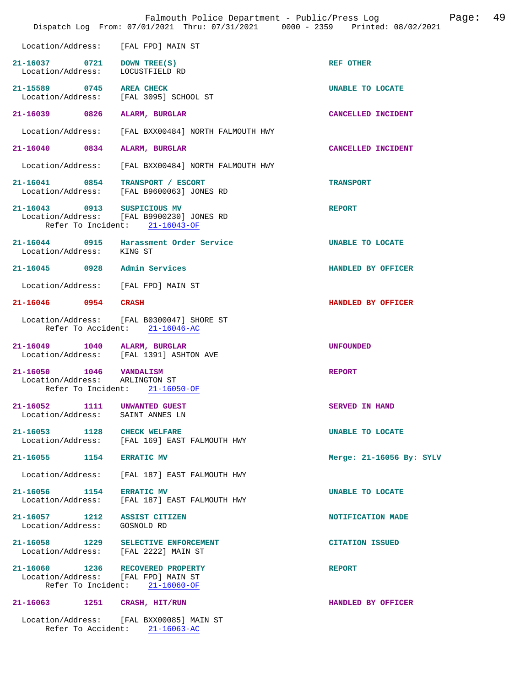|                                                                                 |      | Falmouth Police Department - Public/Press Log<br>Dispatch Log From: 07/01/2021 Thru: 07/31/2021 0000 - 2359 Printed: 08/02/2021 | 49<br>Page:              |  |
|---------------------------------------------------------------------------------|------|---------------------------------------------------------------------------------------------------------------------------------|--------------------------|--|
| Location/Address:                                                               |      | [FAL FPD] MAIN ST                                                                                                               |                          |  |
| 21-16037 0721<br>Location/Address:                                              |      | DOWN TREE(S)<br>LOCUSTFIELD RD                                                                                                  | <b>REF OTHER</b>         |  |
| 21-15589 0745<br>Location/Address:                                              |      | <b>AREA CHECK</b><br>[FAL 3095] SCHOOL ST                                                                                       | UNABLE TO LOCATE         |  |
| 21-16039 0826                                                                   |      | ALARM, BURGLAR                                                                                                                  | CANCELLED INCIDENT       |  |
| Location/Address:                                                               |      | [FAL BXX00484] NORTH FALMOUTH HWY                                                                                               |                          |  |
| 21-16040                                                                        | 0834 | ALARM, BURGLAR                                                                                                                  | CANCELLED INCIDENT       |  |
| Location/Address:                                                               |      | [FAL BXX00484] NORTH FALMOUTH HWY                                                                                               |                          |  |
| 21-16041 0854                                                                   |      | TRANSPORT / ESCORT<br>Location/Address: [FAL B9600063] JONES RD                                                                 | <b>TRANSPORT</b>         |  |
| 21-16043 0913 SUSPICIOUS MV                                                     |      | Location/Address: [FAL B9900230] JONES RD<br>Refer To Incident: 21-16043-OF                                                     | <b>REPORT</b>            |  |
| Location/Address: KING ST                                                       |      | 21-16044 0915 Harassment Order Service                                                                                          | UNABLE TO LOCATE         |  |
| 21-16045 0928 Admin Services                                                    |      |                                                                                                                                 | HANDLED BY OFFICER       |  |
| Location/Address:                                                               |      | [FAL FPD] MAIN ST                                                                                                               |                          |  |
| 21-16046 0954                                                                   |      | <b>CRASH</b>                                                                                                                    | HANDLED BY OFFICER       |  |
| Refer To Accident:                                                              |      | Location/Address: [FAL B0300047] SHORE ST<br>$21 - 16046 - AC$                                                                  |                          |  |
| 21-16049 1040 ALARM, BURGLAR                                                    |      | Location/Address: [FAL 1391] ASHTON AVE                                                                                         | <b>UNFOUNDED</b>         |  |
| 21-16050 1046 VANDALISM<br>Location/Address: ARLINGTON ST<br>Refer To Incident: |      | $21 - 16050 - OF$                                                                                                               | <b>REPORT</b>            |  |
| 21-16052 1111<br>Location/Address:                                              |      | <b>UNWANTED GUEST</b><br>SAINT ANNES LN                                                                                         | <b>SERVED IN HAND</b>    |  |
| 21-16053 1128 CHECK WELFARE                                                     |      | Location/Address: [FAL 169] EAST FALMOUTH HWY                                                                                   | UNABLE TO LOCATE         |  |
| 21-16055 1154                                                                   |      | <b>ERRATIC MV</b>                                                                                                               | Merge: 21-16056 By: SYLV |  |
| Location/Address:                                                               |      | FAL 1871 EAST FALMOUTH HWY                                                                                                      |                          |  |
| 21-16056 1154                                                                   |      | <b>ERRATIC MV</b><br>Location/Address: [FAL 187] EAST FALMOUTH HWY                                                              | UNABLE TO LOCATE         |  |
| 21-16057 1212 ASSIST CITIZEN<br>Location/Address: GOSNOLD RD                    |      |                                                                                                                                 | NOTIFICATION MADE        |  |
|                                                                                 |      | 21-16058 1229 SELECTIVE ENFORCEMENT<br>Location/Address: [FAL 2222] MAIN ST                                                     | <b>CITATION ISSUED</b>   |  |
|                                                                                 |      | 21-16060 1236 RECOVERED PROPERTY<br>Location/Address: [FAL FPD] MAIN ST<br>Refer To Incident: 21-16060-OF                       | <b>REPORT</b>            |  |
| 21-16063                                                                        | 1251 | CRASH, HIT/RUN                                                                                                                  | HANDLED BY OFFICER       |  |
|                                                                                 |      | Location/Address: [FAL BXX00085] MAIN ST<br>Refer To Accident: 21-16063-AC                                                      |                          |  |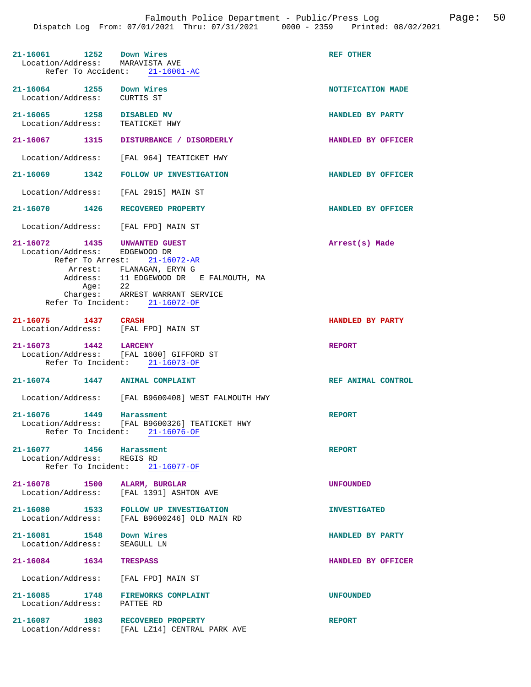| 21-16061 1252 Down Wires<br>Location/Address: MARAVISTA AVE      | Refer To Accident: 21-16061-AC                                                                                                                                                     | <b>REF OTHER</b>    |
|------------------------------------------------------------------|------------------------------------------------------------------------------------------------------------------------------------------------------------------------------------|---------------------|
| 21-16064 1255 Down Wires<br>Location/Address: CURTIS ST          |                                                                                                                                                                                    | NOTIFICATION MADE   |
| 21-16065 1258 DISABLED MV<br>Location/Address:                   | TEATICKET HWY                                                                                                                                                                      | HANDLED BY PARTY    |
|                                                                  | 21-16067 1315 DISTURBANCE / DISORDERLY                                                                                                                                             | HANDLED BY OFFICER  |
|                                                                  | Location/Address: [FAL 964] TEATICKET HWY                                                                                                                                          |                     |
|                                                                  | 21-16069 1342 FOLLOW UP INVESTIGATION                                                                                                                                              | HANDLED BY OFFICER  |
| Location/Address: [FAL 2915] MAIN ST                             |                                                                                                                                                                                    |                     |
| 21-16070 1426                                                    | RECOVERED PROPERTY                                                                                                                                                                 | HANDLED BY OFFICER  |
| Location/Address: [FAL FPD] MAIN ST                              |                                                                                                                                                                                    |                     |
| 21-16072 1435 UNWANTED GUEST<br>Location/Address: EDGEWOOD DR    | Refer To Arrest: 21-16072-AR<br>Arrest: FLANAGAN, ERYN G<br>Address: 11 EDGEWOOD DR E FALMOUTH, MA<br>Age: 22<br>Charges: ARREST WARRANT SERVICE<br>Refer To Incident: 21-16072-OF | Arrest(s) Made      |
| 21-16075 1437 CRASH<br>Location/Address: [FAL FPD] MAIN ST       |                                                                                                                                                                                    | HANDLED BY PARTY    |
| 21-16073 1442 LARCENY                                            | Location/Address: [FAL 1600] GIFFORD ST<br>Refer To Incident: 21-16073-OF                                                                                                          | <b>REPORT</b>       |
| 21-16074 1447 ANIMAL COMPLAINT                                   |                                                                                                                                                                                    | REF ANIMAL CONTROL  |
|                                                                  |                                                                                                                                                                                    |                     |
|                                                                  | Location/Address: [FAL B9600408] WEST FALMOUTH HWY                                                                                                                                 |                     |
| 21-16076 1449 Harassment                                         | Location/Address: [FAL B9600326] TEATICKET HWY<br>Refer To Incident: 21-16076-OF                                                                                                   | <b>REPORT</b>       |
| 21-16077 1456 Harassment<br>Location/Address: REGIS RD           | Refer To Incident: 21-16077-OF                                                                                                                                                     | <b>REPORT</b>       |
| 21-16078 1500 ALARM, BURGLAR<br>Location/Address:                | [FAL 1391] ASHTON AVE                                                                                                                                                              | <b>UNFOUNDED</b>    |
| Location/Address:                                                | 21-16080 1533 FOLLOW UP INVESTIGATION<br>[FAL B9600246] OLD MAIN RD                                                                                                                | <b>INVESTIGATED</b> |
| 21-16081 1548<br>Location/Address: SEAGULL LN                    | Down Wires                                                                                                                                                                         | HANDLED BY PARTY    |
| $21 - 16084$<br>1634                                             | <b>TRESPASS</b>                                                                                                                                                                    | HANDLED BY OFFICER  |
| Location/Address: [FAL FPD] MAIN ST                              |                                                                                                                                                                                    |                     |
| 21-16085 1748 FIREWORKS COMPLAINT<br>Location/Address: PATTEE RD |                                                                                                                                                                                    | <b>UNFOUNDED</b>    |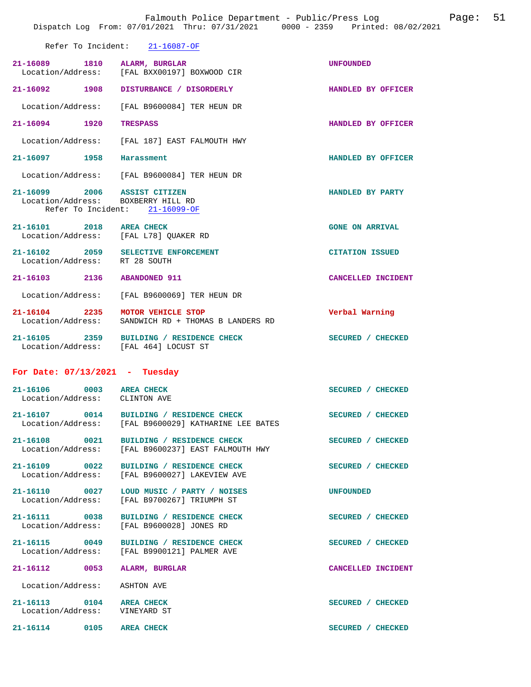|                                                                    | Dispatch Log From: 07/01/2021 Thru: 07/31/2021 0000 - 2359 Printed: 08/02/2021                   |                           |
|--------------------------------------------------------------------|--------------------------------------------------------------------------------------------------|---------------------------|
|                                                                    | Refer To Incident: 21-16087-OF                                                                   |                           |
| 21-16089 1810 ALARM, BURGLAR                                       | Location/Address: [FAL BXX00197] BOXWOOD CIR                                                     | <b>UNFOUNDED</b>          |
|                                                                    | 21-16092 1908 DISTURBANCE / DISORDERLY                                                           | <b>HANDLED BY OFFICER</b> |
|                                                                    | Location/Address: [FAL B9600084] TER HEUN DR                                                     |                           |
| 21-16094 1920 TRESPASS                                             |                                                                                                  | HANDLED BY OFFICER        |
|                                                                    | Location/Address: [FAL 187] EAST FALMOUTH HWY                                                    |                           |
| 21-16097 1958 Harassment                                           |                                                                                                  | HANDLED BY OFFICER        |
|                                                                    | Location/Address: [FAL B9600084] TER HEUN DR                                                     |                           |
| 21-16099 2006 ASSIST CITIZEN<br>Location/Address: BOXBERRY HILL RD | Refer To Incident: 21-16099-OF                                                                   | HANDLED BY PARTY          |
| 21-16101 2018 AREA CHECK                                           | Location/Address: [FAL L78] QUAKER RD                                                            | <b>GONE ON ARRIVAL</b>    |
| Location/Address: RT 28 SOUTH                                      | 21-16102 2059 SELECTIVE ENFORCEMENT                                                              | <b>CITATION ISSUED</b>    |
| 21-16103 2136 ABANDONED 911                                        |                                                                                                  | CANCELLED INCIDENT        |
|                                                                    | Location/Address: [FAL B9600069] TER HEUN DR                                                     |                           |
|                                                                    | 21-16104 2235 MOTOR VEHICLE STOP<br>Location/Address: SANDWICH RD + THOMAS B LANDERS RD          | Verbal Warning            |
|                                                                    | 21-16105 2359 BUILDING / RESIDENCE CHECK<br>Location/Address: [FAL 464] LOCUST ST                | SECURED / CHECKED         |
| For Date: $07/13/2021$ - Tuesday                                   |                                                                                                  |                           |
| 21-16106 0003 AREA CHECK<br>Location/Address: CLINTON AVE          |                                                                                                  | SECURED / CHECKED         |
|                                                                    | 21-16107 0014 BUILDING / RESIDENCE CHECK<br>Location/Address: [FAL B9600029] KATHARINE LEE BATES | SECURED / CHECKED         |
| 21-16108 0021                                                      | <b>BUILDING / RESIDENCE CHECK</b><br>Location/Address: [FAL B9600237] EAST FALMOUTH HWY          | SECURED / CHECKED         |
|                                                                    | Location/Address: [FAL B9600027] LAKEVIEW AVE                                                    | SECURED / CHECKED         |
|                                                                    | 21-16110 0027 LOUD MUSIC / PARTY / NOISES<br>Location/Address: [FAL B9700267] TRIUMPH ST         | <b>UNFOUNDED</b>          |
|                                                                    | 21-16111 0038 BUILDING / RESIDENCE CHECK<br>Location/Address: [FAL B9600028] JONES RD            | SECURED / CHECKED         |
|                                                                    | 21-16115 0049 BUILDING / RESIDENCE CHECK<br>Location/Address: [FAL B9900121] PALMER AVE          | SECURED / CHECKED         |
| 21-16112 0053 ALARM, BURGLAR                                       |                                                                                                  | CANCELLED INCIDENT        |
| Location/Address: ASHTON AVE                                       |                                                                                                  |                           |
| 21-16113 0104 AREA CHECK<br>Location/Address: VINEYARD ST          |                                                                                                  | SECURED / CHECKED         |

Falmouth Police Department - Public/Press Log Page: 51

21-16114 0105 AREA CHECK SECURED / CHECKED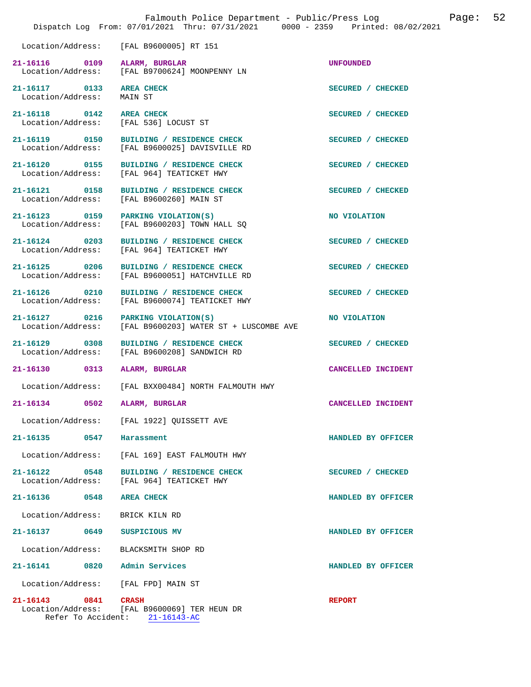| Falmouth Police Department - Public/Press Log<br>Dispatch Log From: 07/01/2021 Thru: 07/31/2021 0000 - 2359 Printed: 08/02/2021 |      |                                                                                   |                    | Page: | 52 |
|---------------------------------------------------------------------------------------------------------------------------------|------|-----------------------------------------------------------------------------------|--------------------|-------|----|
|                                                                                                                                 |      | Location/Address: [FAL B9600005] RT 151                                           |                    |       |    |
| 21-16116 0109 ALARM, BURGLAR                                                                                                    |      | Location/Address: [FAL B9700624] MOONPENNY LN                                     | <b>UNFOUNDED</b>   |       |    |
| 21-16117 0133 AREA CHECK<br>Location/Address:                                                                                   |      | MAIN ST                                                                           | SECURED / CHECKED  |       |    |
| 21-16118 0142 AREA CHECK                                                                                                        |      | Location/Address: [FAL 536] LOCUST ST                                             | SECURED / CHECKED  |       |    |
| Location/Address:                                                                                                               |      | 21-16119 0150 BUILDING / RESIDENCE CHECK<br>[FAL B9600025] DAVISVILLE RD          | SECURED / CHECKED  |       |    |
| 21-16120 0155<br>Location/Address:                                                                                              |      | BUILDING / RESIDENCE CHECK<br>[FAL 964] TEATICKET HWY                             | SECURED / CHECKED  |       |    |
| Location/Address:                                                                                                               |      | 21-16121 0158 BUILDING / RESIDENCE CHECK<br>[FAL B9600260] MAIN ST                | SECURED / CHECKED  |       |    |
| Location/Address:                                                                                                               |      | 21-16123 0159 PARKING VIOLATION(S)<br>[FAL B9600203] TOWN HALL SQ                 | NO VIOLATION       |       |    |
| 21-16124 0203                                                                                                                   |      | BUILDING / RESIDENCE CHECK<br>Location/Address: [FAL 964] TEATICKET HWY           | SECURED / CHECKED  |       |    |
| 21-16125 0206<br>Location/Address:                                                                                              |      | BUILDING / RESIDENCE CHECK<br>[FAL B9600051] HATCHVILLE RD                        | SECURED / CHECKED  |       |    |
| 21-16126 0210<br>Location/Address:                                                                                              |      | BUILDING / RESIDENCE CHECK<br>[FAL B9600074] TEATICKET HWY                        | SECURED / CHECKED  |       |    |
| 21-16127 0216<br>Location/Address:                                                                                              |      | PARKING VIOLATION(S)<br>[FAL B9600203] WATER ST + LUSCOMBE AVE                    | NO VIOLATION       |       |    |
| 21-16129 0308<br>Location/Address:                                                                                              |      | BUILDING / RESIDENCE CHECK<br>[FAL B9600208] SANDWICH RD                          | SECURED / CHECKED  |       |    |
| 21-16130 0313                                                                                                                   |      | ALARM, BURGLAR                                                                    | CANCELLED INCIDENT |       |    |
|                                                                                                                                 |      | Location/Address: [FAL BXX00484] NORTH FALMOUTH HWY                               |                    |       |    |
| 21-16134                                                                                                                        | 0502 | <b>ALARM, BURGLAR</b>                                                             | CANCELLED INCIDENT |       |    |
| Location/Address:                                                                                                               |      | [FAL 1922] OUISSETT AVE                                                           |                    |       |    |
| $21 - 16135$                                                                                                                    | 0547 | Harassment                                                                        | HANDLED BY OFFICER |       |    |
| Location/Address:                                                                                                               |      | [FAL 169] EAST FALMOUTH HWY                                                       |                    |       |    |
| $21 - 16122$<br>Location/Address:                                                                                               | 0548 | BUILDING / RESIDENCE CHECK<br>[FAL 964] TEATICKET HWY                             | SECURED / CHECKED  |       |    |
| $21 - 16136$                                                                                                                    | 0548 | <b>AREA CHECK</b>                                                                 | HANDLED BY OFFICER |       |    |
| Location/Address:                                                                                                               |      | BRICK KILN RD                                                                     |                    |       |    |
| 21-16137 0649                                                                                                                   |      | SUSPICIOUS MV                                                                     | HANDLED BY OFFICER |       |    |
| Location/Address:                                                                                                               |      | BLACKSMITH SHOP RD                                                                |                    |       |    |
| 21-16141                                                                                                                        | 0820 | Admin Services                                                                    | HANDLED BY OFFICER |       |    |
| Location/Address:                                                                                                               |      | [FAL FPD] MAIN ST                                                                 |                    |       |    |
| $21 - 16143$<br>Refer To Accident:                                                                                              | 0841 | <b>CRASH</b><br>Location/Address: [FAL B9600069] TER HEUN DR<br>$21 - 16143 - AC$ | <b>REPORT</b>      |       |    |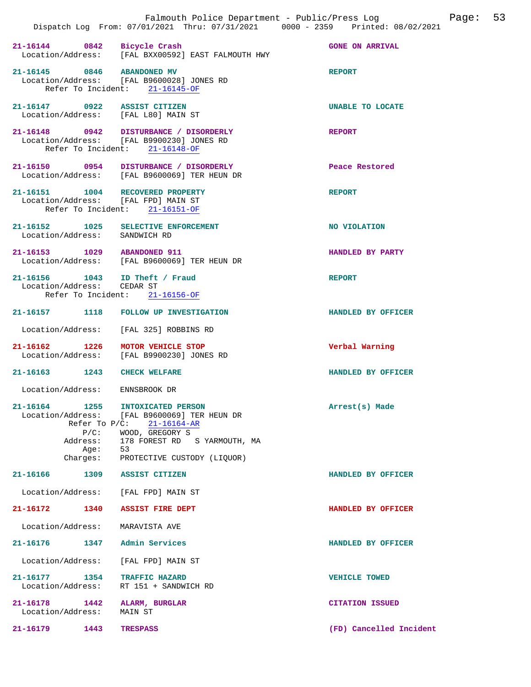|                                                                             | 21-16144 0842 Bicycle Crash<br>Location/Address: [FAL BXX00592] EAST FALMOUTH HWY                                                                                                        | <b>GONE ON ARRIVAL</b> |
|-----------------------------------------------------------------------------|------------------------------------------------------------------------------------------------------------------------------------------------------------------------------------------|------------------------|
| 21-16145 0846 ABANDONED MV                                                  | Location/Address: [FAL B9600028] JONES RD<br>Refer To Incident: 21-16145-OF                                                                                                              | <b>REPORT</b>          |
| 21-16147 0922 ASSIST CITIZEN<br>Location/Address: [FAL L80] MAIN ST         |                                                                                                                                                                                          | UNABLE TO LOCATE       |
|                                                                             | 21-16148 0942 DISTURBANCE / DISORDERLY<br>Location/Address: [FAL B9900230] JONES RD<br>Refer To Incident: 21-16148-OF                                                                    | <b>REPORT</b>          |
|                                                                             | 21-16150 0954 DISTURBANCE / DISORDERLY<br>Location/Address: [FAL B9600069] TER HEUN DR                                                                                                   | Peace Restored         |
| 21-16151   1004   RECOVERED PROPERTY<br>Location/Address: [FAL FPD] MAIN ST | Refer To Incident: 21-16151-OF                                                                                                                                                           | <b>REPORT</b>          |
| 21-16152 1025 SELECTIVE ENFORCEMENT<br>Location/Address: SANDWICH RD        |                                                                                                                                                                                          | NO VIOLATION           |
|                                                                             | 21-16153 1029 ABANDONED 911<br>Location/Address: [FAL B9600069] TER HEUN DR                                                                                                              | HANDLED BY PARTY       |
| 21-16156   1043   ID Theft / Fraud<br>Location/Address: CEDAR ST            | Refer To Incident: 21-16156-OF                                                                                                                                                           | <b>REPORT</b>          |
|                                                                             | 21-16157 1118 FOLLOW UP INVESTIGATION                                                                                                                                                    | HANDLED BY OFFICER     |
|                                                                             | Location/Address: [FAL 325] ROBBINS RD                                                                                                                                                   |                        |
| 21-16162 1226                                                               | MOTOR VEHICLE STOP<br>Location/Address: [FAL B9900230] JONES RD                                                                                                                          | Verbal Warning         |
| 21-16163 1243 CHECK WELFARE                                                 |                                                                                                                                                                                          | HANDLED BY OFFICER     |
| Location/Address: ENNSBROOK DR                                              |                                                                                                                                                                                          |                        |
| 21-16164 1255<br>Location/Address:<br>Address:<br>Aqe:                      | INTOXICATED PERSON<br>[FAL B9600069] TER HEUN DR<br>Refer To $P/C$ : 21-16164-AR<br>$P/C:$ WOOD, GREGORY S<br>178 FOREST RD S YARMOUTH, MA<br>53<br>Charges: PROTECTIVE CUSTODY (LIQUOR) | Arrest(s) Made         |
| 21-16166<br>1309                                                            | ASSIST CITIZEN                                                                                                                                                                           | HANDLED BY OFFICER     |
| Location/Address: [FAL FPD] MAIN ST                                         |                                                                                                                                                                                          |                        |
| 21-16172 1340                                                               | <b>ASSIST FIRE DEPT</b>                                                                                                                                                                  | HANDLED BY OFFICER     |
| Location/Address:                                                           | MARAVISTA AVE                                                                                                                                                                            |                        |
| 21-16176                                                                    | 1347 Admin Services                                                                                                                                                                      | HANDLED BY OFFICER     |
| Location/Address:                                                           | [FAL FPD] MAIN ST                                                                                                                                                                        |                        |
| 21-16177 1354<br>Location/Address:                                          | TRAFFIC HAZARD<br>RT 151 + SANDWICH RD                                                                                                                                                   | <b>VEHICLE TOWED</b>   |
| 21-16178<br>1442<br>Location/Address:                                       | ALARM, BURGLAR<br>MAIN ST                                                                                                                                                                | <b>CITATION ISSUED</b> |

**21-16179 1443 TRESPASS (FD) Cancelled Incident**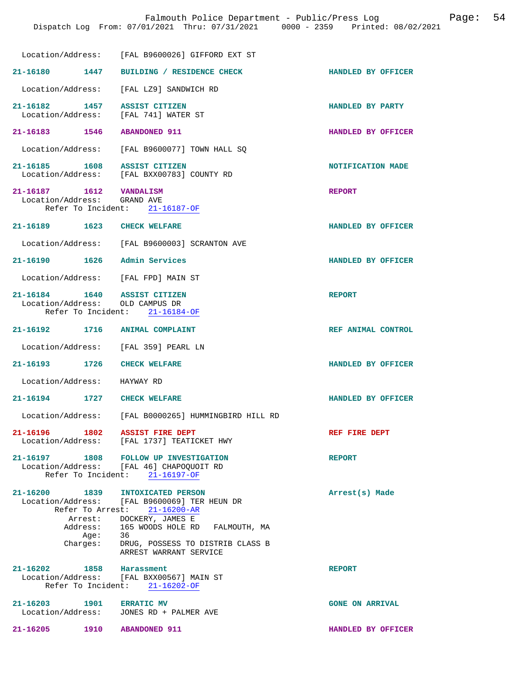|                                                                     | Location/Address: [FAL B9600026] GIFFORD EXT ST                                                                     |                        |
|---------------------------------------------------------------------|---------------------------------------------------------------------------------------------------------------------|------------------------|
| 21-16180 1447                                                       | BUILDING / RESIDENCE CHECK                                                                                          | HANDLED BY OFFICER     |
| Location/Address:                                                   | [FAL LZ9] SANDWICH RD                                                                                               |                        |
| 21-16182 1457<br>Location/Address:                                  | ASSIST CITIZEN<br>[FAL 741] WATER ST                                                                                | HANDLED BY PARTY       |
| 21-16183<br>1546                                                    | <b>ABANDONED 911</b>                                                                                                | HANDLED BY OFFICER     |
| Location/Address:                                                   | [FAL B9600077] TOWN HALL SQ                                                                                         |                        |
| 21-16185 1608<br>Location/Address:                                  | ASSIST CITIZEN<br>[FAL BXX00783] COUNTY RD                                                                          | NOTIFICATION MADE      |
| $21 - 16187$<br>1612<br>Location/Address: GRAND AVE                 | <b>VANDALISM</b><br>Refer To Incident: 21-16187-OF                                                                  | <b>REPORT</b>          |
|                                                                     |                                                                                                                     | HANDLED BY OFFICER     |
|                                                                     | Location/Address: [FAL B9600003] SCRANTON AVE                                                                       |                        |
| 21-16190<br>1626                                                    | Admin Services                                                                                                      | HANDLED BY OFFICER     |
| Location/Address: [FAL FPD] MAIN ST                                 |                                                                                                                     |                        |
| 21-16184   1640   ASSIST CITIZEN<br>Location/Address: OLD CAMPUS DR | Refer To Incident: 21-16184-OF                                                                                      | <b>REPORT</b>          |
| 21-16192 1716 ANIMAL COMPLAINT                                      |                                                                                                                     | REF ANIMAL CONTROL     |
| Location/Address: [FAL 359] PEARL LN                                |                                                                                                                     |                        |
| 21-16193 1726                                                       | <b>CHECK WELFARE</b>                                                                                                | HANDLED BY OFFICER     |
| Location/Address:                                                   | HAYWAY RD                                                                                                           |                        |
| $21 - 16194$<br>1727                                                | <b>CHECK WELFARE</b>                                                                                                | HANDLED BY OFFICER     |
|                                                                     | Location/Address: [FAL B0000265] HUMMINGBIRD HILL RD                                                                |                        |
| 21-16196 1802 ASSIST FIRE DEPT                                      | Location/Address: [FAL 1737] TEATICKET HWY                                                                          | REF FIRE DEPT          |
|                                                                     | 21-16197 1808 FOLLOW UP INVESTIGATION<br>Location/Address: [FAL 46] CHAPOQUOIT RD<br>Refer To Incident: 21-16197-OF | <b>REPORT</b>          |
| 21-16200 1839 INTOXICATED PERSON                                    | Location/Address: [FAL B9600069] TER HEUN DR<br>Refer To Arrest: 21-16200-AR                                        | Arrest(s) Made         |
| Age:                                                                | Arrest: DOCKERY, JAMES E<br>Address: 165 WOODS HOLE RD FALMOUTH, MA<br>36                                           |                        |
|                                                                     | Charges: DRUG, POSSESS TO DISTRIB CLASS B<br>ARREST WARRANT SERVICE                                                 |                        |
| 21-16202 1858 Harassment                                            | Location/Address: [FAL BXX00567] MAIN ST<br>Refer To Incident: 21-16202-OF                                          | <b>REPORT</b>          |
| 21-16203 1901 ERRATIC MV                                            | Location/Address: JONES RD + PALMER AVE                                                                             | <b>GONE ON ARRIVAL</b> |
| 21-16205 1910 ABANDONED 911                                         |                                                                                                                     | HANDLED BY OFFICER     |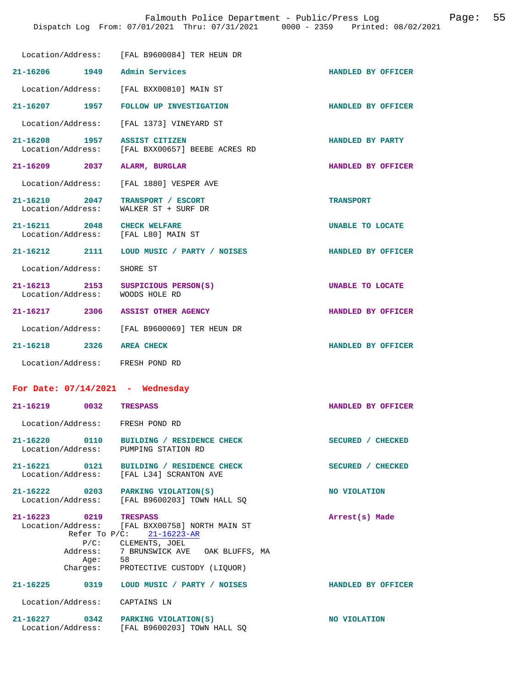|                                                                    | Dispatch Log From: 07/01/2021 Thru: 07/31/2021 0000 - 2359 Printed: 08/02/2021  | Falmouth Police Department - Public/Press Log | Page: 55 |  |
|--------------------------------------------------------------------|---------------------------------------------------------------------------------|-----------------------------------------------|----------|--|
|                                                                    | Location/Address: [FAL B9600084] TER HEUN DR                                    |                                               |          |  |
| 21-16206 1949 Admin Services                                       |                                                                                 | HANDLED BY OFFICER                            |          |  |
|                                                                    | Location/Address: [FAL BXX00810] MAIN ST                                        |                                               |          |  |
|                                                                    | 21-16207 1957 FOLLOW UP INVESTIGATION                                           | HANDLED BY OFFICER                            |          |  |
|                                                                    | Location/Address: [FAL 1373] VINEYARD ST                                        |                                               |          |  |
|                                                                    | 21-16208 1957 ASSIST CITIZEN<br>Location/Address: [FAL BXX00657] BEEBE ACRES RD | HANDLED BY PARTY                              |          |  |
| 21-16209 2037 ALARM, BURGLAR                                       |                                                                                 | HANDLED BY OFFICER                            |          |  |
|                                                                    | Location/Address: [FAL 1880] VESPER AVE                                         |                                               |          |  |
|                                                                    | 21-16210 2047 TRANSPORT / ESCORT<br>Location/Address: WALKER ST + SURF DR       | <b>TRANSPORT</b>                              |          |  |
| 21-16211 2048 CHECK WELFARE<br>Location/Address: [FAL L80] MAIN ST |                                                                                 | UNABLE TO LOCATE                              |          |  |
|                                                                    | 21-16212 2111 LOUD MUSIC / PARTY / NOISES                                       | HANDLED BY OFFICER                            |          |  |
| Location/Address: SHORE ST                                         |                                                                                 |                                               |          |  |
| 21-16213<br>Location/Address: WOODS HOLE RD                        | 2153 SUSPICIOUS PERSON(S)                                                       | UNABLE TO LOCATE                              |          |  |
|                                                                    | 21-16217 2306 ASSIST OTHER AGENCY                                               | HANDLED BY OFFICER                            |          |  |
|                                                                    | Location/Address: [FAL B9600069] TER HEUN DR                                    |                                               |          |  |
| 21-16218 2326 AREA CHECK                                           |                                                                                 | HANDLED BY OFFICER                            |          |  |
| Location/Address: FRESH POND RD                                    |                                                                                 |                                               |          |  |

Location/Address: FRESH POND RD

**21-16220 0110 BUILDING / RESIDENCE CHECK SECURED / CHECKED**  Location/Address: PUMPING STATION RD

**21-16221 0121 BUILDING / RESIDENCE CHECK SECURED / CHECKED**  Location/Address: [FAL L34] SCRANTON AVE

21-16222 0203 PARKING VIOLATION(S) NO VIOLATION Location/Address: [FAL B9600203] TOWN HALL SQ

**21-16223 0219 TRESPASS Arrest(s) Made**  Location/Address: [FAL BXX00758] NORTH MAIN ST Refer To P/C: 21-16223-AR P/C: CLEMENTS, JOEL Address: 7 BRUNSWICK AVE OAK BLUFFS, MA<br>Age: 58 Age:<br>:Charges PROTECTIVE CUSTODY (LIQUOR) **21-16225 0319 LOUD MUSIC / PARTY / NOISES HANDLED BY OFFICER**  Location/Address: CAPTAINS LN

**21-16219 0032 TRESPASS HANDLED BY OFFICER** 

21-16227 0342 PARKING VIOLATION(S) **NO VIOLATION NO** VIOLATION Location/Address: [FAL B9600203] TOWN HALL SQ [FAL B9600203] TOWN HALL SQ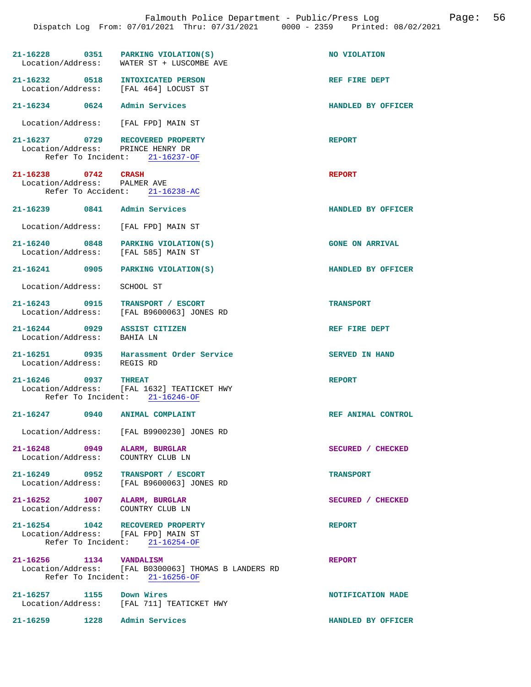| $21-16228$ 0351 PARKING VIOLATION(S)<br>Location/Address:                 | WATER ST + LUSCOMBE AVE                                                                       | NO VIOLATION           |
|---------------------------------------------------------------------------|-----------------------------------------------------------------------------------------------|------------------------|
| 21-16232 0518 INTOXICATED PERSON<br>Location/Address:                     | [FAL 464] LOCUST ST                                                                           | REF FIRE DEPT          |
| $21 - 16234$ 0624                                                         | Admin Services                                                                                | HANDLED BY OFFICER     |
| Location/Address: [FAL FPD] MAIN ST                                       |                                                                                               |                        |
| 21-16237 0729 RECOVERED PROPERTY<br>Location/Address: PRINCE HENRY DR     | Refer To Incident: 21-16237-OF                                                                | <b>REPORT</b>          |
| 21-16238 0742 CRASH<br>Location/Address: PALMER AVE                       | Refer To Accident: 21-16238-AC                                                                | <b>REPORT</b>          |
| 21-16239 0841 Admin Services                                              |                                                                                               | HANDLED BY OFFICER     |
| Location/Address: [FAL FPD] MAIN ST                                       |                                                                                               |                        |
| 21-16240 0848 PARKING VIOLATION(S)<br>Location/Address: [FAL 585] MAIN ST |                                                                                               | <b>GONE ON ARRIVAL</b> |
| 21-16241 0905 PARKING VIOLATION(S)                                        |                                                                                               | HANDLED BY OFFICER     |
| Location/Address:                                                         | SCHOOL ST                                                                                     |                        |
| 21-16243 0915<br>Location/Address:                                        | TRANSPORT / ESCORT<br>[FAL B9600063] JONES RD                                                 | <b>TRANSPORT</b>       |
| 21-16244 0929 ASSIST CITIZEN<br>Location/Address: BAHIA LN                |                                                                                               | REF FIRE DEPT          |
| Location/Address:                                                         | 21-16251 0935 Harassment Order Service<br>REGIS RD                                            | <b>SERVED IN HAND</b>  |
| 21-16246 0937                                                             | <b>THREAT</b><br>Location/Address: [FAL 1632] TEATICKET HWY<br>Refer To Incident: 21-16246-OF | <b>REPORT</b>          |
| 21-16247 0940                                                             | <b>ANIMAL COMPLAINT</b>                                                                       | REF ANIMAL CONTROL     |
|                                                                           | Location/Address: [FAL B9900230] JONES RD                                                     |                        |
| 21-16248 0949<br>Location/Address:                                        | ALARM, BURGLAR<br>COUNTRY CLUB LN                                                             | SECURED / CHECKED      |
| 21-16249 0952<br>Location/Address:                                        | TRANSPORT / ESCORT<br>[FAL B9600063] JONES RD                                                 | <b>TRANSPORT</b>       |
| 21-16252 1007 ALARM, BURGLAR<br>Location/Address: COUNTRY CLUB LN         |                                                                                               | SECURED / CHECKED      |
| 21-16254 1042 RECOVERED PROPERTY<br>Location/Address: [FAL FPD] MAIN ST   | Refer To Incident: 21-16254-OF                                                                | <b>REPORT</b>          |
| 21-16256 1134 VANDALISM                                                   | Location/Address: [FAL B0300063] THOMAS B LANDERS RD<br>Refer To Incident: 21-16256-OF        | <b>REPORT</b>          |
| 21-16257 1155 Down Wires<br>Location/Address:                             | [FAL 711] TEATICKET HWY                                                                       | NOTIFICATION MADE      |

**21-16259 1228 Admin Services HANDLED BY OFFICER**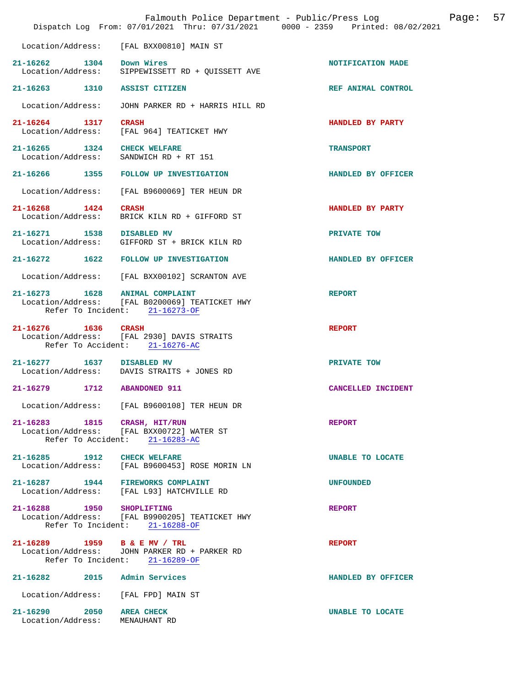|                                                            | Falmouth Police Department - Public/Press Log<br>Dispatch Log From: 07/01/2021 Thru: 07/31/2021 0000 - 2359 Printed: 08/02/2021 |                    | Page: | 57 |
|------------------------------------------------------------|---------------------------------------------------------------------------------------------------------------------------------|--------------------|-------|----|
| Location/Address:                                          | [FAL BXX00810] MAIN ST                                                                                                          |                    |       |    |
| 21-16262 1304 Down Wires                                   | Location/Address: SIPPEWISSETT RD + QUISSETT AVE                                                                                | NOTIFICATION MADE  |       |    |
| 21-16263 1310 ASSIST CITIZEN                               |                                                                                                                                 | REF ANIMAL CONTROL |       |    |
| Location/Address:                                          | JOHN PARKER RD + HARRIS HILL RD                                                                                                 |                    |       |    |
| 21-16264 1317<br>Location/Address:                         | <b>CRASH</b><br>[FAL 964] TEATICKET HWY                                                                                         | HANDLED BY PARTY   |       |    |
| 21-16265 1324 CHECK WELFARE                                | Location/Address: SANDWICH RD + RT 151                                                                                          | <b>TRANSPORT</b>   |       |    |
|                                                            | 21-16266 1355 FOLLOW UP INVESTIGATION                                                                                           | HANDLED BY OFFICER |       |    |
| Location/Address:                                          | [FAL B9600069] TER HEUN DR                                                                                                      |                    |       |    |
| 21-16268 1424<br>Location/Address:                         | <b>CRASH</b><br>BRICK KILN RD + GIFFORD ST                                                                                      | HANDLED BY PARTY   |       |    |
| 21-16271 1538 DISABLED MV<br>Location/Address:             | GIFFORD ST + BRICK KILN RD                                                                                                      | PRIVATE TOW        |       |    |
|                                                            | 21-16272 1622 FOLLOW UP INVESTIGATION                                                                                           | HANDLED BY OFFICER |       |    |
| Location/Address:                                          | [FAL BXX00102] SCRANTON AVE                                                                                                     |                    |       |    |
| 21-16273    1628    ANIMAL COMPLAINT                       | Location/Address: [FAL B0200069] TEATICKET HWY<br>Refer To Incident: 21-16273-OF                                                | <b>REPORT</b>      |       |    |
| 21-16276 1636 CRASH                                        | Location/Address: [FAL 2930] DAVIS STRAITS<br>Refer To Accident: 21-16276-AC                                                    | <b>REPORT</b>      |       |    |
| 21-16277 1637 DISABLED MV                                  | Location/Address: DAVIS STRAITS + JONES RD                                                                                      | PRIVATE TOW        |       |    |
| 21-16279 1712                                              | <b>ABANDONED 911</b>                                                                                                            | CANCELLED INCIDENT |       |    |
|                                                            | Location/Address: [FAL B9600108] TER HEUN DR                                                                                    |                    |       |    |
| 21-16283 1815 CRASH, HIT/RUN                               | Location/Address: [FAL BXX00722] WATER ST<br>Refer To Accident: 21-16283-AC                                                     | <b>REPORT</b>      |       |    |
| 21-16285 1912 CHECK WELFARE                                | Location/Address: [FAL B9600453] ROSE MORIN LN                                                                                  | UNABLE TO LOCATE   |       |    |
|                                                            | 21-16287 1944 FIREWORKS COMPLAINT<br>Location/Address: [FAL L93] HATCHVILLE RD                                                  | <b>UNFOUNDED</b>   |       |    |
| 21-16288 1950 SHOPLIFTING                                  | Location/Address: [FAL B9900205] TEATICKET HWY<br>Refer To Incident: 21-16288-OF                                                | <b>REPORT</b>      |       |    |
| 21-16289 1959 B & E MV / TRL                               | Location/Address: JOHN PARKER RD + PARKER RD<br>Refer To Incident: 21-16289-OF                                                  | <b>REPORT</b>      |       |    |
| 21-16282 2015 Admin Services                               |                                                                                                                                 | HANDLED BY OFFICER |       |    |
|                                                            | Location/Address: [FAL FPD] MAIN ST                                                                                             |                    |       |    |
| 21-16290 2050 AREA CHECK<br>Location/Address: MENAUHANT RD |                                                                                                                                 | UNABLE TO LOCATE   |       |    |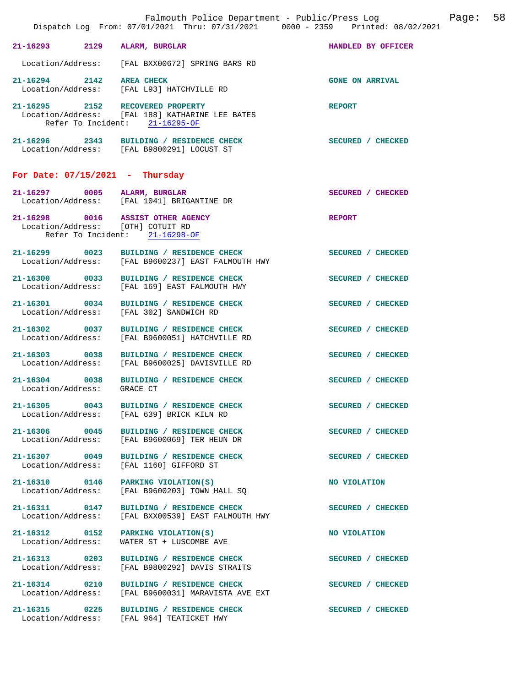|                                    | Dispatch Log From: 07/01/2021 Thru: 07/31/2021 0000 - 2359 Printed: 08/02/2021                                        |                          |
|------------------------------------|-----------------------------------------------------------------------------------------------------------------------|--------------------------|
|                                    | 21-16293 2129 ALARM, BURGLAR                                                                                          | HANDLED BY OFFICER       |
|                                    | Location/Address: [FAL BXX00672] SPRING BARS RD                                                                       |                          |
| 21-16294 2142 AREA CHECK           | Location/Address: [FAL L93] HATCHVILLE RD                                                                             | <b>GONE ON ARRIVAL</b>   |
|                                    | 21-16295 2152 RECOVERED PROPERTY<br>Location/Address: [FAL 188] KATHARINE LEE BATES<br>Refer To Incident: 21-16295-OF | <b>REPORT</b>            |
|                                    | 21-16296 2343 BUILDING / RESIDENCE CHECK<br>Location/Address: [FAL B9800291] LOCUST ST                                | <b>SECURED</b> / CHECKED |
| For Date: $07/15/2021$ - Thursday  |                                                                                                                       |                          |
|                                    | 21-16297 0005 ALARM, BURGLAR<br>Location/Address: [FAL 1041] BRIGANTINE DR                                            | SECURED / CHECKED        |
|                                    | 21-16298 0016 ASSIST OTHER AGENCY<br>Location/Address: [OTH] COTUIT RD<br>Refer To Incident: 21-16298-OF              | REPORT                   |
|                                    | 21-16299 0023 BUILDING / RESIDENCE CHECK<br>Location/Address: [FAL B9600237] EAST FALMOUTH HWY                        | SECURED / CHECKED        |
|                                    | 21-16300 0033 BUILDING / RESIDENCE CHECK<br>Location/Address: [FAL 169] EAST FALMOUTH HWY                             | SECURED / CHECKED        |
|                                    | 21-16301 0034 BUILDING / RESIDENCE CHECK<br>Location/Address: [FAL 302] SANDWICH RD                                   | SECURED / CHECKED        |
| Location/Address:                  | 21-16302 0037 BUILDING / RESIDENCE CHECK<br>[FAL B9600051] HATCHVILLE RD                                              | SECURED / CHECKED        |
| 21-16303 0038                      | BUILDING / RESIDENCE CHECK<br>Location/Address: [FAL B9600025] DAVISVILLE RD                                          | SECURED / CHECKED        |
| Location/Address: GRACE CT         | 21-16304 0038 BUILDING / RESIDENCE CHECK                                                                              | SECURED / CHECKED        |
| 21-16305 0043                      | BUILDING / RESIDENCE CHECK<br>Location/Address: [FAL 639] BRICK KILN RD                                               | SECURED / CHECKED        |
| 21-16306 0045                      | BUILDING / RESIDENCE CHECK<br>Location/Address: [FAL B9600069] TER HEUN DR                                            | SECURED / CHECKED        |
| 21-16307 0049<br>Location/Address: | <b>BUILDING / RESIDENCE CHECK</b><br>[FAL 1160] GIFFORD ST                                                            | SECURED / CHECKED        |
| 21-16310 0146<br>Location/Address: | PARKING VIOLATION(S)<br>[FAL B9600203] TOWN HALL SO                                                                   | NO VIOLATION             |
| 21-16311 0147<br>Location/Address: | BUILDING / RESIDENCE CHECK<br>[FAL BXX00539] EAST FALMOUTH HWY                                                        | SECURED / CHECKED        |
| 21-16312 0152<br>Location/Address: | PARKING VIOLATION(S)<br>WATER ST + LUSCOMBE AVE                                                                       | NO VIOLATION             |
| 21-16313 0203<br>Location/Address: | BUILDING / RESIDENCE CHECK<br>[FAL B9800292] DAVIS STRAITS                                                            | SECURED / CHECKED        |
| 21-16314 0210<br>Location/Address: | BUILDING / RESIDENCE CHECK<br>[FAL B9600031] MARAVISTA AVE EXT                                                        | SECURED / CHECKED        |
|                                    | 21-16315 0225 BUILDING / RESIDENCE CHECK<br>Location/Address: [FAL 964] TEATICKET HWY                                 | SECURED / CHECKED        |
|                                    |                                                                                                                       |                          |

Falmouth Police Department - Public/Press Log Page: 58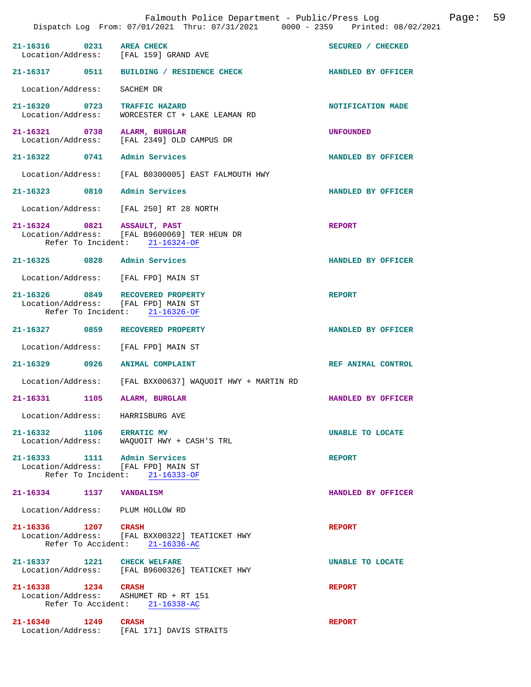|                                                                         | Falmouth Police Department - Public/Press Log<br>Dispatch Log From: 07/01/2021 Thru: 07/31/2021 0000 - 2359 Printed: 08/02/2021 |                    | Page: | 59 |
|-------------------------------------------------------------------------|---------------------------------------------------------------------------------------------------------------------------------|--------------------|-------|----|
| $21 - 16316$<br>Location/Address: [FAL 159] GRAND AVE                   | 0231 AREA CHECK                                                                                                                 | SECURED / CHECKED  |       |    |
|                                                                         | 21-16317 0511 BUILDING / RESIDENCE CHECK                                                                                        | HANDLED BY OFFICER |       |    |
| Location/Address:                                                       | SACHEM DR                                                                                                                       |                    |       |    |
|                                                                         | 21-16320 0723 TRAFFIC HAZARD<br>Location/Address: WORCESTER CT + LAKE LEAMAN RD                                                 | NOTIFICATION MADE  |       |    |
| 21-16321 0738<br>Location/Address:                                      | ALARM, BURGLAR<br>[FAL 2349] OLD CAMPUS DR                                                                                      | <b>UNFOUNDED</b>   |       |    |
| 21-16322 0741 Admin Services                                            |                                                                                                                                 | HANDLED BY OFFICER |       |    |
| Location/Address:                                                       | [FAL B0300005] EAST FALMOUTH HWY                                                                                                |                    |       |    |
| 21-16323 0810                                                           | Admin Services                                                                                                                  | HANDLED BY OFFICER |       |    |
|                                                                         | Location/Address: [FAL 250] RT 28 NORTH                                                                                         |                    |       |    |
| 21-16324 0821 ASSAULT, PAST                                             | Location/Address: [FAL B9600069] TER HEUN DR<br>Refer To Incident: 21-16324-OF                                                  | <b>REPORT</b>      |       |    |
| 21-16325 0828 Admin Services                                            |                                                                                                                                 | HANDLED BY OFFICER |       |    |
| Location/Address: [FAL FPD] MAIN ST                                     |                                                                                                                                 |                    |       |    |
| 21-16326 0849 RECOVERED PROPERTY<br>Location/Address: [FAL FPD] MAIN ST | Refer To Incident: 21-16326-OF                                                                                                  | <b>REPORT</b>      |       |    |
| 21-16327 0859 RECOVERED PROPERTY                                        |                                                                                                                                 | HANDLED BY OFFICER |       |    |
| Location/Address:                                                       | [FAL FPD] MAIN ST                                                                                                               |                    |       |    |
| 21-16329 0926 ANIMAL COMPLAINT                                          |                                                                                                                                 | REF ANIMAL CONTROL |       |    |
| Location/Address:                                                       | [FAL BXX00637] WAQUOIT HWY + MARTIN RD                                                                                          |                    |       |    |
| 21-16331<br>1105                                                        | ALARM, BURGLAR                                                                                                                  | HANDLED BY OFFICER |       |    |
| Location/Address: HARRISBURG AVE                                        |                                                                                                                                 |                    |       |    |
| 21-16332 1106 ERRATIC MV                                                | Location/Address: WAQUOIT HWY + CASH'S TRL                                                                                      | UNABLE TO LOCATE   |       |    |
| 21-16333 1111 Admin Services<br>Location/Address: [FAL FPD] MAIN ST     | Refer To Incident: 21-16333-OF                                                                                                  | <b>REPORT</b>      |       |    |
| 21-16334 1137 VANDALISM                                                 |                                                                                                                                 | HANDLED BY OFFICER |       |    |
| Location/Address: PLUM HOLLOW RD                                        |                                                                                                                                 |                    |       |    |
| 21-16336 1207 CRASH                                                     | Location/Address: [FAL BXX00322] TEATICKET HWY<br>Refer To Accident: 21-16336-AC                                                | <b>REPORT</b>      |       |    |
| 21-16337 1221 CHECK WELFARE                                             | Location/Address: [FAL B9600326] TEATICKET HWY                                                                                  | UNABLE TO LOCATE   |       |    |
| 21-16338 1234 CRASH<br>Location/Address: ASHUMET RD + RT 151            | Refer To Accident: 21-16338-AC                                                                                                  | <b>REPORT</b>      |       |    |
| 21-16340 1249                                                           | CRASH<br>Location/Address: [FAL 171] DAVIS STRAITS                                                                              | <b>REPORT</b>      |       |    |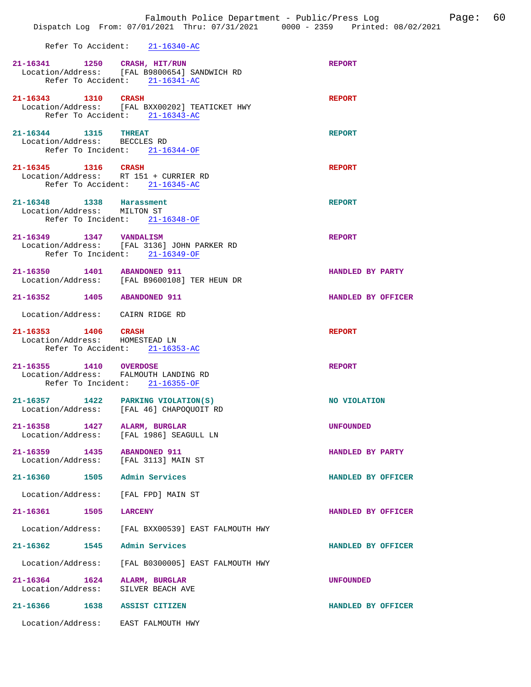## Refer To Accident: 21-16340-AC

|                                                                         | 21-16341 1250 CRASH, HIT/RUN<br>Location/Address: [FAL B9800654] SANDWICH RD<br>Refer To Accident: 21-16341-AC | <b>REPORT</b>      |
|-------------------------------------------------------------------------|----------------------------------------------------------------------------------------------------------------|--------------------|
|                                                                         | 21-16343 1310 CRASH<br>Location/Address: [FAL BXX00202] TEATICKET HWY<br>Refer To Accident: 21-16343-AC        | <b>REPORT</b>      |
| 21-16344 1315 THREAT<br>Location/Address: BECCLES RD                    | Refer To Incident: 21-16344-OF                                                                                 | <b>REPORT</b>      |
| 21-16345 1316 CRASH<br>Location/Address: RT 151 + CURRIER RD            | Refer To Accident: 21-16345-AC                                                                                 | <b>REPORT</b>      |
| 21-16348 1338 Harassment<br>Location/Address: MILTON ST                 | Refer To Incident: 21-16348-OF                                                                                 | <b>REPORT</b>      |
| 21-16349 1347 VANDALISM                                                 | Location/Address: [FAL 3136] JOHN PARKER RD<br>Refer To Incident: 21-16349-OF                                  | <b>REPORT</b>      |
|                                                                         | 21-16350 1401 ABANDONED 911<br>Location/Address: [FAL B9600108] TER HEUN DR                                    | HANDLED BY PARTY   |
| 21-16352 1405 ABANDONED 911                                             |                                                                                                                | HANDLED BY OFFICER |
| Location/Address: CAIRN RIDGE RD                                        |                                                                                                                |                    |
| 21-16353 1406 CRASH<br>Location/Address: HOMESTEAD LN                   | Refer To Accident: 21-16353-AC                                                                                 | <b>REPORT</b>      |
| 21-16355 1410 OVERDOSE<br>Location/Address: FALMOUTH LANDING RD         | Refer To Incident: 21-16355-OF                                                                                 | <b>REPORT</b>      |
|                                                                         | 21-16357 1422 PARKING VIOLATION(S)<br>Location/Address: [FAL 46] CHAPOQUOIT RD                                 | NO VIOLATION       |
| 21-16358 1427 ALARM, BURGLAR<br>Location/Address: [FAL 1986] SEAGULL LN |                                                                                                                | <b>UNFOUNDED</b>   |
| 21-16359 1435 ABANDONED 911<br>Location/Address: [FAL 3113] MAIN ST     |                                                                                                                | HANDLED BY PARTY   |
| 21-16360 1505 Admin Services                                            |                                                                                                                | HANDLED BY OFFICER |
| Location/Address: [FAL FPD] MAIN ST                                     |                                                                                                                |                    |
| 21-16361 1505                                                           | <b>LARCENY</b>                                                                                                 | HANDLED BY OFFICER |
| Location/Address:                                                       | [FAL BXX00539] EAST FALMOUTH HWY                                                                               |                    |
| 21-16362<br>1545                                                        | Admin Services                                                                                                 | HANDLED BY OFFICER |
| Location/Address:                                                       | [FAL B0300005] EAST FALMOUTH HWY                                                                               |                    |
| 21-16364 1624<br>Location/Address:                                      | ALARM, BURGLAR<br>SILVER BEACH AVE                                                                             | <b>UNFOUNDED</b>   |
| 21-16366                                                                | 1638 ASSIST CITIZEN                                                                                            | HANDLED BY OFFICER |
| Location/Address: EAST FALMOUTH HWY                                     |                                                                                                                |                    |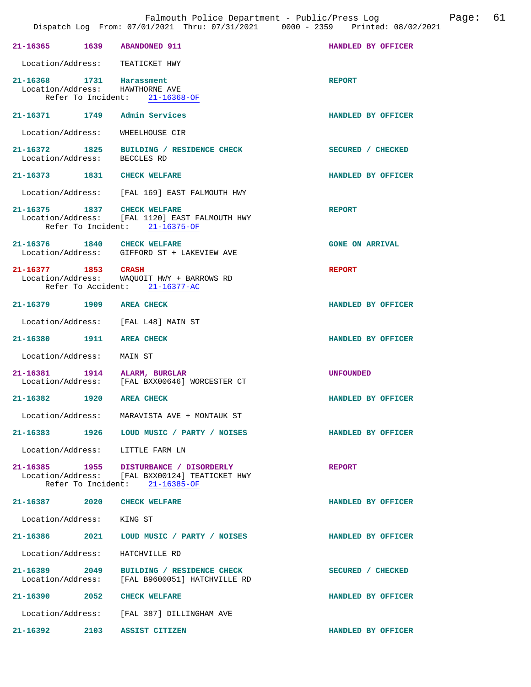| 21-16365 1639 ABANDONED 911                                 |                                                                                                                                                          | HANDLED BY OFFICER     |
|-------------------------------------------------------------|----------------------------------------------------------------------------------------------------------------------------------------------------------|------------------------|
| Location/Address: TEATICKET HWY                             |                                                                                                                                                          |                        |
| 21-16368 1731 Harassment<br>Location/Address: HAWTHORNE AVE | Refer To Incident: 21-16368-OF                                                                                                                           | <b>REPORT</b>          |
| 21-16371 1749 Admin Services                                |                                                                                                                                                          | HANDLED BY OFFICER     |
| Location/Address:                                           | WHEELHOUSE CIR                                                                                                                                           |                        |
|                                                             | 21-16372 1825 BUILDING / RESIDENCE CHECK<br>Location/Address: BECCLES RD                                                                                 | SECURED / CHECKED      |
| 21-16373 1831 CHECK WELFARE                                 |                                                                                                                                                          | HANDLED BY OFFICER     |
|                                                             | Location/Address: [FAL 169] EAST FALMOUTH HWY                                                                                                            |                        |
| 21-16375 1837 CHECK WELFARE                                 | Location/Address: [FAL 1120] EAST FALMOUTH HWY<br>Refer To Incident: 21-16375-OF                                                                         | <b>REPORT</b>          |
|                                                             | $\begin{tabular}{llll} \bf 21-16376 & & \tt 1840 & \tt CHECK WELFARE \\ \bf \textit{Location}/Address: & \tt GIFFORD ST + LAKEVIEW AVE \\ \end{tabular}$ | <b>GONE ON ARRIVAL</b> |
|                                                             | 21-16377 1853 CRASH<br>Location/Address: WAQUOIT HWY + BARROWS RD<br>Refer To Accident: 21-16377-AC                                                      | <b>REPORT</b>          |
| 21-16379 1909 AREA CHECK                                    |                                                                                                                                                          | HANDLED BY OFFICER     |
| Location/Address: [FAL L48] MAIN ST                         |                                                                                                                                                          |                        |
| 21-16380 1911 AREA CHECK                                    |                                                                                                                                                          | HANDLED BY OFFICER     |
| Location/Address: MAIN ST                                   |                                                                                                                                                          |                        |
| 21-16381 1914 ALARM, BURGLAR                                | Location/Address: [FAL BXX00646] WORCESTER CT                                                                                                            | <b>UNFOUNDED</b>       |
| 21-16382 1920 AREA CHECK                                    |                                                                                                                                                          | HANDLED BY OFFICER     |
|                                                             | Location/Address: MARAVISTA AVE + MONTAUK ST                                                                                                             |                        |
|                                                             | 21-16383 1926 LOUD MUSIC / PARTY / NOISES                                                                                                                | HANDLED BY OFFICER     |
| Location/Address: LITTLE FARM LN                            |                                                                                                                                                          |                        |
|                                                             | 21-16385 1955 DISTURBANCE / DISORDERLY<br>Location/Address: [FAL BXX00124] TEATICKET HWY<br>Refer To Incident: 21-16385-OF                               | <b>REPORT</b>          |
| 21-16387 2020 CHECK WELFARE                                 |                                                                                                                                                          | HANDLED BY OFFICER     |
| Location/Address: KING ST                                   |                                                                                                                                                          |                        |
|                                                             | 21-16386 2021 LOUD MUSIC / PARTY / NOISES                                                                                                                | HANDLED BY OFFICER     |
| Location/Address: HATCHVILLE RD                             |                                                                                                                                                          |                        |
| 21-16389 2049                                               | BUILDING / RESIDENCE CHECK<br>Location/Address: [FAL B9600051] HATCHVILLE RD                                                                             | SECURED / CHECKED      |
| 21-16390 2052 CHECK WELFARE                                 |                                                                                                                                                          | HANDLED BY OFFICER     |
|                                                             | Location/Address: [FAL 387] DILLINGHAM AVE                                                                                                               |                        |
| 21-16392                                                    | 2103 ASSIST CITIZEN                                                                                                                                      | HANDLED BY OFFICER     |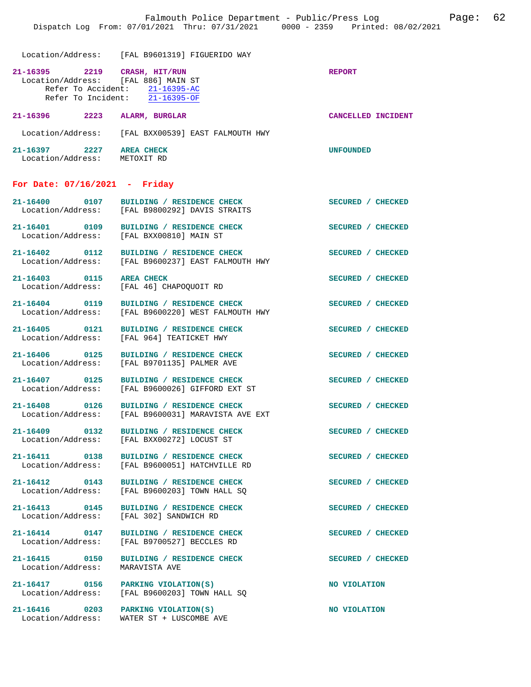Location/Address: [FAL B9601319] FIGUERIDO WAY

| 21-16395          | 2219               | CRASH, HIT/RUN                      | <b>REPORT</b>      |
|-------------------|--------------------|-------------------------------------|--------------------|
|                   |                    | Location/Address: [FAL 886] MAIN ST |                    |
|                   | Refer To Accident: | 21-16395-AC                         |                    |
|                   | Refer To Incident: | 21-16395-OF                         |                    |
| 21-16396          | 2223               | ALARM, BURGLAR                      | CANCELLED INCIDENT |
|                   |                    |                                     |                    |
| Location/Address: |                    | [FAL BXX00539] EAST FALMOUTH HWY    |                    |
| 21-16397          | 2227               | <b>AREA CHECK</b>                   | <b>UNFOUNDED</b>   |
| Location/Address: |                    | METOXIT RD                          |                    |

## **For Date: 07/16/2021 - Friday**

| $21 - 16400$<br>Location/Address: | 0107 | <b>RESIDENCE CHECK</b><br><b>BUILDING</b><br>[FAL B9800292] DAVIS STRAITS    | <b>SECURED</b> | <b>CHECKED</b> |
|-----------------------------------|------|------------------------------------------------------------------------------|----------------|----------------|
| $21 - 16401$<br>Location/Address: | 0109 | <b>RESIDENCE CHECK</b><br>BUILDING /<br>[FAL BXX00810] MAIN ST               | <b>SECURED</b> | <b>CHECKED</b> |
| $21 - 16402$<br>Location/Address: | 0112 | <b>RESIDENCE CHECK</b><br>BUILDING /<br>[FAL B9600237] EAST FALMOUTH HWY     | <b>SECURED</b> | <b>CHECKED</b> |
| $21 - 16403$<br>Location/Address: | 0115 | <b>AREA CHECK</b><br>[FAL 46] CHAPOOUOIT RD                                  | <b>SECURED</b> | <b>CHECKED</b> |
| $21 - 16404$<br>Location/Address: | 0119 | <b>RESIDENCE CHECK</b><br><b>BUILDING</b><br>FAL B96002201 WEST FALMOUTH HWY | <b>SECURED</b> | <b>CHECKED</b> |

Location/Address: [FAL B9701135] PALMER AVE

Location/Address: MARAVISTA AVE

**21-16405 0121 BUILDING / RESIDENCE CHECK SECURED / CHECKED**  Location/Address: [FAL 964] TEATICKET HWY

**21-16406 0125 BUILDING / RESIDENCE CHECK SECURED / CHECKED** 

**21-16407 0125 BUILDING / RESIDENCE CHECK SECURED / CHECKED**  Location/Address: [FAL B9600026] GIFFORD EXT ST

21-16408 0126 BUILDING / RESIDENCE CHECK<br>Location/Address: [FAL B9600031] MARAVISTA AVE EXT [FAL B9600031] MARAVISTA AVE EXT

**21-16409 0132 BUILDING / RESIDENCE CHECK SECURED / CHECKED**  Location/Address: [FAL BXX00272] LOCUST ST

**21-16411 0138 BUILDING / RESIDENCE CHECK SECURED / CHECKED**  Location/Address: [FAL B9600051] HATCHVILLE RD

**21-16412 0143 BUILDING / RESIDENCE CHECK SECURED / CHECKED**   $[FAL B9600203]$  TOWN HALL SO

**21-16413 0145 BUILDING / RESIDENCE CHECK SECURED / CHECKED**  [FAL 302] SANDWICH RD

**21-16414 0147 BUILDING / RESIDENCE CHECK SECURED / CHECKED**  Location/Address: [FAL B9700527] BECCLES RD

**21-16415 0150 BUILDING / RESIDENCE CHECK SECURED / CHECKED** 

**21-16417 0156 PARKING VIOLATION(S) NO VIOLATION**  Location/Address: [FAL B9600203] TOWN HALL SQ

**21-16416** 0203 PARKING VIOLATION(S) NO VIOLATION Location/Address: WATER ST + LUSCOMBE AVE WATER ST + LUSCOMBE AVE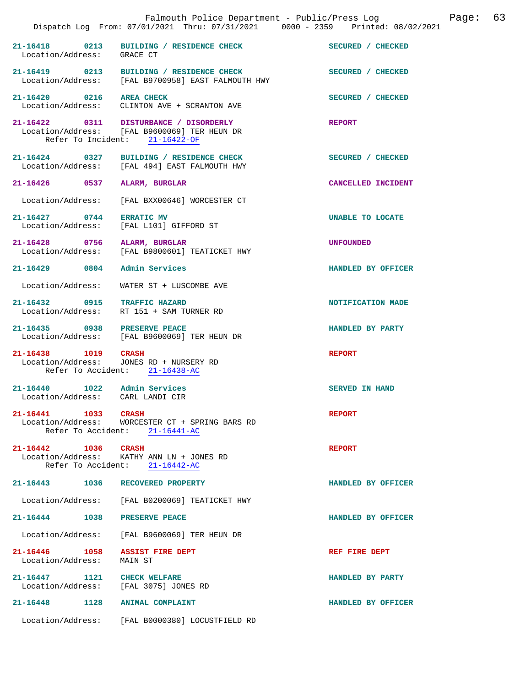|                                                                  | Falmouth Police Department - Public/Press Log<br>Dispatch Log From: 07/01/2021 Thru: 07/31/2021 0000 - 2359 Printed: 08/02/2021 |                       | Page: | 63 |
|------------------------------------------------------------------|---------------------------------------------------------------------------------------------------------------------------------|-----------------------|-------|----|
| Location/Address: GRACE CT                                       | 21-16418 0213 BUILDING / RESIDENCE CHECK                                                                                        | SECURED / CHECKED     |       |    |
|                                                                  | 21-16419 0213 BUILDING / RESIDENCE CHECK<br>Location/Address: [FAL B9700958] EAST FALMOUTH HWY                                  | SECURED / CHECKED     |       |    |
| 21-16420 0216 AREA CHECK                                         | Location/Address: CLINTON AVE + SCRANTON AVE                                                                                    | SECURED / CHECKED     |       |    |
|                                                                  | 21-16422 0311 DISTURBANCE / DISORDERLY<br>Location/Address: [FAL B9600069] TER HEUN DR<br>Refer To Incident: 21-16422-OF        | <b>REPORT</b>         |       |    |
|                                                                  | 21-16424 0327 BUILDING / RESIDENCE CHECK<br>Location/Address: [FAL 494] EAST FALMOUTH HWY                                       | SECURED / CHECKED     |       |    |
| 21-16426 0537 ALARM, BURGLAR                                     |                                                                                                                                 | CANCELLED INCIDENT    |       |    |
| Location/Address:                                                | [FAL BXX00646] WORCESTER CT                                                                                                     |                       |       |    |
| 21-16427 0744                                                    | <b>ERRATIC MV</b><br>Location/Address: [FAL L101] GIFFORD ST                                                                    | UNABLE TO LOCATE      |       |    |
| 21-16428 0756 ALARM, BURGLAR                                     | Location/Address: [FAL B9800601] TEATICKET HWY                                                                                  | <b>UNFOUNDED</b>      |       |    |
| 21-16429 0804                                                    | Admin Services                                                                                                                  | HANDLED BY OFFICER    |       |    |
| Location/Address:                                                | WATER ST + LUSCOMBE AVE                                                                                                         |                       |       |    |
| 21-16432 0915 TRAFFIC HAZARD                                     | Location/Address: RT 151 + SAM TURNER RD                                                                                        | NOTIFICATION MADE     |       |    |
| 21-16435 0938 PRESERVE PEACE                                     | Location/Address: [FAL B9600069] TER HEUN DR                                                                                    | HANDLED BY PARTY      |       |    |
| 21-16438 1019                                                    | <b>CRASH</b><br>Location/Address: JONES RD + NURSERY RD<br>Refer To Accident: 21-16438-AC                                       | <b>REPORT</b>         |       |    |
| 21-16440 1022 Admin Services<br>Location/Address: CARL LANDI CIR |                                                                                                                                 | <b>SERVED IN HAND</b> |       |    |
| 21-16441 1033 CRASH                                              | Location/Address: WORCESTER CT + SPRING BARS RD<br>Refer To Accident: 21-16441-AC                                               | <b>REPORT</b>         |       |    |
| 21-16442 1036<br>Refer To Accident:                              | <b>CRASH</b><br>Location/Address: KATHY ANN LN + JONES RD<br>$21 - 16442 - AC$                                                  | <b>REPORT</b>         |       |    |
| 21-16443 1036                                                    | RECOVERED PROPERTY                                                                                                              | HANDLED BY OFFICER    |       |    |
| Location/Address:                                                | [FAL B0200069] TEATICKET HWY                                                                                                    |                       |       |    |
| 1038<br>21-16444                                                 | PRESERVE PEACE                                                                                                                  | HANDLED BY OFFICER    |       |    |
| Location/Address:                                                | [FAL B9600069] TER HEUN DR                                                                                                      |                       |       |    |
| 21-16446 1058<br>Location/Address:                               | ASSIST FIRE DEPT<br>MAIN ST                                                                                                     | REF FIRE DEPT         |       |    |
| 21-16447 1121<br>Location/Address:                               | CHECK WELFARE<br>[FAL 3075] JONES RD                                                                                            | HANDLED BY PARTY      |       |    |
| 1128<br>$21 - 16448$                                             | <b>ANIMAL COMPLAINT</b>                                                                                                         | HANDLED BY OFFICER    |       |    |
|                                                                  | Location/Address: [FAL B0000380] LOCUSTFIELD RD                                                                                 |                       |       |    |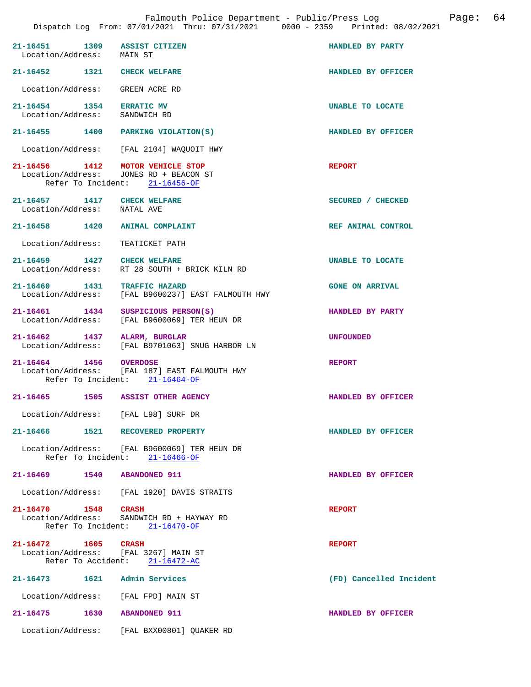| 21-16451 1309 ASSIST CITIZEN<br>Location/Address: MAIN ST  |                                                                                 | HANDLED BY PARTY        |
|------------------------------------------------------------|---------------------------------------------------------------------------------|-------------------------|
| 21-16452 1321 CHECK WELFARE                                |                                                                                 | HANDLED BY OFFICER      |
| Location/Address: GREEN ACRE RD                            |                                                                                 |                         |
| 21-16454 1354<br>Location/Address: SANDWICH RD             | <b>ERRATIC MV</b>                                                               | UNABLE TO LOCATE        |
| 21-16455 1400 PARKING VIOLATION(S)                         |                                                                                 | HANDLED BY OFFICER      |
|                                                            | Location/Address: [FAL 2104] WAQUOIT HWY                                        |                         |
| 21-16456 1412 MOTOR VEHICLE STOP                           | Location/Address: JONES RD + BEACON ST<br>Refer To Incident: $21-16456-OF$      | <b>REPORT</b>           |
| 21-16457 1417 CHECK WELFARE<br>Location/Address: NATAL AVE |                                                                                 | SECURED / CHECKED       |
| 21-16458 1420 ANIMAL COMPLAINT                             |                                                                                 | REF ANIMAL CONTROL      |
| Location/Address:                                          | TEATICKET PATH                                                                  |                         |
| 21-16459 1427 CHECK WELFARE                                | Location/Address: RT 28 SOUTH + BRICK KILN RD                                   | UNABLE TO LOCATE        |
| 21-16460 1431 TRAFFIC HAZARD<br>Location/Address:          | [FAL B9600237] EAST FALMOUTH HWY                                                | <b>GONE ON ARRIVAL</b>  |
| 21-16461 1434 SUSPICIOUS PERSON(S)                         | Location/Address: [FAL B9600069] TER HEUN DR                                    | HANDLED BY PARTY        |
| 21-16462 1437 ALARM, BURGLAR                               | Location/Address: [FAL B9701063] SNUG HARBOR LN                                 | <b>UNFOUNDED</b>        |
| 21-16464 1456 OVERDOSE                                     | Location/Address: [FAL 187] EAST FALMOUTH HWY<br>Refer To Incident: 21-16464-OF | <b>REPORT</b>           |
| 21-16465 1505 ASSIST OTHER AGENCY                          |                                                                                 | HANDLED BY OFFICER      |
| Location/Address: [FAL L98] SURF DR                        |                                                                                 |                         |
| 21-16466 1521 RECOVERED PROPERTY                           |                                                                                 | HANDLED BY OFFICER      |
|                                                            | Location/Address: [FAL B9600069] TER HEUN DR<br>Refer To Incident: 21-16466-OF  |                         |
| 21-16469                                                   | 1540 ABANDONED 911                                                              | HANDLED BY OFFICER      |
|                                                            | Location/Address: [FAL 1920] DAVIS STRAITS                                      |                         |
| 21-16470 1548 CRASH                                        | Location/Address: SANDWICH RD + HAYWAY RD<br>Refer To Incident: 21-16470-OF     | <b>REPORT</b>           |
| 21-16472 1605<br>Location/Address: [FAL 3267] MAIN ST      | <b>CRASH</b><br>Refer To Accident: 21-16472-AC                                  | <b>REPORT</b>           |
| 21-16473    1621    Admin Services                         |                                                                                 | (FD) Cancelled Incident |
| Location/Address: [FAL FPD] MAIN ST                        |                                                                                 |                         |
| $21 - 16475$                                               | 1630 ABANDONED 911                                                              | HANDLED BY OFFICER      |
|                                                            | Location/Address: [FAL BXX00801] QUAKER RD                                      |                         |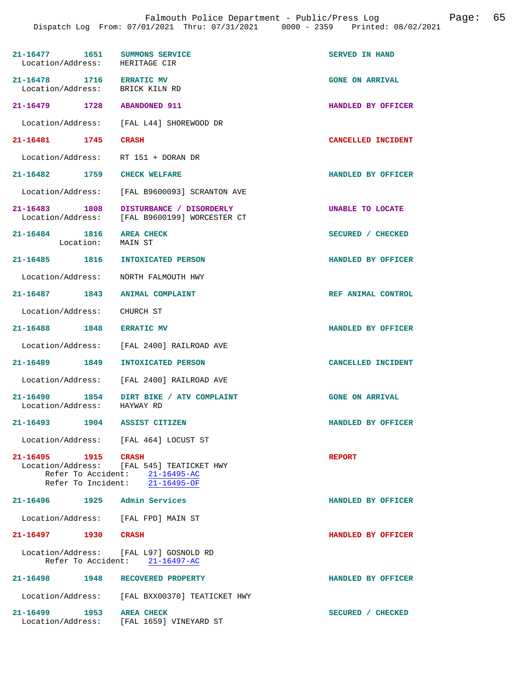| 21-16477 1651<br>Location/Address: HERITAGE CIR             | SUMMONS SERVICE                                                                                                            | <b>SERVED IN HAND</b>  |
|-------------------------------------------------------------|----------------------------------------------------------------------------------------------------------------------------|------------------------|
| 21-16478 1716 ERRATIC MV<br>Location/Address: BRICK KILN RD |                                                                                                                            | <b>GONE ON ARRIVAL</b> |
| 21-16479 1728 ABANDONED 911                                 |                                                                                                                            | HANDLED BY OFFICER     |
|                                                             | Location/Address: [FAL L44] SHOREWOOD DR                                                                                   |                        |
| 21-16481 1745                                               | <b>CRASH</b>                                                                                                               | CANCELLED INCIDENT     |
| Location/Address:                                           | RT 151 + DORAN DR                                                                                                          |                        |
| 21-16482 1759 CHECK WELFARE                                 |                                                                                                                            | HANDLED BY OFFICER     |
|                                                             | Location/Address: [FAL B9600093] SCRANTON AVE                                                                              |                        |
| 21-16483 1808<br>Location/Address:                          | DISTURBANCE / DISORDERLY<br>[FAL B9600199] WORCESTER CT                                                                    | UNABLE TO LOCATE       |
| 21-16484 1816<br>Location:                                  | <b>AREA CHECK</b><br>MAIN ST                                                                                               | SECURED / CHECKED      |
| 21-16485 1816                                               | <b>INTOXICATED PERSON</b>                                                                                                  | HANDLED BY OFFICER     |
| Location/Address:                                           | NORTH FALMOUTH HWY                                                                                                         |                        |
| 21-16487 1843                                               | ANIMAL COMPLAINT                                                                                                           | REF ANIMAL CONTROL     |
| Location/Address: CHURCH ST                                 |                                                                                                                            |                        |
| 21-16488 1848                                               | <b>ERRATIC MV</b>                                                                                                          | HANDLED BY OFFICER     |
|                                                             | Location/Address: [FAL 2400] RAILROAD AVE                                                                                  |                        |
| 21-16489 1849                                               | INTOXICATED PERSON                                                                                                         | CANCELLED INCIDENT     |
|                                                             | Location/Address: [FAL 2400] RAILROAD AVE                                                                                  |                        |
| Location/Address: HAYWAY RD                                 | 21-16490 1854 DIRT BIKE / ATV COMPLAINT                                                                                    | <b>GONE ON ARRIVAL</b> |
| 21-16493 1904 ASSIST CITIZEN                                |                                                                                                                            | HANDLED BY OFFICER     |
| Location/Address: [FAL 464] LOCUST ST                       |                                                                                                                            |                        |
| 21-16495 1915 CRASH                                         | Location/Address: [FAL 545] TEATICKET HWY<br>Refer To Accident: 21-16495-AC<br>Refer To Incident: $\overline{21-16495-OF}$ | <b>REPORT</b>          |
| 21-16496   1925   Admin Services                            |                                                                                                                            | HANDLED BY OFFICER     |
| Location/Address: [FAL FPD] MAIN ST                         |                                                                                                                            |                        |
| 21-16497 1930 CRASH                                         |                                                                                                                            | HANDLED BY OFFICER     |
|                                                             | Location/Address: [FAL L97] GOSNOLD RD<br>Refer To Accident: 21-16497-AC                                                   |                        |
| 21-16498 1948                                               | RECOVERED PROPERTY                                                                                                         | HANDLED BY OFFICER     |
|                                                             | Location/Address: [FAL BXX00370] TEATICKET HWY                                                                             |                        |
| 21-16499 1953                                               | <b>AREA CHECK</b><br>Location/Address: [FAL 1659] VINEYARD ST                                                              | SECURED / CHECKED      |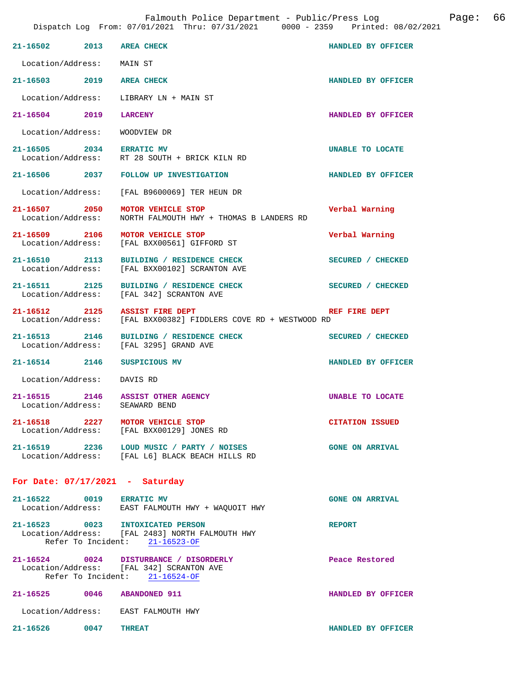|                                            | Falmouth Police Department - Public/Press Log<br>Dispatch Log From: 07/01/2021 Thru: 07/31/2021 0000 - 2359 Printed: 08/02/2021 |                         | Page: | 66 |
|--------------------------------------------|---------------------------------------------------------------------------------------------------------------------------------|-------------------------|-------|----|
| 21-16502 2013 AREA CHECK                   |                                                                                                                                 | HANDLED BY OFFICER      |       |    |
| Location/Address: MAIN ST                  |                                                                                                                                 |                         |       |    |
| 21-16503 2019 AREA CHECK                   |                                                                                                                                 | HANDLED BY OFFICER      |       |    |
| Location/Address:                          | LIBRARY LN + MAIN ST                                                                                                            |                         |       |    |
| 21-16504 2019                              | <b>LARCENY</b>                                                                                                                  | HANDLED BY OFFICER      |       |    |
| Location/Address:                          | WOODVIEW DR                                                                                                                     |                         |       |    |
| 21-16505 2034 ERRATIC MV                   | Location/Address: RT 28 SOUTH + BRICK KILN RD                                                                                   | UNABLE TO LOCATE        |       |    |
|                                            | 21-16506 2037 FOLLOW UP INVESTIGATION                                                                                           | HANDLED BY OFFICER      |       |    |
|                                            | Location/Address: [FAL B9600069] TER HEUN DR                                                                                    |                         |       |    |
| Location/Address:                          | 21-16507 2050 MOTOR VEHICLE STOP<br>NORTH FALMOUTH HWY + THOMAS B LANDERS RD                                                    | Verbal Warning          |       |    |
|                                            | 21-16509 2106 MOTOR VEHICLE STOP<br>Location/Address: [FAL BXX00561] GIFFORD ST                                                 | Verbal Warning          |       |    |
|                                            | 21-16510 2113 BUILDING / RESIDENCE CHECK<br>Location/Address: [FAL BXX00102] SCRANTON AVE                                       | SECURED / CHECKED       |       |    |
| Location/Address:                          | 21-16511 2125 BUILDING / RESIDENCE CHECK<br>[FAL 342] SCRANTON AVE                                                              | SECURED / CHECKED       |       |    |
|                                            | 21-16512 2125 ASSIST FIRE DEPT<br>Location/Address: [FAL BXX00382] FIDDLERS COVE RD + WESTWOOD RD                               | REF FIRE DEPT           |       |    |
|                                            | 21-16513 2146 BUILDING / RESIDENCE CHECK<br>Location/Address: [FAL 3295] GRAND AVE                                              | SECURED / CHECKED       |       |    |
| 21-16514 2146 SUSPICIOUS MV                |                                                                                                                                 | HANDLED BY OFFICER      |       |    |
| Location/Address: DAVIS RD                 |                                                                                                                                 |                         |       |    |
| 21-16515<br>Location/Address: SEAWARD BEND | 2146 ASSIST OTHER AGENCY                                                                                                        | <b>UNABLE TO LOCATE</b> |       |    |
|                                            | 21-16518 2227 MOTOR VEHICLE STOP<br>Location/Address: [FAL BXX00129] JONES RD                                                   | <b>CITATION ISSUED</b>  |       |    |
|                                            | 21-16519 2236 LOUD MUSIC / PARTY / NOISES<br>Location/Address: [FAL L6] BLACK BEACH HILLS RD                                    | <b>GONE ON ARRIVAL</b>  |       |    |
| For Date: $07/17/2021$ - Saturday          |                                                                                                                                 |                         |       |    |
| 21-16522 0019 ERRATIC MV                   | Location/Address: EAST FALMOUTH HWY + WAQUOIT HWY                                                                               | <b>GONE ON ARRIVAL</b>  |       |    |
|                                            | 21-16523 0023 INTOXICATED PERSON<br>Location/Address: [FAL 2483] NORTH FALMOUTH HWY<br>Refer To Incident: 21-16523-OF           | <b>REPORT</b>           |       |    |
|                                            | 21-16524 0024 DISTURBANCE / DISORDERLY<br>Location/Address: [FAL 342] SCRANTON AVE<br>Refer To Incident: 21-16524-OF            | Peace Restored          |       |    |
|                                            | 21-16525 0046 ABANDONED 911                                                                                                     | HANDLED BY OFFICER      |       |    |
|                                            | Location/Address: EAST FALMOUTH HWY                                                                                             |                         |       |    |
| 21-16526 0047 THREAT                       |                                                                                                                                 | HANDLED BY OFFICER      |       |    |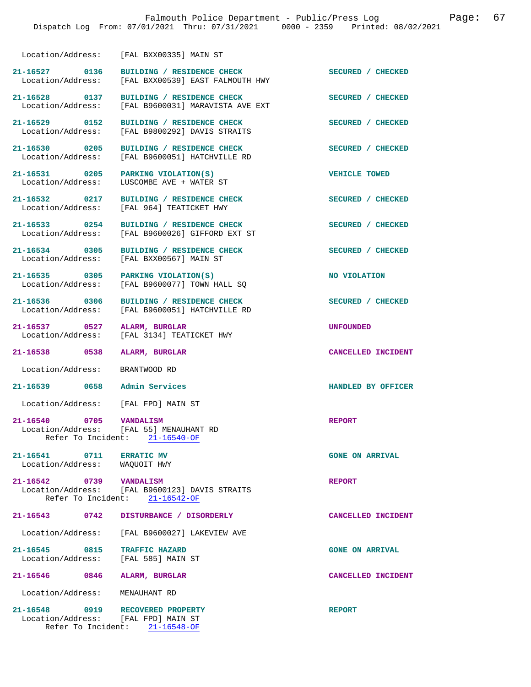Location/Address: [FAL BXX00335] MAIN ST

| 21-16527          | 0136 | BUILDING / RESIDENCE CHECK       | SECURED / CHECKED |
|-------------------|------|----------------------------------|-------------------|
| Location/Address: |      | [FAL BXX00539] EAST FALMOUTH HWY |                   |
|                   |      |                                  |                   |

[FAL B9600051] HATCHVILLE RD

[FAL B9600026] GIFFORD EXT ST

Location/Address: [FAL B9600077] TOWN HALL SQ

[FAL B9600051] HATCHVILLE RD

**21-16528 0137 BUILDING / RESIDENCE CHECK SECURED / CHECKED**  Location/Address: [FAL B9600031] MARAVISTA AVE EXT

**21-16529 0152 BUILDING / RESIDENCE CHECK SECURED / CHECKED**  Location/Address: [FAL B9800292] DAVIS STRAITS

**21-16531 0205 PARKING VIOLATION(S) VEHICLE TOWED**  Location/Address: LUSCOMBE AVE + WATER ST

Location/Address: [FAL 964] TEATICKET HWY

21-16533 0254 BUILDING / RESIDENCE CHECK<br>
Location/Address: [FAL B9600026] GIFFORD EXT ST

Location/Address: [FAL BXX00567] MAIN ST

**21-16535** 0305 PARKING VIOLATION(S) **NO VIOLATION NO VIOLATION NO** VIOLATION

21-16536 0306 BUILDING / RESIDENCE CHECK **SECURED** / CHECKED Location / Address: [FAL B9600051] HATCHVILLE RD

**21-16537 0527 ALARM, BURGLAR UNFOUNDED**  Location/Address: [FAL 3134] TEATICKET HWY

**21-16538 0538 ALARM, BURGLAR CANCELLED INCIDENT** 

Location/Address: BRANTWOOD RD

**21-16539 0658 Admin Services HANDLED BY OFFICER** 

Location/Address: [FAL FPD] MAIN ST

**21-16540 0705 VANDALISM REPORT**   $[FAL 55]$  MENAUHANT RD<br>ent:  $21-16540-OF$ Refer To Incident:

**21-16541 0711 ERRATIC MV GONE ON ARRIVAL**  Location/Address: WAQUOIT HWY

**21-16542 0739 VANDALISM REPORT**  [FAL B9600123] DAVIS STRAITS Refer To Incident: 21-16542-OF

## **21-16543 0742 DISTURBANCE / DISORDERLY CANCELLED INCIDENT**

Location/Address: [FAL B9600027] LAKEVIEW AVE

**21-16545 0815 TRAFFIC HAZARD GONE ON ARRIVAL**  Location/Address: [FAL 585] MAIN ST

**21-16546 0846 ALARM, BURGLAR CANCELLED INCIDENT** 

Location/Address: MENAUHANT RD

**21-16548 0919 RECOVERED PROPERTY REPORT**  Location/Address: [FAL FPD] MAIN ST Refer To Incident: 21-16548-OF

21-16530 0205 BUILDING / RESIDENCE CHECK **SECURED** / CHECKED Location/Address: [FAL B9600051] HATCHVILLE RD

**21-16532 0217 BUILDING / RESIDENCE CHECK SECURED / CHECKED** 

**21-16534 0305 BUILDING / RESIDENCE CHECK SECURED / CHECKED**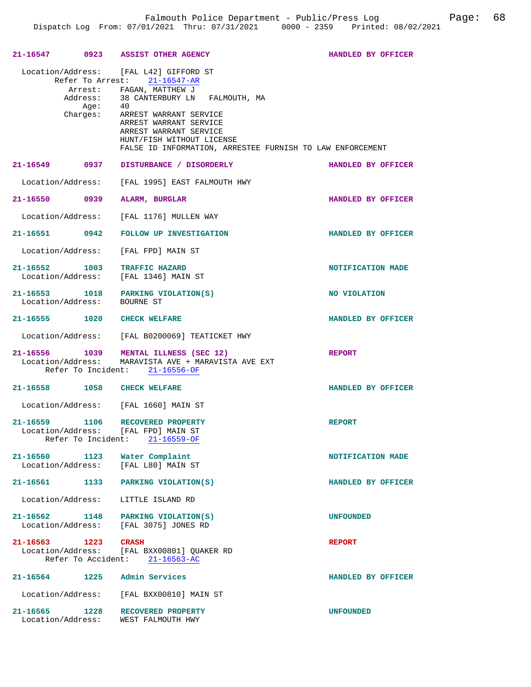| 21-16547      | 0923                        | ASSIST OTHER AGENCY                                                                                                                                                                                                                                                                                                                                                                    | HANDLED BY OFFICER |
|---------------|-----------------------------|----------------------------------------------------------------------------------------------------------------------------------------------------------------------------------------------------------------------------------------------------------------------------------------------------------------------------------------------------------------------------------------|--------------------|
|               |                             | Location/Address: [FAL L42] GIFFORD ST<br>Refer To Arrest: 21-16547-AR<br>Arrest: FAGAN, MATTHEW J<br>$\begin{tabular}{llll} Address: & 38 CANTERBURY LN & FALMOUTH, MA \\ Age: & 40 & \end{tabular}$<br>Charges: ARREST WARRANT SERVICE<br>ARREST WARRANT SERVICE<br>ARREST WARRANT SERVICE<br>HUNT/FISH WITHOUT LICENSE<br>FALSE ID INFORMATION, ARRESTEE FURNISH TO LAW ENFORCEMENT |                    |
|               |                             | 21-16549 0937 DISTURBANCE / DISORDERLY                                                                                                                                                                                                                                                                                                                                                 | HANDLED BY OFFICER |
|               | Location/Address:           | [FAL 1995] EAST FALMOUTH HWY                                                                                                                                                                                                                                                                                                                                                           |                    |
| 21-16550 0939 |                             | ALARM, BURGLAR                                                                                                                                                                                                                                                                                                                                                                         | HANDLED BY OFFICER |
|               |                             | Location/Address: [FAL 1176] MULLEN WAY                                                                                                                                                                                                                                                                                                                                                |                    |
| 21-16551 0942 |                             | FOLLOW UP INVESTIGATION                                                                                                                                                                                                                                                                                                                                                                | HANDLED BY OFFICER |
|               |                             | Location/Address: [FAL FPD] MAIN ST                                                                                                                                                                                                                                                                                                                                                    |                    |
|               | 21-16552 1003               | <b>TRAFFIC HAZARD</b><br>Location/Address: [FAL 1346] MAIN ST                                                                                                                                                                                                                                                                                                                          | NOTIFICATION MADE  |
|               | Location/Address: BOURNE ST | 21-16553 1018 PARKING VIOLATION(S)                                                                                                                                                                                                                                                                                                                                                     | NO VIOLATION       |
|               |                             | 21-16555 1020 CHECK WELFARE                                                                                                                                                                                                                                                                                                                                                            | HANDLED BY OFFICER |
|               |                             | Location/Address: [FAL B0200069] TEATICKET HWY                                                                                                                                                                                                                                                                                                                                         |                    |
|               |                             | 21-16556 1039 MENTAL ILLNESS (SEC 12)<br>Location/Address: MARAVISTA AVE + MARAVISTA AVE EXT<br>Refer To Incident: 21-16556-OF                                                                                                                                                                                                                                                         | <b>REPORT</b>      |
|               |                             | 21-16558 1058 CHECK WELFARE                                                                                                                                                                                                                                                                                                                                                            | HANDLED BY OFFICER |
|               |                             | Location/Address: [FAL 1660] MAIN ST                                                                                                                                                                                                                                                                                                                                                   |                    |
|               | 21-16559 1106               | RECOVERED PROPERTY<br>Location/Address: [FAL FPD] MAIN ST<br>Refer To Incident: 21-16559-OF                                                                                                                                                                                                                                                                                            | <b>REPORT</b>      |
|               |                             | 21-16560 1123 Water Complaint<br>Location/Address: [FAL L80] MAIN ST                                                                                                                                                                                                                                                                                                                   | NOTIFICATION MADE  |
|               |                             | 21-16561 1133 PARKING VIOLATION(S)                                                                                                                                                                                                                                                                                                                                                     | HANDLED BY OFFICER |
|               |                             | Location/Address: LITTLE ISLAND RD                                                                                                                                                                                                                                                                                                                                                     |                    |
|               |                             | 21-16562 1148 PARKING VIOLATION(S)<br>Location/Address: [FAL 3075] JONES RD                                                                                                                                                                                                                                                                                                            | <b>UNFOUNDED</b>   |
|               | 21-16563 1223 CRASH         | Location/Address: [FAL BXX00801] QUAKER RD<br>Refer To Accident: 21-16563-AC                                                                                                                                                                                                                                                                                                           | <b>REPORT</b>      |
|               |                             | 21-16564 1225 Admin Services                                                                                                                                                                                                                                                                                                                                                           | HANDLED BY OFFICER |
|               |                             | Location/Address: [FAL BXX00810] MAIN ST                                                                                                                                                                                                                                                                                                                                               |                    |
|               | Location/Address:           | 21-16565 1228 RECOVERED PROPERTY<br>WEST FALMOUTH HWY                                                                                                                                                                                                                                                                                                                                  | <b>UNFOUNDED</b>   |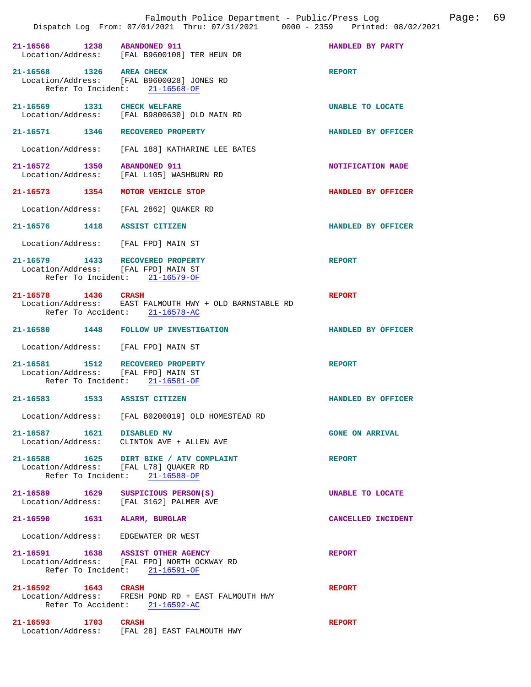|                                                                         | Dispatch Log From: 07/01/2021 Thru: 07/31/2021 0000 - 2359 Printed: 08/02/2021                                       |                        |
|-------------------------------------------------------------------------|----------------------------------------------------------------------------------------------------------------------|------------------------|
| 21-16566 1238 ABANDONED 911                                             | Location/Address: [FAL B9600108] TER HEUN DR                                                                         | HANDLED BY PARTY       |
| 21-16568 1326 AREA CHECK                                                | Location/Address: [FAL B9600028] JONES RD<br>Refer To Incident: 21-16568-OF                                          | <b>REPORT</b>          |
| 21-16569 1331 CHECK WELFARE                                             | Location/Address: [FAL B9800630] OLD MAIN RD                                                                         | UNABLE TO LOCATE       |
| 21-16571 1346 RECOVERED PROPERTY                                        |                                                                                                                      | HANDLED BY OFFICER     |
|                                                                         | Location/Address: [FAL 188] KATHARINE LEE BATES                                                                      |                        |
| 21-16572 1350 ABANDONED 911                                             | Location/Address: [FAL L105] WASHBURN RD                                                                             | NOTIFICATION MADE      |
| 21-16573 1354                                                           | MOTOR VEHICLE STOP                                                                                                   | HANDLED BY OFFICER     |
|                                                                         | Location/Address: [FAL 2862] OUAKER RD                                                                               |                        |
| 21-16576 1418 ASSIST CITIZEN                                            |                                                                                                                      | HANDLED BY OFFICER     |
| Location/Address: [FAL FPD] MAIN ST                                     |                                                                                                                      |                        |
| 21-16579 1433 RECOVERED PROPERTY<br>Location/Address: [FAL FPD] MAIN ST | Refer To Incident: 21-16579-OF                                                                                       | <b>REPORT</b>          |
| 21-16578 1436 CRASH                                                     | Location/Address: EAST FALMOUTH HWY + OLD BARNSTABLE RD<br>Refer To Accident: 21-16578-AC                            | <b>REPORT</b>          |
|                                                                         | 21-16580 1448 FOLLOW UP INVESTIGATION                                                                                | HANDLED BY OFFICER     |
| Location/Address: [FAL FPD] MAIN ST                                     |                                                                                                                      |                        |
| 21-16581 1512 RECOVERED PROPERTY<br>Location/Address: [FAL FPD] MAIN ST | Refer To Incident: 21-16581-OF                                                                                       | <b>REPORT</b>          |
| 21-16583 1533 ASSIST CITIZEN                                            |                                                                                                                      | HANDLED BY OFFICER     |
| Location/Address:                                                       | [FAL B0200019] OLD HOMESTEAD RD                                                                                      |                        |
| 21-16587 1621 DISABLED MV                                               | Location/Address: CLINTON AVE + ALLEN AVE                                                                            | <b>GONE ON ARRIVAL</b> |
| Location/Address: [FAL L78] QUAKER RD                                   | 21-16588 1625 DIRT BIKE / ATV COMPLAINT<br>Refer To Incident: 21-16588-OF                                            | <b>REPORT</b>          |
| 21-16589 1629                                                           | SUSPICIOUS PERSON(S)<br>Location/Address: [FAL 3162] PALMER AVE                                                      | UNABLE TO LOCATE       |
| 21-16590 1631 ALARM, BURGLAR                                            |                                                                                                                      | CANCELLED INCIDENT     |
| Location/Address: EDGEWATER DR WEST                                     |                                                                                                                      |                        |
|                                                                         | 21-16591 1638 ASSIST OTHER AGENCY<br>Location/Address: [FAL FPD] NORTH OCKWAY RD<br>Refer To Incident: $21-16591-OF$ | <b>REPORT</b>          |
| 21-16592 1643 CRASH                                                     | Location/Address: FRESH POND RD + EAST FALMOUTH HWY<br>Refer To Accident: 21-16592-AC                                | <b>REPORT</b>          |
| 21-16593 1703 CRASH                                                     | Location/Address: [FAL 28] EAST FALMOUTH HWY                                                                         | <b>REPORT</b>          |

Falmouth Police Department - Public/Press Log Fage: 69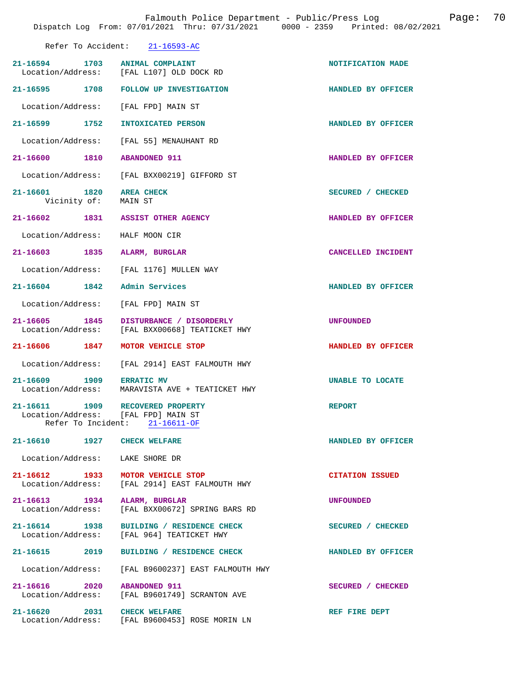| Refer To Accident:<br>$21 - 16593 - AC$ |  |
|-----------------------------------------|--|
|-----------------------------------------|--|

|                                                      | 21-16594 1703 ANIMAL COMPLAINT<br>Location/Address: [FAL L107] OLD DOCK RD            | NOTIFICATION MADE      |
|------------------------------------------------------|---------------------------------------------------------------------------------------|------------------------|
| 21-16595 1708                                        | FOLLOW UP INVESTIGATION                                                               | HANDLED BY OFFICER     |
| Location/Address: [FAL FPD] MAIN ST                  |                                                                                       |                        |
| 21–16599 1752                                        | INTOXICATED PERSON                                                                    | HANDLED BY OFFICER     |
|                                                      | Location/Address: [FAL 55] MENAUHANT RD                                               |                        |
| 21-16600 1810                                        | <b>ABANDONED 911</b>                                                                  | HANDLED BY OFFICER     |
|                                                      | Location/Address: [FAL BXX00219] GIFFORD ST                                           |                        |
| 21-16601 1820<br>Vicinity of: MAIN ST                | <b>AREA CHECK</b>                                                                     | SECURED / CHECKED      |
| 21-16602 1831 ASSIST OTHER AGENCY                    |                                                                                       | HANDLED BY OFFICER     |
| Location/Address: HALF MOON CIR                      |                                                                                       |                        |
| 21-16603 1835 ALARM, BURGLAR                         |                                                                                       | CANCELLED INCIDENT     |
|                                                      | Location/Address: [FAL 1176] MULLEN WAY                                               |                        |
| 21-16604 1842 Admin Services                         |                                                                                       | HANDLED BY OFFICER     |
| Location/Address: [FAL FPD] MAIN ST                  |                                                                                       |                        |
| 21-16605 1845                                        | DISTURBANCE / DISORDERLY<br>Location/Address: [FAL BXX00668] TEATICKET HWY            | <b>UNFOUNDED</b>       |
| 21-16606 1847                                        | MOTOR VEHICLE STOP                                                                    | HANDLED BY OFFICER     |
|                                                      |                                                                                       |                        |
|                                                      | Location/Address: [FAL 2914] EAST FALMOUTH HWY                                        |                        |
| 21-16609 1909 ERRATIC MV                             | Location/Address: MARAVISTA AVE + TEATICKET HWY                                       | UNABLE TO LOCATE       |
| 21-16611 1909<br>Location/Address: [FAL FPD] MAIN ST | RECOVERED PROPERTY<br>Refer To Incident: 21-16611-OF                                  | <b>REPORT</b>          |
| 21-16610 1927                                        | <b>CHECK WELFARE</b>                                                                  | HANDLED BY OFFICER     |
| Location/Address: LAKE SHORE DR                      |                                                                                       |                        |
|                                                      | 21-16612 1933 MOTOR VEHICLE STOP<br>Location/Address: [FAL 2914] EAST FALMOUTH HWY    | <b>CITATION ISSUED</b> |
| 21-16613 1934 ALARM, BURGLAR                         | Location/Address: [FAL BXX00672] SPRING BARS RD                                       | UNFOUNDED              |
|                                                      | 21-16614 1938 BUILDING / RESIDENCE CHECK<br>Location/Address: [FAL 964] TEATICKET HWY | SECURED / CHECKED      |
|                                                      | 21-16615 2019 BUILDING / RESIDENCE CHECK                                              | HANDLED BY OFFICER     |
|                                                      | Location/Address: [FAL B9600237] EAST FALMOUTH HWY                                    |                        |
| 21-16616 2020 ABANDONED 911                          | Location/Address: [FAL B9601749] SCRANTON AVE                                         | SECURED / CHECKED      |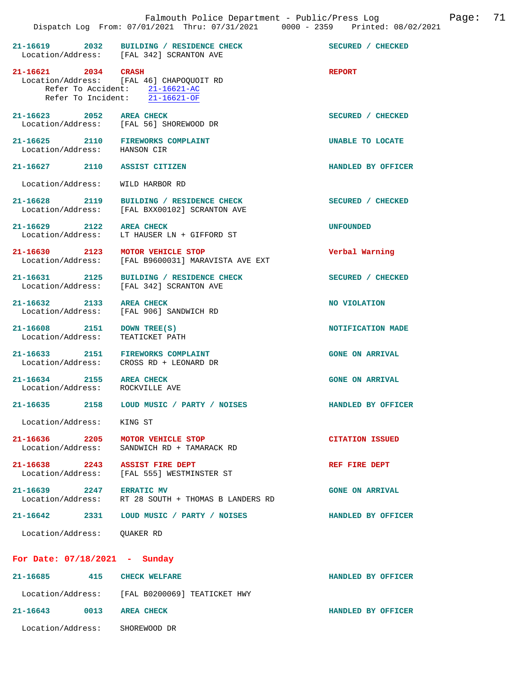|                                                                   | 21-16619 2032 BUILDING / RESIDENCE CHECK<br>Location/Address: [FAL 342] SCRANTON AVE                         | SECURED / CHECKED      |
|-------------------------------------------------------------------|--------------------------------------------------------------------------------------------------------------|------------------------|
| 21-16621 2034 CRASH                                               | Location/Address: [FAL 46] CHAPOQUOIT RD<br>Refer To Accident: 21-16621-AC<br>Refer To Incident: 21-16621-OF | <b>REPORT</b>          |
| 21-16623 2052 AREA CHECK                                          | Location/Address: [FAL 56] SHOREWOOD DR                                                                      | SECURED / CHECKED      |
| 21-16625 2110 FIREWORKS COMPLAINT<br>Location/Address: HANSON CIR |                                                                                                              | UNABLE TO LOCATE       |
| 21-16627 2110 ASSIST CITIZEN                                      |                                                                                                              | HANDLED BY OFFICER     |
| Location/Address:                                                 | WILD HARBOR RD                                                                                               |                        |
|                                                                   | 21-16628 2119 BUILDING / RESIDENCE CHECK<br>Location/Address: [FAL BXX00102] SCRANTON AVE                    | SECURED / CHECKED      |
| 21-16629 2122 AREA CHECK                                          | Location/Address: LT HAUSER LN + GIFFORD ST                                                                  | <b>UNFOUNDED</b>       |
| 21-16630 2123 MOTOR VEHICLE STOP                                  | Location/Address: [FAL B9600031] MARAVISTA AVE EXT                                                           | Verbal Warning         |
| 21-16631 2125                                                     | BUILDING / RESIDENCE CHECK<br>Location/Address: [FAL 342] SCRANTON AVE                                       | SECURED / CHECKED      |
| 21-16632 2133                                                     | <b>AREA CHECK</b><br>Location/Address: [FAL 906] SANDWICH RD                                                 | NO VIOLATION           |
| 21-16608 2151<br>Location/Address:                                | DOWN TREE(S)<br>TEATICKET PATH                                                                               | NOTIFICATION MADE      |
| 21-16633 2151 FIREWORKS COMPLAINT                                 | Location/Address: CROSS RD + LEONARD DR                                                                      | <b>GONE ON ARRIVAL</b> |
| 21-16634 2155 AREA CHECK<br>Location/Address: ROCKVILLE AVE       |                                                                                                              | <b>GONE ON ARRIVAL</b> |
|                                                                   | 21-16635 2158 LOUD MUSIC / PARTY / NOISES                                                                    | HANDLED BY OFFICER     |
| Location/Address: KING ST                                         |                                                                                                              |                        |
| $21 - 16636$ 2205                                                 | MOTOR VEHICLE STOP<br>Location/Address: SANDWICH RD + TAMARACK RD                                            | <b>CITATION ISSUED</b> |
| 21-16638 2243 ASSIST FIRE DEPT                                    | Location/Address: [FAL 555] WESTMINSTER ST                                                                   | REF FIRE DEPT          |
| 21-16639 2247 ERRATIC MV                                          | Location/Address: RT 28 SOUTH + THOMAS B LANDERS RD                                                          | <b>GONE ON ARRIVAL</b> |
|                                                                   | 21-16642 2331 LOUD MUSIC / PARTY / NOISES                                                                    | HANDLED BY OFFICER     |
| Location/Address: OUAKER RD                                       |                                                                                                              |                        |
| For Date: 07/18/2021 - Sunday                                     |                                                                                                              |                        |
| 21-16685 415 CHECK WELFARE                                        |                                                                                                              | HANDLED BY OFFICER     |
|                                                                   | Location/Address: [FAL B0200069] TEATICKET HWY                                                               |                        |
| 21-16643 0013 AREA CHECK                                          |                                                                                                              | HANDLED BY OFFICER     |
| Location/Address: SHOREWOOD DR                                    |                                                                                                              |                        |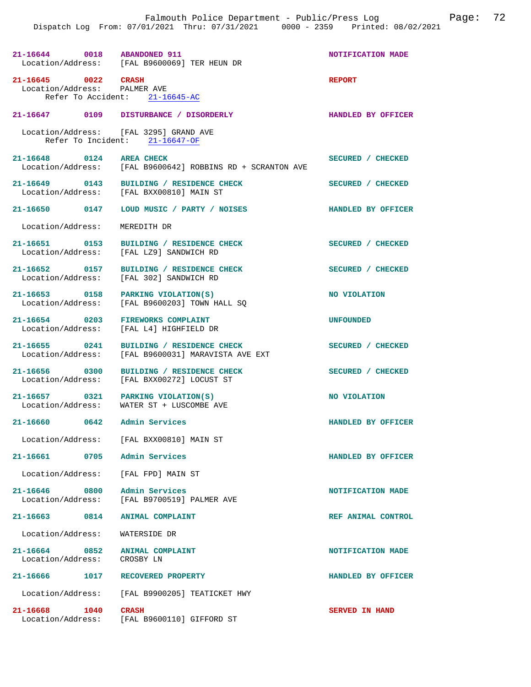**21-16644** 0018 ABANDONED 911 **NOTIFICATION MADE** Location/Address: [FAL B9600069] TER HEUN DR [FAL B9600069] TER HEUN DR **21-16645 0022 CRASH REPORT**  Location/Address: PALMER AVE Refer To Accident: 21-16645-AC **21-16647 0109 DISTURBANCE / DISORDERLY HANDLED BY OFFICER**  Location/Address: [FAL 3295] GRAND AVE<br>Refer To Incident: 21-16647-OF Refer To Incident: 21-16648 0124 AREA CHECK **SECURED** / CHECKED<br>Location/Address: [FAL B9600642] ROBBINS RD + SCRANTON AVE [FAL B9600642] ROBBINS RD + SCRANTON AVE **21-16649 0143 BUILDING / RESIDENCE CHECK SECURED / CHECKED**  Location/Address: [FAL BXX00810] MAIN ST **21-16650 0147 LOUD MUSIC / PARTY / NOISES HANDLED BY OFFICER**  Location/Address: MEREDITH DR 21-16651 0153 BUILDING / RESIDENCE CHECK SECURED / CHECKED Location/Address: [FAL L29] SANDWICH RD [FAL LZ9] SANDWICH RD 21-16652 0157 BUILDING / RESIDENCE CHECK SECURED / CHECKED Location/Address: [FAL 302] SANDWICH RD [FAL 302] SANDWICH RD **21-16653** 0158 PARKING VIOLATION(S) **NO VIOLATION NO VIOLATION NO** VIOLATION [FAL B9600203] TOWN HALL SQ **21-16654 0203 FIREWORKS COMPLAINT UNFOUNDED**  [FAL L4] HIGHFIELD DR **21-16655 0241 BUILDING / RESIDENCE CHECK SECURED / CHECKED**  Location/Address: [FAL B9600031] MARAVISTA AVE EXT **21-16656 0300 BUILDING / RESIDENCE CHECK SECURED / CHECKED**  Location/Address: [FAL BXX00272] LOCUST ST **21-16657** 0321 PARKING VIOLATION(S) NO VIOLATION Location/Address: WATER ST + LUSCOMBE AVE WATER ST + LUSCOMBE AVE **21-16660 0642 Admin Services HANDLED BY OFFICER**  Location/Address: [FAL BXX00810] MAIN ST **21-16661 0705 Admin Services HANDLED BY OFFICER**  Location/Address: [FAL FPD] MAIN ST 21-16646 0800 Admin Services<br>
Location/Address: [FAL B9700519] PALMER AVE [FAL B9700519] PALMER AVE **21-16663 0814 ANIMAL COMPLAINT REF ANIMAL CONTROL**  Location/Address: WATERSIDE DR **21-16664 0852 ANIMAL COMPLAINT NOTIFICATION MADE**  Location/Address: CROSBY LN **21-16666 1017 RECOVERED PROPERTY HANDLED BY OFFICER**  Location/Address: [FAL B9900205] TEATICKET HWY **21-16668 1040 CRASH SERVED IN HAND**  Location/Address: [FAL B9600110] GIFFORD ST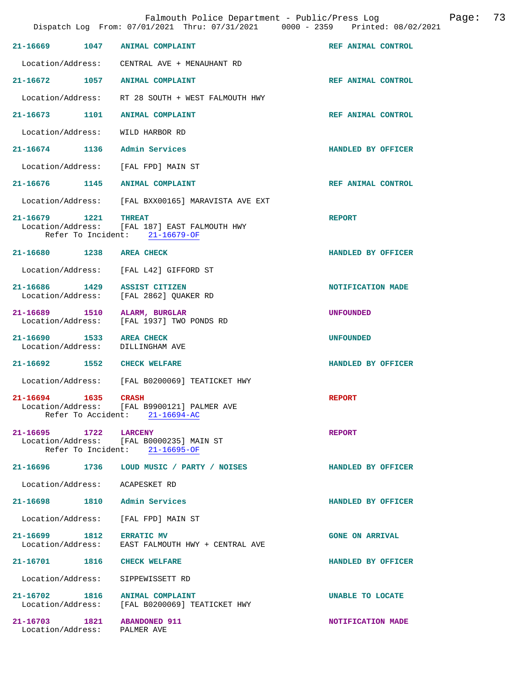| Falmouth Police Department - Public/Press Log<br>Dispatch Log From: 07/01/2021 Thru: 07/31/2021 0000 - 2359 Printed: 08/02/2021 |      |                                                                                               |                        | Page: | 73 |
|---------------------------------------------------------------------------------------------------------------------------------|------|-----------------------------------------------------------------------------------------------|------------------------|-------|----|
| 21-16669                                                                                                                        | 1047 | <b>ANIMAL COMPLAINT</b>                                                                       | REF ANIMAL CONTROL     |       |    |
| Location/Address:                                                                                                               |      | CENTRAL AVE + MENAUHANT RD                                                                    |                        |       |    |
| $21 - 16672$                                                                                                                    | 1057 | <b>ANIMAL COMPLAINT</b>                                                                       | REF ANIMAL CONTROL     |       |    |
| Location/Address:                                                                                                               |      | RT 28 SOUTH + WEST FALMOUTH HWY                                                               |                        |       |    |
| $21 - 16673$                                                                                                                    | 1101 | <b>ANIMAL COMPLAINT</b>                                                                       | REF ANIMAL CONTROL     |       |    |
| Location/Address:                                                                                                               |      | WILD HARBOR RD                                                                                |                        |       |    |
| $21 - 16674$                                                                                                                    | 1136 | Admin Services                                                                                | HANDLED BY OFFICER     |       |    |
| Location/Address:                                                                                                               |      | [FAL FPD] MAIN ST                                                                             |                        |       |    |
| 21-16676 1145                                                                                                                   |      | <b>ANIMAL COMPLAINT</b>                                                                       | REF ANIMAL CONTROL     |       |    |
| Location/Address:                                                                                                               |      | [FAL BXX00165] MARAVISTA AVE EXT                                                              |                        |       |    |
| 21-16679<br>1221<br>Location/Address:                                                                                           |      | <b>THREAT</b><br>[FAL 187] EAST FALMOUTH HWY<br>Refer To Incident: 21-16679-OF                | <b>REPORT</b>          |       |    |
| 21-16680                                                                                                                        | 1238 | <b>AREA CHECK</b>                                                                             | HANDLED BY OFFICER     |       |    |
| Location/Address:                                                                                                               |      | [FAL L42] GIFFORD ST                                                                          |                        |       |    |
| 21-16686<br>Location/Address:                                                                                                   | 1429 | ASSIST CITIZEN<br>[FAL 2862] QUAKER RD                                                        | NOTIFICATION MADE      |       |    |
| 21-16689<br>Location/Address:                                                                                                   | 1510 | ALARM, BURGLAR<br>[FAL 1937] TWO PONDS RD                                                     | <b>UNFOUNDED</b>       |       |    |
| 21-16690<br>Location/Address:                                                                                                   | 1533 | <b>AREA CHECK</b><br>DILLINGHAM AVE                                                           | <b>UNFOUNDED</b>       |       |    |
| $21 - 16692$                                                                                                                    | 1552 | <b>CHECK WELFARE</b>                                                                          | HANDLED BY OFFICER     |       |    |
| Location/Address:                                                                                                               |      | [FAL B0200069] TEATICKET HWY                                                                  |                        |       |    |
| 21-16694                                                                                                                        | 1635 | <b>CRASH</b><br>Location/Address: [FAL B9900121] PALMER AVE<br>Refer To Accident: 21-16694-AC | <b>REPORT</b>          |       |    |
| 21-16695 1722 LARCENY                                                                                                           |      | Location/Address: [FAL B0000235] MAIN ST<br>Refer To Incident: 21-16695-OF                    | <b>REPORT</b>          |       |    |
| 21-16696 1736                                                                                                                   |      | LOUD MUSIC / PARTY / NOISES                                                                   | HANDLED BY OFFICER     |       |    |
| Location/Address: ACAPESKET RD                                                                                                  |      |                                                                                               |                        |       |    |
|                                                                                                                                 |      | 21-16698 1810 Admin Services                                                                  | HANDLED BY OFFICER     |       |    |
| Location/Address:                                                                                                               |      | [FAL FPD] MAIN ST                                                                             |                        |       |    |
| 21-16699 1812                                                                                                                   |      | <b>ERRATIC MV</b><br>Location/Address: EAST FALMOUTH HWY + CENTRAL AVE                        | <b>GONE ON ARRIVAL</b> |       |    |
| 21-16701 1816                                                                                                                   |      | <b>CHECK WELFARE</b>                                                                          | HANDLED BY OFFICER     |       |    |
| Location/Address:                                                                                                               |      | SIPPEWISSETT RD                                                                               |                        |       |    |
|                                                                                                                                 |      | 21-16702 1816 ANIMAL COMPLAINT<br>Location/Address: [FAL B0200069] TEATICKET HWY              | UNABLE TO LOCATE       |       |    |
| 21-16703 1821 ABANDONED 911<br>Location/Address: PALMER AVE                                                                     |      |                                                                                               | NOTIFICATION MADE      |       |    |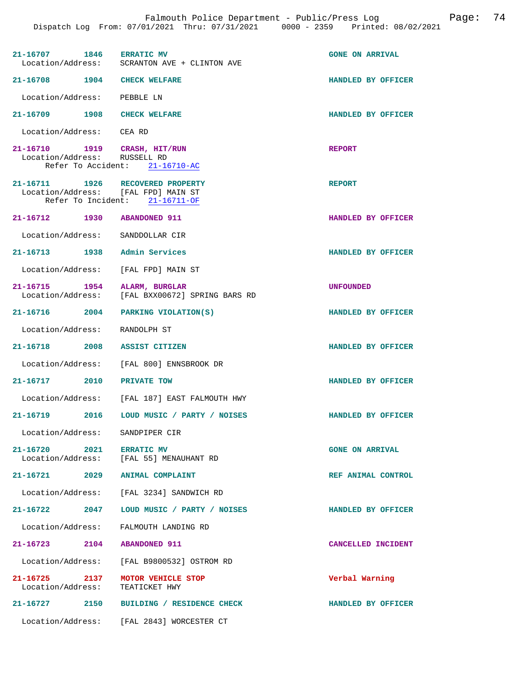|                                                                         | 21-16707 1846 ERRATIC MV<br>Location/Address: SCRANTON AVE + CLINTON AVE | <b>GONE ON ARRIVAL</b> |
|-------------------------------------------------------------------------|--------------------------------------------------------------------------|------------------------|
| 21-16708 1904 CHECK WELFARE                                             |                                                                          | HANDLED BY OFFICER     |
| Location/Address: PEBBLE LN                                             |                                                                          |                        |
| 21-16709 1908 CHECK WELFARE                                             |                                                                          | HANDLED BY OFFICER     |
| Location/Address: CEA RD                                                |                                                                          |                        |
| 21-16710 1919 CRASH, HIT/RUN<br>Location/Address: RUSSELL RD            | Refer To Accident: 21-16710-AC                                           | <b>REPORT</b>          |
| 21-16711 1926 RECOVERED PROPERTY<br>Location/Address: [FAL FPD] MAIN ST | Refer To Incident: $21-16711-OF$                                         | <b>REPORT</b>          |
| 21-16712 1930 ABANDONED 911                                             |                                                                          | HANDLED BY OFFICER     |
| Location/Address: SANDDOLLAR CIR                                        |                                                                          |                        |
| 21-16713 1938 Admin Services                                            |                                                                          | HANDLED BY OFFICER     |
| Location/Address: [FAL FPD] MAIN ST                                     |                                                                          |                        |
| 21-16715 1954 ALARM, BURGLAR                                            | Location/Address: [FAL BXX00672] SPRING BARS RD                          | UNFOUNDED              |
|                                                                         | 21-16716 2004 PARKING VIOLATION(S)                                       | HANDLED BY OFFICER     |
| Location/Address: RANDOLPH ST                                           |                                                                          |                        |
| 21-16718 2008 ASSIST CITIZEN                                            |                                                                          | HANDLED BY OFFICER     |
|                                                                         | Location/Address: [FAL 800] ENNSBROOK DR                                 |                        |
| 21-16717 2010 PRIVATE TOW                                               |                                                                          | HANDLED BY OFFICER     |
|                                                                         | Location/Address: [FAL 187] EAST FALMOUTH HWY                            |                        |
|                                                                         | 21-16719 2016 LOUD MUSIC / PARTY / NOISES                                | HANDLED BY OFFICER     |
| Location/Address: SANDPIPER CIR                                         |                                                                          |                        |
| 21-16720 2021                                                           | <b>ERRATIC MV</b><br>Location/Address: [FAL 55] MENAUHANT RD             | <b>GONE ON ARRIVAL</b> |
| 21-16721 2029 ANIMAL COMPLAINT                                          |                                                                          | REF ANIMAL CONTROL     |
|                                                                         | Location/Address: [FAL 3234] SANDWICH RD                                 |                        |
| 21-16722 2047                                                           | LOUD MUSIC / PARTY / NOISES                                              | HANDLED BY OFFICER     |
|                                                                         | Location/Address: FALMOUTH LANDING RD                                    |                        |
| 21-16723 2104 ABANDONED 911                                             |                                                                          | CANCELLED INCIDENT     |
|                                                                         | Location/Address: [FAL B9800532] OSTROM RD                               |                        |
| 21-16725 2137 MOTOR VEHICLE STOP<br>Location/Address:                   | TEATICKET HWY                                                            | Verbal Warning         |
|                                                                         | 21-16727 2150 BUILDING / RESIDENCE CHECK                                 | HANDLED BY OFFICER     |
|                                                                         | Location/Address: [FAL 2843] WORCESTER CT                                |                        |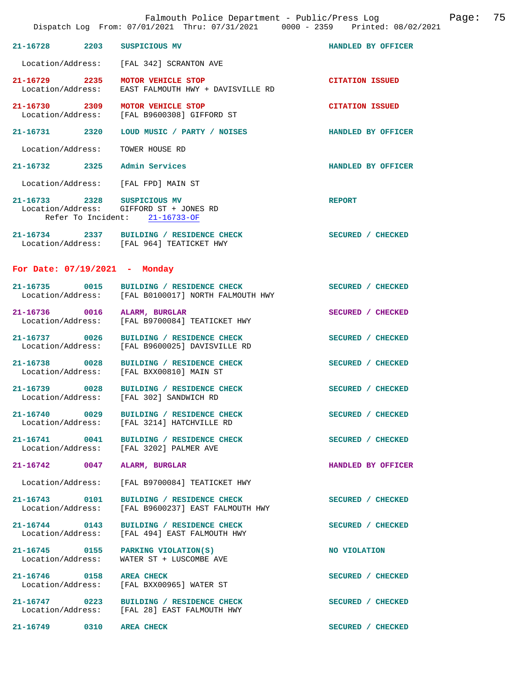|                                    | Falmouth Police Department - Public/Press Log Communication Page:<br>Dispatch Log From: 07/01/2021 Thru: 07/31/2021 0000 - 2359 Printed: 08/02/2021 |                        | 75 |
|------------------------------------|-----------------------------------------------------------------------------------------------------------------------------------------------------|------------------------|----|
|                                    | 21-16728 2203 SUSPICIOUS MV                                                                                                                         | HANDLED BY OFFICER     |    |
|                                    | Location/Address: [FAL 342] SCRANTON AVE                                                                                                            |                        |    |
| Location/Address:                  | 21-16729 2235 MOTOR VEHICLE STOP<br>EAST FALMOUTH HWY + DAVISVILLE RD                                                                               | <b>CITATION ISSUED</b> |    |
|                                    | 21-16730 2309 MOTOR VEHICLE STOP<br>Location/Address: [FAL B9600308] GIFFORD ST                                                                     | <b>CITATION ISSUED</b> |    |
|                                    | 21-16731 2320 LOUD MUSIC / PARTY / NOISES                                                                                                           | HANDLED BY OFFICER     |    |
| Location/Address:                  | TOWER HOUSE RD                                                                                                                                      |                        |    |
|                                    | 21-16732 2325 Admin Services                                                                                                                        | HANDLED BY OFFICER     |    |
|                                    | Location/Address: [FAL FPD] MAIN ST                                                                                                                 |                        |    |
|                                    | 21-16733 2328 SUSPICIOUS MV<br>Location/Address: GIFFORD ST + JONES RD<br>Refer To Incident: 21-16733-OF                                            | <b>REPORT</b>          |    |
|                                    | 21-16734 2337 BUILDING / RESIDENCE CHECK<br>Location/Address: [FAL 964] TEATICKET HWY                                                               | SECURED / CHECKED      |    |
|                                    | For Date: $07/19/2021$ - Monday                                                                                                                     |                        |    |
|                                    | 21-16735 0015 BUILDING / RESIDENCE CHECK<br>Location/Address: [FAL B0100017] NORTH FALMOUTH HWY                                                     | SECURED / CHECKED      |    |
|                                    | 21-16736 0016 ALARM, BURGLAR<br>Location/Address: [FAL B9700084] TEATICKET HWY                                                                      | SECURED / CHECKED      |    |
| Location/Address:                  | 21-16737 0026 BUILDING / RESIDENCE CHECK<br>[FAL B9600025] DAVISVILLE RD                                                                            | SECURED / CHECKED      |    |
|                                    | 21-16738 0028 BUILDING / RESIDENCE CHECK<br>Location/Address: [FAL BXX00810] MAIN ST                                                                | SECURED / CHECKED      |    |
|                                    | 21-16739 0028 BUILDING / RESIDENCE CHECK<br>Location/Address: [FAL 302] SANDWICH RD                                                                 | SECURED / CHECKED      |    |
|                                    | 21-16740 0029 BUILDING / RESIDENCE CHECK<br>Location/Address: [FAL 3214] HATCHVILLE RD                                                              | SECURED / CHECKED      |    |
|                                    | 21-16741 0041 BUILDING / RESIDENCE CHECK<br>Location/Address: [FAL 3202] PALMER AVE                                                                 | SECURED / CHECKED      |    |
|                                    | 21-16742 0047 ALARM, BURGLAR                                                                                                                        | HANDLED BY OFFICER     |    |
|                                    | Location/Address: [FAL B9700084] TEATICKET HWY                                                                                                      |                        |    |
| 21-16743 0101<br>Location/Address: | BUILDING / RESIDENCE CHECK<br>[FAL B9600237] EAST FALMOUTH HWY                                                                                      | SECURED / CHECKED      |    |
|                                    | 21-16744 0143 BUILDING / RESIDENCE CHECK<br>Location/Address: [FAL 494] EAST FALMOUTH HWY                                                           | SECURED / CHECKED      |    |
| Location/Address:                  | 21-16745 0155 PARKING VIOLATION(S)<br>WATER ST + LUSCOMBE AVE                                                                                       | NO VIOLATION           |    |
|                                    | 21-16746 0158 AREA CHECK<br>Location/Address: [FAL BXX00965] WATER ST                                                                               | SECURED / CHECKED      |    |
|                                    | 21-16747 0223 BUILDING / RESIDENCE CHECK<br>Location/Address: [FAL 28] EAST FALMOUTH HWY                                                            | SECURED / CHECKED      |    |
| 21-16749 0310 AREA CHECK           |                                                                                                                                                     | SECURED / CHECKED      |    |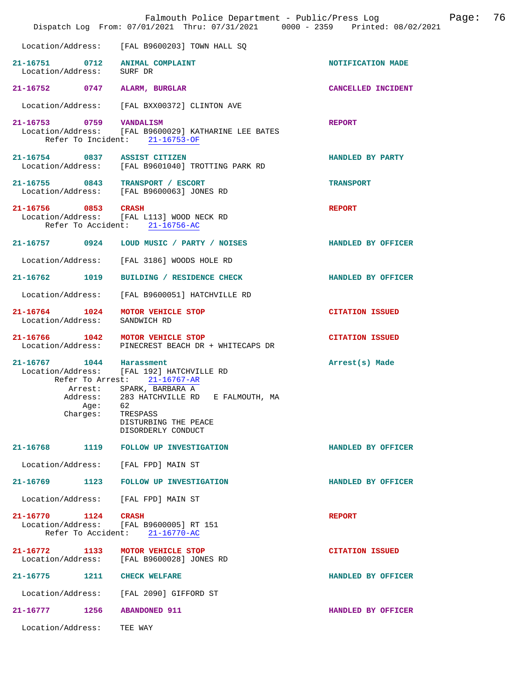|                           |                  | Falmouth Police Department - Public/Press Log<br>Dispatch Log From: 07/01/2021 Thru: 07/31/2021 0000 - 2359 Printed: 08/02/2021                                                                                    |                        | Page: | 76 |
|---------------------------|------------------|--------------------------------------------------------------------------------------------------------------------------------------------------------------------------------------------------------------------|------------------------|-------|----|
| Location/Address:         |                  | [FAL B9600203] TOWN HALL SQ                                                                                                                                                                                        |                        |       |    |
| Location/Address: SURF DR |                  | 21-16751 0712 ANIMAL COMPLAINT                                                                                                                                                                                     | NOTIFICATION MADE      |       |    |
| 21-16752 0747             |                  | ALARM, BURGLAR                                                                                                                                                                                                     | CANCELLED INCIDENT     |       |    |
|                           |                  | Location/Address: [FAL BXX00372] CLINTON AVE                                                                                                                                                                       |                        |       |    |
| 21-16753 0759 VANDALISM   |                  | Location/Address: [FAL B9600029] KATHARINE LEE BATES<br>Refer To Incident: 21-16753-OF                                                                                                                             | <b>REPORT</b>          |       |    |
|                           |                  | 21-16754 0837 ASSIST CITIZEN<br>Location/Address: [FAL B9601040] TROTTING PARK RD                                                                                                                                  | HANDLED BY PARTY       |       |    |
|                           |                  | 21-16755 0843 TRANSPORT / ESCORT<br>Location/Address: [FAL B9600063] JONES RD                                                                                                                                      | <b>TRANSPORT</b>       |       |    |
| 21-16756 0853 CRASH       |                  | Location/Address: [FAL L113] WOOD NECK RD<br>Refer To Accident: 21-16756-AC                                                                                                                                        | <b>REPORT</b>          |       |    |
|                           |                  | 21-16757 0924 LOUD MUSIC / PARTY / NOISES                                                                                                                                                                          | HANDLED BY OFFICER     |       |    |
|                           |                  | Location/Address: [FAL 3186] WOODS HOLE RD                                                                                                                                                                         |                        |       |    |
| 21-16762 1019             |                  | BUILDING / RESIDENCE CHECK                                                                                                                                                                                         | HANDLED BY OFFICER     |       |    |
| Location/Address:         |                  | [FAL B9600051] HATCHVILLE RD                                                                                                                                                                                       |                        |       |    |
|                           |                  | 21-16764 1024 MOTOR VEHICLE STOP<br>Location/Address: SANDWICH RD                                                                                                                                                  | <b>CITATION ISSUED</b> |       |    |
| Location/Address:         |                  | 21-16766 1042 MOTOR VEHICLE STOP<br>PINECREST BEACH DR + WHITECAPS DR                                                                                                                                              | <b>CITATION ISSUED</b> |       |    |
| 21-16767 1044 Harassment  | Aqe:<br>Charges: | Location/Address: [FAL 192] HATCHVILLE RD<br>Refer To Arrest: 21-16767-AR<br>Arrest: SPARK, BARBARA A<br>Address: 283 HATCHVILLE RD E FALMOUTH, MA<br>62<br>TRESPASS<br>DISTURBING THE PEACE<br>DISORDERLY CONDUCT | Arrest(s) Made         |       |    |
|                           |                  | 21-16768 1119 FOLLOW UP INVESTIGATION                                                                                                                                                                              | HANDLED BY OFFICER     |       |    |
| Location/Address:         |                  | [FAL FPD] MAIN ST                                                                                                                                                                                                  |                        |       |    |
|                           |                  | 21-16769 1123 FOLLOW UP INVESTIGATION                                                                                                                                                                              | HANDLED BY OFFICER     |       |    |
| Location/Address:         |                  | [FAL FPD] MAIN ST                                                                                                                                                                                                  |                        |       |    |
| 21-16770 1124             |                  | <b>CRASH</b><br>Location/Address: [FAL B9600005] RT 151<br>Refer To Accident: 21-16770-AC                                                                                                                          | <b>REPORT</b>          |       |    |
|                           |                  | 21-16772 1133 MOTOR VEHICLE STOP<br>Location/Address: [FAL B9600028] JONES RD                                                                                                                                      | <b>CITATION ISSUED</b> |       |    |
|                           |                  | 21-16775 1211 CHECK WELFARE                                                                                                                                                                                        | HANDLED BY OFFICER     |       |    |
|                           |                  | Location/Address: [FAL 2090] GIFFORD ST                                                                                                                                                                            |                        |       |    |
| 21-16777                  | 1256             | <b>ABANDONED 911</b>                                                                                                                                                                                               | HANDLED BY OFFICER     |       |    |
| Location/Address:         |                  | TEE WAY                                                                                                                                                                                                            |                        |       |    |
|                           |                  |                                                                                                                                                                                                                    |                        |       |    |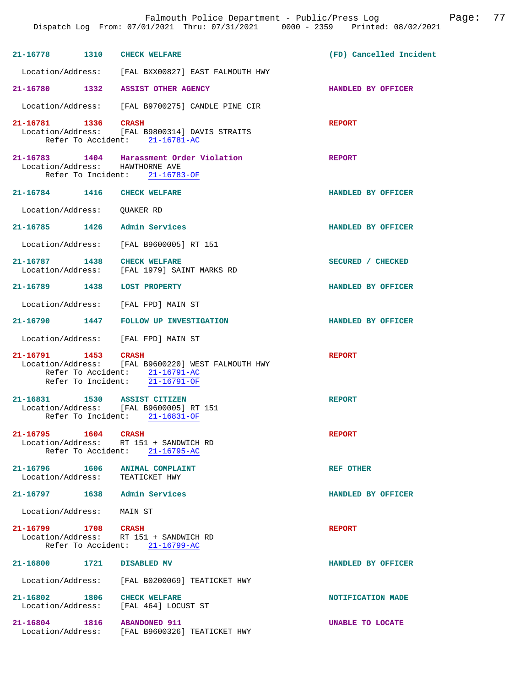|                                                                       | Dispatch Log From: 07/01/2021 Thru: 07/31/2021 0000 - 2359 Printed: 08/02/2021                                                      | Falmouth Police Department - Public/Press Log | Page: | 77 |
|-----------------------------------------------------------------------|-------------------------------------------------------------------------------------------------------------------------------------|-----------------------------------------------|-------|----|
| 21-16778 1310 CHECK WELFARE                                           |                                                                                                                                     | (FD) Cancelled Incident                       |       |    |
|                                                                       | Location/Address: [FAL BXX00827] EAST FALMOUTH HWY                                                                                  |                                               |       |    |
|                                                                       | 21-16780 1332 ASSIST OTHER AGENCY                                                                                                   | HANDLED BY OFFICER                            |       |    |
|                                                                       | Location/Address: [FAL B9700275] CANDLE PINE CIR                                                                                    |                                               |       |    |
| 21-16781 1336                                                         | <b>CRASH</b><br>Location/Address: [FAL B9800314] DAVIS STRAITS<br>Refer To Accident: 21-16781-AC                                    | <b>REPORT</b>                                 |       |    |
| Location/Address: HAWTHORNE AVE                                       | 21-16783 1404 Harassment Order Violation<br>Refer To Incident: 21-16783-OF                                                          | <b>REPORT</b>                                 |       |    |
| 21-16784 1416                                                         | <b>CHECK WELFARE</b>                                                                                                                | HANDLED BY OFFICER                            |       |    |
| Location/Address:                                                     | QUAKER RD                                                                                                                           |                                               |       |    |
| 21-16785 1426 Admin Services                                          |                                                                                                                                     | HANDLED BY OFFICER                            |       |    |
| Location/Address:                                                     | [FAL B9600005] RT 151                                                                                                               |                                               |       |    |
| 21-16787 1438 CHECK WELFARE                                           | Location/Address: [FAL 1979] SAINT MARKS RD                                                                                         | SECURED / CHECKED                             |       |    |
| 21-16789 1438 LOST PROPERTY                                           |                                                                                                                                     | HANDLED BY OFFICER                            |       |    |
|                                                                       | Location/Address: [FAL FPD] MAIN ST                                                                                                 |                                               |       |    |
| 21-16790 1447                                                         | FOLLOW UP INVESTIGATION                                                                                                             | HANDLED BY OFFICER                            |       |    |
| Location/Address:                                                     | [FAL FPD] MAIN ST                                                                                                                   |                                               |       |    |
| 21-16791 1453 CRASH                                                   | Location/Address: [FAL B9600220] WEST FALMOUTH HWY<br>Refer To Accident: 21-16791-AC<br>Refer To Incident: $\overline{21-16791-OF}$ | <b>REPORT</b>                                 |       |    |
| 21-16831 1530 ASSIST CITIZEN                                          | Location/Address: [FAL B9600005] RT 151<br>Refer To Incident: 21-16831-OF                                                           | <b>REPORT</b>                                 |       |    |
| 21-16795 1604 CRASH                                                   | Location/Address: RT 151 + SANDWICH RD<br>Refer To Accident: 21-16795-AC                                                            | <b>REPORT</b>                                 |       |    |
| 21-16796   1606   ANIMAL COMPLAINT<br>Location/Address: TEATICKET HWY |                                                                                                                                     | <b>REF OTHER</b>                              |       |    |
| 21-16797 1638 Admin Services                                          |                                                                                                                                     | HANDLED BY OFFICER                            |       |    |
| Location/Address: MAIN ST                                             |                                                                                                                                     |                                               |       |    |
| 21-16799 1708 CRASH                                                   | Location/Address: RT 151 + SANDWICH RD<br>Refer To Accident: 21-16799-AC                                                            | <b>REPORT</b>                                 |       |    |
| 21-16800 1721 DISABLED MV                                             |                                                                                                                                     | HANDLED BY OFFICER                            |       |    |
|                                                                       | Location/Address: [FAL B0200069] TEATICKET HWY                                                                                      |                                               |       |    |
| 21-16802 1806 CHECK WELFARE                                           | Location/Address: [FAL 464] LOCUST ST                                                                                               | NOTIFICATION MADE                             |       |    |
| 21-16804 1816 ABANDONED 911                                           | Location/Address: [FAL B9600326] TEATICKET HWY                                                                                      | <b>UNABLE TO LOCATE</b>                       |       |    |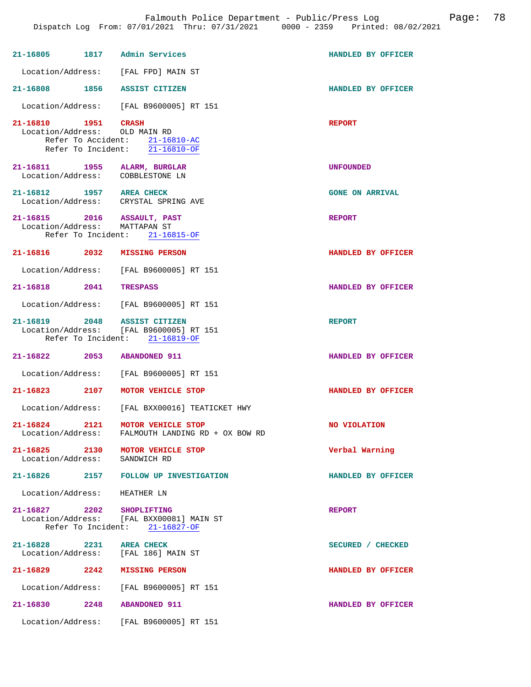| 21-16805 1817 Admin Services                                 |                                                                                                           | HANDLED BY OFFICER     |
|--------------------------------------------------------------|-----------------------------------------------------------------------------------------------------------|------------------------|
|                                                              | Location/Address: [FAL FPD] MAIN ST                                                                       |                        |
| 21-16808 1856 ASSIST CITIZEN                                 |                                                                                                           | HANDLED BY OFFICER     |
|                                                              | Location/Address: [FAL B9600005] RT 151                                                                   |                        |
| 21-16810 1951<br>Location/Address: OLD MAIN RD               | CRASH<br>Refer To Accident: 21-16810-AC<br>Refer To Incident: 21-16810-OF                                 | <b>REPORT</b>          |
| 21-16811 1955<br>Location/Address:                           | ALARM, BURGLAR<br>COBBLESTONE LN                                                                          | <b>UNFOUNDED</b>       |
| 21-16812 1957 AREA CHECK                                     | Location/Address: CRYSTAL SPRING AVE                                                                      | <b>GONE ON ARRIVAL</b> |
| 21-16815 2016 ASSAULT, PAST<br>Location/Address: MATTAPAN ST | Refer To Incident: 21-16815-OF                                                                            | <b>REPORT</b>          |
| 21-16816 2032 MISSING PERSON                                 |                                                                                                           | HANDLED BY OFFICER     |
|                                                              | Location/Address: [FAL B9600005] RT 151                                                                   |                        |
| 21-16818 2041 TRESPASS                                       |                                                                                                           | HANDLED BY OFFICER     |
|                                                              | Location/Address: [FAL B9600005] RT 151                                                                   |                        |
|                                                              | 21-16819 2048 ASSIST CITIZEN<br>Location/Address: [FAL B9600005] RT 151<br>Refer To Incident: 21-16819-OF | <b>REPORT</b>          |
| 21-16822 2053 ABANDONED 911                                  |                                                                                                           | HANDLED BY OFFICER     |
|                                                              | Location/Address: [FAL B9600005] RT 151                                                                   |                        |
| 21-16823 2107                                                | MOTOR VEHICLE STOP                                                                                        | HANDLED BY OFFICER     |
|                                                              | Location/Address: [FAL BXX00016] TEATICKET HWY                                                            |                        |
| 21-16824<br>2121<br>Location/Address:                        | MOTOR VEHICLE STOP<br>FALMOUTH LANDING RD + OX BOW RD                                                     | <b>NO VIOLATION</b>    |
| 21-16825 2130<br>Location/Address:                           | MOTOR VEHICLE STOP<br>SANDWICH RD                                                                         | Verbal Warning         |
|                                                              | 21-16826 2157 FOLLOW UP INVESTIGATION                                                                     | HANDLED BY OFFICER     |
| Location/Address: HEATHER LN                                 |                                                                                                           |                        |
| $21 - 16827$ 2202                                            | <b>SHOPLIFTING</b><br>Location/Address: [FAL BXX00081] MAIN ST<br>Refer To Incident: 21-16827-OF          | <b>REPORT</b>          |
| $21 - 16828$ 2231<br>Location/Address:                       | <b>AREA CHECK</b><br>[FAL 186] MAIN ST                                                                    | SECURED / CHECKED      |
| $21 - 16829$ 2242                                            | <b>MISSING PERSON</b>                                                                                     | HANDLED BY OFFICER     |
| Location/Address:                                            | [FAL B9600005] RT 151                                                                                     |                        |
| 2248<br>21-16830                                             | <b>ABANDONED 911</b>                                                                                      | HANDLED BY OFFICER     |
| Location/Address:                                            | [FAL B9600005] RT 151                                                                                     |                        |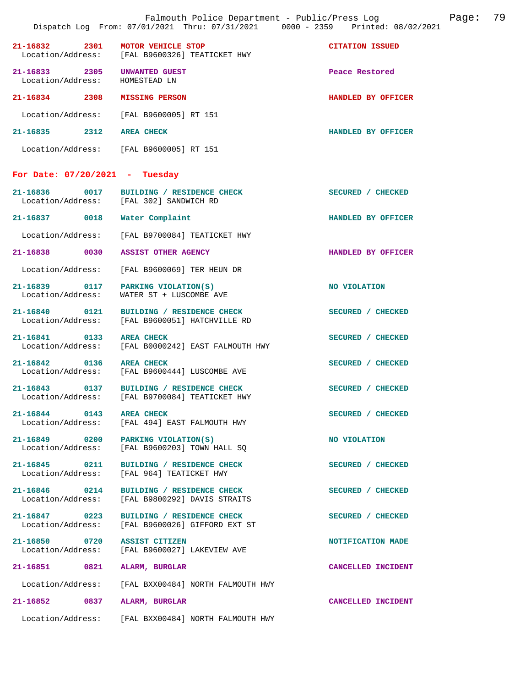|                                                         | Dispatch Log From: 07/01/2021 Thru: 07/31/2021 0000 - 2359 Printed: 08/02/2021             |                        |
|---------------------------------------------------------|--------------------------------------------------------------------------------------------|------------------------|
| 21-16832 2301 MOTOR VEHICLE STOP                        | Location/Address: [FAL B9600326] TEATICKET HWY                                             | <b>CITATION ISSUED</b> |
| 21-16833 2305<br>Location/Address:                      | UNWANTED GUEST<br>HOMESTEAD LN                                                             | Peace Restored         |
| 21-16834 2308                                           | <b>MISSING PERSON</b>                                                                      | HANDLED BY OFFICER     |
|                                                         | Location/Address: [FAL B9600005] RT 151                                                    |                        |
| 21-16835 2312 AREA CHECK                                |                                                                                            | HANDLED BY OFFICER     |
|                                                         | Location/Address: [FAL B9600005] RT 151                                                    |                        |
| For Date: $07/20/2021$ - Tuesday                        |                                                                                            |                        |
|                                                         | 21-16836 0017 BUILDING / RESIDENCE CHECK<br>Location/Address: [FAL 302] SANDWICH RD        | SECURED / CHECKED      |
| 21-16837 0018 Water Complaint                           |                                                                                            | HANDLED BY OFFICER     |
| Location/Address:                                       | FAL B97000841 TEATICKET HWY                                                                |                        |
| 21-16838 0030 ASSIST OTHER AGENCY                       |                                                                                            | HANDLED BY OFFICER     |
| Location/Address:                                       | [FAL B9600069] TER HEUN DR                                                                 |                        |
| Location/Address:                                       | 21-16839 0117 PARKING VIOLATION(S)<br>WATER ST + LUSCOMBE AVE                              | NO VIOLATION           |
| 21-16840 0121<br>Location/Address:                      | BUILDING / RESIDENCE CHECK<br>[FAL B9600051] HATCHVILLE RD                                 | SECURED / CHECKED      |
| 21-16841 0133                                           | <b>AREA CHECK</b><br>Location/Address: [FAL B0000242] EAST FALMOUTH HWY                    | SECURED / CHECKED      |
| 21-16842 0136 AREA CHECK                                | Location/Address: [FAL B9600444] LUSCOMBE AVE                                              | SECURED / CHECKED      |
|                                                         | 21-16843 0137 BUILDING / RESIDENCE CHECK<br>Location/Address: [FAL B9700084] TEATICKET HWY | SECURED / CHECKED      |
| 21-16844 0143 AREA CHECK                                | Location/Address: [FAL 494] EAST FALMOUTH HWY                                              | SECURED / CHECKED      |
| 21-16849 0200 PARKING VIOLATION(S)<br>Location/Address: | [FAL B9600203] TOWN HALL SQ                                                                | NO VIOLATION           |
| 21-16845 0211                                           | BUILDING / RESIDENCE CHECK<br>Location/Address: [FAL 964] TEATICKET HWY                    | SECURED / CHECKED      |
| 21-16846 0214<br>Location/Address:                      | BUILDING / RESIDENCE CHECK<br>[FAL B9800292] DAVIS STRAITS                                 | SECURED / CHECKED      |
| 21-16847 0223<br>Location/Address:                      | BUILDING / RESIDENCE CHECK<br>[FAL B9600026] GIFFORD EXT ST                                | SECURED / CHECKED      |
| 21-16850 0720<br>Location/Address:                      | ASSIST CITIZEN<br>[FAL B9600027] LAKEVIEW AVE                                              | NOTIFICATION MADE      |
| 21-16851 0821                                           | ALARM, BURGLAR                                                                             | CANCELLED INCIDENT     |
| Location/Address:                                       | [FAL BXX00484] NORTH FALMOUTH HWY                                                          |                        |
| 21-16852<br>0837                                        | ALARM, BURGLAR                                                                             | CANCELLED INCIDENT     |
|                                                         | Location/Address: [FAL BXX00484] NORTH FALMOUTH HWY                                        |                        |

Falmouth Police Department - Public/Press Log Page: 79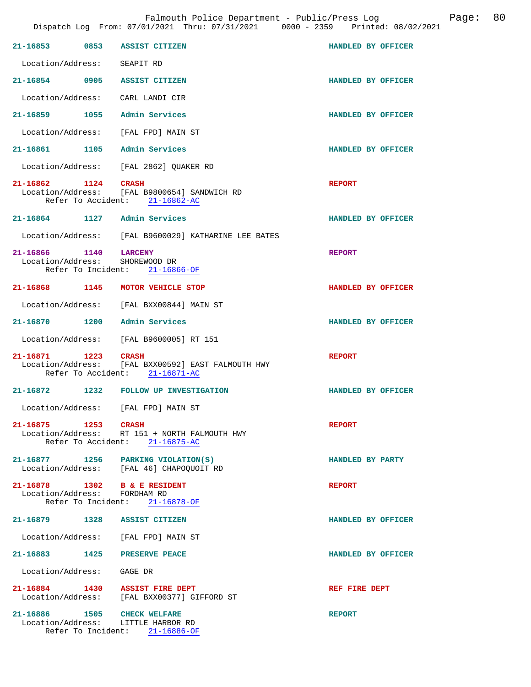| 21-16853 0853                                                | <b>ASSIST CITIZEN</b>                                                                                | HANDLED BY OFFICER |  |
|--------------------------------------------------------------|------------------------------------------------------------------------------------------------------|--------------------|--|
|                                                              |                                                                                                      |                    |  |
| Location/Address:                                            | SEAPIT RD                                                                                            |                    |  |
| 21-16854 0905 ASSIST CITIZEN                                 |                                                                                                      | HANDLED BY OFFICER |  |
| Location/Address: CARL LANDI CIR                             |                                                                                                      |                    |  |
| 21-16859 1055                                                | Admin Services                                                                                       | HANDLED BY OFFICER |  |
|                                                              | Location/Address: [FAL FPD] MAIN ST                                                                  |                    |  |
| 21-16861 1105 Admin Services                                 |                                                                                                      | HANDLED BY OFFICER |  |
|                                                              | Location/Address: [FAL 2862] QUAKER RD                                                               |                    |  |
| 21-16862 1124                                                | <b>CRASH</b><br>Location/Address: [FAL B9800654] SANDWICH RD<br>Refer To Accident: 21-16862-AC       | <b>REPORT</b>      |  |
| 21-16864 1127 Admin Services                                 |                                                                                                      | HANDLED BY OFFICER |  |
|                                                              | Location/Address: [FAL B9600029] KATHARINE LEE BATES                                                 |                    |  |
| 21-16866 1140 LARCENY<br>Location/Address: SHOREWOOD DR      | Refer To Incident: 21-16866-OF                                                                       | <b>REPORT</b>      |  |
|                                                              | 21-16868 1145 MOTOR VEHICLE STOP                                                                     | HANDLED BY OFFICER |  |
|                                                              | Location/Address: [FAL BXX00844] MAIN ST                                                             |                    |  |
| 21-16870 1200 Admin Services                                 |                                                                                                      | HANDLED BY OFFICER |  |
|                                                              | Location/Address: [FAL B9600005] RT 151                                                              |                    |  |
| 21-16871 1223                                                | <b>CRASH</b><br>Location/Address: [FAL BXX00592] EAST FALMOUTH HWY<br>Refer To Accident: 21-16871-AC | <b>REPORT</b>      |  |
| 21-16872 1232                                                | <b>FOLLOW UP INVESTIGATION</b>                                                                       | HANDLED BY OFFICER |  |
|                                                              | Location/Address: [FAL FPD] MAIN ST                                                                  |                    |  |
| 21-16875 1253 CRASH                                          | Location/Address: RT 151 + NORTH FALMOUTH HWY<br>Refer To Accident: 21-16875-AC                      | <b>REPORT</b>      |  |
|                                                              | $21-16877$ 1256 PARKING VIOLATION(S)<br>Location/Address: [FAL 46] CHAPOQUOIT RD                     | HANDLED BY PARTY   |  |
| 21-16878 1302 B & E RESIDENT<br>Location/Address: FORDHAM RD | Refer To Incident: 21-16878-OF                                                                       | <b>REPORT</b>      |  |
| 21-16879 1328 ASSIST CITIZEN                                 |                                                                                                      | HANDLED BY OFFICER |  |
|                                                              | Location/Address: [FAL FPD] MAIN ST                                                                  |                    |  |
| 21-16883 1425 PRESERVE PEACE                                 |                                                                                                      | HANDLED BY OFFICER |  |
| Location/Address: GAGE DR                                    |                                                                                                      |                    |  |
| 21-16884 1430 ASSIST FIRE DEPT                               | Location/Address: [FAL BXX00377] GIFFORD ST                                                          | REF FIRE DEPT      |  |
| 21-16886 1505                                                | <b>CHECK WELFARE</b><br>Location/Address: LITTLE HARBOR RD<br>Refer To Incident: 21-16886-OF         | <b>REPORT</b>      |  |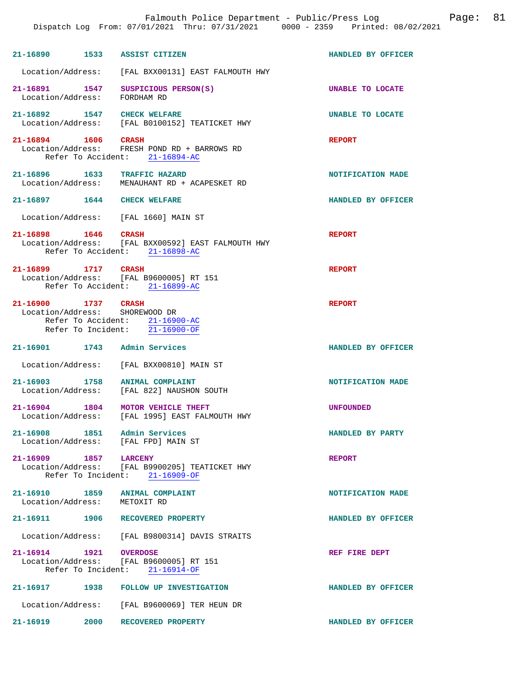| 21-16890 1533 ASSIST CITIZEN                          |      |                                                                                                         | HANDLED BY OFFICER      |
|-------------------------------------------------------|------|---------------------------------------------------------------------------------------------------------|-------------------------|
|                                                       |      | Location/Address: [FAL BXX00131] EAST FALMOUTH HWY                                                      |                         |
| 21-16891 1547<br>Location/Address:                    |      | SUSPICIOUS PERSON(S)<br>FORDHAM RD                                                                      | <b>UNABLE TO LOCATE</b> |
| 21-16892 1547 CHECK WELFARE                           |      | Location/Address: [FAL B0100152] TEATICKET HWY                                                          | <b>UNABLE TO LOCATE</b> |
| 21-16894 1606 CRASH                                   |      | Location/Address: FRESH POND RD + BARROWS RD<br>Refer To Accident: 21-16894-AC                          | <b>REPORT</b>           |
|                                                       |      | 21-16896 1633 TRAFFIC HAZARD<br>Location/Address: MENAUHANT RD + ACAPESKET RD                           | NOTIFICATION MADE       |
| 21-16897 1644 CHECK WELFARE                           |      |                                                                                                         | HANDLED BY OFFICER      |
|                                                       |      | Location/Address: [FAL 1660] MAIN ST                                                                    |                         |
| 21-16898 1646 CRASH                                   |      | Location/Address: [FAL BXX00592] EAST FALMOUTH HWY<br>Refer To Accident: 21-16898-AC                    | <b>REPORT</b>           |
| 21-16899 1717 CRASH                                   |      | Location/Address: [FAL B9600005] RT 151<br>Refer To Accident: 21-16899-AC                               | <b>REPORT</b>           |
| 21-16900 1737 CRASH<br>Location/Address: SHOREWOOD DR |      | Refer To Accident: 21-16900-AC<br>Refer To Incident: 21-16900-OF                                        | <b>REPORT</b>           |
| 21-16901 1743 Admin Services                          |      |                                                                                                         | HANDLED BY OFFICER      |
|                                                       |      | Location/Address: [FAL BXX00810] MAIN ST                                                                |                         |
| 21-16903 1758                                         |      | ANIMAL COMPLAINT<br>Location/Address: [FAL 822] NAUSHON SOUTH                                           | NOTIFICATION MADE       |
|                                                       |      | 21-16904 1804 MOTOR VEHICLE THEFT<br>Location/Address: [FAL 1995] EAST FALMOUTH HWY                     | <b>UNFOUNDED</b>        |
| 21-16908 1851 Admin Services                          |      | Location/Address: [FAL FPD] MAIN ST                                                                     | HANDLED BY PARTY        |
| 21-16909 1857                                         |      | <b>LARCENY</b><br>Location/Address: [FAL B9900205] TEATICKET HWY<br>Refer To Incident: 21-16909-OF      | <b>REPORT</b>           |
| Location/Address: METOXIT RD                          |      | 21-16910 1859 ANIMAL COMPLAINT                                                                          | NOTIFICATION MADE       |
|                                                       |      | 21-16911 1906 RECOVERED PROPERTY                                                                        | HANDLED BY OFFICER      |
|                                                       |      | Location/Address: [FAL B9800314] DAVIS STRAITS                                                          |                         |
|                                                       |      | 21-16914   1921   0VERDOSE<br>Location/Address: [FAL B9600005] RT 151<br>Refer To Incident: 21-16914-OF | REF FIRE DEPT           |
|                                                       |      | 21-16917 1938 FOLLOW UP INVESTIGATION                                                                   | HANDLED BY OFFICER      |
|                                                       |      | Location/Address: [FAL B9600069] TER HEUN DR                                                            |                         |
| $21 - 16919$                                          | 2000 | RECOVERED PROPERTY                                                                                      | HANDLED BY OFFICER      |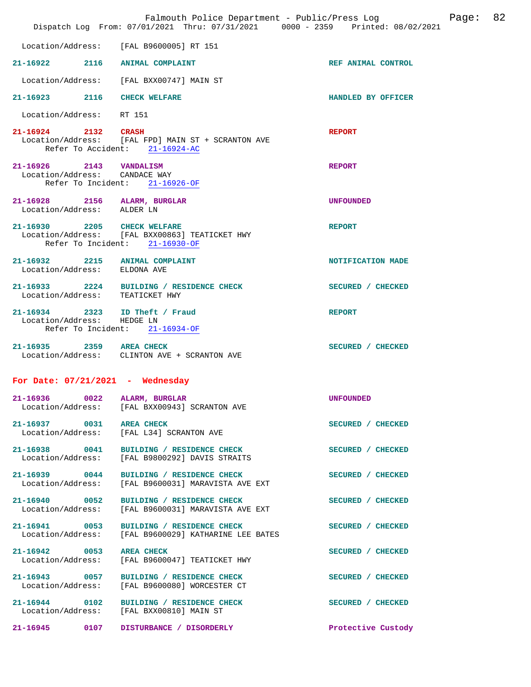| Falmouth Police Department - Public/Press Log<br>Dispatch Log From: 07/01/2021 Thru: 07/31/2021 0000 - 2359 Printed: 08/02/2021 |      |                                                                                                |                    | Page: | 82 |
|---------------------------------------------------------------------------------------------------------------------------------|------|------------------------------------------------------------------------------------------------|--------------------|-------|----|
|                                                                                                                                 |      | Location/Address: [FAL B9600005] RT 151                                                        |                    |       |    |
|                                                                                                                                 |      | 21-16922 2116 ANIMAL COMPLAINT                                                                 | REF ANIMAL CONTROL |       |    |
|                                                                                                                                 |      | Location/Address: [FAL BXX00747] MAIN ST                                                       |                    |       |    |
| 21-16923 2116                                                                                                                   |      | <b>CHECK WELFARE</b>                                                                           | HANDLED BY OFFICER |       |    |
| Location/Address: RT 151                                                                                                        |      |                                                                                                |                    |       |    |
| 21-16924 2132 CRASH                                                                                                             |      | Location/Address: [FAL FPD] MAIN ST + SCRANTON AVE<br>Refer To Accident: 21-16924-AC           | <b>REPORT</b>      |       |    |
| 21-16926 2143 VANDALISM<br>Location/Address: CANDACE WAY                                                                        |      | Refer To Incident: 21-16926-OF                                                                 | <b>REPORT</b>      |       |    |
| 21-16928 2156 ALARM, BURGLAR<br>Location/Address: ALDER LN                                                                      |      |                                                                                                | <b>UNFOUNDED</b>   |       |    |
| 21-16930 2205 CHECK WELFARE                                                                                                     |      | Location/Address: [FAL BXX00863] TEATICKET HWY<br>Refer To Incident: 21-16930-OF               | <b>REPORT</b>      |       |    |
| Location/Address: ELDONA AVE                                                                                                    |      | 21-16932 2215 ANIMAL COMPLAINT                                                                 | NOTIFICATION MADE  |       |    |
| Location/Address: TEATICKET HWY                                                                                                 |      | 21-16933 2224 BUILDING / RESIDENCE CHECK                                                       | SECURED / CHECKED  |       |    |
| Location/Address:                                                                                                               |      | 21-16934 2323 ID Theft / Fraud<br>HEDGE LN<br>Refer To Incident: 21-16934-OF                   | <b>REPORT</b>      |       |    |
| 21-16935 2359 AREA CHECK                                                                                                        |      | Location/Address: CLINTON AVE + SCRANTON AVE                                                   | SECURED / CHECKED  |       |    |
| For Date: $07/21/2021$ - Wednesday                                                                                              |      |                                                                                                |                    |       |    |
| 21-16936                                                                                                                        | 0022 | ALARM, BURGLAR<br>Location/Address: [FAL BXX00943] SCRANTON AVE                                | <b>UNFOUNDED</b>   |       |    |
| 21-16937 0031 AREA CHECK                                                                                                        |      | Location/Address: [FAL L34] SCRANTON AVE                                                       | SECURED / CHECKED  |       |    |
| Location/Address:                                                                                                               |      | 21-16938 0041 BUILDING / RESIDENCE CHECK<br>[FAL B9800292] DAVIS STRAITS                       | SECURED / CHECKED  |       |    |
|                                                                                                                                 |      | 21-16939 0044 BUILDING / RESIDENCE CHECK<br>Location/Address: [FAL B9600031] MARAVISTA AVE EXT | SECURED / CHECKED  |       |    |
| 21-16940 0052<br>Location/Address:                                                                                              |      | BUILDING / RESIDENCE CHECK<br>[FAL B9600031] MARAVISTA AVE EXT                                 | SECURED / CHECKED  |       |    |
| 21-16941 0053<br>Location/Address:                                                                                              |      | BUILDING / RESIDENCE CHECK<br>[FAL B9600029] KATHARINE LEE BATES                               | SECURED / CHECKED  |       |    |
| 21-16942 0053<br>Location/Address:                                                                                              |      | <b>AREA CHECK</b><br>[FAL B9600047] TEATICKET HWY                                              | SECURED / CHECKED  |       |    |
|                                                                                                                                 |      | 21-16943 0057 BUILDING / RESIDENCE CHECK<br>Location/Address: [FAL B9600080] WORCESTER CT      | SECURED / CHECKED  |       |    |
|                                                                                                                                 |      | 21-16944 0102 BUILDING / RESIDENCE CHECK<br>Location/Address: [FAL BXX00810] MAIN ST           | SECURED / CHECKED  |       |    |
|                                                                                                                                 |      |                                                                                                | Protective Custody |       |    |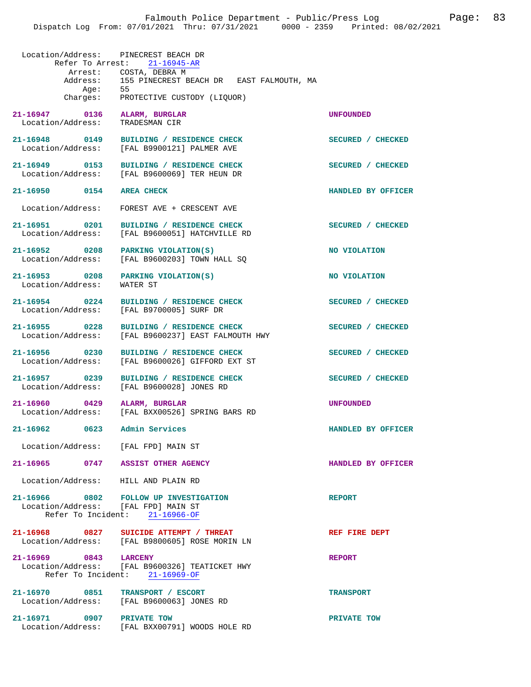| Location/Address: PINECREST BEACH DR | Refer To Arrest: 21-16945-AR                                                                              |                    |
|--------------------------------------|-----------------------------------------------------------------------------------------------------------|--------------------|
|                                      | Arrest: COSTA, DEBRA M<br>Address: 155 PINECREST BEACH DR EAST FALMOUTH, MA                               |                    |
|                                      | Age: 55<br>Charges: PROTECTIVE CUSTODY (LIQUOR)                                                           |                    |
| 21-16947 0136<br>Location/Address:   | ALARM, BURGLAR<br>TRADESMAN CIR                                                                           | <b>UNFOUNDED</b>   |
| 21-16948 0149<br>Location/Address:   | BUILDING / RESIDENCE CHECK<br>[FAL B9900121] PALMER AVE                                                   | SECURED / CHECKED  |
| 21-16949 0153                        | BUILDING / RESIDENCE CHECK<br>Location/Address: [FAL B9600069] TER HEUN DR                                | SECURED / CHECKED  |
| 21-16950 0154                        | <b>AREA CHECK</b>                                                                                         | HANDLED BY OFFICER |
|                                      | Location/Address: FOREST AVE + CRESCENT AVE                                                               |                    |
| 21-16951 0201                        | BUILDING / RESIDENCE CHECK<br>Location/Address: [FAL B9600051] HATCHVILLE RD                              | SECURED / CHECKED  |
| 21-16952 0208<br>Location/Address:   | PARKING VIOLATION(S)<br>[FAL B9600203] TOWN HALL SQ                                                       | NO VIOLATION       |
| 21-16953 0208<br>Location/Address:   | PARKING VIOLATION(S)<br>WATER ST                                                                          | NO VIOLATION       |
| 21-16954 0224                        | BUILDING / RESIDENCE CHECK<br>Location/Address: [FAL B9700005] SURF DR                                    | SECURED / CHECKED  |
| 21-16955 0228<br>Location/Address:   | BUILDING / RESIDENCE CHECK<br>[FAL B9600237] EAST FALMOUTH HWY                                            | SECURED / CHECKED  |
| 21-16956 0230<br>Location/Address:   | BUILDING / RESIDENCE CHECK<br>[FAL B9600026] GIFFORD EXT ST                                               | SECURED / CHECKED  |
| 21-16957 0239<br>Location/Address:   | BUILDING / RESIDENCE CHECK<br>[FAL B9600028] JONES RD                                                     | SECURED / CHECKED  |
| $\sim$ 0429<br>21-16960              | ALARM, BURGLAR<br>Location/Address: [FAL BXX00526] SPRING BARS RD                                         | UNFOUNDED          |
| 21-16962<br>0623                     | Admin Services                                                                                            | HANDLED BY OFFICER |
| Location/Address: [FAL FPD] MAIN ST  |                                                                                                           |                    |
| 21-16965 0747 ASSIST OTHER AGENCY    |                                                                                                           | HANDLED BY OFFICER |
| Location/Address: HILL AND PLAIN RD  |                                                                                                           |                    |
| Location/Address: [FAL FPD] MAIN ST  | 21-16966 0802 FOLLOW UP INVESTIGATION<br>Refer To Incident: $21-16966-OF$                                 | <b>REPORT</b>      |
|                                      | 21-16968 0827 SUICIDE ATTEMPT / THREAT<br>Location/Address: [FAL B9800605] ROSE MORIN LN                  | REF FIRE DEPT      |
|                                      | 21-16969 0843 LARCENY<br>Location/Address: [FAL B9600326] TEATICKET HWY<br>Refer To Incident: 21-16969-OF | <b>REPORT</b>      |
| 21-16970 0851 TRANSPORT / ESCORT     | Location/Address: [FAL B9600063] JONES RD                                                                 | <b>TRANSPORT</b>   |
| 21-16971 0907 PRIVATE TOW            |                                                                                                           | PRIVATE TOW        |

Location/Address: [FAL BXX00791] WOODS HOLE RD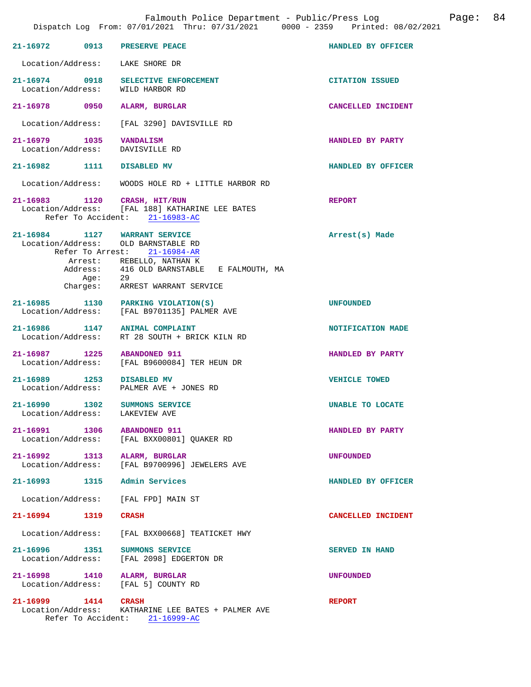|                                            | 21-16972 0913 PRESERVE PEACE                                                                                                                                                                                             | HANDLED BY OFFICER     |
|--------------------------------------------|--------------------------------------------------------------------------------------------------------------------------------------------------------------------------------------------------------------------------|------------------------|
|                                            | Location/Address: LAKE SHORE DR                                                                                                                                                                                          |                        |
|                                            | 21-16974 0918 SELECTIVE ENFORCEMENT<br>Location/Address: WILD HARBOR RD                                                                                                                                                  | <b>CITATION ISSUED</b> |
|                                            | 21-16978 0950 ALARM, BURGLAR                                                                                                                                                                                             | CANCELLED INCIDENT     |
|                                            | Location/Address: [FAL 3290] DAVISVILLE RD                                                                                                                                                                               |                        |
| 21-16979 1035 VANDALISM                    | Location/Address: DAVISVILLE RD                                                                                                                                                                                          | HANDLED BY PARTY       |
| 21-16982 1111 DISABLED MV                  |                                                                                                                                                                                                                          | HANDLED BY OFFICER     |
|                                            | Location/Address: WOODS HOLE RD + LITTLE HARBOR RD                                                                                                                                                                       |                        |
| 21-16983 1120                              | CRASH, HIT/RUN<br>Location/Address: [FAL 188] KATHARINE LEE BATES<br>Refer To Accident: 21-16983-AC                                                                                                                      | <b>REPORT</b>          |
| Aqe:                                       | 21-16984 1127 WARRANT SERVICE<br>Location/Address: OLD BARNSTABLE RD<br>Refer To Arrest: 21-16984-AR<br>Arrest: REBELLO, NATHAN K<br>Address: 416 OLD BARNSTABLE E FALMOUTH, MA<br>29<br>Charges: ARREST WARRANT SERVICE | Arrest(s) Made         |
|                                            | 21-16985 1130 PARKING VIOLATION(S)<br>Location/Address: [FAL B9701135] PALMER AVE                                                                                                                                        | <b>UNFOUNDED</b>       |
|                                            | 21-16986 1147 ANIMAL COMPLAINT<br>Location/Address: RT 28 SOUTH + BRICK KILN RD                                                                                                                                          | NOTIFICATION MADE      |
|                                            | 21-16987 1225 ABANDONED 911<br>Location/Address: [FAL B9600084] TER HEUN DR                                                                                                                                              | HANDLED BY PARTY       |
| 21-16989 1253 DISABLED MV                  | Location/Address: PALMER AVE + JONES RD                                                                                                                                                                                  | <b>VEHICLE TOWED</b>   |
| 21-16990<br>Location/Address: LAKEVIEW AVE | 1302 SUMMONS SERVICE                                                                                                                                                                                                     | UNABLE TO LOCATE       |
| 21-16991<br>1306<br>Location/Address:      | <b>ABANDONED 911</b><br>[FAL BXX00801] OUAKER RD                                                                                                                                                                         | HANDLED BY PARTY       |
| 21-16992<br>1313                           | ALARM, BURGLAR<br>Location/Address: [FAL B9700996] JEWELERS AVE                                                                                                                                                          | <b>UNFOUNDED</b>       |
|                                            | 21-16993 1315 Admin Services                                                                                                                                                                                             | HANDLED BY OFFICER     |
|                                            | Location/Address: [FAL FPD] MAIN ST                                                                                                                                                                                      |                        |
| 21-16994 1319 CRASH                        |                                                                                                                                                                                                                          | CANCELLED INCIDENT     |
|                                            | Location/Address: [FAL BXX00668] TEATICKET HWY                                                                                                                                                                           |                        |
| 21-16996 1351                              | <b>SUMMONS SERVICE</b><br>Location/Address: [FAL 2098] EDGERTON DR                                                                                                                                                       | <b>SERVED IN HAND</b>  |
| 21-16998 1410                              | ALARM, BURGLAR<br>Location/Address: [FAL 5] COUNTY RD                                                                                                                                                                    | <b>UNFOUNDED</b>       |
| 21-16999<br>1414                           | <b>CRASH</b>                                                                                                                                                                                                             | <b>REPORT</b>          |

Location/Address: KATHARINE LEE BATES + PALMER AVE

Refer To Accident: 21-16999-AC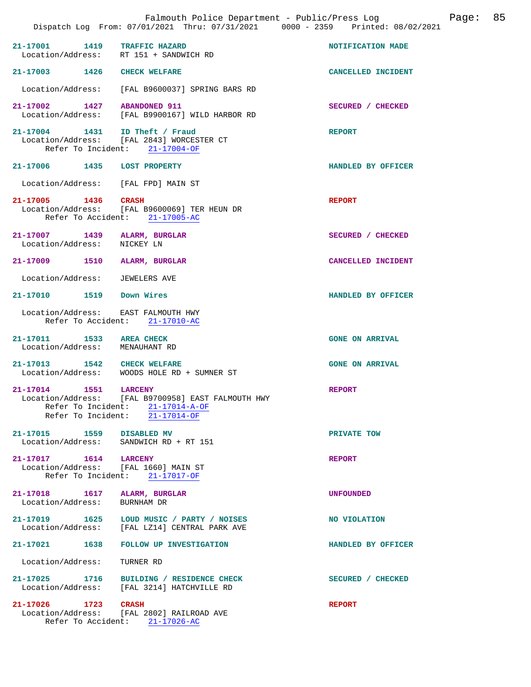|                                                                   | Falmouth Police Department - Public/Press Log<br>Dispatch Log From: 07/01/2021 Thru: 07/31/2021 0000 - 2359 Printed: 08/02/2021              |                        | Page: 85 |  |
|-------------------------------------------------------------------|----------------------------------------------------------------------------------------------------------------------------------------------|------------------------|----------|--|
| 21-17001 1419 TRAFFIC HAZARD                                      | Location/Address: RT 151 + SANDWICH RD                                                                                                       | NOTIFICATION MADE      |          |  |
| 21-17003 1426                                                     | <b>CHECK WELFARE</b>                                                                                                                         | CANCELLED INCIDENT     |          |  |
| Location/Address:                                                 | [FAL B9600037] SPRING BARS RD                                                                                                                |                        |          |  |
| 21-17002 1427 ABANDONED 911                                       | Location/Address: [FAL B9900167] WILD HARBOR RD                                                                                              | SECURED / CHECKED      |          |  |
| 21-17004 1431 ID Theft / Fraud                                    | Location/Address: [FAL 2843] WORCESTER CT<br>Refer To Incident: 21-17004-OF                                                                  | <b>REPORT</b>          |          |  |
| 21-17006 1435 LOST PROPERTY                                       |                                                                                                                                              | HANDLED BY OFFICER     |          |  |
| Location/Address: [FAL FPD] MAIN ST                               |                                                                                                                                              |                        |          |  |
| 21-17005 1436 CRASH                                               | Location/Address: [FAL B9600069] TER HEUN DR<br>Refer To Accident: 21-17005-AC                                                               | <b>REPORT</b>          |          |  |
| 21-17007 1439 ALARM, BURGLAR<br>Location/Address:                 | NICKEY LN                                                                                                                                    | SECURED / CHECKED      |          |  |
| 21-17009 1510                                                     | ALARM, BURGLAR                                                                                                                               | CANCELLED INCIDENT     |          |  |
| Location/Address: JEWELERS AVE                                    |                                                                                                                                              |                        |          |  |
| 21-17010   1519   Down Wires                                      |                                                                                                                                              | HANDLED BY OFFICER     |          |  |
| Location/Address: EAST FALMOUTH HWY                               | Refer To Accident: 21-17010-AC                                                                                                               |                        |          |  |
| 21-17011 1533 AREA CHECK<br>Location/Address: MENAUHANT RD        |                                                                                                                                              | <b>GONE ON ARRIVAL</b> |          |  |
| 21-17013 1542 CHECK WELFARE                                       | Location/Address: WOODS HOLE RD + SUMNER ST                                                                                                  | <b>GONE ON ARRIVAL</b> |          |  |
| 21-17014 1551                                                     | <b>LARCENY</b><br>Location/Address: [FAL B9700958] EAST FALMOUTH HWY<br>Refer To Incident: $21-17014-A-OF$<br>Refer To Incident: 21-17014-OF | <b>REPORT</b>          |          |  |
| 21-17015 1559 DISABLED MV                                         | Location/Address: SANDWICH RD + RT 151                                                                                                       | PRIVATE TOW            |          |  |
| 21-17017   1614   LARCENY<br>Location/Address: [FAL 1660] MAIN ST | Refer To Incident: 21-17017-OF                                                                                                               | <b>REPORT</b>          |          |  |
| Location/Address: BURNHAM DR                                      |                                                                                                                                              | <b>UNFOUNDED</b>       |          |  |
|                                                                   | 21-17019   1625   LOUD MUSIC / PARTY / NOISES<br>Location/Address: [FAL LZ14] CENTRAL PARK AVE                                               | NO VIOLATION           |          |  |
|                                                                   | 21-17021 1638 FOLLOW UP INVESTIGATION                                                                                                        | HANDLED BY OFFICER     |          |  |
| Location/Address:                                                 | TURNER RD                                                                                                                                    |                        |          |  |
|                                                                   | 21-17025 1716 BUILDING / RESIDENCE CHECK<br>Location/Address: [FAL 3214] HATCHVILLE RD                                                       | SECURED / CHECKED      |          |  |
| 21-17026 1723 CRASH                                               | Location/Address: [FAL 2802] RAILROAD AVE<br>Refer To Accident: 21-17026-AC                                                                  | <b>REPORT</b>          |          |  |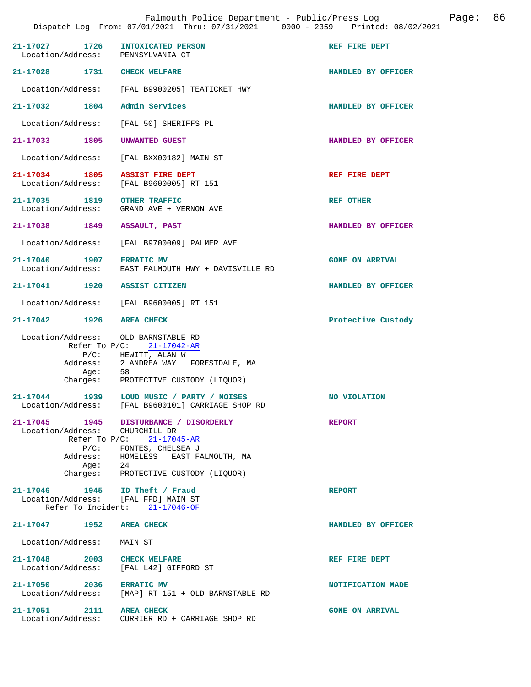| 21-17027 1726 INTOXICATED PERSON<br>Location/Address: PENNSYLVANIA CT |                                                                                                                                                                                | REF FIRE DEPT          |
|-----------------------------------------------------------------------|--------------------------------------------------------------------------------------------------------------------------------------------------------------------------------|------------------------|
| 21-17028 1731 CHECK WELFARE                                           |                                                                                                                                                                                | HANDLED BY OFFICER     |
|                                                                       | Location/Address: [FAL B9900205] TEATICKET HWY                                                                                                                                 |                        |
| 21-17032 1804                                                         | Admin Services                                                                                                                                                                 | HANDLED BY OFFICER     |
|                                                                       | Location/Address: [FAL 50] SHERIFFS PL                                                                                                                                         |                        |
| 21-17033 1805                                                         | UNWANTED GUEST                                                                                                                                                                 | HANDLED BY OFFICER     |
|                                                                       | Location/Address: [FAL BXX00182] MAIN ST                                                                                                                                       |                        |
| 21-17034 1805                                                         | <b>ASSIST FIRE DEPT</b><br>Location/Address: [FAL B9600005] RT 151                                                                                                             | REF FIRE DEPT          |
| 21-17035 1819<br>Location/Address:                                    | <b>OTHER TRAFFIC</b><br>GRAND AVE + VERNON AVE                                                                                                                                 | <b>REF OTHER</b>       |
| 21-17038 1849 ASSAULT, PAST                                           |                                                                                                                                                                                | HANDLED BY OFFICER     |
|                                                                       | Location/Address: [FAL B9700009] PALMER AVE                                                                                                                                    |                        |
|                                                                       | 21-17040 1907 ERRATIC MV<br>Location/Address: EAST FALMOUTH HWY + DAVISVILLE RD                                                                                                | <b>GONE ON ARRIVAL</b> |
| 21-17041 1920 ASSIST CITIZEN                                          |                                                                                                                                                                                | HANDLED BY OFFICER     |
|                                                                       | Location/Address: [FAL B9600005] RT 151                                                                                                                                        |                        |
| 21-17042 1926 AREA CHECK                                              |                                                                                                                                                                                | Protective Custody     |
| Location/Address: OLD BARNSTABLE RD<br>Age: 58                        | Refer To $P/C$ : 21-17042-AR<br>$P/C$ : HEWITT, ALAN W<br>Address: 2 ANDREA WAY FORESTDALE, MA<br>Charges: PROTECTIVE CUSTODY (LIQUOR)                                         |                        |
|                                                                       | 21-17044 1939 LOUD MUSIC / PARTY / NOISES<br>Location/Address: [FAL B9600101] CARRIAGE SHOP RD                                                                                 | NO VIOLATION           |
| 21-17045<br>Location/Address: CHURCHILL DR                            | 1945 DISTURBANCE / DISORDERLY<br>Refer To P/C: 21-17045-AR<br>P/C: FONTES, CHELSEA J<br>Address: HOMELESS EAST FALMOUTH, MA<br>Age: 24<br>Charges: PROTECTIVE CUSTODY (LIQUOR) | <b>REPORT</b>          |
| 21-17046 1945 ID Theft / Fraud<br>Location/Address: [FAL FPD] MAIN ST | Refer To Incident: 21-17046-OF                                                                                                                                                 | <b>REPORT</b>          |
| 21-17047 1952 AREA CHECK                                              |                                                                                                                                                                                | HANDLED BY OFFICER     |
| Location/Address: MAIN ST                                             |                                                                                                                                                                                |                        |
| 21-17048 2003 CHECK WELFARE                                           | Location/Address: [FAL L42] GIFFORD ST                                                                                                                                         | REF FIRE DEPT          |
| 21-17050 2036                                                         | <b>ERRATIC MV</b><br>Location/Address: [MAP] RT 151 + OLD BARNSTABLE RD                                                                                                        | NOTIFICATION MADE      |
| 21-17051 2111<br>Location/Address:                                    | <b>AREA CHECK</b><br>CURRIER RD + CARRIAGE SHOP RD                                                                                                                             | <b>GONE ON ARRIVAL</b> |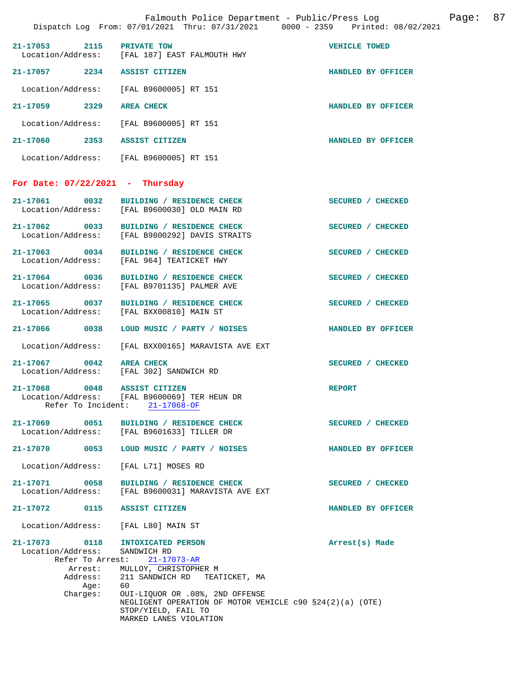|                                                        | Falmouth Police Department - Public/Press Log<br>Dispatch Log From: 07/01/2021 Thru: 07/31/2021 0000 - 2359 Printed: 08/02/2021                        | Page: 87           |
|--------------------------------------------------------|--------------------------------------------------------------------------------------------------------------------------------------------------------|--------------------|
| $21 - 17053$                                           | 2115 PRIVATE TOW<br>Location/Address: [FAL 187] EAST FALMOUTH HWY                                                                                      | VEHICLE TOWED      |
| 21-17057 2234 ASSIST CITIZEN                           |                                                                                                                                                        | HANDLED BY OFFICER |
| Location/Address:                                      | [FAL B9600005] RT 151                                                                                                                                  |                    |
| 21-17059<br>2329                                       | <b>AREA CHECK</b>                                                                                                                                      | HANDLED BY OFFICER |
| Location/Address:                                      | [FAL B9600005] RT 151                                                                                                                                  |                    |
| 21-17060 2353                                          | <b>ASSIST CITIZEN</b>                                                                                                                                  | HANDLED BY OFFICER |
|                                                        | Location/Address: [FAL B9600005] RT 151                                                                                                                |                    |
| For Date: $07/22/2021$ - Thursday                      |                                                                                                                                                        |                    |
|                                                        | 21-17061 0032 BUILDING / RESIDENCE CHECK<br>Location/Address: [FAL B9600030] OLD MAIN RD                                                               | SECURED / CHECKED  |
| 21-17062 0033                                          | BUILDING / RESIDENCE CHECK<br>Location/Address: [FAL B9800292] DAVIS STRAITS                                                                           | SECURED / CHECKED  |
| 21-17063 0034                                          | BUILDING / RESIDENCE CHECK<br>Location/Address: [FAL 964] TEATICKET HWY                                                                                | SECURED / CHECKED  |
| 21-17064 0036<br>Location/Address:                     | BUILDING / RESIDENCE CHECK<br>[FAL B9701135] PALMER AVE                                                                                                | SECURED / CHECKED  |
| 21-17065 0037<br>Location/Address:                     | BUILDING / RESIDENCE CHECK<br>[FAL BXX00810] MAIN ST                                                                                                   | SECURED / CHECKED  |
| 21-17066 0038                                          | LOUD MUSIC / PARTY / NOISES                                                                                                                            | HANDLED BY OFFICER |
| Location/Address:                                      | [FAL BXX00165] MARAVISTA AVE EXT                                                                                                                       |                    |
| 21-17067<br>0042                                       | <b>AREA CHECK</b><br>Location/Address: [FAL 302] SANDWICH RD                                                                                           | SECURED / CHECKED  |
| 21-17068<br>0048<br>Refer To Incident:                 | <b>ASSIST CITIZEN</b><br>Location/Address: [FAL B9600069] TER HEUN DR<br>$21 - 17068 - OF$                                                             | <b>REPORT</b>      |
| 21-17069 0051<br>Location/Address:                     | BUILDING / RESIDENCE CHECK<br>[FAL B9601633] TILLER DR                                                                                                 | SECURED / CHECKED  |
| 21-17070<br>0053                                       | LOUD MUSIC / PARTY / NOISES                                                                                                                            | HANDLED BY OFFICER |
| Location/Address:                                      | [FAL L71] MOSES RD                                                                                                                                     |                    |
| 21-17071<br>0058<br>Location/Address:                  | BUILDING / RESIDENCE CHECK<br>[FAL B9600031] MARAVISTA AVE EXT                                                                                         | SECURED / CHECKED  |
| 21-17072<br>0115                                       | ASSIST CITIZEN                                                                                                                                         | HANDLED BY OFFICER |
| Location/Address:                                      | [FAL L80] MAIN ST                                                                                                                                      |                    |
| 21-17073 0118<br>Location/Address:<br>Refer To Arrest: | INTOXICATED PERSON<br>SANDWICH RD<br>$21 - 17073 - AR$                                                                                                 | Arrest(s) Made     |
| Arrest:<br>Address:                                    | MULLOY, CHRISTOPHER M<br>211 SANDWICH RD TEATICKET, MA                                                                                                 |                    |
| Age:<br>Charges:                                       | 60<br>OUI-LIQUOR OR .08%, 2ND OFFENSE<br>NEGLIGENT OPERATION OF MOTOR VEHICLE $c90$ $$24(2)(a)$ (OTE)<br>STOP/YIELD, FAIL TO<br>MARKED LANES VIOLATION |                    |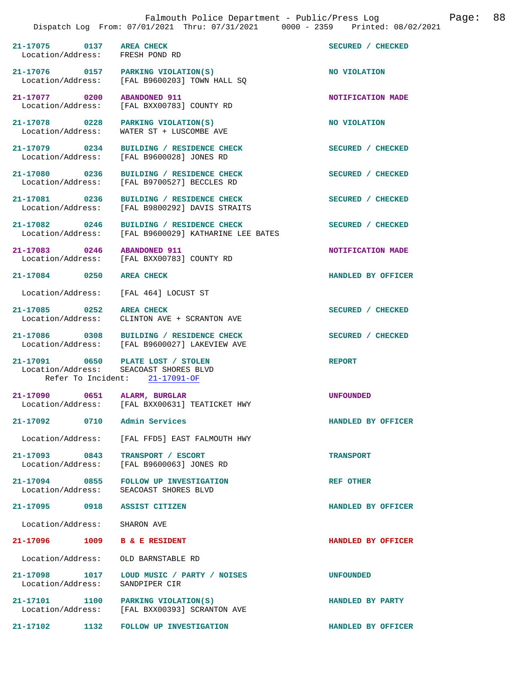| 21-17075 0137 AREA CHECK<br>Location/Address: FRESH POND RD |                                                                                                               | SECURED / CHECKED         |
|-------------------------------------------------------------|---------------------------------------------------------------------------------------------------------------|---------------------------|
|                                                             | 21-17076 0157 PARKING VIOLATION(S)<br>Location/Address: [FAL B9600203] TOWN HALL SQ                           | NO VIOLATION              |
| 21-17077 0200                                               | <b>ABANDONED 911</b><br>Location/Address: [FAL BXX00783] COUNTY RD                                            | NOTIFICATION MADE         |
|                                                             | 21-17078 0228 PARKING VIOLATION(S)<br>Location/Address: WATER ST + LUSCOMBE AVE                               | NO VIOLATION              |
|                                                             | 21-17079 0234 BUILDING / RESIDENCE CHECK<br>Location/Address: [FAL B9600028] JONES RD                         | SECURED / CHECKED         |
|                                                             | 21-17080 0236 BUILDING / RESIDENCE CHECK<br>Location/Address: [FAL B9700527] BECCLES RD                       | SECURED / CHECKED         |
|                                                             | 21-17081 0236 BUILDING / RESIDENCE CHECK<br>Location/Address: [FAL B9800292] DAVIS STRAITS                    | SECURED / CHECKED         |
|                                                             | 21-17082 0246 BUILDING / RESIDENCE CHECK<br>Location/Address: [FAL B9600029] KATHARINE LEE BATES              | SECURED / CHECKED         |
|                                                             | 21-17083 0246 ABANDONED 911<br>Location/Address: [FAL BXX00783] COUNTY RD                                     | NOTIFICATION MADE         |
| 21-17084 0250 AREA CHECK                                    |                                                                                                               | HANDLED BY OFFICER        |
|                                                             | Location/Address: [FAL 464] LOCUST ST                                                                         |                           |
| 21-17085 0252 AREA CHECK                                    | Location/Address: CLINTON AVE + SCRANTON AVE                                                                  | SECURED / CHECKED         |
|                                                             | 21-17086 0308 BUILDING / RESIDENCE CHECK<br>Location/Address: [FAL B9600027] LAKEVIEW AVE                     | SECURED / CHECKED         |
|                                                             | 21-17091 0650 PLATE LOST / STOLEN<br>Location/Address: SEACOAST SHORES BLVD<br>Refer To Incident: 21-17091-OF | <b>REPORT</b>             |
|                                                             | 21-17090 0651 ALARM, BURGLAR<br>Location/Address: [FAL BXX00631] TEATICKET HWY                                | <b>UNFOUNDED</b>          |
| 21-17092 0710                                               | Admin Services                                                                                                | <b>HANDLED BY OFFICER</b> |
|                                                             | Location/Address: [FAL FFD5] EAST FALMOUTH HWY                                                                |                           |
| 21-17093 0843 TRANSPORT / ESCORT                            | Location/Address: [FAL B9600063] JONES RD                                                                     | <b>TRANSPORT</b>          |
|                                                             | 21-17094 0855 FOLLOW UP INVESTIGATION<br>Location/Address: SEACOAST SHORES BLVD                               | <b>REF OTHER</b>          |
| 21-17095 0918 ASSIST CITIZEN                                |                                                                                                               | HANDLED BY OFFICER        |
| Location/Address: SHARON AVE                                |                                                                                                               |                           |
| 21-17096 1009 B & E RESIDENT                                |                                                                                                               | HANDLED BY OFFICER        |
| Location/Address: OLD BARNSTABLE RD                         |                                                                                                               |                           |
| Location/Address: SANDPIPER CIR                             | 21-17098 1017 LOUD MUSIC / PARTY / NOISES                                                                     | <b>UNFOUNDED</b>          |
|                                                             | 21-17101 1100 PARKING VIOLATION(S)<br>Location/Address: [FAL BXX00393] SCRANTON AVE                           | HANDLED BY PARTY          |

**21-17102 1132 FOLLOW UP INVESTIGATION HANDLED BY OFFICER**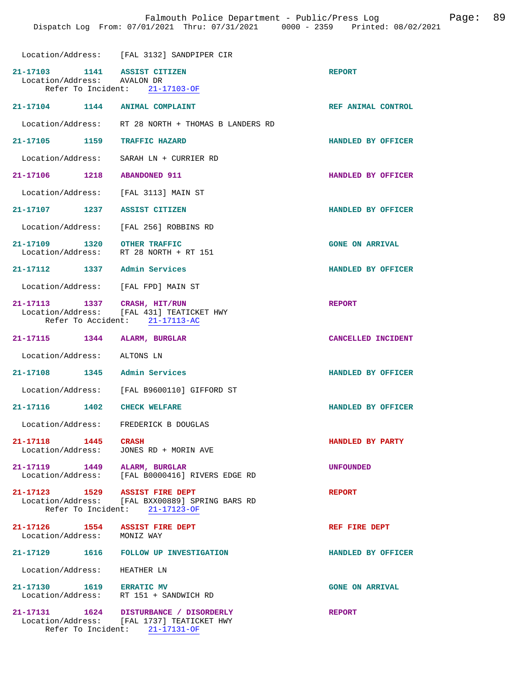|                                                             | Location/Address: [FAL 3132] SANDPIPER CIR                                                                                 |                        |
|-------------------------------------------------------------|----------------------------------------------------------------------------------------------------------------------------|------------------------|
| 21-17103 1141 ASSIST CITIZEN<br>Location/Address: AVALON DR | Refer To Incident: 21-17103-OF                                                                                             | <b>REPORT</b>          |
| 21-17104 1144 ANIMAL COMPLAINT                              |                                                                                                                            | REF ANIMAL CONTROL     |
|                                                             | Location/Address: RT 28 NORTH + THOMAS B LANDERS RD                                                                        |                        |
| 21-17105<br>1159                                            | <b>TRAFFIC HAZARD</b>                                                                                                      | HANDLED BY OFFICER     |
| Location/Address:                                           | SARAH LN + CURRIER RD                                                                                                      |                        |
| 21-17106 1218                                               | <b>ABANDONED 911</b>                                                                                                       | HANDLED BY OFFICER     |
| Location/Address:                                           | [FAL 3113] MAIN ST                                                                                                         |                        |
| 21-17107 1237                                               | <b>ASSIST CITIZEN</b>                                                                                                      | HANDLED BY OFFICER     |
|                                                             | Location/Address: [FAL 256] ROBBINS RD                                                                                     |                        |
| 21-17109 1320 OTHER TRAFFIC<br>Location/Address:            | RT 28 NORTH + RT 151                                                                                                       | <b>GONE ON ARRIVAL</b> |
| 21-17112 1337                                               | Admin Services                                                                                                             | HANDLED BY OFFICER     |
| Location/Address: [FAL FPD] MAIN ST                         |                                                                                                                            |                        |
| 21-17113 1337 CRASH, HIT/RUN                                | Location/Address: [FAL 431] TEATICKET HWY<br>Refer To Accident: 21-17113-AC                                                | <b>REPORT</b>          |
| 21-17115<br>1344                                            | ALARM, BURGLAR                                                                                                             | CANCELLED INCIDENT     |
| Location/Address:                                           | ALTONS LN                                                                                                                  |                        |
| 21-17108 1345                                               | Admin Services                                                                                                             | HANDLED BY OFFICER     |
|                                                             | Location/Address: [FAL B9600110] GIFFORD ST                                                                                |                        |
| 21-17116 1402                                               | <b>CHECK WELFARE</b>                                                                                                       | HANDLED BY OFFICER     |
| Location/Address:                                           | FREDERICK B DOUGLAS                                                                                                        |                        |
| 21-17118 1445 CRASH<br>Location/Address:                    | JONES RD + MORIN AVE                                                                                                       | HANDLED BY PARTY       |
| 21-17119 1449 ALARM, BURGLAR                                | Location/Address: [FAL B0000416] RIVERS EDGE RD                                                                            | <b>UNFOUNDED</b>       |
| 21-17123 1529 ASSIST FIRE DEPT                              | Location/Address: [FAL BXX00889] SPRING BARS RD<br>Refer To Incident: 21-17123-OF                                          | <b>REPORT</b>          |
| 21-17126 $1554$ ASSIST FIRE DEPT                            |                                                                                                                            | REF FIRE DEPT          |
| Location/Address: MONIZ WAY                                 |                                                                                                                            |                        |
| 21-17129                                                    | 1616 FOLLOW UP INVESTIGATION                                                                                               | HANDLED BY OFFICER     |
| Location/Address: HEATHER LN                                |                                                                                                                            |                        |
| 21-17130 1619 ERRATIC MV                                    | Location/Address: RT 151 + SANDWICH RD                                                                                     | <b>GONE ON ARRIVAL</b> |
|                                                             | 21-17131   1624   DISTURBANCE / DISORDERLY<br>Location/Address: [FAL 1737] TEATICKET HWY<br>Refer To Incident: 21-17131-OF | <b>REPORT</b>          |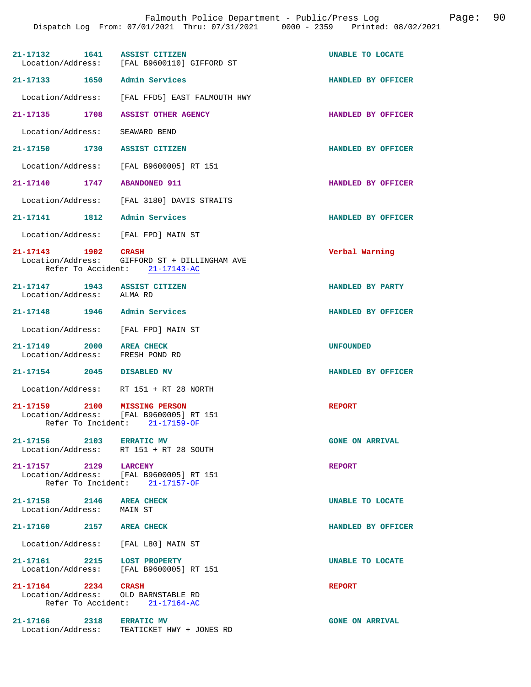| 21-17132 1641                                              | ASSIST CITIZEN<br>Location/Address: [FAL B9600110] GIFFORD ST                            | UNABLE TO LOCATE        |
|------------------------------------------------------------|------------------------------------------------------------------------------------------|-------------------------|
| 21-17133                                                   | 1650 Admin Services                                                                      | HANDLED BY OFFICER      |
|                                                            | Location/Address: [FAL FFD5] EAST FALMOUTH HWY                                           |                         |
| 21-17135 1708                                              | <b>ASSIST OTHER AGENCY</b>                                                               | HANDLED BY OFFICER      |
| Location/Address:                                          | SEAWARD BEND                                                                             |                         |
| 21-17150 1730 ASSIST CITIZEN                               |                                                                                          | HANDLED BY OFFICER      |
|                                                            | Location/Address: [FAL B9600005] RT 151                                                  |                         |
| 21-17140                                                   | 1747 ABANDONED 911                                                                       | HANDLED BY OFFICER      |
|                                                            | Location/Address: [FAL 3180] DAVIS STRAITS                                               |                         |
| 21-17141 1812 Admin Services                               |                                                                                          | HANDLED BY OFFICER      |
| Location/Address: [FAL FPD] MAIN ST                        |                                                                                          |                         |
| 21-17143 1902                                              | CRASH<br>Location/Address: GIFFORD ST + DILLINGHAM AVE<br>Refer To Accident: 21-17143-AC | Verbal Warning          |
| 21-17147 1943 ASSIST CITIZEN<br>Location/Address: ALMA RD  |                                                                                          | HANDLED BY PARTY        |
| 21-17148 1946 Admin Services                               |                                                                                          | HANDLED BY OFFICER      |
| Location/Address: [FAL FPD] MAIN ST                        |                                                                                          |                         |
| 21-17149 2000 AREA CHECK<br>Location/Address:              | FRESH POND RD                                                                            | <b>UNFOUNDED</b>        |
| 21-17154 2045                                              | <b>DISABLED MV</b>                                                                       | HANDLED BY OFFICER      |
|                                                            | Location/Address: RT 151 + RT 28 NORTH                                                   |                         |
| 21-17159 2100 MISSING PERSON                               | Location/Address: [FAL B9600005] RT 151<br>Refer To Incident: 21-17159-OF                | <b>REPORT</b>           |
| 21-17156 2103 ERRATIC MV                                   | Location/Address: RT 151 + RT 28 SOUTH                                                   | <b>GONE ON ARRIVAL</b>  |
| 21-17157 2129 LARCENY                                      | Location/Address: [FAL B9600005] RT 151<br>Refer To Incident: 21-17157-OF                | <b>REPORT</b>           |
| 21-17158 2146 AREA CHECK<br>Location/Address: MAIN ST      |                                                                                          | <b>UNABLE TO LOCATE</b> |
| 21-17160 2157 AREA CHECK                                   |                                                                                          | HANDLED BY OFFICER      |
| Location/Address: [FAL L80] MAIN ST                        |                                                                                          |                         |
| 21-17161 2215 LOST PROPERTY                                |                                                                                          | UNABLE TO LOCATE        |
|                                                            | Location/Address: [FAL B9600005] RT 151                                                  |                         |
| 21-17164 2234 CRASH<br>Location/Address: OLD BARNSTABLE RD | Refer To Accident: 21-17164-AC                                                           | <b>REPORT</b>           |
| 21-17166 2318 ERRATIC MV                                   | Location/Address: TEATICKET HWY + JONES RD                                               | <b>GONE ON ARRIVAL</b>  |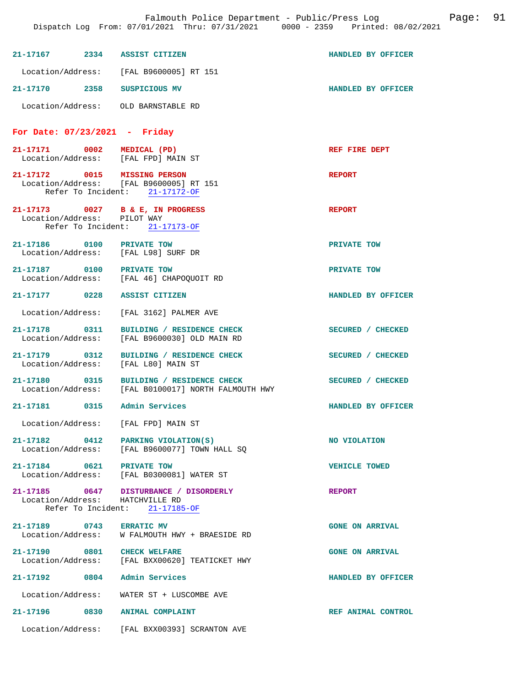|                   | 21-17167 2334 ASSIST CITIZEN                                                                                  | HANDLED BY OFFICER     |
|-------------------|---------------------------------------------------------------------------------------------------------------|------------------------|
|                   | Location/Address: [FAL B9600005] RT 151                                                                       |                        |
|                   | 21-17170 2358 SUSPICIOUS MV                                                                                   | HANDLED BY OFFICER     |
|                   | Location/Address: OLD BARNSTABLE RD                                                                           |                        |
|                   | For Date: $07/23/2021$ - Friday                                                                               |                        |
|                   | 21-17171 0002 MEDICAL (PD)<br>Location/Address: [FAL FPD] MAIN ST                                             | REF FIRE DEPT          |
|                   | 21-17172 0015 MISSING PERSON<br>Location/Address: [FAL B9600005] RT 151<br>Refer To Incident: 21-17172-OF     | <b>REPORT</b>          |
|                   | 21-17173 0027 B & E, IN PROGRESS<br>Location/Address: PILOT WAY<br>Refer To Incident: 21-17173-OF             | <b>REPORT</b>          |
|                   | 21-17186 0100 PRIVATE TOW<br>Location/Address: [FAL L98] SURF DR                                              | PRIVATE TOW            |
|                   | 21-17187 0100 PRIVATE TOW<br>Location/Address: [FAL 46] CHAPOQUOIT RD                                         | PRIVATE TOW            |
|                   | 21-17177 0228 ASSIST CITIZEN                                                                                  | HANDLED BY OFFICER     |
|                   | Location/Address: [FAL 3162] PALMER AVE                                                                       |                        |
|                   | 21-17178   0311   BUILDING / RESIDENCE CHECK<br>Location/Address: [FAL B9600030] OLD MAIN RD                  | SECURED / CHECKED      |
|                   | 21-17179 0312 BUILDING / RESIDENCE CHECK<br>Location/Address: [FAL L80] MAIN ST                               | SECURED / CHECKED      |
|                   | 21-17180 0315 BUILDING / RESIDENCE CHECK<br>Location/Address: [FAL B0100017] NORTH FALMOUTH HWY               | SECURED / CHECKED      |
|                   | 21-17181 0315 Admin Services                                                                                  | HANDLED BY OFFICER     |
| Location/Address: | [FAL FPD] MAIN ST                                                                                             |                        |
|                   | 21-17182 0412 PARKING VIOLATION(S)<br>Location/Address: [FAL B9600077] TOWN HALL SQ                           | NO VIOLATION           |
|                   | 21-17184 0621 PRIVATE TOW<br>Location/Address: [FAL B0300081] WATER ST                                        | <b>VEHICLE TOWED</b>   |
|                   | 21-17185 0647 DISTURBANCE / DISORDERLY<br>Location/Address: HATCHVILLE RD<br>Refer To Incident: $21-17185-OF$ | <b>REPORT</b>          |
|                   | 21-17189 0743 ERRATIC MV<br>Location/Address: W FALMOUTH HWY + BRAESIDE RD                                    | <b>GONE ON ARRIVAL</b> |
|                   | 21-17190 0801 CHECK WELFARE<br>Location/Address: [FAL BXX00620] TEATICKET HWY                                 | <b>GONE ON ARRIVAL</b> |
|                   | 21-17192 0804 Admin Services                                                                                  | HANDLED BY OFFICER     |
|                   |                                                                                                               |                        |
|                   | Location/Address: WATER ST + LUSCOMBE AVE                                                                     |                        |
|                   | 21-17196 0830 ANIMAL COMPLAINT                                                                                | REF ANIMAL CONTROL     |
|                   | Location/Address: [FAL BXX00393] SCRANTON AVE                                                                 |                        |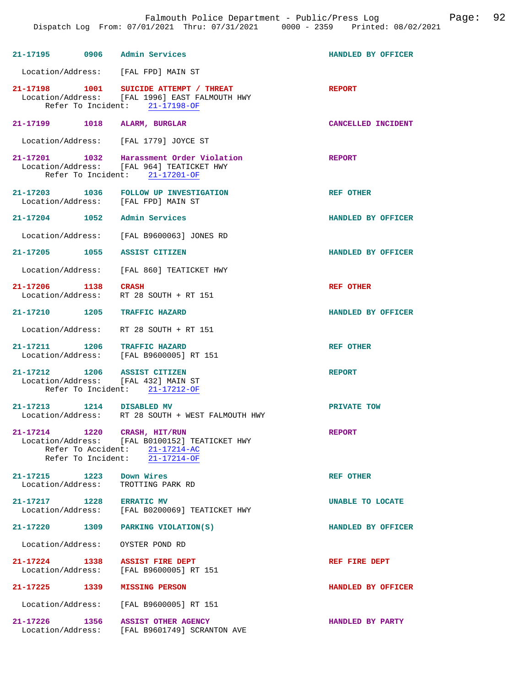| 21-17195 0906 Admin Services                  |                                                                                                                                      | HANDLED BY OFFICER |
|-----------------------------------------------|--------------------------------------------------------------------------------------------------------------------------------------|--------------------|
|                                               | Location/Address: [FAL FPD] MAIN ST                                                                                                  |                    |
|                                               | 21-17198 1001 SUICIDE ATTEMPT / THREAT<br>Location/Address: [FAL 1996] EAST FALMOUTH HWY<br>Refer To Incident: 21-17198-OF           | <b>REPORT</b>      |
| 21-17199 1018 ALARM, BURGLAR                  |                                                                                                                                      | CANCELLED INCIDENT |
|                                               | Location/Address: [FAL 1779] JOYCE ST                                                                                                |                    |
|                                               | 21-17201 1032 Harassment Order Violation<br>Location/Address: [FAL 964] TEATICKET HWY<br>Refer To Incident: 21-17201-OF              | <b>REPORT</b>      |
|                                               | 21-17203 1036 FOLLOW UP INVESTIGATION<br>Location/Address: [FAL FPD] MAIN ST                                                         | <b>REF OTHER</b>   |
| 21-17204 1052 Admin Services                  |                                                                                                                                      | HANDLED BY OFFICER |
|                                               | Location/Address: [FAL B9600063] JONES RD                                                                                            |                    |
| 21-17205 1055 ASSIST CITIZEN                  |                                                                                                                                      | HANDLED BY OFFICER |
|                                               | Location/Address: [FAL 860] TEATICKET HWY                                                                                            |                    |
| 21-17206 1138 CRASH                           | Location/Address: RT 28 SOUTH + RT 151                                                                                               | <b>REF OTHER</b>   |
| 21-17210 1205 TRAFFIC HAZARD                  |                                                                                                                                      | HANDLED BY OFFICER |
|                                               | Location/Address: RT 28 SOUTH + RT 151                                                                                               |                    |
| 21-17211 1206 TRAFFIC HAZARD                  | Location/Address: [FAL B9600005] RT 151                                                                                              | REF OTHER          |
| 21-17212 1206 ASSIST CITIZEN                  | Location/Address: [FAL 432] MAIN ST<br>Refer To Incident: 21-17212-OF                                                                | <b>REPORT</b>      |
| 21-17213 1214 DISABLED MV                     | Location/Address: RT 28 SOUTH + WEST FALMOUTH HWY                                                                                    | PRIVATE TOW        |
| 21-17214 1220                                 | CRASH, HIT/RUN<br>Location/Address: [FAL B0100152] TEATICKET HWY<br>Refer To Accident: 21-17214-AC<br>Refer To Incident: 21-17214-OF | <b>REPORT</b>      |
| 21-17215 1223<br>Location/Address:            |                                                                                                                                      |                    |
|                                               | Down Wires<br>TROTTING PARK RD                                                                                                       | REF OTHER          |
| 21-17217 1228 ERRATIC MV<br>Location/Address: | [FAL B0200069] TEATICKET HWY                                                                                                         | UNABLE TO LOCATE   |
|                                               | 21-17220 1309 PARKING VIOLATION(S)                                                                                                   | HANDLED BY OFFICER |
| Location/Address: OYSTER POND RD              |                                                                                                                                      |                    |
| 21-17224 1338 ASSIST FIRE DEPT                | Location/Address: [FAL B9600005] RT 151                                                                                              | REF FIRE DEPT      |
| 21-17225 1339 MISSING PERSON                  |                                                                                                                                      | HANDLED BY OFFICER |
|                                               | Location/Address: [FAL B9600005] RT 151                                                                                              |                    |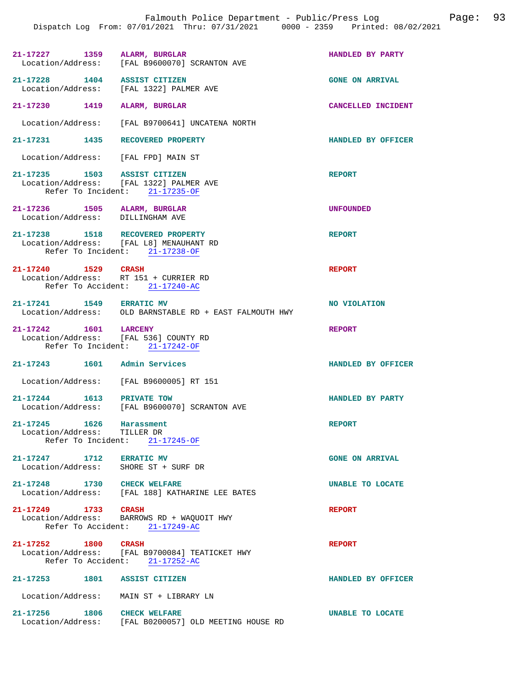| 21-17227          | 1359 | ALARM, BURGLAR              | HANDLED BY PARTY |
|-------------------|------|-----------------------------|------------------|
| Location/Address: |      | [FAL B9600070] SCRANTON AVE |                  |
|                   |      |                             |                  |

**21-17228 1404 ASSIST CITIZEN GONE ON ARRIVAL**  Location/Address: [FAL 1322] PALMER AVE

**21-17230 1419 ALARM, BURGLAR CANCELLED INCIDENT** 

Location/Address: [FAL B9700641] UNCATENA NORTH

# **21-17231 1435 RECOVERED PROPERTY HANDLED BY OFFICER**

Location/Address: [FAL FPD] MAIN ST

## 21-17235 1503 ASSIST CITIZEN **REPORT** Location/Address: [FAL 1322] PALMER AVE Location/Address: Refer To Incident: 21-17235-OF

**21-17236 1505 ALARM, BURGLAR UNFOUNDED**  Location/Address:

**21-17238 1518 RECOVERED PROPERTY REPORT**  Location/Address: [FAL L8] MENAUHANT RD Refer To Incident: 21-17238-OF

**21-17240 1529 CRASH REPORT**  Location/Address: RT 151 + CURRIER RD Refer To Accident: 21-17240-AC

# 21-17241 1549 ERRATIC MV **NO VIOLATION**<br>
Location/Address: OLD BARNSTABLE RD + EAST FALMOUTH HWY OLD BARNSTABLE RD + EAST FALMOUTH HWY

**21-17242 1601 LARCENY REPORT**  Location/Address: [FAL 536] COUNTY RD Refer To Incident: 21-17242-OF

**21-17243 1601 Admin Services HANDLED BY OFFICER** 

Location/Address: [FAL B9600005] RT 151

## **21-17244 1613 PRIVATE TOW HANDLED BY PARTY**  Location/Address: [FAL B9600070] SCRANTON AVE

**21-17245 1626 Harassment REPORT**  Location/Address: TILLER DR Refer To Incident: 21-17245-OF

21-17247 1712 ERRATIC MV GONE ON ARRIVAL Location/Address: SHORE ST + SURF DR Location/Address:

**21-17248 1730 CHECK WELFARE UNABLE TO LOCATE**  Location/Address: [FAL 188] KATHARINE LEE BATES

# **21-17249 1733 CRASH REPORT**  Location/Address: BARROWS RD + WAQUOIT HWY

Refer To Accident: 21-17249-AC

## **21-17252 1800 CRASH REPORT**  Location/Address: [FAL B9700084] TEATICKET HWY Refer To Accident: 21-17252-AC

**21-17253 1801 ASSIST CITIZEN HANDLED BY OFFICER** 

Location/Address: MAIN ST + LIBRARY LN

# **21-17256 1806 CHECK WELFARE UNABLE TO LOCATE**  [FAL B0200057] OLD MEETING HOUSE RD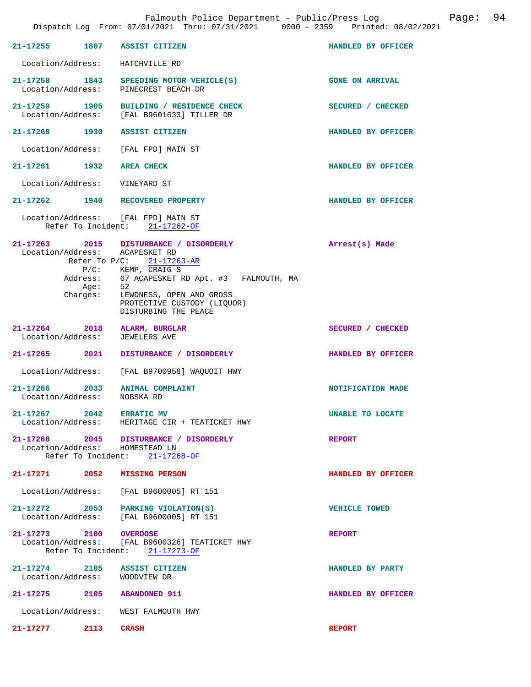|                                              | 21-17255 1807 ASSIST CITIZEN                                                                                                     | HANDLED BY OFFICER     |
|----------------------------------------------|----------------------------------------------------------------------------------------------------------------------------------|------------------------|
|                                              | Location/Address: HATCHVILLE RD                                                                                                  |                        |
|                                              | 21-17258 1843 SPEEDING MOTOR VEHICLE(S)<br>Location/Address: PINECREST BEACH DR                                                  | <b>GONE ON ARRIVAL</b> |
| 21-17259 1905                                | BUILDING / RESIDENCE CHECK<br>Location/Address: [FAL B9601633] TILLER DR                                                         | SECURED / CHECKED      |
|                                              | 21-17260 1930 ASSIST CITIZEN                                                                                                     | HANDLED BY OFFICER     |
|                                              | Location/Address: [FAL FPD] MAIN ST                                                                                              |                        |
| 21-17261 1932 AREA CHECK                     |                                                                                                                                  | HANDLED BY OFFICER     |
| Location/Address: VINEYARD ST                |                                                                                                                                  |                        |
|                                              | 21-17262 1940 RECOVERED PROPERTY                                                                                                 | HANDLED BY OFFICER     |
|                                              | Location/Address: [FAL FPD] MAIN ST<br>Refer To Incident: 21-17262-OF                                                            |                        |
|                                              | 21-17263 2015 DISTURBANCE / DISORDERLY<br>Location/Address: ACAPESKET RD<br>Refer To $P/C: 21-17263-AR$<br>$P/C$ : KEMP, CRAIG S | Arrest(s) Made         |
|                                              | Address: 67 ACAPESKET RD Apt. #3 FALMOUTH, MA<br>Age: 52                                                                         |                        |
|                                              | Charges: LEWDNESS, OPEN AND GROSS<br>PROTECTIVE CUSTODY (LIQUOR)<br>DISTURBING THE PEACE                                         |                        |
| Location/Address: JEWELERS AVE               | 21-17264 2018 ALARM, BURGLAR                                                                                                     | SECURED / CHECKED      |
| 21-17265 2021                                | DISTURBANCE / DISORDERLY                                                                                                         | HANDLED BY OFFICER     |
|                                              | Location/Address: [FAL B9700958] WAQUOIT HWY                                                                                     |                        |
| 21-17266 2033<br>Location/Address: NOBSKA RD | <b>ANIMAL COMPLAINT</b>                                                                                                          | NOTIFICATION MADE      |
| 21-17267 2042 ERRATIC MV                     | Location/Address: HERITAGE CIR + TEATICKET HWY                                                                                   | UNABLE TO LOCATE       |
|                                              | 21-17268 2045 DISTURBANCE / DISORDERLY<br>Location/Address: HOMESTEAD LN<br>Refer To Incident: 21-17268-OF                       | <b>REPORT</b>          |
|                                              | 21-17271 2052 MISSING PERSON                                                                                                     | HANDLED BY OFFICER     |
|                                              | Location/Address: [FAL B9600005] RT 151                                                                                          |                        |
|                                              | 21-17272 2053 PARKING VIOLATION(S)<br>Location/Address: [FAL B9600005] RT 151                                                    | <b>VEHICLE TOWED</b>   |
| 21-17273 2100                                | <b>OVERDOSE</b><br>Location/Address: [FAL B9600326] TEATICKET HWY<br>Refer To Incident: 21-17273-OF                              | <b>REPORT</b>          |
| Location/Address: WOODVIEW DR                | 21-17274 2105 ASSIST CITIZEN                                                                                                     | HANDLED BY PARTY       |
| 21-17275 2105 ABANDONED 911                  |                                                                                                                                  | HANDLED BY OFFICER     |
|                                              | Location/Address: WEST FALMOUTH HWY                                                                                              |                        |
| 21-17277 2113                                | <b>CRASH</b>                                                                                                                     | <b>REPORT</b>          |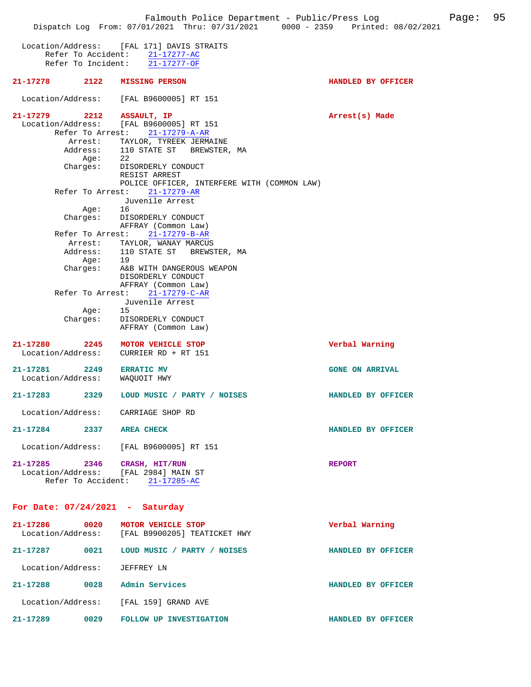Falmouth Police Department - Public/Press Log Falmouth Page: 95 Dispatch Log From: 07/01/2021 Thru: 07/31/2021 0000 - 2359 Printed: 08/02/2021 Location/Address: [FAL 171] DAVIS STRAITS Refer To Accident: 21-17277-AC Refer To Incident: 21-17277-OF **21-17278 2122 MISSING PERSON HANDLED BY OFFICER**  Location/Address: [FAL B9600005] RT 151 **21-17279** 2212 ASSAULT, IP **Arrest(s)** Made Location/Address: [FAL B9600005] RT 151 Refer To Arrest: 21-17279-A-AR Arrest: TAYLOR, TYREEK JERMAINE Address: 110 STATE ST BREWSTER, MA Age: 22 Charges: DISORDERLY CONDUCT RESIST ARREST POLICE OFFICER, INTERFERE WITH (COMMON LAW) Refer To Arrest: 21-17279-AR Juvenile Arrest<br>16  $Age:$  Charges: DISORDERLY CONDUCT AFFRAY (Common Law) Refer To Arrest: 21-17279-B-AR Arrest: TAYLOR, WANAY MARCUS<br>Address: 110 STATE ST BREWS Address: 110 STATE ST BREWSTER, MA Age: 19 Charges: A&B WITH DANGEROUS WEAPON DISORDERLY CONDUCT AFFRAY (Common Law) Refer To Arrest: 21-17279-C-AR Juvenile Arrest Age: 15 Charges: DISORDERLY CONDUCT AFFRAY (Common Law) **21-17280 2245 MOTOR VEHICLE STOP Verbal Warning**  Location/Address: CURRIER RD + RT 151 **21-17281 2249 ERRATIC MV GONE ON ARRIVAL**  Location/Address: **21-17283 2329 LOUD MUSIC / PARTY / NOISES HANDLED BY OFFICER**  Location/Address: CARRIAGE SHOP RD **21-17284 2337 AREA CHECK HANDLED BY OFFICER**  Location/Address: [FAL B9600005] RT 151 **21-17285 2346 CRASH, HIT/RUN REPORT**  Location/Address: [FAL 2984] MAIN ST Refer To Accident: 21-17285-AC **For Date: 07/24/2021 - Saturday 21-17286 0020 MOTOR VEHICLE STOP Verbal Warning**  [FAL B9900205] TEATICKET HWY **21-17287 0021 LOUD MUSIC / PARTY / NOISES HANDLED BY OFFICER**  Location/Address: JEFFREY LN **21-17288 0028 Admin Services HANDLED BY OFFICER**  Location/Address: [FAL 159] GRAND AVE **21-17289 0029 FOLLOW UP INVESTIGATION HANDLED BY OFFICER**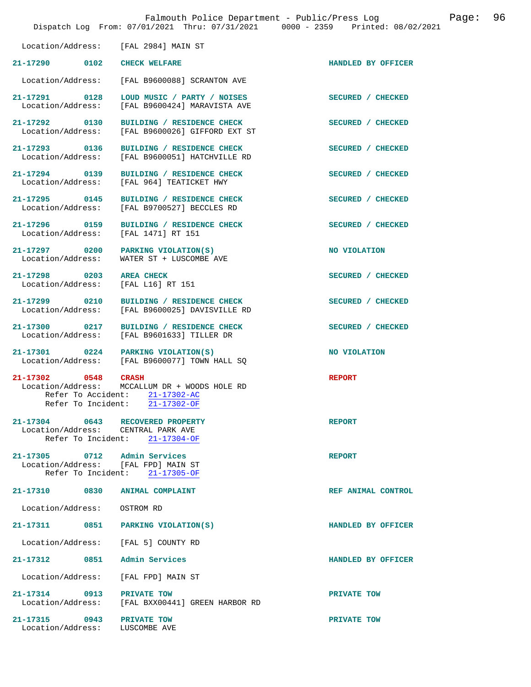|                                                                                           | Falmouth Police Department - Public/Press Log<br>Dispatch Log From: 07/01/2021 Thru: 07/31/2021 0000 - 2359 Printed: 08/02/2021 |                    | Page: | 96 |
|-------------------------------------------------------------------------------------------|---------------------------------------------------------------------------------------------------------------------------------|--------------------|-------|----|
| Location/Address:                                                                         | [FAL 2984] MAIN ST                                                                                                              |                    |       |    |
| 21-17290 0102                                                                             | <b>CHECK WELFARE</b>                                                                                                            | HANDLED BY OFFICER |       |    |
| Location/Address:                                                                         | [FAL B9600088] SCRANTON AVE                                                                                                     |                    |       |    |
| 21-17291 0128<br>Location/Address:                                                        | LOUD MUSIC / PARTY / NOISES<br>[FAL B9600424] MARAVISTA AVE                                                                     | SECURED / CHECKED  |       |    |
| 21-17292 0130<br>Location/Address:                                                        | BUILDING / RESIDENCE CHECK<br>[FAL B9600026] GIFFORD EXT ST                                                                     | SECURED / CHECKED  |       |    |
| 21-17293 0136                                                                             | BUILDING / RESIDENCE CHECK<br>Location/Address: [FAL B9600051] HATCHVILLE RD                                                    | SECURED / CHECKED  |       |    |
| 21-17294 0139<br>Location/Address:                                                        | BUILDING / RESIDENCE CHECK<br>[FAL 964] TEATICKET HWY                                                                           | SECURED / CHECKED  |       |    |
| 21-17295 0145                                                                             | BUILDING / RESIDENCE CHECK<br>Location/Address: [FAL B9700527] BECCLES RD                                                       | SECURED / CHECKED  |       |    |
| 21-17296 0159<br>Location/Address:                                                        | BUILDING / RESIDENCE CHECK<br>[FAL 1471] RT 151                                                                                 | SECURED / CHECKED  |       |    |
| 21-17297 0200<br>Location/Address:                                                        | PARKING VIOLATION(S)<br>WATER ST + LUSCOMBE AVE                                                                                 | NO VIOLATION       |       |    |
| 21-17298 0203<br>Location/Address:                                                        | <b>AREA CHECK</b><br>[FAL L16] RT 151                                                                                           | SECURED / CHECKED  |       |    |
| 21-17299 0210<br>Location/Address:                                                        | BUILDING / RESIDENCE CHECK<br>[FAL B9600025] DAVISVILLE RD                                                                      | SECURED / CHECKED  |       |    |
| 21-17300 0217<br>Location/Address:                                                        | BUILDING / RESIDENCE CHECK<br>[FAL B9601633] TILLER DR                                                                          | SECURED / CHECKED  |       |    |
| 21-17301<br>$\sim$ 0224<br>Location/Address:                                              | PARKING VIOLATION(S)<br>[FAL B9600077] TOWN HALL SO                                                                             | NO VIOLATION       |       |    |
| 21-17302 0548<br>Location/Address:<br>Refer To Accident:<br>Refer To Incident:            | <b>CRASH</b><br>MCCALLUM DR + WOODS HOLE RD<br>21-17302-AC<br>21-17302-OF                                                       | <b>REPORT</b>      |       |    |
| 21-17304 0643<br>Location/Address: CENTRAL PARK AVE                                       | RECOVERED PROPERTY<br>Refer To Incident: 21-17304-OF                                                                            | <b>REPORT</b>      |       |    |
| 21-17305 0712 Admin Services<br>Location/Address: [FAL FPD] MAIN ST<br>Refer To Incident: | $21 - 17305 - OF$                                                                                                               | <b>REPORT</b>      |       |    |
| 21-17310 0830                                                                             | <b>ANIMAL COMPLAINT</b>                                                                                                         | REF ANIMAL CONTROL |       |    |
| Location/Address:                                                                         | OSTROM RD                                                                                                                       |                    |       |    |
| 21-17311 0851                                                                             | PARKING VIOLATION(S)                                                                                                            | HANDLED BY OFFICER |       |    |
| Location/Address:                                                                         | [FAL 5] COUNTY RD                                                                                                               |                    |       |    |
| 0851<br>21-17312                                                                          | Admin Services                                                                                                                  | HANDLED BY OFFICER |       |    |
| Location/Address:                                                                         | [FAL FPD] MAIN ST                                                                                                               |                    |       |    |
| 21-17314 0913<br>Location/Address:                                                        | PRIVATE TOW<br>[FAL BXX00441] GREEN HARBOR RD                                                                                   | PRIVATE TOW        |       |    |
| 21-17315 0943<br>Location/Address:                                                        | PRIVATE TOW<br>LUSCOMBE AVE                                                                                                     | PRIVATE TOW        |       |    |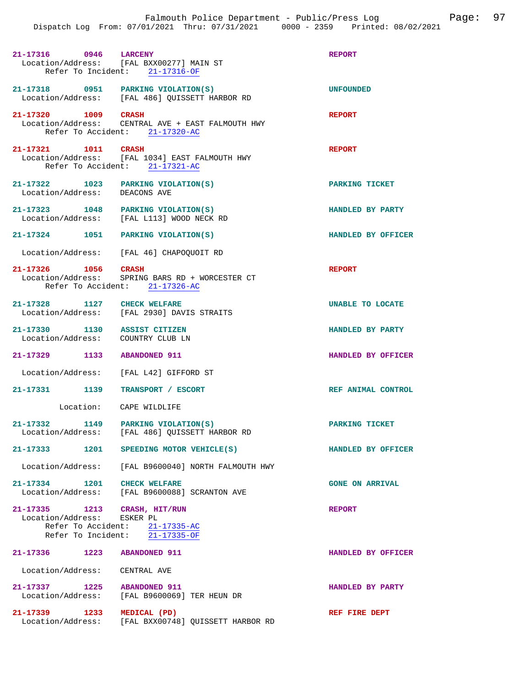| 21-17316 0946 LARCENY                                               | Location/Address: [FAL BXX00277] MAIN ST<br>Refer To Incident: 21-17316-OF                               | <b>REPORT</b>           |
|---------------------------------------------------------------------|----------------------------------------------------------------------------------------------------------|-------------------------|
|                                                                     | 21-17318 0951 PARKING VIOLATION(S)<br>Location/Address: [FAL 486] QUISSETT HARBOR RD                     | <b>UNFOUNDED</b>        |
| 21-17320 1009 CRASH                                                 | Location/Address: CENTRAL AVE + EAST FALMOUTH HWY<br>Refer To Accident: 21-17320-AC                      | <b>REPORT</b>           |
| 21-17321 1011 CRASH                                                 | Location/Address: [FAL 1034] EAST FALMOUTH HWY<br>Refer To Accident: 21-17321-AC                         | <b>REPORT</b>           |
| 21-17322 1023 PARKING VIOLATION(S)<br>Location/Address: DEACONS AVE |                                                                                                          | PARKING TICKET          |
| 21-17323 1048 PARKING VIOLATION(S)                                  | Location/Address: [FAL L113] WOOD NECK RD                                                                | HANDLED BY PARTY        |
| 21-17324 1051 PARKING VIOLATION(S)                                  |                                                                                                          | HANDLED BY OFFICER      |
|                                                                     | Location/Address: [FAL 46] CHAPOQUOIT RD                                                                 |                         |
|                                                                     | 21-17326 1056 CRASH<br>Location/Address: SPRING BARS RD + WORCESTER CT<br>Refer To Accident: 21-17326-AC | <b>REPORT</b>           |
| 21-17328 1127 CHECK WELFARE                                         | Location/Address: [FAL 2930] DAVIS STRAITS                                                               | <b>UNABLE TO LOCATE</b> |
| 21-17330 1130 ASSIST CITIZEN<br>Location/Address: COUNTRY CLUB LN   |                                                                                                          | HANDLED BY PARTY        |
| 21-17329 1133 ABANDONED 911                                         |                                                                                                          | HANDLED BY OFFICER      |
|                                                                     | Location/Address: [FAL L42] GIFFORD ST                                                                   |                         |
| 21-17331 1139                                                       | <b>TRANSPORT / ESCORT</b>                                                                                | REF ANIMAL CONTROL      |
|                                                                     | Location: CAPE WILDLIFE                                                                                  |                         |
| $21 - 17332$                                                        | 1149 PARKING VIOLATION(S)<br>Location/Address: [FAL 486] QUISSETT HARBOR RD                              | PARKING TICKET          |
| $21 - 17333$<br>1201                                                | SPEEDING MOTOR VEHICLE(S)                                                                                | HANDLED BY OFFICER      |
|                                                                     | Location/Address: [FAL B9600040] NORTH FALMOUTH HWY                                                      |                         |
| 21-17334 1201 CHECK WELFARE                                         | Location/Address: [FAL B9600088] SCRANTON AVE                                                            | <b>GONE ON ARRIVAL</b>  |
| 21-17335 1213 CRASH, HIT/RUN<br>Location/Address: ESKER PL          | Refer To Accident: 21-17335-AC<br>Refer To Incident: 21-17335-OF                                         | <b>REPORT</b>           |
| 21-17336 1223                                                       | <b>ABANDONED 911</b>                                                                                     | HANDLED BY OFFICER      |
| Location/Address: CENTRAL AVE                                       |                                                                                                          |                         |
| 21-17337 1225<br>Location/Address:                                  | <b>ABANDONED 911</b><br>[FAL B9600069] TER HEUN DR                                                       | HANDLED BY PARTY        |
| 21-17339<br>1233                                                    | MEDICAL (PD)                                                                                             | REF FIRE DEPT           |

Location/Address: [FAL BXX00748] QUISSETT HARBOR RD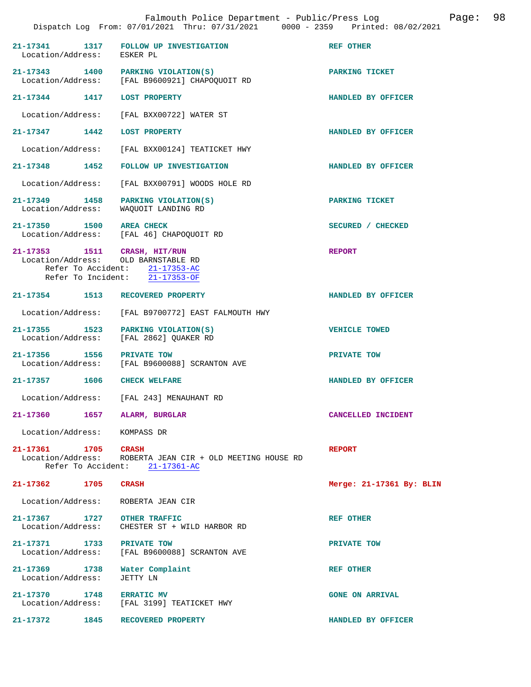|                                                          | Falmouth Police Department - Public/Press Log<br>Dispatch Log From: 07/01/2021 Thru: 07/31/2021 0000 - 2359 Printed: 08/02/2021         | 98<br>Page:              |
|----------------------------------------------------------|-----------------------------------------------------------------------------------------------------------------------------------------|--------------------------|
| 21-17341<br>Location/Address:                            | 1317<br>FOLLOW UP INVESTIGATION<br>ESKER PL                                                                                             | <b>REF OTHER</b>         |
| 21-17343 1400<br>Location/Address:                       | PARKING VIOLATION(S)<br>[FAL B9600921] CHAPOQUOIT RD                                                                                    | PARKING TICKET           |
| 21-17344 1417                                            | <b>LOST PROPERTY</b>                                                                                                                    | HANDLED BY OFFICER       |
| Location/Address:                                        | [FAL BXX00722] WATER ST                                                                                                                 |                          |
| 21-17347 1442                                            | <b>LOST PROPERTY</b>                                                                                                                    | HANDLED BY OFFICER       |
| Location/Address:                                        | [FAL BXX00124] TEATICKET HWY                                                                                                            |                          |
| 21-17348 1452                                            | FOLLOW UP INVESTIGATION                                                                                                                 | HANDLED BY OFFICER       |
| Location/Address:                                        | [FAL BXX00791] WOODS HOLE RD                                                                                                            |                          |
| 21-17349 1458<br>Location/Address:                       | PARKING VIOLATION(S)<br>WAQUOIT LANDING RD                                                                                              | PARKING TICKET           |
| 21-17350 1500                                            | <b>AREA CHECK</b><br>Location/Address: [FAL 46] CHAPOQUOIT RD                                                                           | SECURED / CHECKED        |
|                                                          | 21-17353 1511 CRASH, HIT/RUN<br>Location/Address: OLD BARNSTABLE RD<br>Refer To Accident: 21-17353-AC<br>Refer To Incident: 21-17353-OF | <b>REPORT</b>            |
| 21-17354 1513                                            | RECOVERED PROPERTY                                                                                                                      | HANDLED BY OFFICER       |
| Location/Address:                                        | [FAL B9700772] EAST FALMOUTH HWY                                                                                                        |                          |
| 21-17355 1523<br>Location/Address:                       | PARKING VIOLATION(S)<br>[FAL 2862] QUAKER RD                                                                                            | VEHICLE TOWED            |
| 21-17356 1556                                            | PRIVATE TOW<br>Location/Address: [FAL B9600088] SCRANTON AVE                                                                            | PRIVATE TOW              |
| 21-17357 1606                                            | <b>CHECK WELFARE</b>                                                                                                                    | HANDLED BY OFFICER       |
| Location/Address:                                        | [FAL 243] MENAUHANT RD                                                                                                                  |                          |
| 21-17360                                                 | 1657<br>ALARM, BURGLAR                                                                                                                  | CANCELLED INCIDENT       |
| Location/Address:                                        | KOMPASS DR                                                                                                                              |                          |
| 21-17361 1705<br>Location/Address:<br>Refer To Accident: | <b>CRASH</b><br>ROBERTA JEAN CIR + OLD MEETING HOUSE RD<br>$21 - 17361 - AC$                                                            | <b>REPORT</b>            |
| 21-17362<br>1705                                         | <b>CRASH</b>                                                                                                                            | Merge: 21-17361 By: BLIN |
| Location/Address:                                        | ROBERTA JEAN CIR                                                                                                                        |                          |
| 21-17367<br>1727<br>Location/Address:                    | <b>OTHER TRAFFIC</b><br>CHESTER ST + WILD HARBOR RD                                                                                     | REF OTHER                |
| 21-17371 1733<br>Location/Address:                       | PRIVATE TOW<br>[FAL B9600088] SCRANTON AVE                                                                                              | PRIVATE TOW              |
| 21-17369 1738<br>Location/Address:                       | Water Complaint<br>JETTY LN                                                                                                             | <b>REF OTHER</b>         |
| 21-17370<br>1748<br>Location/Address:                    | <b>ERRATIC MV</b><br>[FAL 3199] TEATICKET HWY                                                                                           | <b>GONE ON ARRIVAL</b>   |
| 21-17372 1845                                            | RECOVERED PROPERTY                                                                                                                      | HANDLED BY OFFICER       |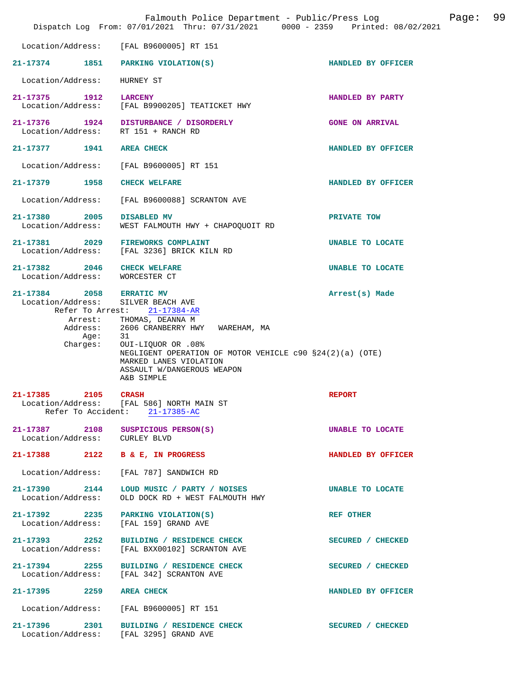|                                                                                                   | Falmouth Police Department - Public/Press Log<br>Dispatch Log From: 07/01/2021 Thru: 07/31/2021 0000 - 2359 Printed: 08/02/2021                                                                                                                                 |                        | Page: | 99 |
|---------------------------------------------------------------------------------------------------|-----------------------------------------------------------------------------------------------------------------------------------------------------------------------------------------------------------------------------------------------------------------|------------------------|-------|----|
| Location/Address:                                                                                 | [FAL B9600005] RT 151                                                                                                                                                                                                                                           |                        |       |    |
| 21-17374 1851                                                                                     | PARKING VIOLATION(S)                                                                                                                                                                                                                                            | HANDLED BY OFFICER     |       |    |
| Location/Address:                                                                                 | HURNEY ST                                                                                                                                                                                                                                                       |                        |       |    |
| 21-17375 1912<br>Location/Address:                                                                | <b>LARCENY</b><br>[FAL B9900205] TEATICKET HWY                                                                                                                                                                                                                  | HANDLED BY PARTY       |       |    |
| 21-17376 1924<br>Location/Address:                                                                | DISTURBANCE / DISORDERLY<br>RT 151 + RANCH RD                                                                                                                                                                                                                   | <b>GONE ON ARRIVAL</b> |       |    |
| 21-17377 1941                                                                                     | <b>AREA CHECK</b>                                                                                                                                                                                                                                               | HANDLED BY OFFICER     |       |    |
| Location/Address:                                                                                 | [FAL B9600005] RT 151                                                                                                                                                                                                                                           |                        |       |    |
| 21-17379 1958                                                                                     | <b>CHECK WELFARE</b>                                                                                                                                                                                                                                            | HANDLED BY OFFICER     |       |    |
| Location/Address:                                                                                 | [FAL B9600088] SCRANTON AVE                                                                                                                                                                                                                                     |                        |       |    |
| 21-17380<br>2005<br>Location/Address:                                                             | DISABLED MV<br>WEST FALMOUTH HWY + CHAPOQUOIT RD                                                                                                                                                                                                                | PRIVATE TOW            |       |    |
| 21-17381 2029<br>Location/Address:                                                                | <b>FIREWORKS COMPLAINT</b><br>[FAL 3236] BRICK KILN RD                                                                                                                                                                                                          | UNABLE TO LOCATE       |       |    |
| 21-17382 2046<br>Location/Address:                                                                | <b>CHECK WELFARE</b><br>WORCESTER CT                                                                                                                                                                                                                            | UNABLE TO LOCATE       |       |    |
| 21-17384 2058 ERRATIC MV<br>Location/Address:<br>Refer To Arrest:<br>Address:<br>Aqe:<br>Charges: | SILVER BEACH AVE<br>21-17384-AR<br>Arrest: THOMAS, DEANNA M<br>2606 CRANBERRY HWY WAREHAM, MA<br>31<br>OUI-LIQUOR OR .08%<br>NEGLIGENT OPERATION OF MOTOR VEHICLE $c90$ $$24(2)(a)$ (OTE)<br>MARKED LANES VIOLATION<br>ASSAULT W/DANGEROUS WEAPON<br>A&B SIMPLE | Arrest(s) Made         |       |    |
| 21-17385 2105                                                                                     | <b>CRASH</b><br>Location/Address: [FAL 586] NORTH MAIN ST<br>Refer To Accident: 21-17385-AC                                                                                                                                                                     | <b>REPORT</b>          |       |    |
| 21-17387 2108<br>Location/Address: CURLEY BLVD                                                    | SUSPICIOUS PERSON(S)                                                                                                                                                                                                                                            | UNABLE TO LOCATE       |       |    |
| 21-17388                                                                                          | 2122 B & E, IN PROGRESS                                                                                                                                                                                                                                         | HANDLED BY OFFICER     |       |    |
| Location/Address:                                                                                 | [FAL 787] SANDWICH RD                                                                                                                                                                                                                                           |                        |       |    |
| 21-17390 2144<br>Location/Address:                                                                | LOUD MUSIC / PARTY / NOISES<br>OLD DOCK RD + WEST FALMOUTH HWY                                                                                                                                                                                                  | UNABLE TO LOCATE       |       |    |
| 21-17392 2235<br>Location/Address:                                                                | PARKING VIOLATION(S)<br>[FAL 159] GRAND AVE                                                                                                                                                                                                                     | REF OTHER              |       |    |
| 21-17393 2252<br>Location/Address:                                                                | BUILDING / RESIDENCE CHECK<br>[FAL BXX00102] SCRANTON AVE                                                                                                                                                                                                       | SECURED / CHECKED      |       |    |
| 21-17394 2255<br>Location/Address:                                                                | BUILDING / RESIDENCE CHECK<br>[FAL 342] SCRANTON AVE                                                                                                                                                                                                            | SECURED / CHECKED      |       |    |
| 21-17395<br>2259                                                                                  | <b>AREA CHECK</b>                                                                                                                                                                                                                                               | HANDLED BY OFFICER     |       |    |
| Location/Address:                                                                                 | [FAL B9600005] RT 151                                                                                                                                                                                                                                           |                        |       |    |
| 21-17396 2301                                                                                     | BUILDING / RESIDENCE CHECK<br>Location/Address: [FAL 3295] GRAND AVE                                                                                                                                                                                            | SECURED / CHECKED      |       |    |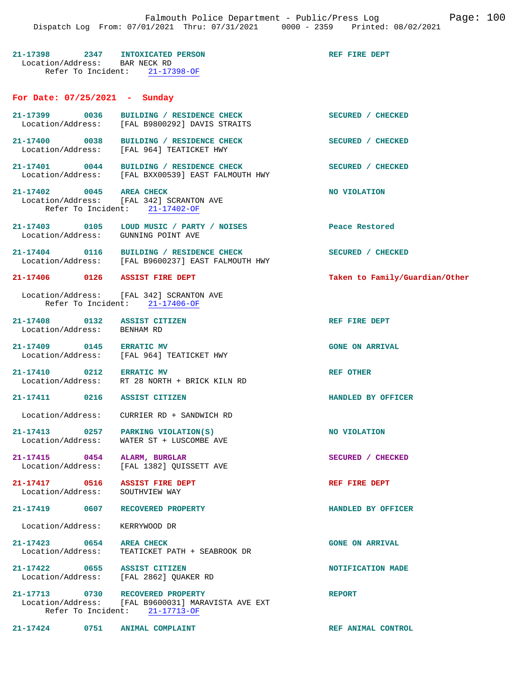### **21-17398 2347 INTOXICATED PERSON REF FIRE DEPT**  Location/Address: BAR NECK RD Refer To Incident: 21-17398-OF

### **For Date: 07/25/2021 - Sunday**

| $21 - 17399$<br>Location/Address:                       | 0036 | BUILDING / RESIDENCE CHECK<br>[FAL B9800292] DAVIS STRAITS               | <b>SECURED</b><br><b>CHECKED</b> |
|---------------------------------------------------------|------|--------------------------------------------------------------------------|----------------------------------|
| $21 - 17400$<br>Location/Address:                       | 0038 | <b>RESIDENCE CHECK</b><br>BUILDING /<br>[FAL 964] TEATICKET HWY          | <b>SECURED</b><br><b>CHECKED</b> |
| $21 - 17401$<br>Location/Address:                       | 0044 | <b>RESIDENCE CHECK</b><br>BUILDING /<br>[FAL BXX00539] EAST FALMOUTH HWY | <b>SECURED</b><br><b>CHECKED</b> |
| $21 - 17402$<br>Location/Address:<br>Refer To Incident: | 0045 | AREA CHECK<br>[FAL 342] SCRANTON AVE<br>$21 - 17402 - OF$                | NO VIOLATION                     |
| $21 - 17403$<br>Location/Address:                       | 0105 | LOUD MUSIC /<br>PARTY /<br><b>NOISES</b><br>GUNNING POINT AVE            | Peace Restored                   |

**21-17404 0116 BUILDING / RESIDENCE CHECK SECURED / CHECKED**  Location/Address: [FAL B9600237] EAST FALMOUTH HWY

### **21-17406 0126 ASSIST FIRE DEPT Taken to Family/Guardian/Other**

 Location/Address: [FAL 342] SCRANTON AVE Refer To Incident: 21-17406-OF

21-17408 0132 ASSIST CITIZEN REF FIRE DEPT Location/Address: BENHAM RD Location/Address:

- **21-17409 0145 ERRATIC MV GONE ON ARRIVAL**  Location/Address: [FAL 964] TEATICKET HWY
- **21-17410 0212 ERRATIC MV REF OTHER**  RT 28 NORTH + BRICK KILN RD

### **21-17411 0216 ASSIST CITIZEN HANDLED BY OFFICER**

Location/Address: CURRIER RD + SANDWICH RD

**21-17413** 0257 PARKING VIOLATION(S) NO VIOLATION Location/Address: WATER ST + LUSCOMBE AVE WATER ST + LUSCOMBE AVE

**21-17415 0454 ALARM, BURGLAR SECURED / CHECKED**  [FAL 1382] QUISSETT AVE

**21-17417 0516 ASSIST FIRE DEPT REF FIRE DEPT**  Location/Address: SOUTHVIEW WAY

### **21-17419 0607 RECOVERED PROPERTY HANDLED BY OFFICER**

Location/Address: KERRYWOOD DR

**21-17423 0654 AREA CHECK GONE ON ARRIVAL**  Location/Address: TEATICKET PATH + SEABROOK DR

**21-17422** 0655 ASSIST CITIZEN **NOTIFICATION MADE NOTIFICATION MADE NOTIFICATION** [FAL 2862] QUAKER RD

**21-17713 0730 RECOVERED PROPERTY REPORT**  Location/Address: [FAL B9600031] MARAVISTA AVE EXT Refer To Incident: 21-17713-OF

**21-17424 0751 ANIMAL COMPLAINT REF ANIMAL CONTROL**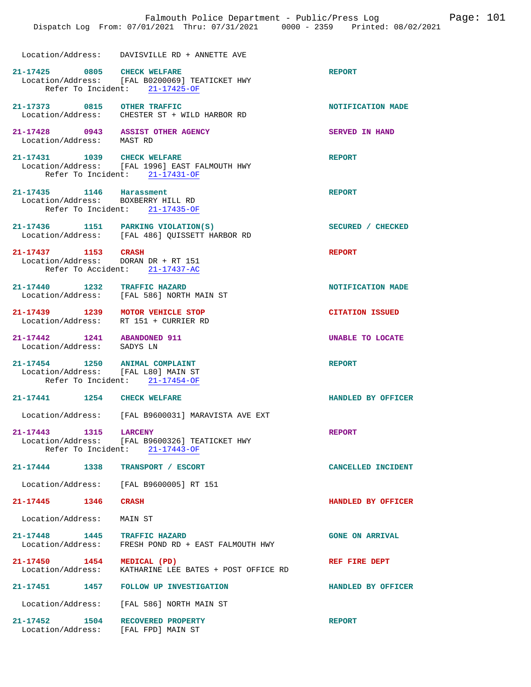|                                                          |      | Falmouth Police Department - Public/Press Log<br>Dispatch Log From: 07/01/2021 Thru: 07/31/2021 0000 - 2359 Printed: 08/02/2021 |                         | Page: 101 |  |
|----------------------------------------------------------|------|---------------------------------------------------------------------------------------------------------------------------------|-------------------------|-----------|--|
|                                                          |      | Location/Address: DAVISVILLE RD + ANNETTE AVE                                                                                   |                         |           |  |
| 21-17425 0805                                            |      | <b>CHECK WELFARE</b><br>Location/Address: [FAL B0200069] TEATICKET HWY<br>Refer To Incident: 21-17425-OF                        | <b>REPORT</b>           |           |  |
| 21-17373 0815                                            |      | <b>OTHER TRAFFIC</b><br>Location/Address: CHESTER ST + WILD HARBOR RD                                                           | NOTIFICATION MADE       |           |  |
| 21-17428 0943<br>Location/Address:                       |      | <b>ASSIST OTHER AGENCY</b><br>MAST RD                                                                                           | <b>SERVED IN HAND</b>   |           |  |
| 21-17431 1039                                            |      | <b>CHECK WELFARE</b><br>Location/Address: [FAL 1996] EAST FALMOUTH HWY<br>Refer To Incident: 21-17431-OF                        | <b>REPORT</b>           |           |  |
| $21 - 17435$<br>Refer To Incident:                       |      | 1146 Harassment<br>Location/Address: BOXBERRY HILL RD<br>21-17435-OF                                                            | <b>REPORT</b>           |           |  |
| 21-17436 1151                                            |      | PARKING VIOLATION(S)<br>Location/Address: [FAL 486] QUISSETT HARBOR RD                                                          | SECURED / CHECKED       |           |  |
| 21-17437 1153<br>Location/Address:<br>Refer To Accident: |      | <b>CRASH</b><br>DORAN DR + RT 151<br>$21 - 17437 - AC$                                                                          | <b>REPORT</b>           |           |  |
| 21-17440                                                 | 1232 | <b>TRAFFIC HAZARD</b><br>Location/Address: [FAL 586] NORTH MAIN ST                                                              | NOTIFICATION MADE       |           |  |
| 21-17439 1239<br>Location/Address:                       |      | MOTOR VEHICLE STOP<br>RT 151 + CURRIER RD                                                                                       | <b>CITATION ISSUED</b>  |           |  |
| $21 - 17442$<br>Location/Address:                        | 1241 | <b>ABANDONED 911</b><br>SADYS LN                                                                                                | <b>UNABLE TO LOCATE</b> |           |  |
| 1250<br>$21 - 17454$                                     |      | <b>ANIMAL COMPLAINT</b><br>Location/Address: [FAL L80] MAIN ST<br>Refer To Incident: 21-17454-OF                                | <b>REPORT</b>           |           |  |
| 21-17441                                                 | 1254 | <b>CHECK WELFARE</b>                                                                                                            | HANDLED BY OFFICER      |           |  |
|                                                          |      | Location/Address: [FAL B9600031] MARAVISTA AVE EXT                                                                              |                         |           |  |
| 21-17443 1315 LARCENY                                    |      | Location/Address: [FAL B9600326] TEATICKET HWY<br>Refer To Incident: $21-17443-OF$                                              | <b>REPORT</b>           |           |  |
| 21-17444                                                 | 1338 | TRANSPORT / ESCORT                                                                                                              | CANCELLED INCIDENT      |           |  |
| Location/Address:                                        |      | [FAL B9600005] RT 151                                                                                                           |                         |           |  |
| 21-17445 1346                                            |      | <b>CRASH</b>                                                                                                                    | HANDLED BY OFFICER      |           |  |
| Location/Address:                                        |      | MAIN ST                                                                                                                         |                         |           |  |
| 21-17448 1445<br>Location/Address:                       |      | <b>TRAFFIC HAZARD</b><br>FRESH POND RD + EAST FALMOUTH HWY                                                                      | <b>GONE ON ARRIVAL</b>  |           |  |
| 21-17450 1454<br>Location/Address:                       |      | MEDICAL (PD)<br>KATHARINE LEE BATES + POST OFFICE RD                                                                            | REF FIRE DEPT           |           |  |
| 21-17451 1457                                            |      | FOLLOW UP INVESTIGATION                                                                                                         | HANDLED BY OFFICER      |           |  |

Location/Address: [FAL 586] NORTH MAIN ST

**21-17452 1504 RECOVERED PROPERTY REPORT**  Location/Address: [FAL FPD] MAIN ST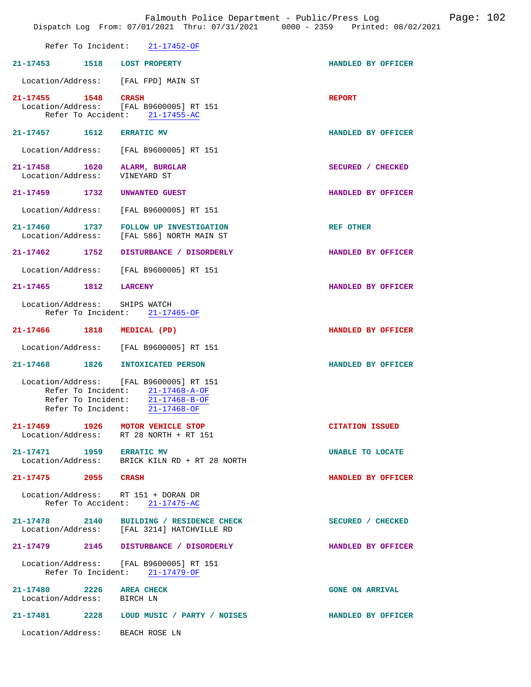|                                                               |                                                                                                                           | Falmouth Police Department - Public/Press Log<br>Dispatch Log From: 07/01/2021 Thru: 07/31/2021 0000 - 2359 Printed: 08/02/2021 | Page: 102 |  |
|---------------------------------------------------------------|---------------------------------------------------------------------------------------------------------------------------|---------------------------------------------------------------------------------------------------------------------------------|-----------|--|
|                                                               | Refer To Incident: 21-17452-OF                                                                                            |                                                                                                                                 |           |  |
| 21-17453 1518 LOST PROPERTY                                   |                                                                                                                           | HANDLED BY OFFICER                                                                                                              |           |  |
|                                                               | Location/Address: [FAL FPD] MAIN ST                                                                                       |                                                                                                                                 |           |  |
| 21-17455 1548 CRASH                                           | Location/Address: [FAL B9600005] RT 151<br>Refer To Accident: 21-17455-AC                                                 | <b>REPORT</b>                                                                                                                   |           |  |
| 21-17457 1612 ERRATIC MV                                      |                                                                                                                           | HANDLED BY OFFICER                                                                                                              |           |  |
|                                                               | Location/Address: [FAL B9600005] RT 151                                                                                   |                                                                                                                                 |           |  |
| 21-17458 1620 ALARM, BURGLAR<br>Location/Address: VINEYARD ST |                                                                                                                           | SECURED / CHECKED                                                                                                               |           |  |
| 21-17459 1732 UNWANTED GUEST                                  |                                                                                                                           | HANDLED BY OFFICER                                                                                                              |           |  |
|                                                               | Location/Address: [FAL B9600005] RT 151                                                                                   |                                                                                                                                 |           |  |
|                                                               | 21-17460 1737 FOLLOW UP INVESTIGATION<br>Location/Address: [FAL 586] NORTH MAIN ST                                        | <b>REF OTHER</b>                                                                                                                |           |  |
|                                                               | 21-17462 1752 DISTURBANCE / DISORDERLY                                                                                    | HANDLED BY OFFICER                                                                                                              |           |  |
|                                                               | Location/Address: [FAL B9600005] RT 151                                                                                   |                                                                                                                                 |           |  |
| 21-17465 1812 LARCENY                                         |                                                                                                                           | HANDLED BY OFFICER                                                                                                              |           |  |
| Location/Address: SHIPS WATCH                                 | Refer To Incident: 21-17465-OF                                                                                            |                                                                                                                                 |           |  |
| 21-17466 1818 MEDICAL (PD)                                    |                                                                                                                           | HANDLED BY OFFICER                                                                                                              |           |  |
|                                                               | Location/Address: [FAL B9600005] RT 151                                                                                   |                                                                                                                                 |           |  |
|                                                               | 21-17468 1826 INTOXICATED PERSON                                                                                          | HANDLED BY OFFICER                                                                                                              |           |  |
| Refer To Incident:<br>Refer To Incident:                      | Location/Address: [FAL B9600005] RT 151<br>$\frac{21-17468-A-0F}{2}$<br>21-17468-B-OF<br>Refer To Incident: $21-17468-OF$ |                                                                                                                                 |           |  |
|                                                               | 21-17469 1926 MOTOR VEHICLE STOP<br>Location/Address: RT 28 NORTH + RT 151                                                | <b>CITATION ISSUED</b>                                                                                                          |           |  |
| 21-17471 1959 ERRATIC MV                                      | Location/Address: BRICK KILN RD + RT 28 NORTH                                                                             | UNABLE TO LOCATE                                                                                                                |           |  |
| 21-17475 2055 CRASH                                           |                                                                                                                           | HANDLED BY OFFICER                                                                                                              |           |  |
|                                                               | Location/Address: RT 151 + DORAN DR<br>Refer To Accident: 21-17475-AC                                                     |                                                                                                                                 |           |  |
|                                                               | 21-17478 2140 BUILDING / RESIDENCE CHECK<br>Location/Address: [FAL 3214] HATCHVILLE RD                                    | SECURED / CHECKED                                                                                                               |           |  |
|                                                               | 21-17479 2145 DISTURBANCE / DISORDERLY                                                                                    | HANDLED BY OFFICER                                                                                                              |           |  |
|                                                               | Location/Address: [FAL B9600005] RT 151<br>Refer To Incident: 21-17479-OF                                                 |                                                                                                                                 |           |  |

**21-17480 2226 AREA CHECK GONE ON ARRIVAL**  Location/Address: BIRCH LN **21-17481 2228 LOUD MUSIC / PARTY / NOISES HANDLED BY OFFICER**  Location/Address: BEACH ROSE LN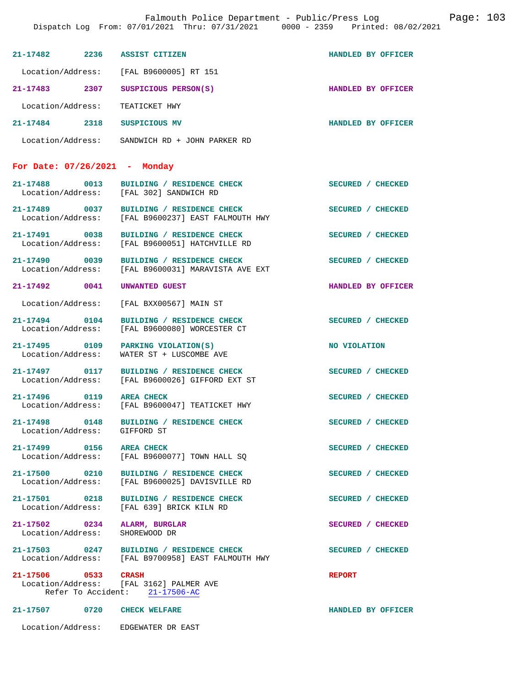|                                                                | Falmouth Police Department - Public/Press Log<br>Dispatch Log From: 07/01/2021 Thru: 07/31/2021 0000 - 2359 Printed: 08/02/2021 |                          |
|----------------------------------------------------------------|---------------------------------------------------------------------------------------------------------------------------------|--------------------------|
| 21-17482 2236 ASSIST CITIZEN                                   |                                                                                                                                 | HANDLED BY OFFICER       |
|                                                                | Location/Address: [FAL B9600005] RT 151                                                                                         |                          |
|                                                                | 21-17483 2307 SUSPICIOUS PERSON(S)                                                                                              | HANDLED BY OFFICER       |
| Location/Address: TEATICKET HWY                                |                                                                                                                                 |                          |
| 21-17484 2318 SUSPICIOUS MV                                    |                                                                                                                                 | HANDLED BY OFFICER       |
|                                                                | Location/Address: SANDWICH RD + JOHN PARKER RD                                                                                  |                          |
| For Date: $07/26/2021$ - Monday                                |                                                                                                                                 |                          |
|                                                                | 21-17488 0013 BUILDING / RESIDENCE CHECK<br>Location/Address: [FAL 302] SANDWICH RD                                             | <b>SECURED / CHECKED</b> |
|                                                                | 21-17489 0037 BUILDING / RESIDENCE CHECK<br>Location/Address: [FAL B9600237] EAST FALMOUTH HWY                                  | SECURED / CHECKED        |
|                                                                | 21-17491 0038 BUILDING / RESIDENCE CHECK<br>Location/Address: [FAL B9600051] HATCHVILLE RD                                      | SECURED / CHECKED        |
|                                                                | 21-17490 0039 BUILDING / RESIDENCE CHECK<br>Location/Address: [FAL B9600031] MARAVISTA AVE EXT                                  | SECURED / CHECKED        |
| 21-17492 0041 UNWANTED GUEST                                   |                                                                                                                                 | HANDLED BY OFFICER       |
|                                                                | Location/Address: [FAL BXX00567] MAIN ST                                                                                        |                          |
| 21-17494 0104                                                  | BUILDING / RESIDENCE CHECK<br>Location/Address: [FAL B9600080] WORCESTER CT                                                     | SECURED / CHECKED        |
|                                                                | 21-17495 0109 PARKING VIOLATION(S)<br>Location/Address: WATER ST + LUSCOMBE AVE                                                 | NO VIOLATION             |
|                                                                | 21-17497 0117 BUILDING / RESIDENCE CHECK<br>Location/Address: [FAL B9600026] GIFFORD EXT ST                                     | SECURED / CHECKED        |
| 21-17496 0119 AREA CHECK                                       | Location/Address: [FAL B9600047] TEATICKET HWY                                                                                  | SECURED / CHECKED        |
| Location/Address: GIFFORD ST                                   | 21-17498 0148 BUILDING / RESIDENCE CHECK                                                                                        | SECURED / CHECKED        |
| 21-17499 0156 AREA CHECK                                       | Location/Address: [FAL B9600077] TOWN HALL SQ                                                                                   | SECURED / CHECKED        |
|                                                                | 21-17500 0210 BUILDING / RESIDENCE CHECK<br>Location/Address: [FAL B9600025] DAVISVILLE RD                                      | SECURED / CHECKED        |
|                                                                | 21-17501 0218 BUILDING / RESIDENCE CHECK<br>Location/Address: [FAL 639] BRICK KILN RD                                           | SECURED / CHECKED        |
| 21-17502 0234 ALARM, BURGLAR<br>Location/Address: SHOREWOOD DR |                                                                                                                                 | SECURED / CHECKED        |
|                                                                | 21-17503 0247 BUILDING / RESIDENCE CHECK<br>Location/Address: [FAL B9700958] EAST FALMOUTH HWY                                  | SECURED / CHECKED        |
| 21-17506 0533 CRASH                                            | Location/Address: [FAL 3162] PALMER AVE<br>Refer To Accident: 21-17506-AC                                                       | <b>REPORT</b>            |
| 21-17507 0720 CHECK WELFARE                                    |                                                                                                                                 | HANDLED BY OFFICER       |
|                                                                | Location/Address: EDGEWATER DR EAST                                                                                             |                          |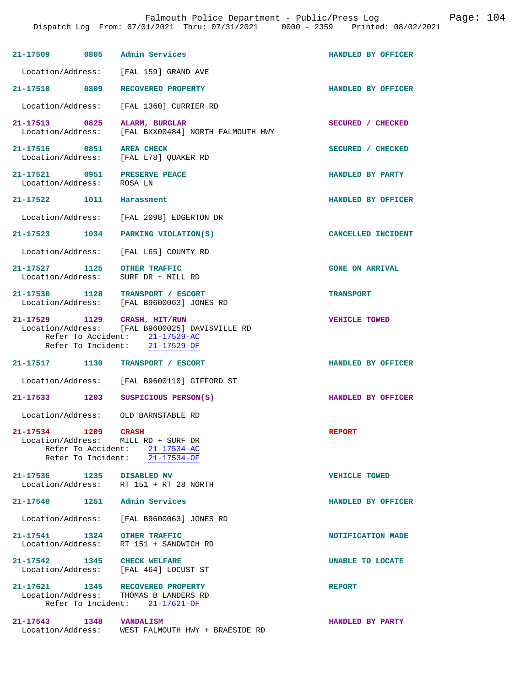| 21-17509 0805 Admin Services                     |                                                                                                                                                    | HANDLED BY OFFICER     |
|--------------------------------------------------|----------------------------------------------------------------------------------------------------------------------------------------------------|------------------------|
| Location/Address:                                | [FAL 159] GRAND AVE                                                                                                                                |                        |
| 21-17510 0809                                    | RECOVERED PROPERTY                                                                                                                                 | HANDLED BY OFFICER     |
| Location/Address:                                | [FAL 1360] CURRIER RD                                                                                                                              |                        |
| 21-17513 0825<br>Location/Address:               | ALARM, BURGLAR<br>[FAL BXX00484] NORTH FALMOUTH HWY                                                                                                | SECURED / CHECKED      |
| 21-17516 0851<br>Location/Address:               | <b>AREA CHECK</b><br>[FAL L78] QUAKER RD                                                                                                           | SECURED / CHECKED      |
| 21-17521 0951<br>Location/Address:               | <b>PRESERVE PEACE</b><br>ROSA LN                                                                                                                   | HANDLED BY PARTY       |
| 21-17522 1011                                    | Harassment                                                                                                                                         | HANDLED BY OFFICER     |
|                                                  | Location/Address: [FAL 2098] EDGERTON DR                                                                                                           |                        |
| 21-17523 1034                                    | PARKING VIOLATION(S)                                                                                                                               | CANCELLED INCIDENT     |
| Location/Address:                                | [FAL L65] COUNTY RD                                                                                                                                |                        |
| 21-17527 1125 OTHER TRAFFIC<br>Location/Address: | SURF DR + MILL RD                                                                                                                                  | <b>GONE ON ARRIVAL</b> |
|                                                  | 21-17530 1128 TRANSPORT / ESCORT<br>Location/Address: [FAL B9600063] JONES RD                                                                      | <b>TRANSPORT</b>       |
|                                                  | 21-17529 1129 CRASH, HIT/RUN<br>Location/Address: [FAL B9600025] DAVISVILLE RD<br>Refer To Accident: 21-17529-AC<br>Refer To Incident: 21-17529-OF | <b>VEHICLE TOWED</b>   |
| 21-17517 1130                                    | TRANSPORT / ESCORT                                                                                                                                 | HANDLED BY OFFICER     |
| Location/Address:                                | [FAL B9600110] GIFFORD ST                                                                                                                          |                        |
| 21-17533 1203                                    | SUSPICIOUS PERSON(S)                                                                                                                               | HANDLED BY OFFICER     |
| Location/Address:                                | OLD BARNSTABLE RD                                                                                                                                  |                        |
| 21-17534 1209 CRASH                              | Location/Address: MILL RD + SURF DR<br>Refer To Accident: 21-17534-AC<br>Refer To Incident: $\overline{21-17534-OF}$                               | <b>REPORT</b>          |
|                                                  | 21-17536 1235 DISABLED MV<br>Location/Address: RT 151 + RT 28 NORTH                                                                                | <b>VEHICLE TOWED</b>   |
| 21-17540                                         | 1251 Admin Services                                                                                                                                | HANDLED BY OFFICER     |
|                                                  | Location/Address: [FAL B9600063] JONES RD                                                                                                          |                        |
| 21-17541 1324 OTHER TRAFFIC<br>Location/Address: | RT 151 + SANDWICH RD                                                                                                                               | NOTIFICATION MADE      |
| 21-17542 1345 CHECK WELFARE                      | Location/Address: [FAL 464] LOCUST ST                                                                                                              | UNABLE TO LOCATE       |
|                                                  | 21-17621 1345 RECOVERED PROPERTY<br>Location/Address: THOMAS B LANDERS RD<br>Refer To Incident: 21-17621-OF                                        | <b>REPORT</b>          |
| 21-17543 1348<br>Location/Address:               | VANDALISM<br>WEST FALMOUTH HWY + BRAESIDE RD                                                                                                       | HANDLED BY PARTY       |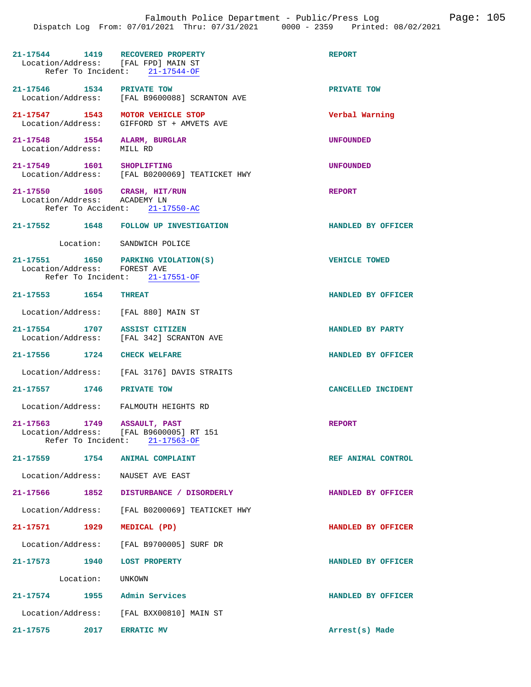| 21-17544 1419 RECOVERED PROPERTY<br>Location/Address: [FAL FPD] MAIN ST | Refer To Incident: 21-17544-OF                                           | <b>REPORT</b>        |
|-------------------------------------------------------------------------|--------------------------------------------------------------------------|----------------------|
| 21-17546 1534 PRIVATE TOW                                               | Location/Address: [FAL B9600088] SCRANTON AVE                            | PRIVATE TOW          |
| 21-17547 1543 MOTOR VEHICLE STOP<br>Location/Address:                   | GIFFORD ST + AMVETS AVE                                                  | Verbal Warning       |
| 21-17548 1554 ALARM, BURGLAR<br>Location/Address: MILL RD               |                                                                          | <b>UNFOUNDED</b>     |
| 21-17549 1601 SHOPLIFTING                                               | Location/Address: [FAL B0200069] TEATICKET HWY                           | <b>UNFOUNDED</b>     |
| 21-17550 1605 CRASH, HIT/RUN<br>Location/Address: ACADEMY LN            | Refer To Accident: 21-17550-AC                                           | REPORT               |
|                                                                         | 21-17552 1648 FOLLOW UP INVESTIGATION                                    | HANDLED BY OFFICER   |
|                                                                         | Location: SANDWICH POLICE                                                |                      |
| Location/Address: FOREST AVE                                            | 21-17551 1650 PARKING VIOLATION(S)<br>Refer To Incident: 21-17551-OF     | <b>VEHICLE TOWED</b> |
| 21-17553 1654                                                           | <b>THREAT</b>                                                            | HANDLED BY OFFICER   |
| Location/Address: [FAL 880] MAIN ST                                     |                                                                          |                      |
| 21-17554 1707 ASSIST CITIZEN                                            | Location/Address: [FAL 342] SCRANTON AVE                                 | HANDLED BY PARTY     |
| 21-17556 1724 CHECK WELFARE                                             |                                                                          | HANDLED BY OFFICER   |
|                                                                         | Location/Address: [FAL 3176] DAVIS STRAITS                               |                      |
| 21-17557 1746                                                           | PRIVATE TOW                                                              | CANCELLED INCIDENT   |
|                                                                         | Location/Address: FALMOUTH HEIGHTS RD                                    |                      |
| 21-17563 1749<br>Location/Address:                                      | ASSAULT, PAST<br>[FAL B9600005] RT 151<br>Refer To Incident: 21-17563-OF | <b>REPORT</b>        |
| 21-17559 1754 ANIMAL COMPLAINT                                          |                                                                          | REF ANIMAL CONTROL   |
| Location/Address: NAUSET AVE EAST                                       |                                                                          |                      |
|                                                                         | 21-17566 1852 DISTURBANCE / DISORDERLY                                   | HANDLED BY OFFICER   |
|                                                                         | Location/Address: [FAL B0200069] TEATICKET HWY                           |                      |
| 21-17571 1929                                                           | MEDICAL (PD)                                                             | HANDLED BY OFFICER   |
|                                                                         | Location/Address: [FAL B9700005] SURF DR                                 |                      |
| 21-17573 1940 LOST PROPERTY                                             |                                                                          | HANDLED BY OFFICER   |
| Location: UNKOWN                                                        |                                                                          |                      |
| 21-17574 1955 Admin Services                                            |                                                                          | HANDLED BY OFFICER   |
|                                                                         | Location/Address: [FAL BXX00810] MAIN ST                                 |                      |
| 21-17575 2017 ERRATIC MV                                                |                                                                          | Arrest(s) Made       |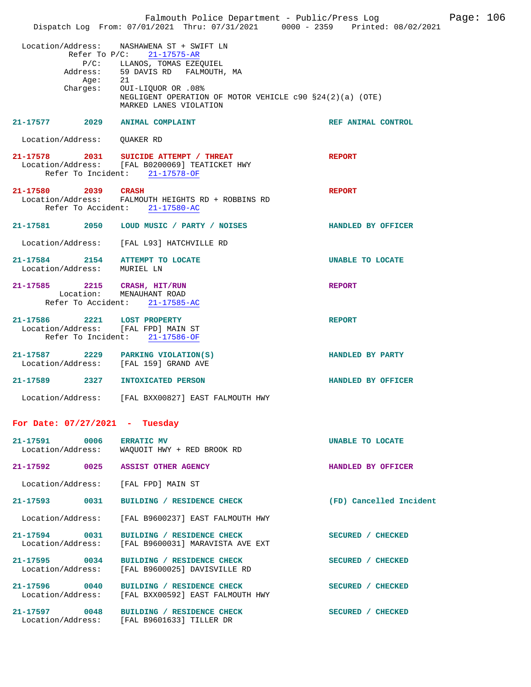|                                                                    | Falmouth Police Department - Public/Press Log Fage: 106<br>Dispatch Log From: 07/01/2021 Thru: 07/31/2021 0000 - 2359 Printed: 08/02/2021                                                                                                                                 |                         |  |
|--------------------------------------------------------------------|---------------------------------------------------------------------------------------------------------------------------------------------------------------------------------------------------------------------------------------------------------------------------|-------------------------|--|
| Age:                                                               | Location/Address: NASHAWENA ST + SWIFT LN<br>Refer To $P/C: 21-17575-AR$<br>P/C: LLANOS, TOMAS EZEQUIEL<br>Address: 59 DAVIS RD FALMOUTH, MA<br>21<br>Charges: OUI-LIQUOR OR .08%<br>NEGLIGENT OPERATION OF MOTOR VEHICLE $c90 S24(2)(a)$ (OTE)<br>MARKED LANES VIOLATION |                         |  |
| 21-17577 2029 ANIMAL COMPLAINT                                     |                                                                                                                                                                                                                                                                           | REF ANIMAL CONTROL      |  |
| Location/Address: QUAKER RD                                        |                                                                                                                                                                                                                                                                           |                         |  |
|                                                                    | 21-17578 2031 SUICIDE ATTEMPT / THREAT<br>Location/Address: [FAL B0200069] TEATICKET HWY<br>Refer To Incident: 21-17578-OF                                                                                                                                                | <b>REPORT</b>           |  |
| 21-17580 2039 CRASH                                                | Location/Address: FALMOUTH HEIGHTS RD + ROBBINS RD<br>Refer To Accident: 21-17580-AC                                                                                                                                                                                      | <b>REPORT</b>           |  |
|                                                                    | 21-17581 2050 LOUD MUSIC / PARTY / NOISES                                                                                                                                                                                                                                 | HANDLED BY OFFICER      |  |
|                                                                    | Location/Address: [FAL L93] HATCHVILLE RD                                                                                                                                                                                                                                 |                         |  |
| 21-17584 2154 ATTEMPT TO LOCATE<br>Location/Address: MURIEL LN     |                                                                                                                                                                                                                                                                           | <b>UNABLE TO LOCATE</b> |  |
| 21-17585 2215 CRASH, HIT/RUN<br>Location: MENAUHANT ROAD           | Refer To Accident: 21-17585-AC                                                                                                                                                                                                                                            | <b>REPORT</b>           |  |
| 21-17586 2221 LOST PROPERTY<br>Location/Address: [FAL FPD] MAIN ST | Refer To Incident: 21-17586-OF                                                                                                                                                                                                                                            | <b>REPORT</b>           |  |
|                                                                    | 21-17587 2229 PARKING VIOLATION(S)<br>Location/Address: [FAL 159] GRAND AVE                                                                                                                                                                                               | HANDLED BY PARTY        |  |
| 21-17589 2327 INTOXICATED PERSON                                   |                                                                                                                                                                                                                                                                           | HANDLED BY OFFICER      |  |
|                                                                    | Location/Address: [FAL BXX00827] EAST FALMOUTH HWY                                                                                                                                                                                                                        |                         |  |
| For Date: $07/27/2021$ - Tuesday                                   |                                                                                                                                                                                                                                                                           |                         |  |
| 21-17591 0006 ERRATIC MV                                           | Location/Address: WAQUOIT HWY + RED BROOK RD                                                                                                                                                                                                                              | UNABLE TO LOCATE        |  |
|                                                                    | 21-17592 0025 ASSIST OTHER AGENCY                                                                                                                                                                                                                                         | HANDLED BY OFFICER      |  |
| Location/Address: [FAL FPD] MAIN ST                                |                                                                                                                                                                                                                                                                           |                         |  |
|                                                                    | 21-17593 0031 BUILDING / RESIDENCE CHECK                                                                                                                                                                                                                                  | (FD) Cancelled Incident |  |
|                                                                    | Location/Address: [FAL B9600237] EAST FALMOUTH HWY                                                                                                                                                                                                                        |                         |  |
| 21-17594 0031                                                      | BUILDING / RESIDENCE CHECK<br>Location/Address: [FAL B9600031] MARAVISTA AVE EXT                                                                                                                                                                                          | SECURED / CHECKED       |  |
| 21-17595 0034<br>Location/Address:                                 | BUILDING / RESIDENCE CHECK<br>[FAL B9600025] DAVISVILLE RD                                                                                                                                                                                                                | SECURED / CHECKED       |  |
|                                                                    | 21-17596 0040 BUILDING / RESIDENCE CHECK<br>Location/Address: [FAL BXX00592] EAST FALMOUTH HWY                                                                                                                                                                            | SECURED / CHECKED       |  |
|                                                                    | 21-17597 0048 BUILDING / RESIDENCE CHECK<br>Location/Address: [FAL B9601633] TILLER DR                                                                                                                                                                                    | SECURED / CHECKED       |  |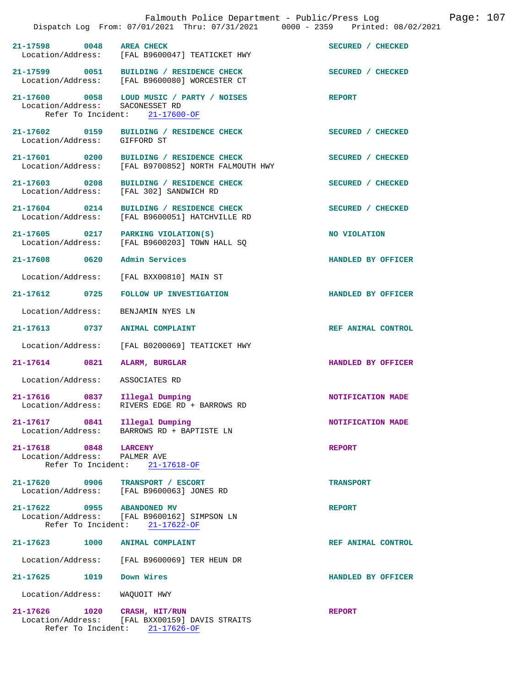|                                  |                                                                                                 | Falmouth Police Department - Public/Press Log Fage: 107<br>Dispatch Log From: 07/01/2021 Thru: 07/31/2021 0000 - 2359 Printed: 08/02/2021 |  |
|----------------------------------|-------------------------------------------------------------------------------------------------|-------------------------------------------------------------------------------------------------------------------------------------------|--|
| 21-17598 0048 AREA CHECK         | Location/Address: [FAL B9600047] TEATICKET HWY                                                  | SECURED / CHECKED                                                                                                                         |  |
|                                  | 21-17599 0051 BUILDING / RESIDENCE CHECK<br>Location/Address: [FAL B9600080] WORCESTER CT       | SECURED / CHECKED                                                                                                                         |  |
| Location/Address: SACONESSET RD  | 21-17600 0058 LOUD MUSIC / PARTY / NOISES<br>Refer To Incident: 21-17600-OF                     | <b>REPORT</b>                                                                                                                             |  |
|                                  | 21-17602 0159 BUILDING / RESIDENCE CHECK<br>Location/Address: GIFFORD ST                        | SECURED / CHECKED                                                                                                                         |  |
|                                  | 21-17601 0200 BUILDING / RESIDENCE CHECK<br>Location/Address: [FAL B9700852] NORTH FALMOUTH HWY | SECURED / CHECKED                                                                                                                         |  |
|                                  | 21-17603 0208 BUILDING / RESIDENCE CHECK<br>Location/Address: [FAL 302] SANDWICH RD             | SECURED / CHECKED                                                                                                                         |  |
| Location/Address:                | 21-17604 0214 BUILDING / RESIDENCE CHECK<br>[FAL B9600051] HATCHVILLE RD                        | SECURED / CHECKED                                                                                                                         |  |
|                                  | 21-17605 0217 PARKING VIOLATION(S)<br>Location/Address: [FAL B9600203] TOWN HALL SQ             | NO VIOLATION                                                                                                                              |  |
| 21-17608 0620 Admin Services     |                                                                                                 | HANDLED BY OFFICER                                                                                                                        |  |
|                                  | Location/Address: [FAL BXX00810] MAIN ST                                                        |                                                                                                                                           |  |
| 21-17612 0725                    | FOLLOW UP INVESTIGATION                                                                         | HANDLED BY OFFICER                                                                                                                        |  |
| Location/Address:                | BENJAMIN NYES LN                                                                                |                                                                                                                                           |  |
| 21-17613 0737 ANIMAL COMPLAINT   |                                                                                                 | REF ANIMAL CONTROL                                                                                                                        |  |
| Location/Address:                | [FAL B0200069] TEATICKET HWY                                                                    |                                                                                                                                           |  |
| 21-17614 0821                    | ALARM, BURGLAR                                                                                  | HANDLED BY OFFICER                                                                                                                        |  |
| Location/Address: ASSOCIATES RD  |                                                                                                 |                                                                                                                                           |  |
| 21-17616 0837 Illegal Dumping    |                                                                                                 | NOTIFICATION MADE                                                                                                                         |  |
|                                  | Location/Address: RIVERS EDGE RD + BARROWS RD                                                   |                                                                                                                                           |  |
| 21-17617 0841 Illegal Dumping    | Location/Address: BARROWS RD + BAPTISTE LN                                                      | NOTIFICATION MADE                                                                                                                         |  |
| 21-17618 0848 LARCENY            |                                                                                                 | <b>REPORT</b>                                                                                                                             |  |
| Location/Address: PALMER AVE     | Refer To Incident: 21-17618-OF                                                                  |                                                                                                                                           |  |
| 21-17620 0906 TRANSPORT / ESCORT | Location/Address: [FAL B9600063] JONES RD                                                       | <b>TRANSPORT</b>                                                                                                                          |  |
| 21-17622 0955 ABANDONED MV       | Location/Address: [FAL B9600162] SIMPSON LN<br>Refer To Incident: 21-17622-OF                   | <b>REPORT</b>                                                                                                                             |  |
| 21-17623 1000 ANIMAL COMPLAINT   |                                                                                                 | REF ANIMAL CONTROL                                                                                                                        |  |
|                                  | Location/Address: [FAL B9600069] TER HEUN DR                                                    |                                                                                                                                           |  |
| 21-17625 1019                    | Down Wires                                                                                      | HANDLED BY OFFICER                                                                                                                        |  |
| Location/Address:                | WAQUOIT HWY                                                                                     |                                                                                                                                           |  |
| $21 - 17626$<br>1020             | CRASH, HIT/RUN<br>Location/Address: [FAL BXX00159] DAVIS STRAITS                                | <b>REPORT</b>                                                                                                                             |  |

Refer To Incident: 21-17626-OF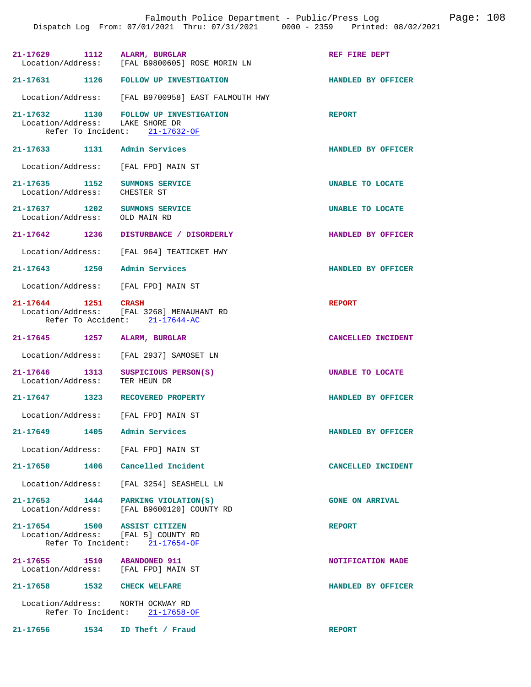| 21-17629 1112<br>Location/Address:                                  | ALARM, BURGLAR<br>[FAL B9800605] ROSE MORIN LN                              | REF FIRE DEPT           |
|---------------------------------------------------------------------|-----------------------------------------------------------------------------|-------------------------|
| 21-17631 1126                                                       | <b>FOLLOW UP INVESTIGATION</b>                                              | HANDLED BY OFFICER      |
|                                                                     | Location/Address: [FAL B9700958] EAST FALMOUTH HWY                          |                         |
| Location/Address: LAKE SHORE DR                                     | 21-17632 1130 FOLLOW UP INVESTIGATION<br>Refer To Incident: 21-17632-OF     | <b>REPORT</b>           |
| 21-17633 1131 Admin Services                                        |                                                                             | HANDLED BY OFFICER      |
| Location/Address:                                                   | [FAL FPD] MAIN ST                                                           |                         |
| 21-17635 1152 SUMMONS SERVICE<br>Location/Address:                  | CHESTER ST                                                                  | UNABLE TO LOCATE        |
| 21-17637 1202 SUMMONS SERVICE<br>Location/Address:                  | OLD MAIN RD                                                                 | <b>UNABLE TO LOCATE</b> |
| 21-17642 1236                                                       | DISTURBANCE / DISORDERLY                                                    | HANDLED BY OFFICER      |
| Location/Address:                                                   | [FAL 964] TEATICKET HWY                                                     |                         |
| 21-17643 1250                                                       | Admin Services                                                              | HANDLED BY OFFICER      |
| Location/Address: [FAL FPD] MAIN ST                                 |                                                                             |                         |
| 21-17644 1251 CRASH                                                 | Location/Address: [FAL 3268] MENAUHANT RD<br>Refer To Accident: 21-17644-AC | <b>REPORT</b>           |
| 21-17645<br>1257                                                    | ALARM, BURGLAR                                                              | CANCELLED INCIDENT      |
| Location/Address:                                                   | [FAL 2937] SAMOSET LN                                                       |                         |
| 21-17646 1313<br>Location/Address:                                  | SUSPICIOUS PERSON(S)<br>TER HEUN DR                                         | UNABLE TO LOCATE        |
| 1323<br>21-17647                                                    | RECOVERED PROPERTY                                                          | HANDLED BY OFFICER      |
| Location/Address: [FAL FPD] MAIN ST                                 |                                                                             |                         |
| 21-17649                                                            | 1405 Admin Services                                                         | HANDLED BY OFFICER      |
| Location/Address: [FAL FPD] MAIN ST                                 |                                                                             |                         |
| 21-17650 1406 Cancelled Incident                                    |                                                                             | CANCELLED INCIDENT      |
|                                                                     | Location/Address: [FAL 3254] SEASHELL LN                                    |                         |
| 21-17653 1444 PARKING VIOLATION(S)                                  | Location/Address: [FAL B9600120] COUNTY RD                                  | <b>GONE ON ARRIVAL</b>  |
|                                                                     |                                                                             |                         |
| 21-17654 1500 ASSIST CITIZEN<br>Location/Address: [FAL 5] COUNTY RD |                                                                             | <b>REPORT</b>           |
|                                                                     | Refer To Incident: 21-17654-OF                                              |                         |
| 21-17655 1510 ABANDONED 911<br>Location/Address: [FAL FPD] MAIN ST  |                                                                             | NOTIFICATION MADE       |
| 21-17658 1532 CHECK WELFARE                                         |                                                                             | HANDLED BY OFFICER      |
| Location/Address: NORTH OCKWAY RD                                   |                                                                             |                         |
|                                                                     | Refer To Incident: 21-17658-OF                                              |                         |
| 21-17656                                                            | 1534 ID Theft / Fraud                                                       | <b>REPORT</b>           |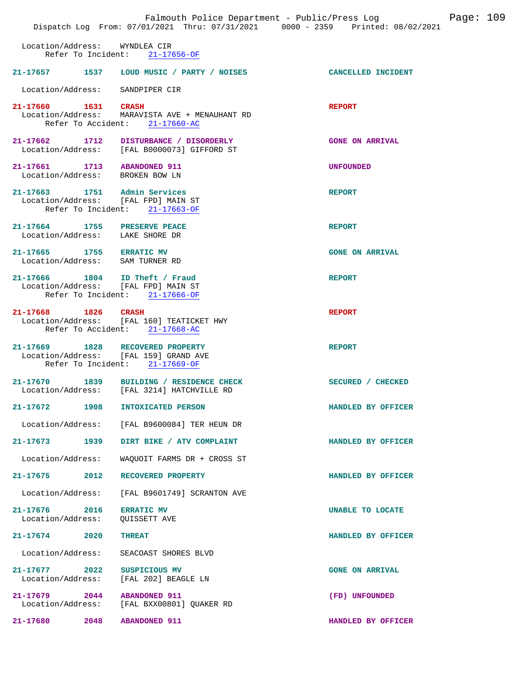|                                    |                            | Falmouth Police Department - Public/Press Log<br>Dispatch Log From: 07/01/2021 Thru: 07/31/2021 0000 - 2359 Printed: 08/02/2021 |                        | Page: 109 |  |
|------------------------------------|----------------------------|---------------------------------------------------------------------------------------------------------------------------------|------------------------|-----------|--|
| Location/Address:                  | Refer To Incident:         | WYNDLEA CIR<br>$21 - 17656 - OF$                                                                                                |                        |           |  |
| 21-17657                           | 1537                       | LOUD MUSIC / PARTY / NOISES                                                                                                     | CANCELLED INCIDENT     |           |  |
|                                    |                            | Location/Address: SANDPIPER CIR                                                                                                 |                        |           |  |
| 21-17660 1631<br>Location/Address: | Refer To Accident:         | <b>CRASH</b><br>MARAVISTA AVE + MENAUHANT RD<br>$21 - 17660 - AC$                                                               | <b>REPORT</b>          |           |  |
| 21-17662 1712                      |                            | DISTURBANCE / DISORDERLY<br>Location/Address: [FAL B0000073] GIFFORD ST                                                         | <b>GONE ON ARRIVAL</b> |           |  |
| 21-17661 1713 ABANDONED 911        |                            | Location/Address: BROKEN BOW LN                                                                                                 | <b>UNFOUNDED</b>       |           |  |
|                                    | Refer To Incident:         | 21-17663 1751 Admin Services<br>Location/Address: [FAL FPD] MAIN ST<br>$21 - 17663 - OF$                                        | <b>REPORT</b>          |           |  |
|                                    |                            | 21-17664 1755 PRESERVE PEACE<br>Location/Address: LAKE SHORE DR                                                                 | <b>REPORT</b>          |           |  |
| 21-17665 1755 ERRATIC MV           |                            | Location/Address: SAM TURNER RD                                                                                                 | <b>GONE ON ARRIVAL</b> |           |  |
| 21-17666 1804                      |                            | ID Theft / Fraud<br>Location/Address: [FAL FPD] MAIN ST<br>Refer To Incident: 21-17666-OF                                       | <b>REPORT</b>          |           |  |
| 21-17668                           | 1826<br>Refer To Accident: | <b>CRASH</b><br>Location/Address: [FAL 160] TEATICKET HWY<br>$21 - 17668 - AC$                                                  | <b>REPORT</b>          |           |  |
| 21-17669                           | 1828<br>Refer To Incident: | RECOVERED PROPERTY<br>Location/Address: [FAL 159] GRAND AVE<br>$21 - 17669 - OF$                                                | <b>REPORT</b>          |           |  |
| $21 - 17670$                       | 1839                       | BUILDING / RESIDENCE CHECK<br>Location/Address: [FAL 3214] HATCHVILLE RD                                                        | SECURED / CHECKED      |           |  |
| 21-17672                           | 1908                       | INTOXICATED PERSON                                                                                                              | HANDLED BY OFFICER     |           |  |
| Location/Address:                  |                            | [FAL B9600084] TER HEUN DR                                                                                                      |                        |           |  |
| 21–17673                           | 1939                       | DIRT BIKE / ATV COMPLAINT                                                                                                       | HANDLED BY OFFICER     |           |  |
| Location/Address:                  |                            | WAOUOIT FARMS DR + CROSS ST                                                                                                     |                        |           |  |
| 21-17675                           | 2012                       | RECOVERED PROPERTY                                                                                                              | HANDLED BY OFFICER     |           |  |
| Location/Address:                  |                            | [FAL B9601749] SCRANTON AVE                                                                                                     |                        |           |  |
| $21 - 17676$<br>Location/Address:  | 2016                       | <b>ERRATIC MV</b><br>QUISSETT AVE                                                                                               | UNABLE TO LOCATE       |           |  |
| 21-17674                           | 2020                       | <b>THREAT</b>                                                                                                                   | HANDLED BY OFFICER     |           |  |
| Location/Address:                  |                            | SEACOAST SHORES BLVD                                                                                                            |                        |           |  |
| $21 - 17677$<br>Location/Address:  | 2022                       | SUSPICIOUS MV<br>[FAL 202] BEAGLE LN                                                                                            | <b>GONE ON ARRIVAL</b> |           |  |
| 21-17679<br>Location/Address:      | 2044                       | <b>ABANDONED 911</b><br>[FAL BXX00801] QUAKER RD                                                                                | (FD) UNFOUNDED         |           |  |
| $21 - 17680$                       | 2048                       | <b>ABANDONED 911</b>                                                                                                            | HANDLED BY OFFICER     |           |  |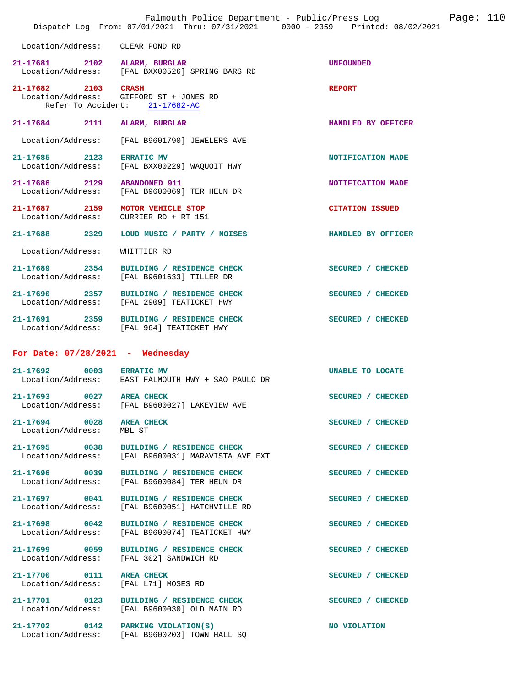|                                           | Falmouth Police Department - Public/Press Log<br>Dispatch Log From: 07/01/2021 Thru: 07/31/2021 0000 - 2359 Printed: 08/02/2021 | Page: 110              |
|-------------------------------------------|---------------------------------------------------------------------------------------------------------------------------------|------------------------|
| Location/Address:                         | CLEAR POND RD                                                                                                                   |                        |
| $21 - 17681$<br>2102<br>Location/Address: | ALARM, BURGLAR<br>[FAL BXX00526] SPRING BARS RD                                                                                 | <b>UNFOUNDED</b>       |
| $21 - 17682$<br>2103<br>Location/Address: | <b>CRASH</b><br>GIFFORD ST + JONES RD<br>Refer To Accident: 21-17682-AC                                                         | <b>REPORT</b>          |
| $21 - 17684$<br>2111                      | ALARM, BURGLAR                                                                                                                  | HANDLED BY OFFICER     |
| Location/Address:                         | [FAL B9601790] JEWELERS AVE                                                                                                     |                        |
| 21-17685<br>2123<br>Location/Address:     | <b>ERRATIC MV</b><br>[FAL BXX00229] WAQUOIT HWY                                                                                 | NOTIFICATION MADE      |
| 21-17686<br>2129<br>Location/Address:     | <b>ABANDONED 911</b><br>[FAL B9600069] TER HEUN DR                                                                              | NOTIFICATION MADE      |
| 21-17687 2159<br>Location/Address:        | MOTOR VEHICLE STOP<br>CURRIER RD + RT 151                                                                                       | <b>CITATION ISSUED</b> |
| 21-17688 2329                             | LOUD MUSIC / PARTY / NOISES                                                                                                     | HANDLED BY OFFICER     |
| Location/Address:                         | WHITTIER RD                                                                                                                     |                        |
| 21-17689<br>2354<br>Location/Address:     | BUILDING / RESIDENCE CHECK<br>[FAL B9601633] TILLER DR                                                                          | SECURED / CHECKED      |
| 21-17690<br>2357                          | BUILDING / RESIDENCE CHECK<br>Location/Address: [FAL 2909] TEATICKET HWY                                                        | SECURED / CHECKED      |
| 21-17691<br>2359                          | BUILDING / RESIDENCE CHECK<br>Location/Address: [FAL 964] TEATICKET HWY                                                         | SECURED / CHECKED      |
| For Date: $07/28/2021$ - Wednesday        |                                                                                                                                 |                        |
| 21-17692<br>0003<br>Location/Address:     | <b>ERRATIC MV</b><br>EAST FALMOUTH HWY + SAO PAULO DR                                                                           | UNABLE TO LOCATE       |
| $21 - 17693$<br>0027<br>Location/Address: | <b>AREA CHECK</b><br>[FAL B9600027] LAKEVIEW AVE                                                                                | SECURED / CHECKED      |
| 21-17694 0028<br>Location/Address:        | <b>AREA CHECK</b><br>MBL ST                                                                                                     | SECURED / CHECKED      |
| 21-17695 0038<br>Location/Address:        | BUILDING / RESIDENCE CHECK<br>[FAL B9600031] MARAVISTA AVE EXT                                                                  | SECURED / CHECKED      |
| 21-17696 0039<br>Location/Address:        | BUILDING / RESIDENCE CHECK<br>[FAL B9600084] TER HEUN DR                                                                        | SECURED / CHECKED      |
| 21-17697 0041<br>Location/Address:        | BUILDING / RESIDENCE CHECK<br>[FAL B9600051] HATCHVILLE RD                                                                      | SECURED / CHECKED      |
| 21-17698 0042<br>Location/Address:        | BUILDING / RESIDENCE CHECK<br>[FAL B9600074] TEATICKET HWY                                                                      | SECURED / CHECKED      |
| 21-17699 0059<br>Location/Address:        | BUILDING / RESIDENCE CHECK<br>[FAL 302] SANDWICH RD                                                                             | SECURED / CHECKED      |
| 21-17700 0111<br>Location/Address:        | AREA CHECK<br>[FAL L71] MOSES RD                                                                                                | SECURED / CHECKED      |
| 21-17701 0123<br>Location/Address:        | BUILDING / RESIDENCE CHECK<br>[FAL B9600030] OLD MAIN RD                                                                        | SECURED / CHECKED      |
| $21 - 17702$<br>0142<br>Location/Address: | PARKING VIOLATION(S)<br>[FAL B9600203] TOWN HALL SQ                                                                             | NO VIOLATION           |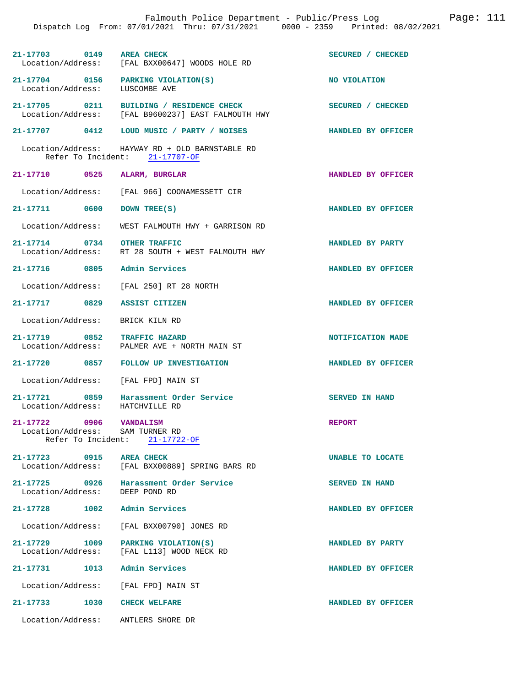|                                                            | Dispatch Log From: 07/01/2021 Thru: 07/31/2021 0000 - 2359 Printed: 08/02/2021                 |                           |
|------------------------------------------------------------|------------------------------------------------------------------------------------------------|---------------------------|
| 21-17703 0149 AREA CHECK                                   | Location/Address: [FAL BXX00647] WOODS HOLE RD                                                 | SECURED / CHECKED         |
| Location/Address: LUSCOMBE AVE                             | 21-17704 0156 PARKING VIOLATION(S)                                                             | NO VIOLATION              |
|                                                            | 21-17705 0211 BUILDING / RESIDENCE CHECK<br>Location/Address: [FAL B9600237] EAST FALMOUTH HWY | SECURED / CHECKED         |
|                                                            | 21-17707 0412 LOUD MUSIC / PARTY / NOISES                                                      | <b>HANDLED BY OFFICER</b> |
|                                                            | Location/Address: HAYWAY RD + OLD BARNSTABLE RD<br>Refer To Incident: 21-17707-OF              |                           |
| 21-17710 0525 ALARM, BURGLAR                               |                                                                                                | HANDLED BY OFFICER        |
|                                                            | Location/Address: [FAL 966] COONAMESSETT CIR                                                   |                           |
| 21-17711 0600 DOWN TREE(S)                                 |                                                                                                | HANDLED BY OFFICER        |
|                                                            | Location/Address: WEST FALMOUTH HWY + GARRISON RD                                              |                           |
|                                                            | 21-17714 0734 OTHER TRAFFIC<br>Location/Address: RT 28 SOUTH + WEST FALMOUTH HWY               | HANDLED BY PARTY          |
| 21-17716 0805 Admin Services                               |                                                                                                | HANDLED BY OFFICER        |
|                                                            | Location/Address: [FAL 250] RT 28 NORTH                                                        |                           |
| 21-17717 0829 ASSIST CITIZEN                               |                                                                                                | HANDLED BY OFFICER        |
| Location/Address:                                          | BRICK KILN RD                                                                                  |                           |
| 21-17719 0852 TRAFFIC HAZARD                               | Location/Address: PALMER AVE + NORTH MAIN ST                                                   | NOTIFICATION MADE         |
|                                                            | 21-17720 0857 FOLLOW UP INVESTIGATION                                                          | HANDLED BY OFFICER        |
|                                                            | Location/Address: [FAL FPD] MAIN ST                                                            |                           |
| Location/Address: HATCHVILLE RD                            | 21-17721 0859 Harassment Order Service                                                         | <b>SERVED IN HAND</b>     |
| 21-17722 0906 VANDALISM<br>Location/Address: SAM TURNER RD | Refer To Incident: 21-17722-OF                                                                 | <b>REPORT</b>             |
| 21-17723 0915<br>Location/Address:                         | <b>AREA CHECK</b><br>[FAL BXX00889] SPRING BARS RD                                             | UNABLE TO LOCATE          |
| 21-17725 0926<br>Location/Address: DEEP POND RD            | Harassment Order Service                                                                       | <b>SERVED IN HAND</b>     |
| 21-17728                                                   | 1002 Admin Services                                                                            | HANDLED BY OFFICER        |
| Location/Address:                                          | [FAL BXX00790] JONES RD                                                                        |                           |
| 21-17729 1009<br>Location/Address:                         | PARKING VIOLATION(S)<br>[FAL L113] WOOD NECK RD                                                | HANDLED BY PARTY          |
| 21-17731 1013 Admin Services                               |                                                                                                | HANDLED BY OFFICER        |
|                                                            | Location/Address: [FAL FPD] MAIN ST                                                            |                           |
| 1030<br>21–17733                                           | <b>CHECK WELFARE</b>                                                                           | HANDLED BY OFFICER        |
| Location/Address:                                          | ANTLERS SHORE DR                                                                               |                           |

Falmouth Police Department - Public/Press Log Page: 111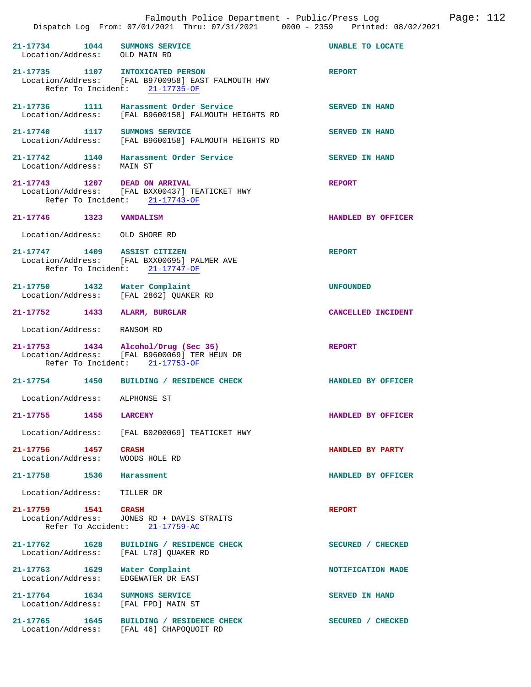| 21-17734 1044<br>Location/Address: OLD MAIN RD       | SUMMONS SERVICE                                                                                                       | <b>UNABLE TO LOCATE</b> |
|------------------------------------------------------|-----------------------------------------------------------------------------------------------------------------------|-------------------------|
| 21-17735 1107 INTOXICATED PERSON                     | Location/Address: [FAL B9700958] EAST FALMOUTH HWY<br>Refer To Incident: 21-17735-OF                                  | <b>REPORT</b>           |
|                                                      | 21-17736 1111 Harassment Order Service<br>Location/Address: [FAL B9600158] FALMOUTH HEIGHTS RD                        | <b>SERVED IN HAND</b>   |
|                                                      | 21-17740 1117 SUMMONS SERVICE<br>Location/Address: [FAL B9600158] FALMOUTH HEIGHTS RD                                 | <b>SERVED IN HAND</b>   |
|                                                      | 21-17742   1140   Harassment Order Service<br>Location/Address:   MAIN ST                                             | <b>SERVED IN HAND</b>   |
| 21-17743 1207 DEAD ON ARRIVAL                        | Location/Address: [FAL BXX00437] TEATICKET HWY<br>Refer To Incident: 21-17743-OF                                      | <b>REPORT</b>           |
| 21-17746 1323 VANDALISM                              |                                                                                                                       | HANDLED BY OFFICER      |
| Location/Address: OLD SHORE RD                       |                                                                                                                       |                         |
| 21-17747 1409 ASSIST CITIZEN                         | Location/Address: [FAL BXX00695] PALMER AVE<br>Refer To Incident: 21-17747-OF                                         | <b>REPORT</b>           |
| 21–17750 1432                                        | Water Complaint<br>Location/Address: [FAL 2862] QUAKER RD                                                             | <b>UNFOUNDED</b>        |
| 21-17752 1433 ALARM, BURGLAR                         |                                                                                                                       | CANCELLED INCIDENT      |
| Location/Address: RANSOM RD                          |                                                                                                                       |                         |
|                                                      | 21-17753 1434 Alcohol/Drug (Sec 35)<br>Location/Address: [FAL B9600069] TER HEUN DR<br>Refer To Incident: 21-17753-OF | <b>REPORT</b>           |
|                                                      | 21-17754 1450 BUILDING / RESIDENCE CHECK                                                                              | HANDLED BY OFFICER      |
| Location/Address: ALPHONSE ST                        |                                                                                                                       |                         |
| $21 - 17755$<br>1455                                 | <b>LARCENY</b>                                                                                                        | HANDLED BY OFFICER      |
|                                                      | Location/Address: [FAL B0200069] TEATICKET HWY                                                                        |                         |
| 21-17756 1457<br>Location/Address:                   | <b>CRASH</b><br>WOODS HOLE RD                                                                                         | HANDLED BY PARTY        |
| $21 - 17758$<br>1536                                 | Harassment                                                                                                            | HANDLED BY OFFICER      |
| Location/Address:                                    | TILLER DR                                                                                                             |                         |
| 21-17759 1541 CRASH                                  | Location/Address: JONES RD + DAVIS STRAITS<br>Refer To Accident: 21-17759-AC                                          | <b>REPORT</b>           |
| 21-17762 1628<br>Location/Address:                   | BUILDING / RESIDENCE CHECK<br>[FAL L78] QUAKER RD                                                                     | SECURED / CHECKED       |
| 21-17763 1629<br>Location/Address:                   | Water Complaint<br>EDGEWATER DR EAST                                                                                  | NOTIFICATION MADE       |
| 21-17764 1634<br>Location/Address: [FAL FPD] MAIN ST | SUMMONS SERVICE                                                                                                       | <b>SERVED IN HAND</b>   |
| 21-17765 1645<br>Location/Address:                   | BUILDING / RESIDENCE CHECK<br>[FAL 46] CHAPOQUOIT RD                                                                  | SECURED / CHECKED       |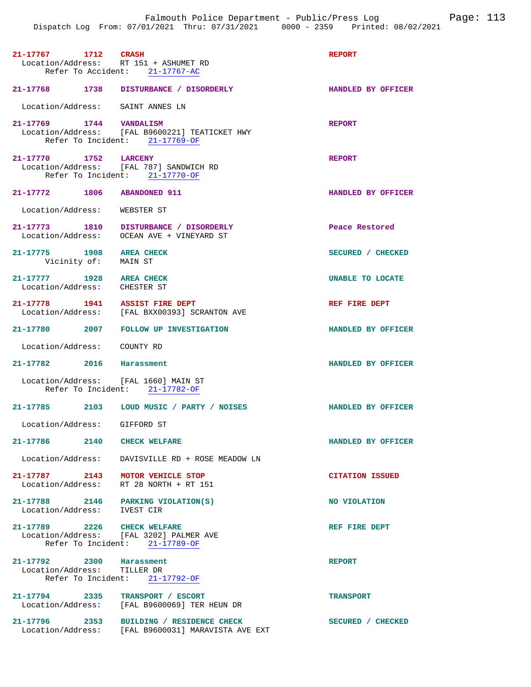| 21-17767 1712 CRASH                                               | Location/Address: RT 151 + ASHUMET RD<br>Refer To Accident: 21-17767-AC                        | <b>REPORT</b>          |
|-------------------------------------------------------------------|------------------------------------------------------------------------------------------------|------------------------|
|                                                                   | 21-17768 1738 DISTURBANCE / DISORDERLY                                                         | HANDLED BY OFFICER     |
| Location/Address: SAINT ANNES LN                                  |                                                                                                |                        |
| $21-17769 \hspace{1.5cm} 1744 \hspace{1.5cm} VANDALISM$           | Location/Address: [FAL B9600221] TEATICKET HWY<br>Refer To Incident: 21-17769-OF               | <b>REPORT</b>          |
| 21-17770 1752 LARCENY                                             | Location/Address: [FAL 787] SANDWICH RD<br>Refer To Incident: 21-17770-OF                      | <b>REPORT</b>          |
| 21-17772 1806 ABANDONED 911                                       |                                                                                                | HANDLED BY OFFICER     |
| Location/Address: WEBSTER ST                                      |                                                                                                |                        |
|                                                                   | 21-17773 1810 DISTURBANCE / DISORDERLY<br>Location/Address: OCEAN AVE + VINEYARD ST            | Peace Restored         |
| 21-17775 1908 AREA CHECK<br>Vicinity of: MAIN ST                  |                                                                                                | SECURED / CHECKED      |
| 21-17777 1928 AREA CHECK<br>Location/Address: CHESTER ST          |                                                                                                | UNABLE TO LOCATE       |
| 21-17778 1941 ASSIST FIRE DEPT                                    | Location/Address: [FAL BXX00393] SCRANTON AVE                                                  | REF FIRE DEPT          |
|                                                                   | 21-17780 2007 FOLLOW UP INVESTIGATION                                                          | HANDLED BY OFFICER     |
| Location/Address: COUNTY RD                                       |                                                                                                |                        |
| 21-17782 2016 Harassment                                          |                                                                                                | HANDLED BY OFFICER     |
| Location/Address: [FAL 1660] MAIN ST                              | Refer To Incident: 21-17782-OF                                                                 |                        |
|                                                                   | 21-17785 2103 LOUD MUSIC / PARTY / NOISES                                                      | HANDLED BY OFFICER     |
| Location/Address: GIFFORD ST                                      |                                                                                                |                        |
| 21-17786 2140 CHECK WELFARE                                       |                                                                                                | HANDLED BY OFFICER     |
|                                                                   | Location/Address: DAVISVILLE RD + ROSE MEADOW LN                                               |                        |
| 21-17787 2143 MOTOR VEHICLE STOP                                  | Location/Address: RT 28 NORTH + RT 151                                                         | <b>CITATION ISSUED</b> |
| 21-17788 2146 PARKING VIOLATION(S)<br>Location/Address: IVEST CIR |                                                                                                | NO VIOLATION           |
| 21-17789 2226 CHECK WELFARE                                       | Location/Address: [FAL 3202] PALMER AVE<br>Refer To Incident: 21-17789-OF                      | REF FIRE DEPT          |
| 21-17792 2300 Harassment<br>Location/Address: TILLER DR           | Refer To Incident: 21-17792-OF                                                                 | <b>REPORT</b>          |
|                                                                   | 21-17794 2335 TRANSPORT / ESCORT<br>Location/Address: [FAL B9600069] TER HEUN DR               | <b>TRANSPORT</b>       |
|                                                                   | 21-17796 2353 BUILDING / RESIDENCE CHECK<br>Location/Address: [FAL B9600031] MARAVISTA AVE EXT | SECURED / CHECKED      |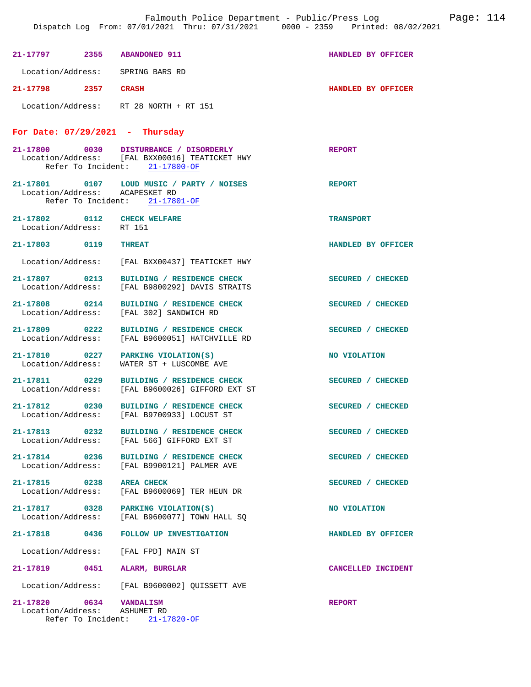| 21-17797 2355 ABANDONED 911                             |                                                                                                                            | HANDLED BY OFFICER |
|---------------------------------------------------------|----------------------------------------------------------------------------------------------------------------------------|--------------------|
| Location/Address: SPRING BARS RD                        |                                                                                                                            |                    |
| 21-17798 2357 CRASH                                     |                                                                                                                            | HANDLED BY OFFICER |
|                                                         | Location/Address: RT 28 NORTH + RT 151                                                                                     |                    |
| For Date: $07/29/2021$ - Thursday                       |                                                                                                                            |                    |
|                                                         | 21-17800 0030 DISTURBANCE / DISORDERLY<br>Location/Address: [FAL BXX00016] TEATICKET HWY<br>Refer To Incident: 21-17800-OF | <b>REPORT</b>      |
| Location/Address: ACAPESKET RD                          | 21-17801 0107 LOUD MUSIC / PARTY / NOISES<br>Refer To Incident: 21-17801-OF                                                | <b>REPORT</b>      |
| 21-17802 0112 CHECK WELFARE<br>Location/Address: RT 151 |                                                                                                                            | <b>TRANSPORT</b>   |
| 21-17803 0119 THREAT                                    |                                                                                                                            | HANDLED BY OFFICER |
|                                                         | Location/Address: [FAL BXX00437] TEATICKET HWY                                                                             |                    |
| 21-17807 0213                                           | BUILDING / RESIDENCE CHECK<br>Location/Address: [FAL B9800292] DAVIS STRAITS                                               | SECURED / CHECKED  |
|                                                         | 21-17808 0214 BUILDING / RESIDENCE CHECK<br>Location/Address: [FAL 302] SANDWICH RD                                        | SECURED / CHECKED  |
|                                                         | 21-17809 0222 BUILDING / RESIDENCE CHECK<br>Location/Address: [FAL B9600051] HATCHVILLE RD                                 | SECURED / CHECKED  |
|                                                         | 21-17810 0227 PARKING VIOLATION(S)<br>Location/Address: WATER ST + LUSCOMBE AVE                                            | NO VIOLATION       |
|                                                         | 21-17811 0229 BUILDING / RESIDENCE CHECK<br>Location/Address: [FAL B9600026] GIFFORD EXT ST                                | SECURED / CHECKED  |
|                                                         | 21-17812 0230 BUILDING / RESIDENCE CHECK<br>Location/Address: [FAL B9700933] LOCUST ST                                     | SECURED / CHECKED  |
| 21-17813 0232                                           | BUILDING / RESIDENCE CHECK<br>Location/Address: [FAL 566] GIFFORD EXT ST                                                   | SECURED / CHECKED  |
|                                                         | 21-17814 0236 BUILDING / RESIDENCE CHECK<br>Location/Address: [FAL B9900121] PALMER AVE                                    | SECURED / CHECKED  |
| 21-17815 0238                                           | <b>AREA CHECK</b><br>Location/Address: [FAL B9600069] TER HEUN DR                                                          | SECURED / CHECKED  |
|                                                         | 21-17817 0328 PARKING VIOLATION(S)<br>Location/Address: [FAL B9600077] TOWN HALL SQ                                        | NO VIOLATION       |
| 21-17818 0436                                           | FOLLOW UP INVESTIGATION                                                                                                    | HANDLED BY OFFICER |
|                                                         | Location/Address: [FAL FPD] MAIN ST                                                                                        |                    |
| 21-17819 0451 ALARM, BURGLAR                            |                                                                                                                            | CANCELLED INCIDENT |
|                                                         | Location/Address: [FAL B9600002] QUISSETT AVE                                                                              |                    |
| 21-17820<br>Location/Address: ASHUMET RD                | 0634 VANDALISM                                                                                                             | <b>REPORT</b>      |

Refer To Incident: 21-17820-OF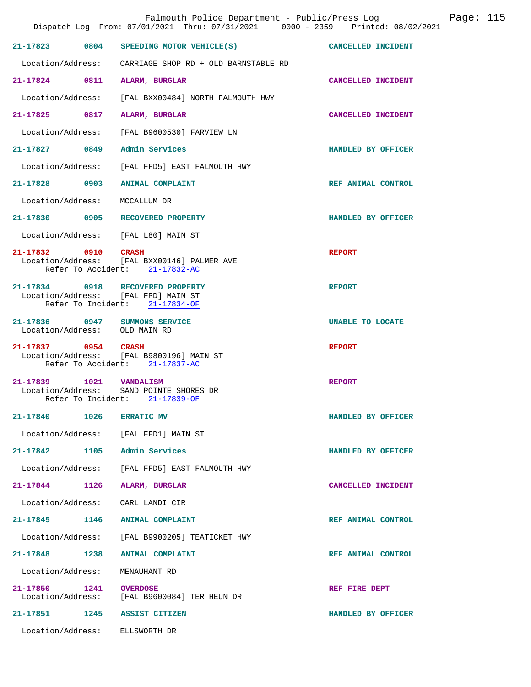|                               | Falmouth Police Department - Public/Press Log Fage: 115<br>Dispatch Log From: 07/01/2021 Thru: 07/31/2021 0000 - 2359 Printed: 08/02/2021 |                    |  |
|-------------------------------|-------------------------------------------------------------------------------------------------------------------------------------------|--------------------|--|
|                               | 21-17823 0804 SPEEDING MOTOR VEHICLE(S) CANCELLED INCIDENT                                                                                |                    |  |
|                               | Location/Address: CARRIAGE SHOP RD + OLD BARNSTABLE RD                                                                                    |                    |  |
|                               | 21-17824 0811 ALARM, BURGLAR                                                                                                              | CANCELLED INCIDENT |  |
|                               | Location/Address: [FAL BXX00484] NORTH FALMOUTH HWY                                                                                       |                    |  |
|                               | 21-17825 0817 ALARM, BURGLAR                                                                                                              | CANCELLED INCIDENT |  |
|                               | Location/Address: [FAL B9600530] FARVIEW LN                                                                                               |                    |  |
|                               | 21-17827 0849 Admin Services                                                                                                              | HANDLED BY OFFICER |  |
|                               | Location/Address: [FAL FFD5] EAST FALMOUTH HWY                                                                                            |                    |  |
|                               | 21-17828 0903 ANIMAL COMPLAINT                                                                                                            | REF ANIMAL CONTROL |  |
| Location/Address:             | MCCALLUM DR                                                                                                                               |                    |  |
|                               | 21-17830 0905 RECOVERED PROPERTY                                                                                                          | HANDLED BY OFFICER |  |
|                               | Location/Address: [FAL L80] MAIN ST                                                                                                       |                    |  |
|                               | 21-17832 0910 CRASH<br>Location/Address: [FAL BXX00146] PALMER AVE<br>Refer To Accident: 21-17832-AC                                      | <b>REPORT</b>      |  |
|                               | 21-17834 0918 RECOVERED PROPERTY<br>Location/Address: [FAL FPD] MAIN ST<br>Refer To Incident: 21-17834-OF                                 | <b>REPORT</b>      |  |
| Location/Address: OLD MAIN RD | 21-17836 0947 SUMMONS SERVICE                                                                                                             | UNABLE TO LOCATE   |  |
| 21-17837 0954 CRASH           | Location/Address: [FAL B9800196] MAIN ST<br>Refer To Accident: 21-17837-AC                                                                | <b>REPORT</b>      |  |
|                               | 21-17839 1021 VANDALISM<br>Location/Address: SAND POINTE SHORES DR<br>Refer To Incident: 21-17839-OF                                      | <b>REPORT</b>      |  |
| 21-17840 1026 ERRATIC MV      |                                                                                                                                           | HANDLED BY OFFICER |  |
|                               | Location/Address: [FAL FFD1] MAIN ST                                                                                                      |                    |  |
|                               | 21-17842 1105 Admin Services                                                                                                              | HANDLED BY OFFICER |  |
|                               | Location/Address: [FAL FFD5] EAST FALMOUTH HWY                                                                                            |                    |  |
|                               | 21-17844 1126 ALARM, BURGLAR                                                                                                              | CANCELLED INCIDENT |  |
|                               | Location/Address: CARL LANDI CIR                                                                                                          |                    |  |
|                               | 21-17845 1146 ANIMAL COMPLAINT                                                                                                            | REF ANIMAL CONTROL |  |
|                               | Location/Address: [FAL B9900205] TEATICKET HWY                                                                                            |                    |  |
|                               | 21-17848 1238 ANIMAL COMPLAINT                                                                                                            | REF ANIMAL CONTROL |  |
| Location/Address:             | MENAUHANT RD                                                                                                                              |                    |  |
| 21-17850 1241 OVERDOSE        | Location/Address: [FAL B9600084] TER HEUN DR                                                                                              | REF FIRE DEPT      |  |
|                               | 21-17851 1245 ASSIST CITIZEN                                                                                                              | HANDLED BY OFFICER |  |
|                               | Location/Address: ELLSWORTH DR                                                                                                            |                    |  |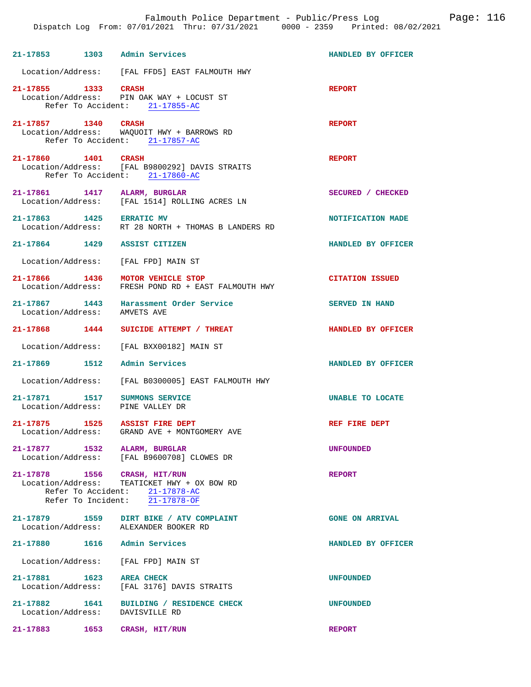|                                    |      | Falmouth Police Department - Public/Press Log Fage: 116<br>Dispatch Log From: 07/01/2021 Thru: 07/31/2021 0000 - 2359 Printed: 08/02/2021 |                        |  |
|------------------------------------|------|-------------------------------------------------------------------------------------------------------------------------------------------|------------------------|--|
| 21-17853 1303 Admin Services       |      |                                                                                                                                           | HANDLED BY OFFICER     |  |
|                                    |      | Location/Address: [FAL FFD5] EAST FALMOUTH HWY                                                                                            |                        |  |
| 21-17855 1333 CRASH                |      | Location/Address: PIN OAK WAY + LOCUST ST<br>Refer To Accident: 21-17855-AC                                                               | <b>REPORT</b>          |  |
| 21-17857 1340 CRASH                |      | Location/Address: WAQUOIT HWY + BARROWS RD<br>Refer To Accident: 21-17857-AC                                                              | <b>REPORT</b>          |  |
| 21-17860 1401 CRASH                |      | Location/Address: [FAL B9800292] DAVIS STRAITS<br>Refer To Accident: 21-17860-AC                                                          | <b>REPORT</b>          |  |
|                                    |      | 21-17861 1417 ALARM, BURGLAR<br>Location/Address: [FAL 1514] ROLLING ACRES LN                                                             | SECURED / CHECKED      |  |
| 21-17863 1425 ERRATIC MV           |      | Location/Address: RT 28 NORTH + THOMAS B LANDERS RD                                                                                       | NOTIFICATION MADE      |  |
| 21-17864 1429 ASSIST CITIZEN       |      |                                                                                                                                           | HANDLED BY OFFICER     |  |
|                                    |      | Location/Address: [FAL FPD] MAIN ST                                                                                                       |                        |  |
|                                    |      | 21-17866 1436 MOTOR VEHICLE STOP<br>Location/Address: FRESH POND RD + EAST FALMOUTH HWY                                                   | <b>CITATION ISSUED</b> |  |
| Location/Address: AMVETS AVE       |      | 21-17867 1443 Harassment Order Service                                                                                                    | SERVED IN HAND         |  |
| 21-17868 1444                      |      | SUICIDE ATTEMPT / THREAT                                                                                                                  | HANDLED BY OFFICER     |  |
|                                    |      | Location/Address: [FAL BXX00182] MAIN ST                                                                                                  |                        |  |
| 21-17869 1512 Admin Services       |      |                                                                                                                                           | HANDLED BY OFFICER     |  |
|                                    |      | Location/Address: [FAL B0300005] EAST FALMOUTH HWY                                                                                        |                        |  |
|                                    |      | 21-17871 1517 SUMMONS SERVICE<br>Location/Address: PINE VALLEY DR                                                                         | UNABLE TO LOCATE       |  |
|                                    |      | 21-17875 1525 ASSIST FIRE DEPT<br>Location/Address: GRAND AVE + MONTGOMERY AVE                                                            | REF FIRE DEPT          |  |
| 21-17877 1532 ALARM, BURGLAR       |      | Location/Address: [FAL B9600708] CLOWES DR                                                                                                | <b>UNFOUNDED</b>       |  |
| 21-17878 1556 CRASH, HIT/RUN       |      | Location/Address: TEATICKET HWY + OX BOW RD<br>Refer To Accident: 21-17878-AC<br>Refer To Incident: 21-17878-OF                           | <b>REPORT</b>          |  |
|                                    |      | 21-17879 1559 DIRT BIKE / ATV COMPLAINT<br>Location/Address: ALEXANDER BOOKER RD                                                          | <b>GONE ON ARRIVAL</b> |  |
| 21-17880                           |      | 1616 Admin Services                                                                                                                       | HANDLED BY OFFICER     |  |
|                                    |      | Location/Address: [FAL FPD] MAIN ST                                                                                                       |                        |  |
| 21-17881 1623<br>Location/Address: |      | <b>AREA CHECK</b><br>[FAL 3176] DAVIS STRAITS                                                                                             | <b>UNFOUNDED</b>       |  |
| 21-17882 1641<br>Location/Address: |      | BUILDING / RESIDENCE CHECK<br>DAVISVILLE RD                                                                                               | <b>UNFOUNDED</b>       |  |
| 21-17883                           | 1653 | CRASH, HIT/RUN                                                                                                                            | <b>REPORT</b>          |  |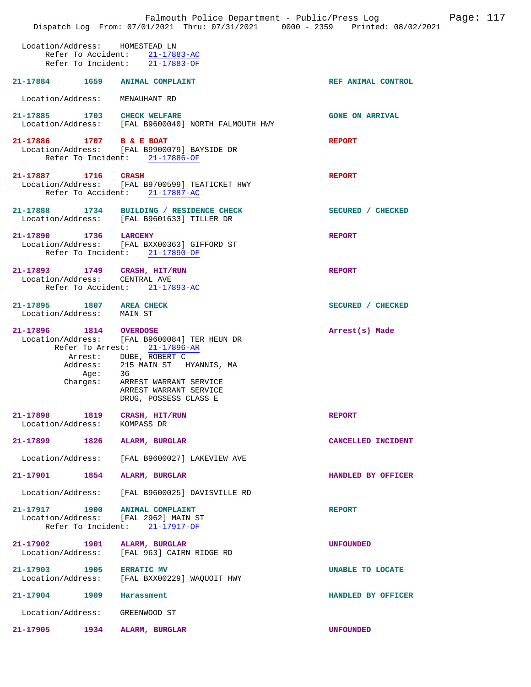|                                                                  | Falmouth Police Department - Public/Press Log<br>Dispatch Log From: 07/01/2021 Thru: 07/31/2021 0000 - 2359 Printed: 08/02/2021                                                                                      |                        | Page: 117 |
|------------------------------------------------------------------|----------------------------------------------------------------------------------------------------------------------------------------------------------------------------------------------------------------------|------------------------|-----------|
| Location/Address: HOMESTEAD LN<br>Refer To Accident:             | $21 - 17883 - AC$<br>Refer To Incident: $\overline{21-17883-OF}$                                                                                                                                                     |                        |           |
| 21-17884 1659                                                    | <b>ANIMAL COMPLAINT</b>                                                                                                                                                                                              | REF ANIMAL CONTROL     |           |
| Location/Address:                                                | MENAUHANT RD                                                                                                                                                                                                         |                        |           |
| 21-17885 1703 CHECK WELFARE                                      | Location/Address: [FAL B9600040] NORTH FALMOUTH HWY                                                                                                                                                                  | <b>GONE ON ARRIVAL</b> |           |
| 21-17886 1707 B & E BOAT                                         | Location/Address: [FAL B9900079] BAYSIDE DR<br>Refer To Incident: 21-17886-OF                                                                                                                                        | <b>REPORT</b>          |           |
| 21-17887 1716                                                    | <b>CRASH</b><br>Location/Address: [FAL B9700599] TEATICKET HWY<br>Refer To Accident: 21-17887-AC                                                                                                                     | <b>REPORT</b>          |           |
| 21-17888                                                         | 1734 BUILDING / RESIDENCE CHECK<br>Location/Address: [FAL B9601633] TILLER DR                                                                                                                                        | SECURED / CHECKED      |           |
| 21-17890 1736 LARCENY                                            | Location/Address: [FAL BXX00363] GIFFORD ST<br>Refer To Incident: 21-17890-OF                                                                                                                                        | <b>REPORT</b>          |           |
| 21-17893 1749<br>Location/Address:                               | CRASH, HIT/RUN<br>CENTRAL AVE<br>Refer To Accident: 21-17893-AC                                                                                                                                                      | <b>REPORT</b>          |           |
| 21-17895 1807 AREA CHECK<br>Location/Address: MAIN ST            |                                                                                                                                                                                                                      | SECURED / CHECKED      |           |
| 21-17896<br><b>1814 OVERDOSE</b><br>Address:<br>Age:<br>Charges: | Location/Address: [FAL B9600084] TER HEUN DR<br>Refer To Arrest: 21-17896-AR<br>Arrest: DUBE, ROBERT C<br>215 MAIN ST HYANNIS, MA<br>36<br>ARREST WARRANT SERVICE<br>ARREST WARRANT SERVICE<br>DRUG, POSSESS CLASS E | Arrest(s) Made         |           |
| 21-17898 1819 CRASH, HIT/RUN<br>Location/Address:                | KOMPASS DR                                                                                                                                                                                                           | <b>REPORT</b>          |           |
| 21-17899 1826                                                    | ALARM, BURGLAR                                                                                                                                                                                                       | CANCELLED INCIDENT     |           |
| Location/Address:                                                | [FAL B9600027] LAKEVIEW AVE                                                                                                                                                                                          |                        |           |
| 21-17901<br>1854                                                 | ALARM, BURGLAR                                                                                                                                                                                                       | HANDLED BY OFFICER     |           |
| Location/Address:                                                | [FAL B9600025] DAVISVILLE RD                                                                                                                                                                                         |                        |           |
| 21-17917 1900 ANIMAL COMPLAINT<br>Refer To Incident:             | Location/Address: [FAL 2962] MAIN ST<br>21-17917-OF                                                                                                                                                                  | <b>REPORT</b>          |           |
| 21-17902 1901<br>Location/Address:                               | ALARM, BURGLAR<br>[FAL 963] CAIRN RIDGE RD                                                                                                                                                                           | <b>UNFOUNDED</b>       |           |
| 21-17903 1905<br>Location/Address:                               | <b>ERRATIC MV</b><br>[FAL BXX00229] WAQUOIT HWY                                                                                                                                                                      | UNABLE TO LOCATE       |           |
| 21-17904 1909                                                    | Harassment                                                                                                                                                                                                           | HANDLED BY OFFICER     |           |
| Location/Address:                                                | GREENWOOD ST                                                                                                                                                                                                         |                        |           |
| 21-17905<br>1934                                                 | ALARM, BURGLAR                                                                                                                                                                                                       | <b>UNFOUNDED</b>       |           |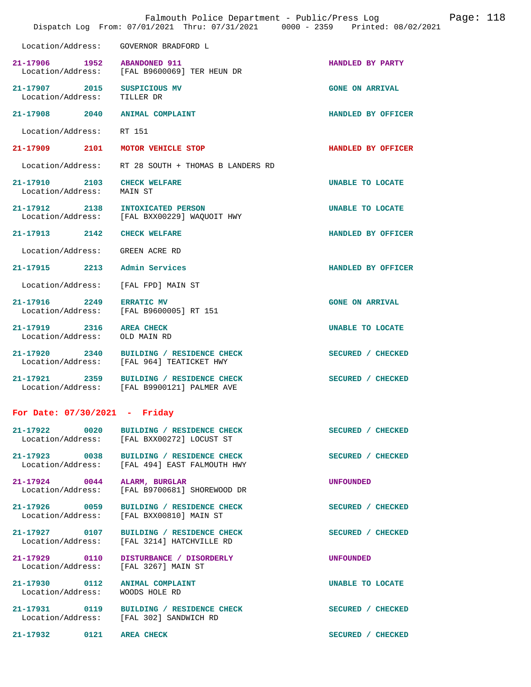|                                                       | Falmouth Police Department - Public/Press Log<br>Dispatch Log From: 07/01/2021 Thru: 07/31/2021 0000 - 2359 Printed: 08/02/2021 |                        | Page: 118 |
|-------------------------------------------------------|---------------------------------------------------------------------------------------------------------------------------------|------------------------|-----------|
| Location/Address:                                     | GOVERNOR BRADFORD L                                                                                                             |                        |           |
| 21-17906 1952<br>Location/Address:                    | <b>ABANDONED 911</b><br>[FAL B9600069] TER HEUN DR                                                                              | HANDLED BY PARTY       |           |
| 21-17907 2015<br>Location/Address:                    | SUSPICIOUS MV<br>TILLER DR                                                                                                      | <b>GONE ON ARRIVAL</b> |           |
| 21-17908 2040                                         | <b>ANIMAL COMPLAINT</b>                                                                                                         | HANDLED BY OFFICER     |           |
| Location/Address:                                     | RT 151                                                                                                                          |                        |           |
| 21-17909<br>2101                                      | MOTOR VEHICLE STOP                                                                                                              | HANDLED BY OFFICER     |           |
| Location/Address:                                     | RT 28 SOUTH + THOMAS B LANDERS RD                                                                                               |                        |           |
| $21 - 17910$<br>2103<br>Location/Address:             | <b>CHECK WELFARE</b><br>MAIN ST                                                                                                 | UNABLE TO LOCATE       |           |
| 21-17912 2138<br>Location/Address:                    | INTOXICATED PERSON<br>[FAL BXX00229] WAQUOIT HWY                                                                                | UNABLE TO LOCATE       |           |
| 21-17913 2142                                         | <b>CHECK WELFARE</b>                                                                                                            | HANDLED BY OFFICER     |           |
| Location/Address:                                     | GREEN ACRE RD                                                                                                                   |                        |           |
| 2213<br>21-17915                                      | Admin Services                                                                                                                  | HANDLED BY OFFICER     |           |
| Location/Address:                                     | [FAL FPD] MAIN ST                                                                                                               |                        |           |
| 21-17916 2249<br>Location/Address:                    | <b>ERRATIC MV</b><br>[FAL B9600005] RT 151                                                                                      | <b>GONE ON ARRIVAL</b> |           |
| 21-17919<br>2316<br>Location/Address:                 | <b>AREA CHECK</b><br>OLD MAIN RD                                                                                                | UNABLE TO LOCATE       |           |
| $21 - 17920$<br>2340<br>Location/Address:             | BUILDING / RESIDENCE CHECK<br>[FAL 964] TEATICKET HWY                                                                           | SECURED / CHECKED      |           |
| 21-17921<br>2359                                      | BUILDING / RESIDENCE CHECK<br>Location/Address: [FAL B9900121] PALMER AVE                                                       | SECURED / CHECKED      |           |
| For Date: $07/30/2021$ - Friday                       |                                                                                                                                 |                        |           |
| 21-17922 0020                                         | <b>BUILDING / RESIDENCE CHECK</b><br>Location/Address: [FAL BXX00272] LOCUST ST                                                 | SECURED / CHECKED      |           |
|                                                       | 21-17923 0038 BUILDING / RESIDENCE CHECK<br>Location/Address: [FAL 494] EAST FALMOUTH HWY                                       | SECURED / CHECKED      |           |
| 21-17924 0044<br>Location/Address:                    | ALARM, BURGLAR<br>[FAL B9700681] SHOREWOOD DR                                                                                   | <b>UNFOUNDED</b>       |           |
| 21-17926 0059                                         | <b>BUILDING / RESIDENCE CHECK</b><br>Location/Address: [FAL BXX00810] MAIN ST                                                   | SECURED / CHECKED      |           |
| 21-17927 0107<br>Location/Address:                    | BUILDING / RESIDENCE CHECK<br>[FAL 3214] HATCHVILLE RD                                                                          | SECURED / CHECKED      |           |
| 21-17929 0110<br>Location/Address: [FAL 3267] MAIN ST | DISTURBANCE / DISORDERLY                                                                                                        | UNFOUNDED              |           |
| 21-17930 0112<br>Location/Address:                    | <b>ANIMAL COMPLAINT</b><br>WOODS HOLE RD                                                                                        | UNABLE TO LOCATE       |           |
|                                                       | 21-17931 0119 BUILDING / RESIDENCE CHECK<br>Location/Address: [FAL 302] SANDWICH RD                                             | SECURED / CHECKED      |           |
| 0121<br>21-17932                                      | <b>AREA CHECK</b>                                                                                                               | SECURED / CHECKED      |           |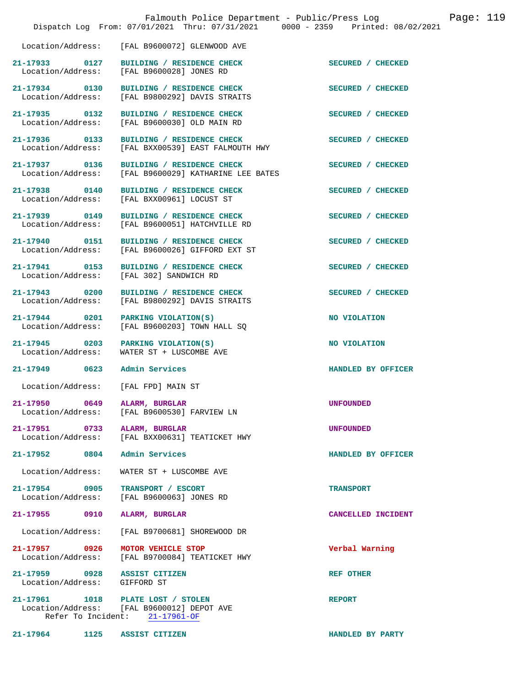|                                       | Falmouth Police Department - Public/Press Log<br>Dispatch Log From: 07/01/2021 Thru: 07/31/2021 0000 - 2359 Printed: 08/02/2021 | Page: 119          |
|---------------------------------------|---------------------------------------------------------------------------------------------------------------------------------|--------------------|
|                                       | Location/Address: [FAL B9600072] GLENWOOD AVE                                                                                   |                    |
| 21-17933 0127<br>Location/Address:    | BUILDING / RESIDENCE CHECK<br>[FAL B9600028] JONES RD                                                                           | SECURED / CHECKED  |
| 21-17934 0130<br>Location/Address:    | BUILDING / RESIDENCE CHECK<br>[FAL B9800292] DAVIS STRAITS                                                                      | SECURED / CHECKED  |
| 21-17935 0132<br>Location/Address:    | BUILDING / RESIDENCE CHECK<br>[FAL B9600030] OLD MAIN RD                                                                        | SECURED / CHECKED  |
| 21-17936 0133<br>Location/Address:    | BUILDING / RESIDENCE CHECK<br>[FAL BXX00539] EAST FALMOUTH HWY                                                                  | SECURED / CHECKED  |
| 21-17937 0136<br>Location/Address:    | BUILDING / RESIDENCE CHECK<br>[FAL B9600029] KATHARINE LEE BATES                                                                | SECURED / CHECKED  |
| 21-17938 0140<br>Location/Address:    | BUILDING / RESIDENCE CHECK<br>[FAL BXX00961] LOCUST ST                                                                          | SECURED / CHECKED  |
| 21-17939 0149<br>Location/Address:    | BUILDING / RESIDENCE CHECK<br>[FAL B9600051] HATCHVILLE RD                                                                      | SECURED / CHECKED  |
| 21-17940 0151<br>Location/Address:    | BUILDING / RESIDENCE CHECK<br>[FAL B9600026] GIFFORD EXT ST                                                                     | SECURED / CHECKED  |
| 21-17941 0153<br>Location/Address:    | BUILDING / RESIDENCE CHECK<br>[FAL 302] SANDWICH RD                                                                             | SECURED / CHECKED  |
| 21-17943 0200<br>Location/Address:    | BUILDING / RESIDENCE CHECK<br>[FAL B9800292] DAVIS STRAITS                                                                      | SECURED / CHECKED  |
| 21-17944 0201<br>Location/Address:    | PARKING VIOLATION(S)<br>[FAL B9600203] TOWN HALL SQ                                                                             | NO VIOLATION       |
| 21-17945 0203<br>Location/Address:    | PARKING VIOLATION(S)<br>WATER ST + LUSCOMBE AVE                                                                                 | NO VIOLATION       |
| 21-17949 0623                         | Admin Services                                                                                                                  | HANDLED BY OFFICER |
| Location/Address: [FAL FPD] MAIN ST   |                                                                                                                                 |                    |
| 21-17950<br>0649<br>Location/Address: | ALARM, BURGLAR<br>[FAL B9600530] FARVIEW LN                                                                                     | <b>UNFOUNDED</b>   |
| 21-17951<br>0733<br>Location/Address: | ALARM, BURGLAR<br>[FAL BXX00631] TEATICKET HWY                                                                                  | <b>UNFOUNDED</b>   |
| 21-17952<br>0804                      | Admin Services                                                                                                                  | HANDLED BY OFFICER |
| Location/Address:                     | WATER ST + LUSCOMBE AVE                                                                                                         |                    |
| 21-17954<br>0905<br>Location/Address: | TRANSPORT / ESCORT<br>[FAL B9600063] JONES RD                                                                                   | <b>TRANSPORT</b>   |
| 21-17955<br>0910                      | ALARM, BURGLAR                                                                                                                  | CANCELLED INCIDENT |
| Location/Address:                     | [FAL B9700681] SHOREWOOD DR                                                                                                     |                    |
| 21-17957<br>0926<br>Location/Address: | MOTOR VEHICLE STOP<br>[FAL B9700084] TEATICKET HWY                                                                              | Verbal Warning     |
| 21-17959<br>0928<br>Location/Address: | <b>ASSIST CITIZEN</b><br>GIFFORD ST                                                                                             | <b>REF OTHER</b>   |
| 21-17961<br>Refer To Incident:        | 1018 PLATE LOST / STOLEN<br>Location/Address: [FAL B9600012] DEPOT AVE<br>21-17961-OF                                           | <b>REPORT</b>      |

**21-17964 1125 ASSIST CITIZEN HANDLED BY PARTY**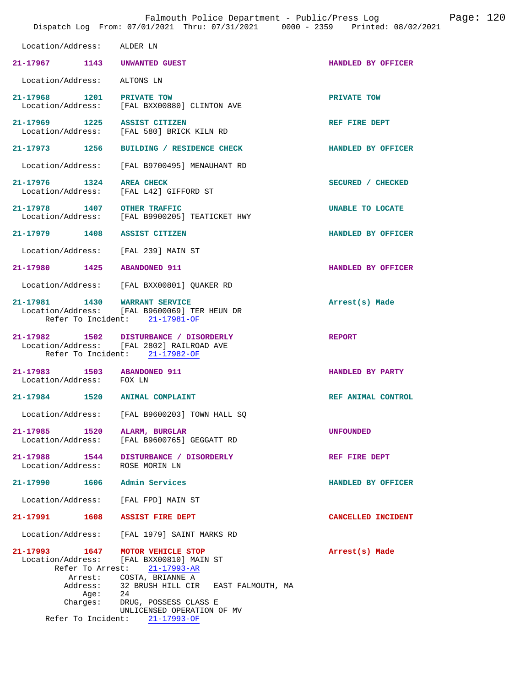|                                                                   | Falmouth Police Department - Public/Press Log<br>Dispatch Log From: 07/01/2021 Thru: 07/31/2021 0000 - 2359 Printed: 08/02/2021 |                    | Page: $120$ |
|-------------------------------------------------------------------|---------------------------------------------------------------------------------------------------------------------------------|--------------------|-------------|
| Location/Address:                                                 | ALDER LN                                                                                                                        |                    |             |
| 21-17967 1143                                                     | UNWANTED GUEST                                                                                                                  | HANDLED BY OFFICER |             |
| Location/Address:                                                 | ALTONS LN                                                                                                                       |                    |             |
| 21-17968<br>Location/Address:                                     | 1201 PRIVATE TOW<br>[FAL BXX00880] CLINTON AVE                                                                                  | PRIVATE TOW        |             |
| 21-17969 1225<br>Location/Address:                                | <b>ASSIST CITIZEN</b><br>[FAL 580] BRICK KILN RD                                                                                | REF FIRE DEPT      |             |
| 21-17973<br>1256                                                  | BUILDING / RESIDENCE CHECK                                                                                                      | HANDLED BY OFFICER |             |
| Location/Address:                                                 | [FAL B9700495] MENAUHANT RD                                                                                                     |                    |             |
| 21-17976 1324<br>Location/Address:                                | <b>AREA CHECK</b><br>[FAL L42] GIFFORD ST                                                                                       | SECURED / CHECKED  |             |
| 21-17978 1407<br>Location/Address:                                | <b>OTHER TRAFFIC</b><br>[FAL B9900205] TEATICKET HWY                                                                            | UNABLE TO LOCATE   |             |
| 21-17979 1408                                                     | <b>ASSIST CITIZEN</b>                                                                                                           | HANDLED BY OFFICER |             |
| Location/Address:                                                 | [FAL 239] MAIN ST                                                                                                               |                    |             |
| 21-17980 1425                                                     | <b>ABANDONED 911</b>                                                                                                            | HANDLED BY OFFICER |             |
| Location/Address:                                                 | [FAL BXX00801] QUAKER RD                                                                                                        |                    |             |
| 21-17981 1430<br>Location/Address:                                | <b>WARRANT SERVICE</b><br>[FAL B9600069] TER HEUN DR<br>Refer To Incident: 21-17981-OF                                          | Arrest(s) Made     |             |
| 21-17982                                                          | 1502 DISTURBANCE / DISORDERLY<br>Location/Address: [FAL 2802] RAILROAD AVE<br>Refer To Incident: 21-17982-OF                    | <b>REPORT</b>      |             |
| $21 - 17983$<br>1503<br>Location/Address: FOX LN                  | <b>ABANDONED 911</b>                                                                                                            | HANDLED BY PARTY   |             |
| 21-17984<br>1520                                                  | ANIMAL COMPLAINT                                                                                                                | REF ANIMAL CONTROL |             |
| Location/Address:                                                 | [FAL B9600203] TOWN HALL SQ                                                                                                     |                    |             |
| $21 - 17985$<br>1520<br>Location/Address:                         | ALARM, BURGLAR<br>[FAL B9600765] GEGGATT RD                                                                                     | <b>UNFOUNDED</b>   |             |
| 21-17988 1544<br>Location/Address:                                | DISTURBANCE / DISORDERLY<br>ROSE MORIN LN                                                                                       | REF FIRE DEPT      |             |
| 1606<br>21-17990                                                  | Admin Services                                                                                                                  | HANDLED BY OFFICER |             |
| Location/Address:                                                 | [FAL FPD] MAIN ST                                                                                                               |                    |             |
| 21-17991<br>1608                                                  | <b>ASSIST FIRE DEPT</b>                                                                                                         | CANCELLED INCIDENT |             |
| Location/Address:                                                 | [FAL 1979] SAINT MARKS RD                                                                                                       |                    |             |
| 21-17993 1647<br>Location/Address:<br>Refer To Arrest:<br>Arrest: | MOTOR VEHICLE STOP<br>[FAL BXX00810] MAIN ST<br>$21 - 17993 - AR$<br>COSTA, BRIANNE A                                           | Arrest(s) Made     |             |
| Address:<br>Aqe:<br>Charges:                                      | 32 BRUSH HILL CIR – EAST FALMOUTH, MA<br>24<br>DRUG, POSSESS CLASS E<br>UNLICENSED OPERATION OF MV                              |                    |             |
| Refer To Incident:                                                | $21 - 17993 - OF$                                                                                                               |                    |             |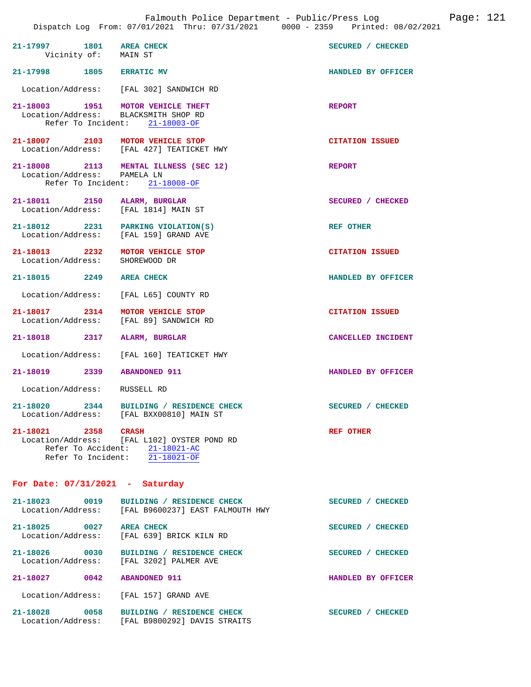| 21-17997 1801 AREA CHECK<br>Vicinity of: MAIN ST                            |                                                                                                                 | SECURED / CHECKED      |
|-----------------------------------------------------------------------------|-----------------------------------------------------------------------------------------------------------------|------------------------|
| 21-17998 1805 ERRATIC MV                                                    |                                                                                                                 | HANDLED BY OFFICER     |
|                                                                             | Location/Address: [FAL 302] SANDWICH RD                                                                         |                        |
| 21-18003 1951 MOTOR VEHICLE THEFT<br>Location/Address: BLACKSMITH SHOP RD   | Refer To Incident: 21-18003-OF                                                                                  | <b>REPORT</b>          |
| 21-18007 2103 MOTOR VEHICLE STOP                                            | Location/Address: [FAL 427] TEATICKET HWY                                                                       | <b>CITATION ISSUED</b> |
| Location/Address: PAMELA LN                                                 | 21-18008 2113 MENTAL ILLNESS (SEC 12)<br>Refer To Incident: 21-18008-OF                                         | REPORT                 |
| 21-18011 2150 ALARM, BURGLAR<br>Location/Address: [FAL 1814] MAIN ST        |                                                                                                                 | SECURED / CHECKED      |
| 21-18012 2231 PARKING VIOLATION(S)<br>Location/Address: [FAL 159] GRAND AVE |                                                                                                                 | <b>REF OTHER</b>       |
| 21-18013 2232 MOTOR VEHICLE STOP<br>Location/Address: SHOREWOOD DR          |                                                                                                                 | <b>CITATION ISSUED</b> |
| 21-18015 2249 AREA CHECK                                                    |                                                                                                                 | HANDLED BY OFFICER     |
| Location/Address: [FAL L65] COUNTY RD                                       |                                                                                                                 |                        |
| 21-18017 2314 MOTOR VEHICLE STOP                                            | Location/Address: [FAL 89] SANDWICH RD                                                                          | <b>CITATION ISSUED</b> |
| 21-18018 2317 ALARM, BURGLAR                                                |                                                                                                                 | CANCELLED INCIDENT     |
|                                                                             | Location/Address: [FAL 160] TEATICKET HWY                                                                       |                        |
| 21-18019 2339 ABANDONED 911                                                 |                                                                                                                 | HANDLED BY OFFICER     |
| Location/Address: RUSSELL RD                                                |                                                                                                                 |                        |
|                                                                             | 21-18020 2344 BUILDING / RESIDENCE CHECK<br>Location/Address: [FAL BXX00810] MAIN ST                            | SECURED / CHECKED      |
| 21-18021 2358 CRASH                                                         | Location/Address: [FAL L102] OYSTER POND RD<br>Refer To Accident: 21-18021-AC<br>Refer To Incident: 21-18021-OF | <b>REF OTHER</b>       |
| For Date: $07/31/2021$ - Saturday                                           |                                                                                                                 |                        |
| 21-18023 0019<br>Location/Address:                                          | BUILDING / RESIDENCE CHECK<br>[FAL B9600237] EAST FALMOUTH HWY                                                  | SECURED / CHECKED      |
| 21-18025 0027 AREA CHECK<br>Location/Address:                               | [FAL 639] BRICK KILN RD                                                                                         | SECURED / CHECKED      |
|                                                                             | 21-18026 0030 BUILDING / RESIDENCE CHECK<br>Location/Address: [FAL 3202] PALMER AVE                             | SECURED / CHECKED      |
| 21-18027 0042                                                               | <b>ABANDONED 911</b>                                                                                            | HANDLED BY OFFICER     |
| Location/Address: [FAL 157] GRAND AVE                                       |                                                                                                                 |                        |
| 21-18028 0058                                                               | BUILDING / RESIDENCE CHECK                                                                                      | SECURED / CHECKED      |

Location/Address: [FAL B9800292] DAVIS STRAITS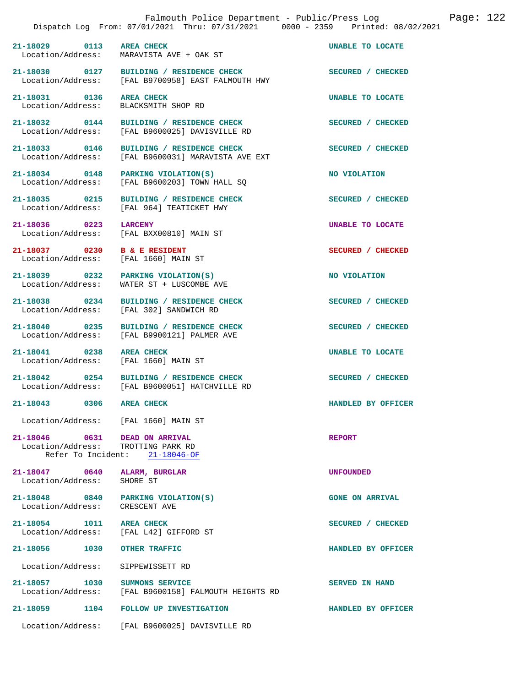|                                                                         | Falmouth Police Department - Public/Press Log<br>Dispatch Log From: 07/01/2021 Thru: 07/31/2021 0000 - 2359 Printed: 08/02/2021 | Page: 122              |
|-------------------------------------------------------------------------|---------------------------------------------------------------------------------------------------------------------------------|------------------------|
| 21-18029 0113                                                           | <b>AREA CHECK</b><br>Location/Address: MARAVISTA AVE + OAK ST                                                                   | UNABLE TO LOCATE       |
| 21-18030 0127<br>Location/Address:                                      | BUILDING / RESIDENCE CHECK<br>[FAL B9700958] EAST FALMOUTH HWY                                                                  | SECURED / CHECKED      |
| 21-18031 0136<br>Location/Address:                                      | <b>AREA CHECK</b><br>BLACKSMITH SHOP RD                                                                                         | UNABLE TO LOCATE       |
| 21-18032 0144                                                           | BUILDING / RESIDENCE CHECK<br>Location/Address: [FAL B9600025] DAVISVILLE RD                                                    | SECURED / CHECKED      |
| 21-18033 0146                                                           | BUILDING / RESIDENCE CHECK<br>Location/Address: [FAL B9600031] MARAVISTA AVE EXT                                                | SECURED / CHECKED      |
| 21-18034 0148<br>Location/Address:                                      | PARKING VIOLATION(S)<br>[FAL B9600203] TOWN HALL SQ                                                                             | NO VIOLATION           |
| 21-18035 0215<br>Location/Address:                                      | BUILDING / RESIDENCE CHECK<br>[FAL 964] TEATICKET HWY                                                                           | SECURED / CHECKED      |
| 21-18036 0223                                                           | <b>LARCENY</b><br>Location/Address: [FAL BXX00810] MAIN ST                                                                      | UNABLE TO LOCATE       |
| 21-18037 0230<br>Location/Address:                                      | <b>B &amp; E RESIDENT</b><br>[FAL 1660] MAIN ST                                                                                 | SECURED / CHECKED      |
| 21-18039 0232<br>Location/Address:                                      | PARKING VIOLATION(S)<br>WATER ST + LUSCOMBE AVE                                                                                 | NO VIOLATION           |
| 21-18038<br>$\overline{0234}$<br>Location/Address:                      | BUILDING / RESIDENCE CHECK<br>[FAL 302] SANDWICH RD                                                                             | SECURED / CHECKED      |
| 21-18040 0235                                                           | BUILDING / RESIDENCE CHECK<br>Location/Address: [FAL B9900121] PALMER AVE                                                       | SECURED / CHECKED      |
| 21-18041 0238<br>Location/Address: [FAL 1660] MAIN ST                   | <b>AREA CHECK</b>                                                                                                               | UNABLE TO LOCATE       |
|                                                                         | 21-18042 0254 BUILDING / RESIDENCE CHECK<br>Location/Address: [FAL B9600051] HATCHVILLE RD                                      | SECURED / CHECKED      |
| 21-18043 0306 AREA CHECK                                                |                                                                                                                                 | HANDLED BY OFFICER     |
| Location/Address: [FAL 1660] MAIN ST                                    |                                                                                                                                 |                        |
| 21-18046   0631   DEAD ON ARRIVAL<br>Location/Address: TROTTING PARK RD | Refer To Incident: 21-18046-OF                                                                                                  | <b>REPORT</b>          |
| 21-18047 0640<br>Location/Address:                                      | ALARM, BURGLAR<br>SHORE ST                                                                                                      | <b>UNFOUNDED</b>       |
| 21-18048 0840<br>Location/Address: CRESCENT AVE                         | PARKING VIOLATION(S)                                                                                                            | <b>GONE ON ARRIVAL</b> |
| 21-18054 1011<br>Location/Address:                                      | <b>AREA CHECK</b><br>[FAL L42] GIFFORD ST                                                                                       | SECURED / CHECKED      |
| 21-18056<br>1030                                                        | <b>OTHER TRAFFIC</b>                                                                                                            | HANDLED BY OFFICER     |
| Location/Address:                                                       | SIPPEWISSETT RD                                                                                                                 |                        |
| 21-18057 1030<br>Location/Address:                                      | SUMMONS SERVICE<br>[FAL B9600158] FALMOUTH HEIGHTS RD                                                                           | <b>SERVED IN HAND</b>  |
| 21-18059<br>1104                                                        | <b>FOLLOW UP INVESTIGATION</b>                                                                                                  | HANDLED BY OFFICER     |
|                                                                         | Location/Address: [FAL B9600025] DAVISVILLE RD                                                                                  |                        |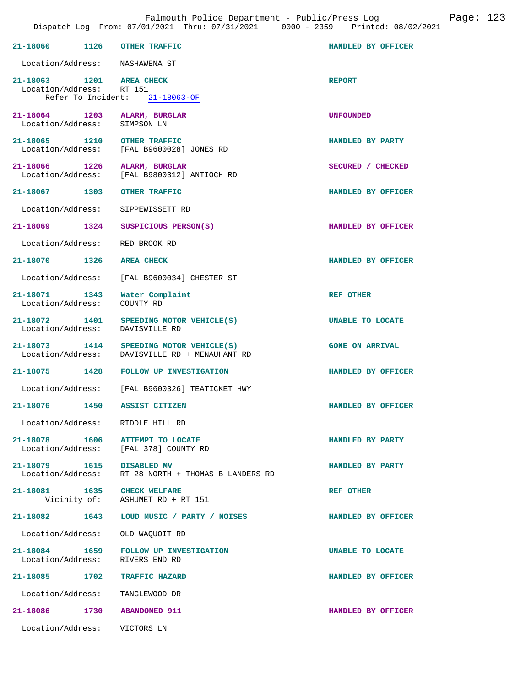|                                                      | 21-18060 1126 OTHER TRAFFIC                                                               | HANDLED BY OFFICER     |
|------------------------------------------------------|-------------------------------------------------------------------------------------------|------------------------|
|                                                      | Location/Address: NASHAWENA ST                                                            |                        |
| 21-18063 1201 AREA CHECK<br>Location/Address: RT 151 | Refer To Incident: 21-18063-OF                                                            | <b>REPORT</b>          |
| Location/Address: SIMPSON LN                         | 21-18064 1203 ALARM, BURGLAR                                                              | UNFOUNDED              |
|                                                      | 21-18065 1210 OTHER TRAFFIC<br>Location/Address: [FAL B9600028] JONES RD                  | HANDLED BY PARTY       |
|                                                      | 21-18066 1226 ALARM, BURGLAR<br>Location/Address: [FAL B9800312] ANTIOCH RD               | SECURED / CHECKED      |
|                                                      | 21-18067 1303 OTHER TRAFFIC                                                               | HANDLED BY OFFICER     |
|                                                      | Location/Address: SIPPEWISSETT RD                                                         |                        |
|                                                      | 21-18069 1324 SUSPICIOUS PERSON(S)                                                        | HANDLED BY OFFICER     |
|                                                      | Location/Address: RED BROOK RD                                                            |                        |
| 21-18070 1326 AREA CHECK                             |                                                                                           | HANDLED BY OFFICER     |
|                                                      | Location/Address: [FAL B9600034] CHESTER ST                                               |                        |
| Location/Address: COUNTY RD                          | 21-18071 1343 Water Complaint                                                             | REF OTHER              |
|                                                      | 21-18072 1401 SPEEDING MOTOR VEHICLE(S)<br>Location/Address: DAVISVILLE RD                | UNABLE TO LOCATE       |
|                                                      | 21-18073 1414 SPEEDING MOTOR VEHICLE(S)<br>Location/Address: DAVISVILLE RD + MENAUHANT RD | <b>GONE ON ARRIVAL</b> |
|                                                      | 21-18075 1428 FOLLOW UP INVESTIGATION                                                     | HANDLED BY OFFICER     |
|                                                      | Location/Address: [FAL B9600326] TEATICKET HWY                                            |                        |
|                                                      | 21-18076 1450 ASSIST CITIZEN                                                              | HANDLED BY OFFICER     |
|                                                      | Location/Address: RIDDLE HILL RD                                                          |                        |
| 21-18078 1606                                        | ATTEMPT TO LOCATE<br>Location/Address: [FAL 378] COUNTY RD                                | HANDLED BY PARTY       |
| 21-18079 1615 DISABLED MV                            | Location/Address: RT 28 NORTH + THOMAS B LANDERS RD                                       | HANDLED BY PARTY       |
|                                                      | 21-18081 1635 CHECK WELFARE<br>Vicinity of: ASHUMET RD + RT 151                           | <b>REF OTHER</b>       |
|                                                      | 21-18082   1643   LOUD MUSIC / PARTY / NOISES                                             | HANDLED BY OFFICER     |
|                                                      | Location/Address: OLD WAQUOIT RD                                                          |                        |
|                                                      | 21-18084 1659 FOLLOW UP INVESTIGATION<br>Location/Address: RIVERS END RD                  | UNABLE TO LOCATE       |
|                                                      | 21-18085 1702 TRAFFIC HAZARD                                                              | HANDLED BY OFFICER     |
|                                                      | Location/Address: TANGLEWOOD DR                                                           |                        |
|                                                      | 21-18086 1730 ABANDONED 911                                                               | HANDLED BY OFFICER     |
| Location/Address: VICTORS LN                         |                                                                                           |                        |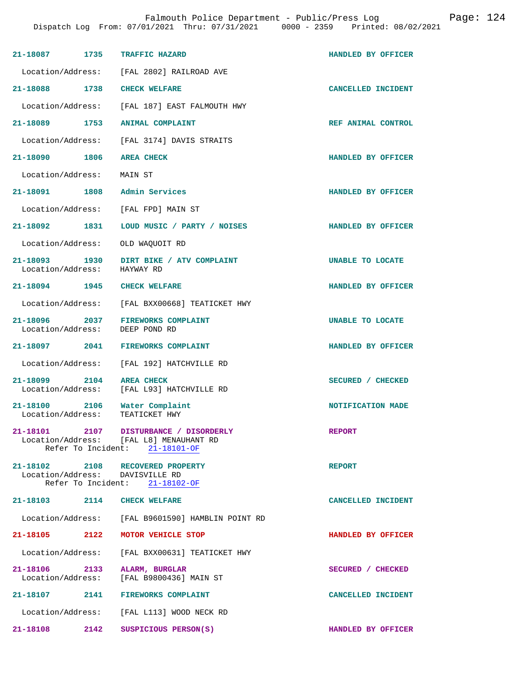| 21-18087 1735                                | <b>TRAFFIC HAZARD</b>                                                                                      | HANDLED BY OFFICER |
|----------------------------------------------|------------------------------------------------------------------------------------------------------------|--------------------|
|                                              | Location/Address: [FAL 2802] RAILROAD AVE                                                                  |                    |
| 21-18088 1738 CHECK WELFARE                  |                                                                                                            | CANCELLED INCIDENT |
|                                              | Location/Address: [FAL 187] EAST FALMOUTH HWY                                                              |                    |
| 21-18089 1753                                | ANIMAL COMPLAINT                                                                                           | REF ANIMAL CONTROL |
|                                              | Location/Address: [FAL 3174] DAVIS STRAITS                                                                 |                    |
| 21-18090 1806                                | <b>AREA CHECK</b>                                                                                          | HANDLED BY OFFICER |
| Location/Address: MAIN ST                    |                                                                                                            |                    |
|                                              | 21-18091 1808 Admin Services                                                                               | HANDLED BY OFFICER |
|                                              | Location/Address: [FAL FPD] MAIN ST                                                                        |                    |
| 21-18092 1831                                | LOUD MUSIC / PARTY / NOISES                                                                                | HANDLED BY OFFICER |
| Location/Address:                            | OLD WAQUOIT RD                                                                                             |                    |
| 21-18093 1930<br>Location/Address: HAYWAY RD | DIRT BIKE / ATV COMPLAINT                                                                                  | UNABLE TO LOCATE   |
| 21-18094 1945 CHECK WELFARE                  |                                                                                                            | HANDLED BY OFFICER |
|                                              | Location/Address: [FAL BXX00668] TEATICKET HWY                                                             |                    |
|                                              | 21-18096 2037 FIREWORKS COMPLAINT<br>Location/Address: DEEP POND RD                                        | UNABLE TO LOCATE   |
|                                              | 21-18097 2041 FIREWORKS COMPLAINT                                                                          | HANDLED BY OFFICER |
|                                              | Location/Address: [FAL 192] HATCHVILLE RD                                                                  |                    |
| 21-18099 2104                                | <b>AREA CHECK</b><br>Location/Address: [FAL L93] HATCHVILLE RD                                             | SECURED / CHECKED  |
|                                              | 21-18100 2106 Water Complaint<br>Location/Address: TEATICKET HWY                                           | NOTIFICATION MADE  |
| 21-18101                                     | 2107 DISTURBANCE / DISORDERLY<br>Location/Address: [FAL L8] MENAUHANT RD<br>Refer To Incident: 21-18101-OF | <b>REPORT</b>      |
|                                              | 21-18102 2108 RECOVERED PROPERTY<br>Location/Address: DAVISVILLE RD<br>Refer To Incident: 21-18102-OF      | <b>REPORT</b>      |
| 21-18103 2114 CHECK WELFARE                  |                                                                                                            | CANCELLED INCIDENT |
|                                              | Location/Address: [FAL B9601590] HAMBLIN POINT RD                                                          |                    |
| 21-18105 2122                                | MOTOR VEHICLE STOP                                                                                         | HANDLED BY OFFICER |
|                                              | Location/Address: [FAL BXX00631] TEATICKET HWY                                                             |                    |
| 21-18106 2133                                | ALARM, BURGLAR<br>Location/Address: [FAL B9800436] MAIN ST                                                 | SECURED / CHECKED  |
|                                              | 21-18107 2141 FIREWORKS COMPLAINT                                                                          | CANCELLED INCIDENT |
|                                              | Location/Address: [FAL L113] WOOD NECK RD                                                                  |                    |
| 21-18108 2142                                | SUSPICIOUS PERSON(S)                                                                                       | HANDLED BY OFFICER |